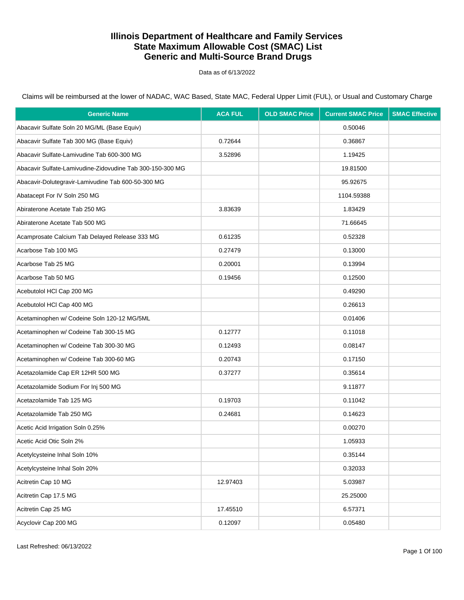Data as of 6/13/2022

| <b>Generic Name</b>                                       | <b>ACA FUL</b> | <b>OLD SMAC Price</b> | <b>Current SMAC Price</b> | <b>SMAC Effective</b> |
|-----------------------------------------------------------|----------------|-----------------------|---------------------------|-----------------------|
| Abacavir Sulfate Soln 20 MG/ML (Base Equiv)               |                |                       | 0.50046                   |                       |
| Abacavir Sulfate Tab 300 MG (Base Equiv)                  | 0.72644        |                       | 0.36867                   |                       |
| Abacavir Sulfate-Lamivudine Tab 600-300 MG                | 3.52896        |                       | 1.19425                   |                       |
| Abacavir Sulfate-Lamivudine-Zidovudine Tab 300-150-300 MG |                |                       | 19.81500                  |                       |
| Abacavir-Dolutegravir-Lamivudine Tab 600-50-300 MG        |                |                       | 95.92675                  |                       |
| Abatacept For IV Soln 250 MG                              |                |                       | 1104.59388                |                       |
| Abiraterone Acetate Tab 250 MG                            | 3.83639        |                       | 1.83429                   |                       |
| Abiraterone Acetate Tab 500 MG                            |                |                       | 71.66645                  |                       |
| Acamprosate Calcium Tab Delayed Release 333 MG            | 0.61235        |                       | 0.52328                   |                       |
| Acarbose Tab 100 MG                                       | 0.27479        |                       | 0.13000                   |                       |
| Acarbose Tab 25 MG                                        | 0.20001        |                       | 0.13994                   |                       |
| Acarbose Tab 50 MG                                        | 0.19456        |                       | 0.12500                   |                       |
| Acebutolol HCl Cap 200 MG                                 |                |                       | 0.49290                   |                       |
| Acebutolol HCl Cap 400 MG                                 |                |                       | 0.26613                   |                       |
| Acetaminophen w/ Codeine Soln 120-12 MG/5ML               |                |                       | 0.01406                   |                       |
| Acetaminophen w/ Codeine Tab 300-15 MG                    | 0.12777        |                       | 0.11018                   |                       |
| Acetaminophen w/ Codeine Tab 300-30 MG                    | 0.12493        |                       | 0.08147                   |                       |
| Acetaminophen w/ Codeine Tab 300-60 MG                    | 0.20743        |                       | 0.17150                   |                       |
| Acetazolamide Cap ER 12HR 500 MG                          | 0.37277        |                       | 0.35614                   |                       |
| Acetazolamide Sodium For Inj 500 MG                       |                |                       | 9.11877                   |                       |
| Acetazolamide Tab 125 MG                                  | 0.19703        |                       | 0.11042                   |                       |
| Acetazolamide Tab 250 MG                                  | 0.24681        |                       | 0.14623                   |                       |
| Acetic Acid Irrigation Soln 0.25%                         |                |                       | 0.00270                   |                       |
| Acetic Acid Otic Soln 2%                                  |                |                       | 1.05933                   |                       |
| Acetylcysteine Inhal Soln 10%                             |                |                       | 0.35144                   |                       |
| Acetylcysteine Inhal Soln 20%                             |                |                       | 0.32033                   |                       |
| Acitretin Cap 10 MG                                       | 12.97403       |                       | 5.03987                   |                       |
| Acitretin Cap 17.5 MG                                     |                |                       | 25.25000                  |                       |
| Acitretin Cap 25 MG                                       | 17.45510       |                       | 6.57371                   |                       |
| Acyclovir Cap 200 MG                                      | 0.12097        |                       | 0.05480                   |                       |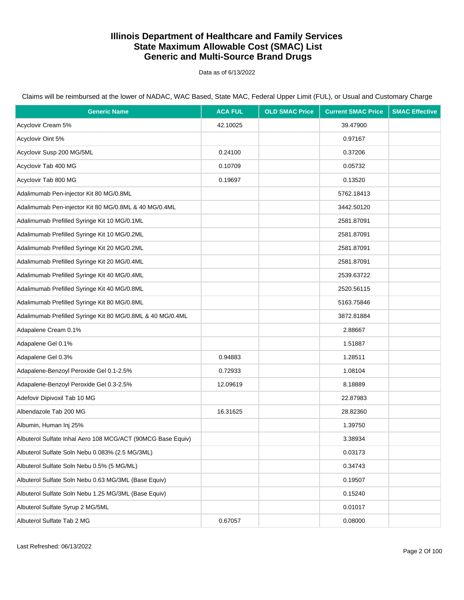Data as of 6/13/2022

| <b>Generic Name</b>                                         | <b>ACA FUL</b> | <b>OLD SMAC Price</b> | <b>Current SMAC Price</b> | <b>SMAC Effective</b> |
|-------------------------------------------------------------|----------------|-----------------------|---------------------------|-----------------------|
| Acyclovir Cream 5%                                          | 42.10025       |                       | 39.47900                  |                       |
| Acyclovir Oint 5%                                           |                |                       | 0.97167                   |                       |
| Acyclovir Susp 200 MG/5ML                                   | 0.24100        |                       | 0.37206                   |                       |
| Acyclovir Tab 400 MG                                        | 0.10709        |                       | 0.05732                   |                       |
| Acyclovir Tab 800 MG                                        | 0.19697        |                       | 0.13520                   |                       |
| Adalimumab Pen-injector Kit 80 MG/0.8ML                     |                |                       | 5762.18413                |                       |
| Adalimumab Pen-injector Kit 80 MG/0.8ML & 40 MG/0.4ML       |                |                       | 3442.50120                |                       |
| Adalimumab Prefilled Syringe Kit 10 MG/0.1ML                |                |                       | 2581.87091                |                       |
| Adalimumab Prefilled Syringe Kit 10 MG/0.2ML                |                |                       | 2581.87091                |                       |
| Adalimumab Prefilled Syringe Kit 20 MG/0.2ML                |                |                       | 2581.87091                |                       |
| Adalimumab Prefilled Syringe Kit 20 MG/0.4ML                |                |                       | 2581.87091                |                       |
| Adalimumab Prefilled Syringe Kit 40 MG/0.4ML                |                |                       | 2539.63722                |                       |
| Adalimumab Prefilled Syringe Kit 40 MG/0.8ML                |                |                       | 2520.56115                |                       |
| Adalimumab Prefilled Syringe Kit 80 MG/0.8ML                |                |                       | 5163.75846                |                       |
| Adalimumab Prefilled Syringe Kit 80 MG/0.8ML & 40 MG/0.4ML  |                |                       | 3872.81884                |                       |
| Adapalene Cream 0.1%                                        |                |                       | 2.88667                   |                       |
| Adapalene Gel 0.1%                                          |                |                       | 1.51887                   |                       |
| Adapalene Gel 0.3%                                          | 0.94883        |                       | 1.28511                   |                       |
| Adapalene-Benzoyl Peroxide Gel 0.1-2.5%                     | 0.72933        |                       | 1.08104                   |                       |
| Adapalene-Benzoyl Peroxide Gel 0.3-2.5%                     | 12.09619       |                       | 8.18889                   |                       |
| Adefovir Dipivoxil Tab 10 MG                                |                |                       | 22.87983                  |                       |
| Albendazole Tab 200 MG                                      | 16.31625       |                       | 28.82360                  |                       |
| Albumin, Human Inj 25%                                      |                |                       | 1.39750                   |                       |
| Albuterol Sulfate Inhal Aero 108 MCG/ACT (90MCG Base Equiv) |                |                       | 3.38934                   |                       |
| Albuterol Sulfate Soln Nebu 0.083% (2.5 MG/3ML)             |                |                       | 0.03173                   |                       |
| Albuterol Sulfate Soln Nebu 0.5% (5 MG/ML)                  |                |                       | 0.34743                   |                       |
| Albuterol Sulfate Soln Nebu 0.63 MG/3ML (Base Equiv)        |                |                       | 0.19507                   |                       |
| Albuterol Sulfate Soln Nebu 1.25 MG/3ML (Base Equiv)        |                |                       | 0.15240                   |                       |
| Albuterol Sulfate Syrup 2 MG/5ML                            |                |                       | 0.01017                   |                       |
| Albuterol Sulfate Tab 2 MG                                  | 0.67057        |                       | 0.08000                   |                       |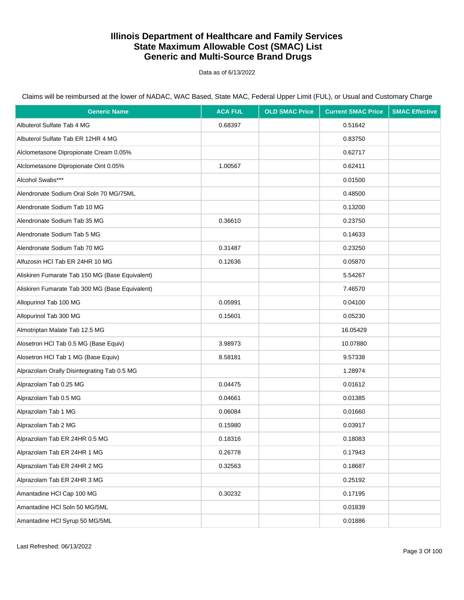Data as of 6/13/2022

| <b>Generic Name</b>                             | <b>ACA FUL</b> | <b>OLD SMAC Price</b> | <b>Current SMAC Price</b> | <b>SMAC Effective</b> |
|-------------------------------------------------|----------------|-----------------------|---------------------------|-----------------------|
| Albuterol Sulfate Tab 4 MG                      | 0.68397        |                       | 0.51642                   |                       |
| Albuterol Sulfate Tab ER 12HR 4 MG              |                |                       | 0.83750                   |                       |
| Alclometasone Dipropionate Cream 0.05%          |                |                       | 0.62717                   |                       |
| Alclometasone Dipropionate Oint 0.05%           | 1.00567        |                       | 0.62411                   |                       |
| Alcohol Swabs***                                |                |                       | 0.01500                   |                       |
| Alendronate Sodium Oral Soln 70 MG/75ML         |                |                       | 0.48500                   |                       |
| Alendronate Sodium Tab 10 MG                    |                |                       | 0.13200                   |                       |
| Alendronate Sodium Tab 35 MG                    | 0.36610        |                       | 0.23750                   |                       |
| Alendronate Sodium Tab 5 MG                     |                |                       | 0.14633                   |                       |
| Alendronate Sodium Tab 70 MG                    | 0.31487        |                       | 0.23250                   |                       |
| Alfuzosin HCl Tab ER 24HR 10 MG                 | 0.12636        |                       | 0.05870                   |                       |
| Aliskiren Fumarate Tab 150 MG (Base Equivalent) |                |                       | 5.54267                   |                       |
| Aliskiren Fumarate Tab 300 MG (Base Equivalent) |                |                       | 7.46570                   |                       |
| Allopurinol Tab 100 MG                          | 0.05991        |                       | 0.04100                   |                       |
| Allopurinol Tab 300 MG                          | 0.15601        |                       | 0.05230                   |                       |
| Almotriptan Malate Tab 12.5 MG                  |                |                       | 16.05429                  |                       |
| Alosetron HCl Tab 0.5 MG (Base Equiv)           | 3.98973        |                       | 10.07880                  |                       |
| Alosetron HCl Tab 1 MG (Base Equiv)             | 8.58181        |                       | 9.57338                   |                       |
| Alprazolam Orally Disintegrating Tab 0.5 MG     |                |                       | 1.28974                   |                       |
| Alprazolam Tab 0.25 MG                          | 0.04475        |                       | 0.01612                   |                       |
| Alprazolam Tab 0.5 MG                           | 0.04661        |                       | 0.01385                   |                       |
| Alprazolam Tab 1 MG                             | 0.06084        |                       | 0.01660                   |                       |
| Alprazolam Tab 2 MG                             | 0.15980        |                       | 0.03917                   |                       |
| Alprazolam Tab ER 24HR 0.5 MG                   | 0.18316        |                       | 0.18083                   |                       |
| Alprazolam Tab ER 24HR 1 MG                     | 0.26778        |                       | 0.17943                   |                       |
| Alprazolam Tab ER 24HR 2 MG                     | 0.32563        |                       | 0.18687                   |                       |
| Alprazolam Tab ER 24HR 3 MG                     |                |                       | 0.25192                   |                       |
| Amantadine HCl Cap 100 MG                       | 0.30232        |                       | 0.17195                   |                       |
| Amantadine HCl Soln 50 MG/5ML                   |                |                       | 0.01839                   |                       |
| Amantadine HCl Syrup 50 MG/5ML                  |                |                       | 0.01886                   |                       |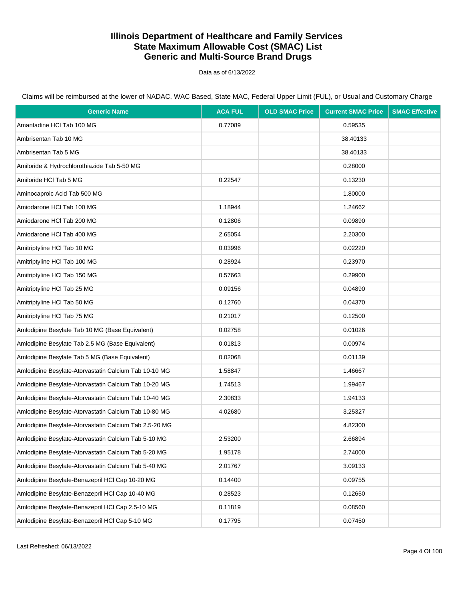Data as of 6/13/2022

Claims will be reimbursed at the lower of NADAC, WAC Based, State MAC, Federal Upper Limit (FUL), or Usual and Customary Charge

| <b>Generic Name</b>                                    | <b>ACA FUL</b> | <b>OLD SMAC Price</b> | <b>Current SMAC Price</b> | <b>SMAC Effective</b> |
|--------------------------------------------------------|----------------|-----------------------|---------------------------|-----------------------|
| Amantadine HCl Tab 100 MG                              | 0.77089        |                       | 0.59535                   |                       |
| Ambrisentan Tab 10 MG                                  |                |                       | 38.40133                  |                       |
| Ambrisentan Tab 5 MG                                   |                |                       | 38.40133                  |                       |
| Amiloride & Hydrochlorothiazide Tab 5-50 MG            |                |                       | 0.28000                   |                       |
| Amiloride HCI Tab 5 MG                                 | 0.22547        |                       | 0.13230                   |                       |
| Aminocaproic Acid Tab 500 MG                           |                |                       | 1.80000                   |                       |
| Amiodarone HCI Tab 100 MG                              | 1.18944        |                       | 1.24662                   |                       |
| Amiodarone HCI Tab 200 MG                              | 0.12806        |                       | 0.09890                   |                       |
| Amiodarone HCI Tab 400 MG                              | 2.65054        |                       | 2.20300                   |                       |
| Amitriptyline HCI Tab 10 MG                            | 0.03996        |                       | 0.02220                   |                       |
| Amitriptyline HCI Tab 100 MG                           | 0.28924        |                       | 0.23970                   |                       |
| Amitriptyline HCI Tab 150 MG                           | 0.57663        |                       | 0.29900                   |                       |
| Amitriptyline HCI Tab 25 MG                            | 0.09156        |                       | 0.04890                   |                       |
| Amitriptyline HCI Tab 50 MG                            | 0.12760        |                       | 0.04370                   |                       |
| Amitriptyline HCI Tab 75 MG                            | 0.21017        |                       | 0.12500                   |                       |
| Amlodipine Besylate Tab 10 MG (Base Equivalent)        | 0.02758        |                       | 0.01026                   |                       |
| Amlodipine Besylate Tab 2.5 MG (Base Equivalent)       | 0.01813        |                       | 0.00974                   |                       |
| Amlodipine Besylate Tab 5 MG (Base Equivalent)         | 0.02068        |                       | 0.01139                   |                       |
| Amlodipine Besylate-Atorvastatin Calcium Tab 10-10 MG  | 1.58847        |                       | 1.46667                   |                       |
| Amlodipine Besylate-Atorvastatin Calcium Tab 10-20 MG  | 1.74513        |                       | 1.99467                   |                       |
| Amlodipine Besylate-Atorvastatin Calcium Tab 10-40 MG  | 2.30833        |                       | 1.94133                   |                       |
| Amlodipine Besylate-Atorvastatin Calcium Tab 10-80 MG  | 4.02680        |                       | 3.25327                   |                       |
| Amlodipine Besylate-Atorvastatin Calcium Tab 2.5-20 MG |                |                       | 4.82300                   |                       |
| Amlodipine Besylate-Atorvastatin Calcium Tab 5-10 MG   | 2.53200        |                       | 2.66894                   |                       |
| Amlodipine Besylate-Atorvastatin Calcium Tab 5-20 MG   | 1.95178        |                       | 2.74000                   |                       |
| Amlodipine Besylate-Atorvastatin Calcium Tab 5-40 MG   | 2.01767        |                       | 3.09133                   |                       |
| Amlodipine Besylate-Benazepril HCl Cap 10-20 MG        | 0.14400        |                       | 0.09755                   |                       |
| Amlodipine Besylate-Benazepril HCl Cap 10-40 MG        | 0.28523        |                       | 0.12650                   |                       |
| Amlodipine Besylate-Benazepril HCl Cap 2.5-10 MG       | 0.11819        |                       | 0.08560                   |                       |
| Amlodipine Besylate-Benazepril HCl Cap 5-10 MG         | 0.17795        |                       | 0.07450                   |                       |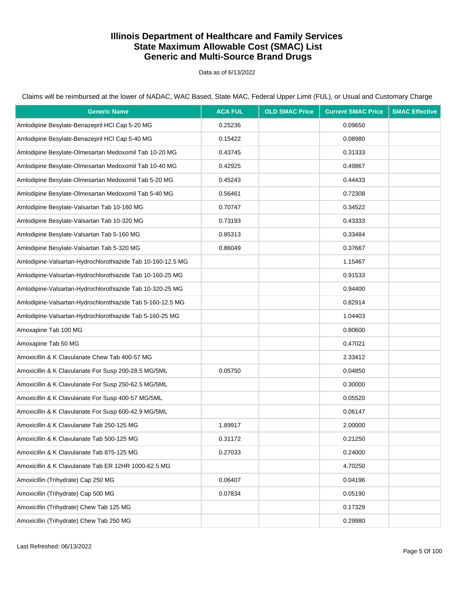Data as of 6/13/2022

Claims will be reimbursed at the lower of NADAC, WAC Based, State MAC, Federal Upper Limit (FUL), or Usual and Customary Charge

| <b>Generic Name</b>                                         | <b>ACA FUL</b> | <b>OLD SMAC Price</b> | <b>Current SMAC Price</b> | <b>SMAC Effective</b> |
|-------------------------------------------------------------|----------------|-----------------------|---------------------------|-----------------------|
| Amlodipine Besylate-Benazepril HCl Cap 5-20 MG              | 0.25236        |                       | 0.09650                   |                       |
| Amlodipine Besylate-Benazepril HCl Cap 5-40 MG              | 0.15422        |                       | 0.08980                   |                       |
| Amlodipine Besylate-Olmesartan Medoxomil Tab 10-20 MG       | 0.43745        |                       | 0.31333                   |                       |
| Amlodipine Besylate-Olmesartan Medoxomil Tab 10-40 MG       | 0.42925        |                       | 0.49867                   |                       |
| Amlodipine Besylate-Olmesartan Medoxomil Tab 5-20 MG        | 0.45243        |                       | 0.44433                   |                       |
| Amlodipine Besylate-Olmesartan Medoxomil Tab 5-40 MG        | 0.56461        |                       | 0.72308                   |                       |
| Amlodipine Besylate-Valsartan Tab 10-160 MG                 | 0.70747        |                       | 0.34522                   |                       |
| Amlodipine Besylate-Valsartan Tab 10-320 MG                 | 0.73193        |                       | 0.43333                   |                       |
| Amlodipine Besylate-Valsartan Tab 5-160 MG                  | 0.85313        |                       | 0.33484                   |                       |
| Amlodipine Besylate-Valsartan Tab 5-320 MG                  | 0.86049        |                       | 0.37667                   |                       |
| Amlodipine-Valsartan-Hydrochlorothiazide Tab 10-160-12.5 MG |                |                       | 1.15467                   |                       |
| Amlodipine-Valsartan-Hydrochlorothiazide Tab 10-160-25 MG   |                |                       | 0.91533                   |                       |
| Amlodipine-Valsartan-Hydrochlorothiazide Tab 10-320-25 MG   |                |                       | 0.94400                   |                       |
| Amlodipine-Valsartan-Hydrochlorothiazide Tab 5-160-12.5 MG  |                |                       | 0.82914                   |                       |
| Amlodipine-Valsartan-Hydrochlorothiazide Tab 5-160-25 MG    |                |                       | 1.04403                   |                       |
| Amoxapine Tab 100 MG                                        |                |                       | 0.80600                   |                       |
| Amoxapine Tab 50 MG                                         |                |                       | 0.47021                   |                       |
| Amoxicillin & K Clavulanate Chew Tab 400-57 MG              |                |                       | 2.33412                   |                       |
| Amoxicillin & K Clavulanate For Susp 200-28.5 MG/5ML        | 0.05750        |                       | 0.04850                   |                       |
| Amoxicillin & K Clavulanate For Susp 250-62.5 MG/5ML        |                |                       | 0.30000                   |                       |
| Amoxicillin & K Clavulanate For Susp 400-57 MG/5ML          |                |                       | 0.05520                   |                       |
| Amoxicillin & K Clavulanate For Susp 600-42.9 MG/5ML        |                |                       | 0.06147                   |                       |
| Amoxicillin & K Clavulanate Tab 250-125 MG                  | 1.89917        |                       | 2.00000                   |                       |
| Amoxicillin & K Clavulanate Tab 500-125 MG                  | 0.31172        |                       | 0.21250                   |                       |
| Amoxicillin & K Clavulanate Tab 875-125 MG                  | 0.27033        |                       | 0.24000                   |                       |
| Amoxicillin & K Clavulanate Tab ER 12HR 1000-62.5 MG        |                |                       | 4.70250                   |                       |
| Amoxicillin (Trihydrate) Cap 250 MG                         | 0.06407        |                       | 0.04196                   |                       |
| Amoxicillin (Trihydrate) Cap 500 MG                         | 0.07834        |                       | 0.05190                   |                       |
| Amoxicillin (Trihydrate) Chew Tab 125 MG                    |                |                       | 0.17329                   |                       |
| Amoxicillin (Trihydrate) Chew Tab 250 MG                    |                |                       | 0.29980                   |                       |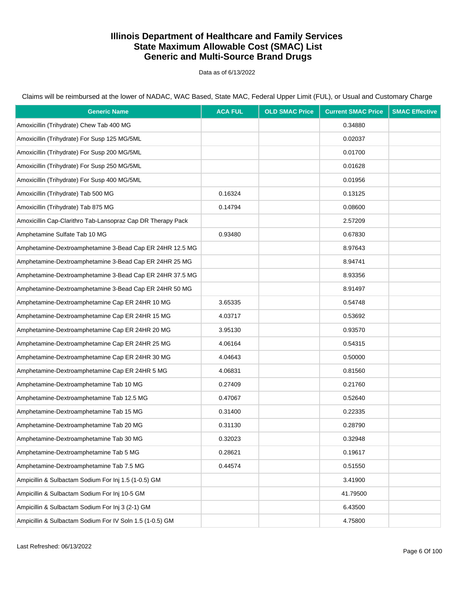Data as of 6/13/2022

Claims will be reimbursed at the lower of NADAC, WAC Based, State MAC, Federal Upper Limit (FUL), or Usual and Customary Charge

| <b>Generic Name</b>                                         | <b>ACA FUL</b> | <b>OLD SMAC Price</b> | <b>Current SMAC Price</b> | <b>SMAC Effective</b> |
|-------------------------------------------------------------|----------------|-----------------------|---------------------------|-----------------------|
| Amoxicillin (Trihydrate) Chew Tab 400 MG                    |                |                       | 0.34880                   |                       |
| Amoxicillin (Trihydrate) For Susp 125 MG/5ML                |                |                       | 0.02037                   |                       |
| Amoxicillin (Trihydrate) For Susp 200 MG/5ML                |                |                       | 0.01700                   |                       |
| Amoxicillin (Trihydrate) For Susp 250 MG/5ML                |                |                       | 0.01628                   |                       |
| Amoxicillin (Trihydrate) For Susp 400 MG/5ML                |                |                       | 0.01956                   |                       |
| Amoxicillin (Trihydrate) Tab 500 MG                         | 0.16324        |                       | 0.13125                   |                       |
| Amoxicillin (Trihydrate) Tab 875 MG                         | 0.14794        |                       | 0.08600                   |                       |
| Amoxicillin Cap-Clarithro Tab-Lansopraz Cap DR Therapy Pack |                |                       | 2.57209                   |                       |
| Amphetamine Sulfate Tab 10 MG                               | 0.93480        |                       | 0.67830                   |                       |
| Amphetamine-Dextroamphetamine 3-Bead Cap ER 24HR 12.5 MG    |                |                       | 8.97643                   |                       |
| Amphetamine-Dextroamphetamine 3-Bead Cap ER 24HR 25 MG      |                |                       | 8.94741                   |                       |
| Amphetamine-Dextroamphetamine 3-Bead Cap ER 24HR 37.5 MG    |                |                       | 8.93356                   |                       |
| Amphetamine-Dextroamphetamine 3-Bead Cap ER 24HR 50 MG      |                |                       | 8.91497                   |                       |
| Amphetamine-Dextroamphetamine Cap ER 24HR 10 MG             | 3.65335        |                       | 0.54748                   |                       |
| Amphetamine-Dextroamphetamine Cap ER 24HR 15 MG             | 4.03717        |                       | 0.53692                   |                       |
| Amphetamine-Dextroamphetamine Cap ER 24HR 20 MG             | 3.95130        |                       | 0.93570                   |                       |
| Amphetamine-Dextroamphetamine Cap ER 24HR 25 MG             | 4.06164        |                       | 0.54315                   |                       |
| Amphetamine-Dextroamphetamine Cap ER 24HR 30 MG             | 4.04643        |                       | 0.50000                   |                       |
| Amphetamine-Dextroamphetamine Cap ER 24HR 5 MG              | 4.06831        |                       | 0.81560                   |                       |
| Amphetamine-Dextroamphetamine Tab 10 MG                     | 0.27409        |                       | 0.21760                   |                       |
| Amphetamine-Dextroamphetamine Tab 12.5 MG                   | 0.47067        |                       | 0.52640                   |                       |
| Amphetamine-Dextroamphetamine Tab 15 MG                     | 0.31400        |                       | 0.22335                   |                       |
| Amphetamine-Dextroamphetamine Tab 20 MG                     | 0.31130        |                       | 0.28790                   |                       |
| Amphetamine-Dextroamphetamine Tab 30 MG                     | 0.32023        |                       | 0.32948                   |                       |
| Amphetamine-Dextroamphetamine Tab 5 MG                      | 0.28621        |                       | 0.19617                   |                       |
| Amphetamine-Dextroamphetamine Tab 7.5 MG                    | 0.44574        |                       | 0.51550                   |                       |
| Ampicillin & Sulbactam Sodium For Inj 1.5 (1-0.5) GM        |                |                       | 3.41900                   |                       |
| Ampicillin & Sulbactam Sodium For Inj 10-5 GM               |                |                       | 41.79500                  |                       |
| Ampicillin & Sulbactam Sodium For Inj 3 (2-1) GM            |                |                       | 6.43500                   |                       |
| Ampicillin & Sulbactam Sodium For IV Soln 1.5 (1-0.5) GM    |                |                       | 4.75800                   |                       |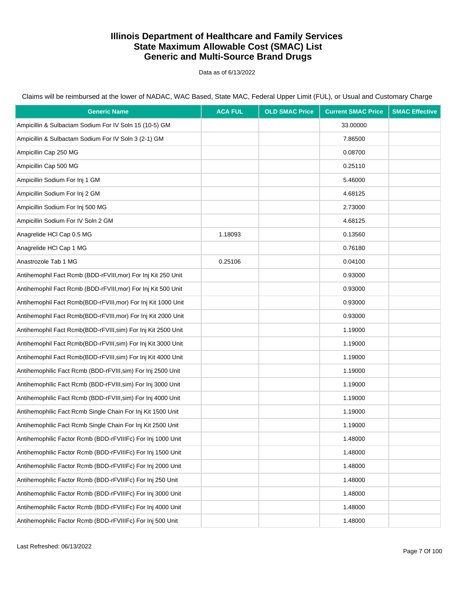Data as of 6/13/2022

| <b>Generic Name</b>                                           | <b>ACA FUL</b> | <b>OLD SMAC Price</b> | <b>Current SMAC Price</b> | <b>SMAC Effective</b> |
|---------------------------------------------------------------|----------------|-----------------------|---------------------------|-----------------------|
| Ampicillin & Sulbactam Sodium For IV Soln 15 (10-5) GM        |                |                       | 33.00000                  |                       |
| Ampicillin & Sulbactam Sodium For IV Soln 3 (2-1) GM          |                |                       | 7.86500                   |                       |
| Ampicillin Cap 250 MG                                         |                |                       | 0.08700                   |                       |
| Ampicillin Cap 500 MG                                         |                |                       | 0.25110                   |                       |
| Ampicillin Sodium For Inj 1 GM                                |                |                       | 5.46000                   |                       |
| Ampicillin Sodium For Inj 2 GM                                |                |                       | 4.68125                   |                       |
| Ampicillin Sodium For Inj 500 MG                              |                |                       | 2.73000                   |                       |
| Ampicillin Sodium For IV Soln 2 GM                            |                |                       | 4.68125                   |                       |
| Anagrelide HCI Cap 0.5 MG                                     | 1.18093        |                       | 0.13560                   |                       |
| Anagrelide HCl Cap 1 MG                                       |                |                       | 0.76180                   |                       |
| Anastrozole Tab 1 MG                                          | 0.25106        |                       | 0.04100                   |                       |
| Antihemophil Fact Rcmb (BDD-rFVIII, mor) For Inj Kit 250 Unit |                |                       | 0.93000                   |                       |
| Antihemophil Fact Rcmb (BDD-rFVIII,mor) For Inj Kit 500 Unit  |                |                       | 0.93000                   |                       |
| Antihemophil Fact Rcmb(BDD-rFVIII, mor) For Inj Kit 1000 Unit |                |                       | 0.93000                   |                       |
| Antihemophil Fact Rcmb(BDD-rFVIII,mor) For Inj Kit 2000 Unit  |                |                       | 0.93000                   |                       |
| Antihemophil Fact Rcmb(BDD-rFVIII, sim) For Inj Kit 2500 Unit |                |                       | 1.19000                   |                       |
| Antihemophil Fact Rcmb(BDD-rFVIII,sim) For Inj Kit 3000 Unit  |                |                       | 1.19000                   |                       |
| Antihemophil Fact Rcmb(BDD-rFVIII, sim) For Inj Kit 4000 Unit |                |                       | 1.19000                   |                       |
| Antihemophilic Fact Rcmb (BDD-rFVIII,sim) For Inj 2500 Unit   |                |                       | 1.19000                   |                       |
| Antihemophilic Fact Rcmb (BDD-rFVIII, sim) For Inj 3000 Unit  |                |                       | 1.19000                   |                       |
| Antihemophilic Fact Rcmb (BDD-rFVIII, sim) For Inj 4000 Unit  |                |                       | 1.19000                   |                       |
| Antihemophilic Fact Rcmb Single Chain For Inj Kit 1500 Unit   |                |                       | 1.19000                   |                       |
| Antihemophilic Fact Rcmb Single Chain For Inj Kit 2500 Unit   |                |                       | 1.19000                   |                       |
| Antihemophilic Factor Rcmb (BDD-rFVIIIFc) For Inj 1000 Unit   |                |                       | 1.48000                   |                       |
| Antihemophilic Factor Rcmb (BDD-rFVIIIFc) For Inj 1500 Unit   |                |                       | 1.48000                   |                       |
| Antihemophilic Factor Rcmb (BDD-rFVIIIFc) For Inj 2000 Unit   |                |                       | 1.48000                   |                       |
| Antihemophilic Factor Rcmb (BDD-rFVIIIFc) For Inj 250 Unit    |                |                       | 1.48000                   |                       |
| Antihemophilic Factor Rcmb (BDD-rFVIIIFc) For Inj 3000 Unit   |                |                       | 1.48000                   |                       |
| Antihemophilic Factor Rcmb (BDD-rFVIIIFc) For Inj 4000 Unit   |                |                       | 1.48000                   |                       |
| Antihemophilic Factor Rcmb (BDD-rFVIIIFc) For Inj 500 Unit    |                |                       | 1.48000                   |                       |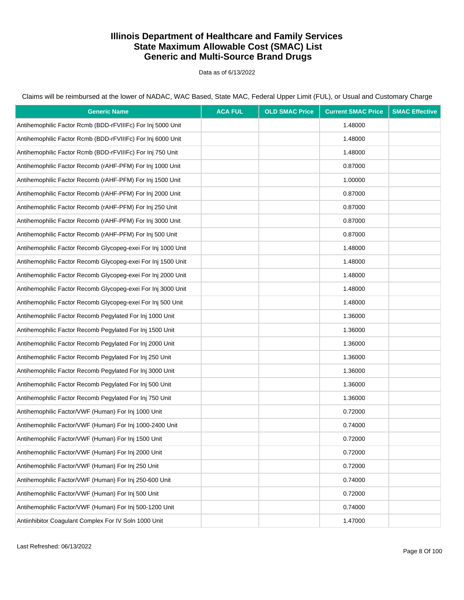Data as of 6/13/2022

Claims will be reimbursed at the lower of NADAC, WAC Based, State MAC, Federal Upper Limit (FUL), or Usual and Customary Charge

| <b>Generic Name</b>                                          | <b>ACA FUL</b> | <b>OLD SMAC Price</b> | <b>Current SMAC Price</b> | <b>SMAC Effective</b> |
|--------------------------------------------------------------|----------------|-----------------------|---------------------------|-----------------------|
| Antihemophilic Factor Rcmb (BDD-rFVIIIFc) For Inj 5000 Unit  |                |                       | 1.48000                   |                       |
| Antihemophilic Factor Rcmb (BDD-rFVIIIFc) For Inj 6000 Unit  |                |                       | 1.48000                   |                       |
| Antihemophilic Factor Rcmb (BDD-rFVIIIFc) For Inj 750 Unit   |                |                       | 1.48000                   |                       |
| Antihemophilic Factor Recomb (rAHF-PFM) For Inj 1000 Unit    |                |                       | 0.87000                   |                       |
| Antihemophilic Factor Recomb (rAHF-PFM) For Inj 1500 Unit    |                |                       | 1.00000                   |                       |
| Antihemophilic Factor Recomb (rAHF-PFM) For Inj 2000 Unit    |                |                       | 0.87000                   |                       |
| Antihemophilic Factor Recomb (rAHF-PFM) For Inj 250 Unit     |                |                       | 0.87000                   |                       |
| Antihemophilic Factor Recomb (rAHF-PFM) For Inj 3000 Unit    |                |                       | 0.87000                   |                       |
| Antihemophilic Factor Recomb (rAHF-PFM) For Inj 500 Unit     |                |                       | 0.87000                   |                       |
| Antihemophilic Factor Recomb Glycopeg-exei For Inj 1000 Unit |                |                       | 1.48000                   |                       |
| Antihemophilic Factor Recomb Glycopeg-exei For Inj 1500 Unit |                |                       | 1.48000                   |                       |
| Antihemophilic Factor Recomb Glycopeg-exei For Inj 2000 Unit |                |                       | 1.48000                   |                       |
| Antihemophilic Factor Recomb Glycopeg-exei For Inj 3000 Unit |                |                       | 1.48000                   |                       |
| Antihemophilic Factor Recomb Glycopeg-exei For Inj 500 Unit  |                |                       | 1.48000                   |                       |
| Antihemophilic Factor Recomb Pegylated For Inj 1000 Unit     |                |                       | 1.36000                   |                       |
| Antihemophilic Factor Recomb Pegylated For Inj 1500 Unit     |                |                       | 1.36000                   |                       |
| Antihemophilic Factor Recomb Pegylated For Inj 2000 Unit     |                |                       | 1.36000                   |                       |
| Antihemophilic Factor Recomb Pegylated For Inj 250 Unit      |                |                       | 1.36000                   |                       |
| Antihemophilic Factor Recomb Pegylated For Inj 3000 Unit     |                |                       | 1.36000                   |                       |
| Antihemophilic Factor Recomb Pegylated For Inj 500 Unit      |                |                       | 1.36000                   |                       |
| Antihemophilic Factor Recomb Pegylated For Inj 750 Unit      |                |                       | 1.36000                   |                       |
| Antihemophilic Factor/VWF (Human) For Inj 1000 Unit          |                |                       | 0.72000                   |                       |
| Antihemophilic Factor/VWF (Human) For Inj 1000-2400 Unit     |                |                       | 0.74000                   |                       |
| Antihemophilic Factor/VWF (Human) For Inj 1500 Unit          |                |                       | 0.72000                   |                       |
| Antihemophilic Factor/VWF (Human) For Inj 2000 Unit          |                |                       | 0.72000                   |                       |
| Antihemophilic Factor/VWF (Human) For Inj 250 Unit           |                |                       | 0.72000                   |                       |
| Antihemophilic Factor/VWF (Human) For Inj 250-600 Unit       |                |                       | 0.74000                   |                       |
| Antihemophilic Factor/VWF (Human) For Inj 500 Unit           |                |                       | 0.72000                   |                       |
| Antihemophilic Factor/VWF (Human) For Inj 500-1200 Unit      |                |                       | 0.74000                   |                       |
| Antiinhibitor Coagulant Complex For IV Soln 1000 Unit        |                |                       | 1.47000                   |                       |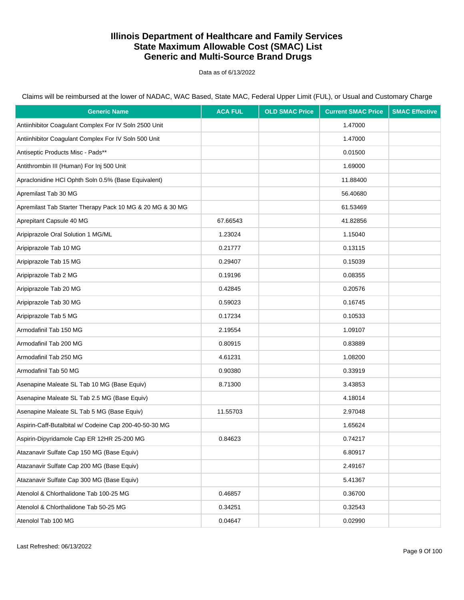Data as of 6/13/2022

| <b>Generic Name</b>                                       | <b>ACA FUL</b> | <b>OLD SMAC Price</b> | <b>Current SMAC Price</b> | <b>SMAC Effective</b> |
|-----------------------------------------------------------|----------------|-----------------------|---------------------------|-----------------------|
| Antiinhibitor Coagulant Complex For IV Soln 2500 Unit     |                |                       | 1.47000                   |                       |
| Antiinhibitor Coagulant Complex For IV Soln 500 Unit      |                |                       | 1.47000                   |                       |
| Antiseptic Products Misc - Pads**                         |                |                       | 0.01500                   |                       |
| Antithrombin III (Human) For Inj 500 Unit                 |                |                       | 1.69000                   |                       |
| Apraclonidine HCl Ophth Soln 0.5% (Base Equivalent)       |                |                       | 11.88400                  |                       |
| Apremilast Tab 30 MG                                      |                |                       | 56.40680                  |                       |
| Apremilast Tab Starter Therapy Pack 10 MG & 20 MG & 30 MG |                |                       | 61.53469                  |                       |
| Aprepitant Capsule 40 MG                                  | 67.66543       |                       | 41.82856                  |                       |
| Aripiprazole Oral Solution 1 MG/ML                        | 1.23024        |                       | 1.15040                   |                       |
| Aripiprazole Tab 10 MG                                    | 0.21777        |                       | 0.13115                   |                       |
| Aripiprazole Tab 15 MG                                    | 0.29407        |                       | 0.15039                   |                       |
| Aripiprazole Tab 2 MG                                     | 0.19196        |                       | 0.08355                   |                       |
| Aripiprazole Tab 20 MG                                    | 0.42845        |                       | 0.20576                   |                       |
| Aripiprazole Tab 30 MG                                    | 0.59023        |                       | 0.16745                   |                       |
| Aripiprazole Tab 5 MG                                     | 0.17234        |                       | 0.10533                   |                       |
| Armodafinil Tab 150 MG                                    | 2.19554        |                       | 1.09107                   |                       |
| Armodafinil Tab 200 MG                                    | 0.80915        |                       | 0.83889                   |                       |
| Armodafinil Tab 250 MG                                    | 4.61231        |                       | 1.08200                   |                       |
| Armodafinil Tab 50 MG                                     | 0.90380        |                       | 0.33919                   |                       |
| Asenapine Maleate SL Tab 10 MG (Base Equiv)               | 8.71300        |                       | 3.43853                   |                       |
| Asenapine Maleate SL Tab 2.5 MG (Base Equiv)              |                |                       | 4.18014                   |                       |
| Asenapine Maleate SL Tab 5 MG (Base Equiv)                | 11.55703       |                       | 2.97048                   |                       |
| Aspirin-Caff-Butalbital w/ Codeine Cap 200-40-50-30 MG    |                |                       | 1.65624                   |                       |
| Aspirin-Dipyridamole Cap ER 12HR 25-200 MG                | 0.84623        |                       | 0.74217                   |                       |
| Atazanavir Sulfate Cap 150 MG (Base Equiv)                |                |                       | 6.80917                   |                       |
| Atazanavir Sulfate Cap 200 MG (Base Equiv)                |                |                       | 2.49167                   |                       |
| Atazanavir Sulfate Cap 300 MG (Base Equiv)                |                |                       | 5.41367                   |                       |
| Atenolol & Chlorthalidone Tab 100-25 MG                   | 0.46857        |                       | 0.36700                   |                       |
| Atenolol & Chlorthalidone Tab 50-25 MG                    | 0.34251        |                       | 0.32543                   |                       |
| Atenolol Tab 100 MG                                       | 0.04647        |                       | 0.02990                   |                       |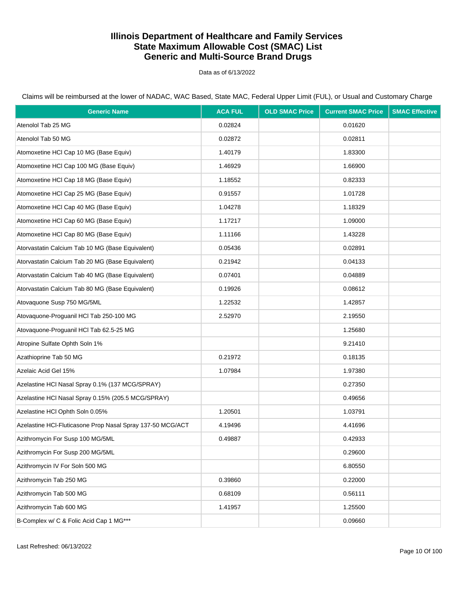Data as of 6/13/2022

Claims will be reimbursed at the lower of NADAC, WAC Based, State MAC, Federal Upper Limit (FUL), or Usual and Customary Charge

| <b>Generic Name</b>                                        | <b>ACA FUL</b> | <b>OLD SMAC Price</b> | <b>Current SMAC Price</b> | <b>SMAC Effective</b> |
|------------------------------------------------------------|----------------|-----------------------|---------------------------|-----------------------|
| Atenolol Tab 25 MG                                         | 0.02824        |                       | 0.01620                   |                       |
| Atenolol Tab 50 MG                                         | 0.02872        |                       | 0.02811                   |                       |
| Atomoxetine HCI Cap 10 MG (Base Equiv)                     | 1.40179        |                       | 1.83300                   |                       |
| Atomoxetine HCI Cap 100 MG (Base Equiv)                    | 1.46929        |                       | 1.66900                   |                       |
| Atomoxetine HCI Cap 18 MG (Base Equiv)                     | 1.18552        |                       | 0.82333                   |                       |
| Atomoxetine HCI Cap 25 MG (Base Equiv)                     | 0.91557        |                       | 1.01728                   |                       |
| Atomoxetine HCI Cap 40 MG (Base Equiv)                     | 1.04278        |                       | 1.18329                   |                       |
| Atomoxetine HCI Cap 60 MG (Base Equiv)                     | 1.17217        |                       | 1.09000                   |                       |
| Atomoxetine HCI Cap 80 MG (Base Equiv)                     | 1.11166        |                       | 1.43228                   |                       |
| Atorvastatin Calcium Tab 10 MG (Base Equivalent)           | 0.05436        |                       | 0.02891                   |                       |
| Atorvastatin Calcium Tab 20 MG (Base Equivalent)           | 0.21942        |                       | 0.04133                   |                       |
| Atorvastatin Calcium Tab 40 MG (Base Equivalent)           | 0.07401        |                       | 0.04889                   |                       |
| Atorvastatin Calcium Tab 80 MG (Base Equivalent)           | 0.19926        |                       | 0.08612                   |                       |
| Atovaquone Susp 750 MG/5ML                                 | 1.22532        |                       | 1.42857                   |                       |
| Atovaquone-Proquanil HCl Tab 250-100 MG                    | 2.52970        |                       | 2.19550                   |                       |
| Atovaquone-Proguanil HCl Tab 62.5-25 MG                    |                |                       | 1.25680                   |                       |
| Atropine Sulfate Ophth Soln 1%                             |                |                       | 9.21410                   |                       |
| Azathioprine Tab 50 MG                                     | 0.21972        |                       | 0.18135                   |                       |
| Azelaic Acid Gel 15%                                       | 1.07984        |                       | 1.97380                   |                       |
| Azelastine HCl Nasal Spray 0.1% (137 MCG/SPRAY)            |                |                       | 0.27350                   |                       |
| Azelastine HCl Nasal Spray 0.15% (205.5 MCG/SPRAY)         |                |                       | 0.49656                   |                       |
| Azelastine HCI Ophth Soln 0.05%                            | 1.20501        |                       | 1.03791                   |                       |
| Azelastine HCl-Fluticasone Prop Nasal Spray 137-50 MCG/ACT | 4.19496        |                       | 4.41696                   |                       |
| Azithromycin For Susp 100 MG/5ML                           | 0.49887        |                       | 0.42933                   |                       |
| Azithromycin For Susp 200 MG/5ML                           |                |                       | 0.29600                   |                       |
| Azithromycin IV For Soln 500 MG                            |                |                       | 6.80550                   |                       |
| Azithromycin Tab 250 MG                                    | 0.39860        |                       | 0.22000                   |                       |
| Azithromycin Tab 500 MG                                    | 0.68109        |                       | 0.56111                   |                       |
| Azithromycin Tab 600 MG                                    | 1.41957        |                       | 1.25500                   |                       |
| B-Complex w/ C & Folic Acid Cap 1 MG***                    |                |                       | 0.09660                   |                       |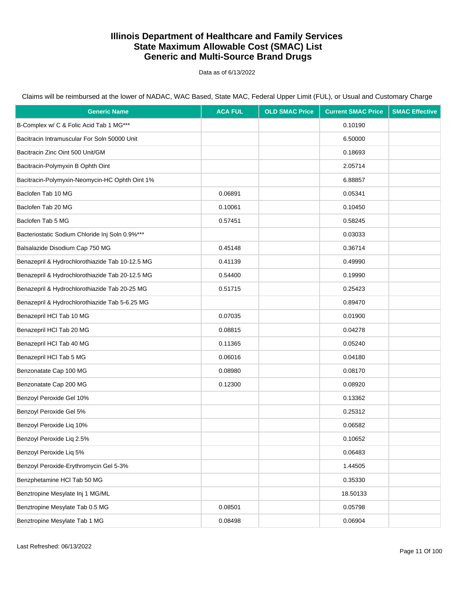Data as of 6/13/2022

| <b>Generic Name</b>                             | <b>ACA FUL</b> | <b>OLD SMAC Price</b> | <b>Current SMAC Price</b> | <b>SMAC Effective</b> |
|-------------------------------------------------|----------------|-----------------------|---------------------------|-----------------------|
| B-Complex w/ C & Folic Acid Tab 1 MG***         |                |                       | 0.10190                   |                       |
| Bacitracin Intramuscular For Soln 50000 Unit    |                |                       | 6.50000                   |                       |
| Bacitracin Zinc Oint 500 Unit/GM                |                |                       | 0.18693                   |                       |
| Bacitracin-Polymyxin B Ophth Oint               |                |                       | 2.05714                   |                       |
| Bacitracin-Polymyxin-Neomycin-HC Ophth Oint 1%  |                |                       | 6.88857                   |                       |
| Baclofen Tab 10 MG                              | 0.06891        |                       | 0.05341                   |                       |
| Baclofen Tab 20 MG                              | 0.10061        |                       | 0.10450                   |                       |
| Baclofen Tab 5 MG                               | 0.57451        |                       | 0.58245                   |                       |
| Bacteriostatic Sodium Chloride Inj Soln 0.9%*** |                |                       | 0.03033                   |                       |
| Balsalazide Disodium Cap 750 MG                 | 0.45148        |                       | 0.36714                   |                       |
| Benazepril & Hydrochlorothiazide Tab 10-12.5 MG | 0.41139        |                       | 0.49990                   |                       |
| Benazepril & Hydrochlorothiazide Tab 20-12.5 MG | 0.54400        |                       | 0.19990                   |                       |
| Benazepril & Hydrochlorothiazide Tab 20-25 MG   | 0.51715        |                       | 0.25423                   |                       |
| Benazepril & Hydrochlorothiazide Tab 5-6.25 MG  |                |                       | 0.89470                   |                       |
| Benazepril HCl Tab 10 MG                        | 0.07035        |                       | 0.01900                   |                       |
| Benazepril HCl Tab 20 MG                        | 0.08815        |                       | 0.04278                   |                       |
| Benazepril HCl Tab 40 MG                        | 0.11365        |                       | 0.05240                   |                       |
| Benazepril HCl Tab 5 MG                         | 0.06016        |                       | 0.04180                   |                       |
| Benzonatate Cap 100 MG                          | 0.08980        |                       | 0.08170                   |                       |
| Benzonatate Cap 200 MG                          | 0.12300        |                       | 0.08920                   |                       |
| Benzoyl Peroxide Gel 10%                        |                |                       | 0.13362                   |                       |
| Benzoyl Peroxide Gel 5%                         |                |                       | 0.25312                   |                       |
| Benzoyl Peroxide Liq 10%                        |                |                       | 0.06582                   |                       |
| Benzoyl Peroxide Liq 2.5%                       |                |                       | 0.10652                   |                       |
| Benzoyl Peroxide Liq 5%                         |                |                       | 0.06483                   |                       |
| Benzoyl Peroxide-Erythromycin Gel 5-3%          |                |                       | 1.44505                   |                       |
| Benzphetamine HCl Tab 50 MG                     |                |                       | 0.35330                   |                       |
| Benztropine Mesylate Inj 1 MG/ML                |                |                       | 18.50133                  |                       |
| Benztropine Mesylate Tab 0.5 MG                 | 0.08501        |                       | 0.05798                   |                       |
| Benztropine Mesylate Tab 1 MG                   | 0.08498        |                       | 0.06904                   |                       |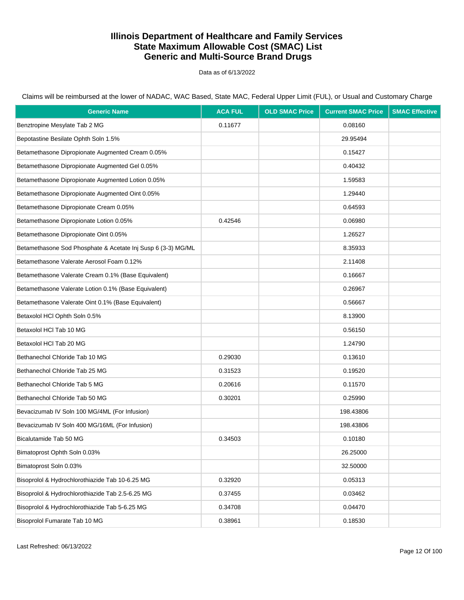Data as of 6/13/2022

| <b>Generic Name</b>                                          | <b>ACA FUL</b> | <b>OLD SMAC Price</b> | <b>Current SMAC Price</b> | <b>SMAC Effective</b> |
|--------------------------------------------------------------|----------------|-----------------------|---------------------------|-----------------------|
| Benztropine Mesylate Tab 2 MG                                | 0.11677        |                       | 0.08160                   |                       |
| Bepotastine Besilate Ophth Soln 1.5%                         |                |                       | 29.95494                  |                       |
| Betamethasone Dipropionate Augmented Cream 0.05%             |                |                       | 0.15427                   |                       |
| Betamethasone Dipropionate Augmented Gel 0.05%               |                |                       | 0.40432                   |                       |
| Betamethasone Dipropionate Augmented Lotion 0.05%            |                |                       | 1.59583                   |                       |
| Betamethasone Dipropionate Augmented Oint 0.05%              |                |                       | 1.29440                   |                       |
| Betamethasone Dipropionate Cream 0.05%                       |                |                       | 0.64593                   |                       |
| Betamethasone Dipropionate Lotion 0.05%                      | 0.42546        |                       | 0.06980                   |                       |
| Betamethasone Dipropionate Oint 0.05%                        |                |                       | 1.26527                   |                       |
| Betamethasone Sod Phosphate & Acetate Inj Susp 6 (3-3) MG/ML |                |                       | 8.35933                   |                       |
| Betamethasone Valerate Aerosol Foam 0.12%                    |                |                       | 2.11408                   |                       |
| Betamethasone Valerate Cream 0.1% (Base Equivalent)          |                |                       | 0.16667                   |                       |
| Betamethasone Valerate Lotion 0.1% (Base Equivalent)         |                |                       | 0.26967                   |                       |
| Betamethasone Valerate Oint 0.1% (Base Equivalent)           |                |                       | 0.56667                   |                       |
| Betaxolol HCl Ophth Soln 0.5%                                |                |                       | 8.13900                   |                       |
| Betaxolol HCl Tab 10 MG                                      |                |                       | 0.56150                   |                       |
| Betaxolol HCl Tab 20 MG                                      |                |                       | 1.24790                   |                       |
| Bethanechol Chloride Tab 10 MG                               | 0.29030        |                       | 0.13610                   |                       |
| Bethanechol Chloride Tab 25 MG                               | 0.31523        |                       | 0.19520                   |                       |
| Bethanechol Chloride Tab 5 MG                                | 0.20616        |                       | 0.11570                   |                       |
| Bethanechol Chloride Tab 50 MG                               | 0.30201        |                       | 0.25990                   |                       |
| Bevacizumab IV Soln 100 MG/4ML (For Infusion)                |                |                       | 198.43806                 |                       |
| Bevacizumab IV Soln 400 MG/16ML (For Infusion)               |                |                       | 198.43806                 |                       |
| Bicalutamide Tab 50 MG                                       | 0.34503        |                       | 0.10180                   |                       |
| Bimatoprost Ophth Soln 0.03%                                 |                |                       | 26.25000                  |                       |
| Bimatoprost Soln 0.03%                                       |                |                       | 32.50000                  |                       |
| Bisoprolol & Hydrochlorothiazide Tab 10-6.25 MG              | 0.32920        |                       | 0.05313                   |                       |
| Bisoprolol & Hydrochlorothiazide Tab 2.5-6.25 MG             | 0.37455        |                       | 0.03462                   |                       |
| Bisoprolol & Hydrochlorothiazide Tab 5-6.25 MG               | 0.34708        |                       | 0.04470                   |                       |
| Bisoprolol Fumarate Tab 10 MG                                | 0.38961        |                       | 0.18530                   |                       |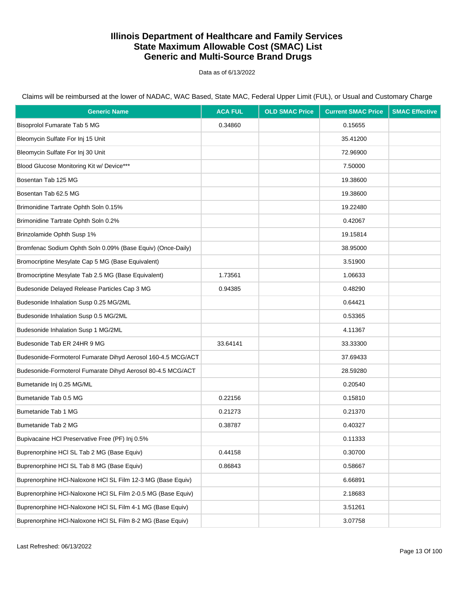Data as of 6/13/2022

Claims will be reimbursed at the lower of NADAC, WAC Based, State MAC, Federal Upper Limit (FUL), or Usual and Customary Charge

| <b>Generic Name</b>                                          | <b>ACA FUL</b> | <b>OLD SMAC Price</b> | <b>Current SMAC Price</b> | <b>SMAC Effective</b> |
|--------------------------------------------------------------|----------------|-----------------------|---------------------------|-----------------------|
| Bisoprolol Fumarate Tab 5 MG                                 | 0.34860        |                       | 0.15655                   |                       |
| Bleomycin Sulfate For Inj 15 Unit                            |                |                       | 35.41200                  |                       |
| Bleomycin Sulfate For Inj 30 Unit                            |                |                       | 72.96900                  |                       |
| Blood Glucose Monitoring Kit w/ Device***                    |                |                       | 7.50000                   |                       |
| Bosentan Tab 125 MG                                          |                |                       | 19.38600                  |                       |
| Bosentan Tab 62.5 MG                                         |                |                       | 19.38600                  |                       |
| Brimonidine Tartrate Ophth Soln 0.15%                        |                |                       | 19.22480                  |                       |
| Brimonidine Tartrate Ophth Soln 0.2%                         |                |                       | 0.42067                   |                       |
| Brinzolamide Ophth Susp 1%                                   |                |                       | 19.15814                  |                       |
| Bromfenac Sodium Ophth Soln 0.09% (Base Equiv) (Once-Daily)  |                |                       | 38.95000                  |                       |
| Bromocriptine Mesylate Cap 5 MG (Base Equivalent)            |                |                       | 3.51900                   |                       |
| Bromocriptine Mesylate Tab 2.5 MG (Base Equivalent)          | 1.73561        |                       | 1.06633                   |                       |
| Budesonide Delayed Release Particles Cap 3 MG                | 0.94385        |                       | 0.48290                   |                       |
| Budesonide Inhalation Susp 0.25 MG/2ML                       |                |                       | 0.64421                   |                       |
| Budesonide Inhalation Susp 0.5 MG/2ML                        |                |                       | 0.53365                   |                       |
| Budesonide Inhalation Susp 1 MG/2ML                          |                |                       | 4.11367                   |                       |
| Budesonide Tab ER 24HR 9 MG                                  | 33.64141       |                       | 33.33300                  |                       |
| Budesonide-Formoterol Fumarate Dihyd Aerosol 160-4.5 MCG/ACT |                |                       | 37.69433                  |                       |
| Budesonide-Formoterol Fumarate Dihyd Aerosol 80-4.5 MCG/ACT  |                |                       | 28.59280                  |                       |
| Bumetanide Inj 0.25 MG/ML                                    |                |                       | 0.20540                   |                       |
| Bumetanide Tab 0.5 MG                                        | 0.22156        |                       | 0.15810                   |                       |
| Bumetanide Tab 1 MG                                          | 0.21273        |                       | 0.21370                   |                       |
| Bumetanide Tab 2 MG                                          | 0.38787        |                       | 0.40327                   |                       |
| Bupivacaine HCI Preservative Free (PF) Inj 0.5%              |                |                       | 0.11333                   |                       |
| Buprenorphine HCI SL Tab 2 MG (Base Equiv)                   | 0.44158        |                       | 0.30700                   |                       |
| Buprenorphine HCI SL Tab 8 MG (Base Equiv)                   | 0.86843        |                       | 0.58667                   |                       |
| Buprenorphine HCI-Naloxone HCI SL Film 12-3 MG (Base Equiv)  |                |                       | 6.66891                   |                       |
| Buprenorphine HCI-Naloxone HCI SL Film 2-0.5 MG (Base Equiv) |                |                       | 2.18683                   |                       |
| Buprenorphine HCI-Naloxone HCI SL Film 4-1 MG (Base Equiv)   |                |                       | 3.51261                   |                       |
| Buprenorphine HCI-Naloxone HCI SL Film 8-2 MG (Base Equiv)   |                |                       | 3.07758                   |                       |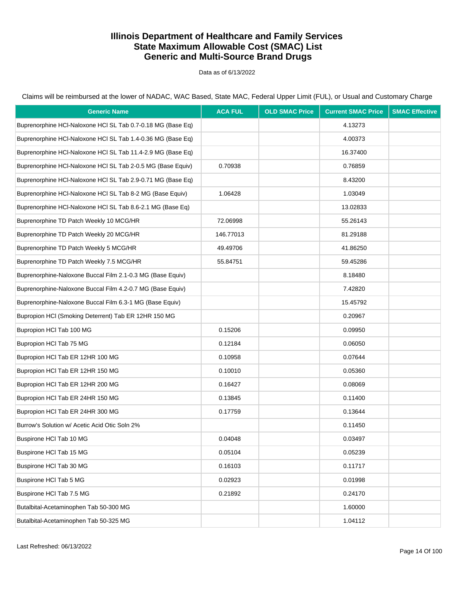Data as of 6/13/2022

Claims will be reimbursed at the lower of NADAC, WAC Based, State MAC, Federal Upper Limit (FUL), or Usual and Customary Charge

| <b>Generic Name</b>                                         | <b>ACA FUL</b> | <b>OLD SMAC Price</b> | <b>Current SMAC Price</b> | <b>SMAC Effective</b> |
|-------------------------------------------------------------|----------------|-----------------------|---------------------------|-----------------------|
| Buprenorphine HCI-Naloxone HCI SL Tab 0.7-0.18 MG (Base Eq) |                |                       | 4.13273                   |                       |
| Buprenorphine HCI-Naloxone HCI SL Tab 1.4-0.36 MG (Base Eq) |                |                       | 4.00373                   |                       |
| Buprenorphine HCI-Naloxone HCI SL Tab 11.4-2.9 MG (Base Eq) |                |                       | 16.37400                  |                       |
| Buprenorphine HCI-Naloxone HCI SL Tab 2-0.5 MG (Base Equiv) | 0.70938        |                       | 0.76859                   |                       |
| Buprenorphine HCI-Naloxone HCI SL Tab 2.9-0.71 MG (Base Eq) |                |                       | 8.43200                   |                       |
| Buprenorphine HCI-Naloxone HCI SL Tab 8-2 MG (Base Equiv)   | 1.06428        |                       | 1.03049                   |                       |
| Buprenorphine HCI-Naloxone HCI SL Tab 8.6-2.1 MG (Base Eq)  |                |                       | 13.02833                  |                       |
| Buprenorphine TD Patch Weekly 10 MCG/HR                     | 72.06998       |                       | 55.26143                  |                       |
| Buprenorphine TD Patch Weekly 20 MCG/HR                     | 146.77013      |                       | 81.29188                  |                       |
| Buprenorphine TD Patch Weekly 5 MCG/HR                      | 49.49706       |                       | 41.86250                  |                       |
| Buprenorphine TD Patch Weekly 7.5 MCG/HR                    | 55.84751       |                       | 59.45286                  |                       |
| Buprenorphine-Naloxone Buccal Film 2.1-0.3 MG (Base Equiv)  |                |                       | 8.18480                   |                       |
| Buprenorphine-Naloxone Buccal Film 4.2-0.7 MG (Base Equiv)  |                |                       | 7.42820                   |                       |
| Buprenorphine-Naloxone Buccal Film 6.3-1 MG (Base Equiv)    |                |                       | 15.45792                  |                       |
| Bupropion HCI (Smoking Deterrent) Tab ER 12HR 150 MG        |                |                       | 0.20967                   |                       |
| Bupropion HCl Tab 100 MG                                    | 0.15206        |                       | 0.09950                   |                       |
| Bupropion HCI Tab 75 MG                                     | 0.12184        |                       | 0.06050                   |                       |
| Bupropion HCI Tab ER 12HR 100 MG                            | 0.10958        |                       | 0.07644                   |                       |
| Bupropion HCI Tab ER 12HR 150 MG                            | 0.10010        |                       | 0.05360                   |                       |
| Bupropion HCI Tab ER 12HR 200 MG                            | 0.16427        |                       | 0.08069                   |                       |
| Bupropion HCI Tab ER 24HR 150 MG                            | 0.13845        |                       | 0.11400                   |                       |
| Bupropion HCI Tab ER 24HR 300 MG                            | 0.17759        |                       | 0.13644                   |                       |
| Burrow's Solution w/ Acetic Acid Otic Soln 2%               |                |                       | 0.11450                   |                       |
| Buspirone HCI Tab 10 MG                                     | 0.04048        |                       | 0.03497                   |                       |
| Buspirone HCl Tab 15 MG                                     | 0.05104        |                       | 0.05239                   |                       |
| Buspirone HCI Tab 30 MG                                     | 0.16103        |                       | 0.11717                   |                       |
| Buspirone HCI Tab 5 MG                                      | 0.02923        |                       | 0.01998                   |                       |
| Buspirone HCI Tab 7.5 MG                                    | 0.21892        |                       | 0.24170                   |                       |
| Butalbital-Acetaminophen Tab 50-300 MG                      |                |                       | 1.60000                   |                       |
| Butalbital-Acetaminophen Tab 50-325 MG                      |                |                       | 1.04112                   |                       |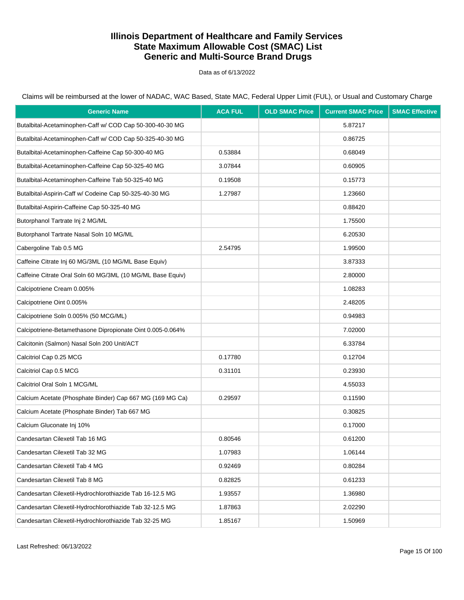Data as of 6/13/2022

Claims will be reimbursed at the lower of NADAC, WAC Based, State MAC, Federal Upper Limit (FUL), or Usual and Customary Charge

| <b>Generic Name</b>                                        | <b>ACA FUL</b> | <b>OLD SMAC Price</b> | <b>Current SMAC Price</b> | <b>SMAC Effective</b> |
|------------------------------------------------------------|----------------|-----------------------|---------------------------|-----------------------|
| Butalbital-Acetaminophen-Caff w/ COD Cap 50-300-40-30 MG   |                |                       | 5.87217                   |                       |
| Butalbital-Acetaminophen-Caff w/ COD Cap 50-325-40-30 MG   |                |                       | 0.86725                   |                       |
| Butalbital-Acetaminophen-Caffeine Cap 50-300-40 MG         | 0.53884        |                       | 0.68049                   |                       |
| Butalbital-Acetaminophen-Caffeine Cap 50-325-40 MG         | 3.07844        |                       | 0.60905                   |                       |
| Butalbital-Acetaminophen-Caffeine Tab 50-325-40 MG         | 0.19508        |                       | 0.15773                   |                       |
| Butalbital-Aspirin-Caff w/ Codeine Cap 50-325-40-30 MG     | 1.27987        |                       | 1.23660                   |                       |
| Butalbital-Aspirin-Caffeine Cap 50-325-40 MG               |                |                       | 0.88420                   |                       |
| Butorphanol Tartrate Inj 2 MG/ML                           |                |                       | 1.75500                   |                       |
| Butorphanol Tartrate Nasal Soln 10 MG/ML                   |                |                       | 6.20530                   |                       |
| Cabergoline Tab 0.5 MG                                     | 2.54795        |                       | 1.99500                   |                       |
| Caffeine Citrate Inj 60 MG/3ML (10 MG/ML Base Equiv)       |                |                       | 3.87333                   |                       |
| Caffeine Citrate Oral Soln 60 MG/3ML (10 MG/ML Base Equiv) |                |                       | 2.80000                   |                       |
| Calcipotriene Cream 0.005%                                 |                |                       | 1.08283                   |                       |
| Calcipotriene Oint 0.005%                                  |                |                       | 2.48205                   |                       |
| Calcipotriene Soln 0.005% (50 MCG/ML)                      |                |                       | 0.94983                   |                       |
| Calcipotriene-Betamethasone Dipropionate Oint 0.005-0.064% |                |                       | 7.02000                   |                       |
| Calcitonin (Salmon) Nasal Soln 200 Unit/ACT                |                |                       | 6.33784                   |                       |
| Calcitriol Cap 0.25 MCG                                    | 0.17780        |                       | 0.12704                   |                       |
| Calcitriol Cap 0.5 MCG                                     | 0.31101        |                       | 0.23930                   |                       |
| Calcitriol Oral Soln 1 MCG/ML                              |                |                       | 4.55033                   |                       |
| Calcium Acetate (Phosphate Binder) Cap 667 MG (169 MG Ca)  | 0.29597        |                       | 0.11590                   |                       |
| Calcium Acetate (Phosphate Binder) Tab 667 MG              |                |                       | 0.30825                   |                       |
| Calcium Gluconate Inj 10%                                  |                |                       | 0.17000                   |                       |
| Candesartan Cilexetil Tab 16 MG                            | 0.80546        |                       | 0.61200                   |                       |
| Candesartan Cilexetil Tab 32 MG                            | 1.07983        |                       | 1.06144                   |                       |
| Candesartan Cilexetil Tab 4 MG                             | 0.92469        |                       | 0.80284                   |                       |
| Candesartan Cilexetil Tab 8 MG                             | 0.82825        |                       | 0.61233                   |                       |
| Candesartan Cilexetil-Hydrochlorothiazide Tab 16-12.5 MG   | 1.93557        |                       | 1.36980                   |                       |
| Candesartan Cilexetil-Hydrochlorothiazide Tab 32-12.5 MG   | 1.87863        |                       | 2.02290                   |                       |
| Candesartan Cilexetil-Hydrochlorothiazide Tab 32-25 MG     | 1.85167        |                       | 1.50969                   |                       |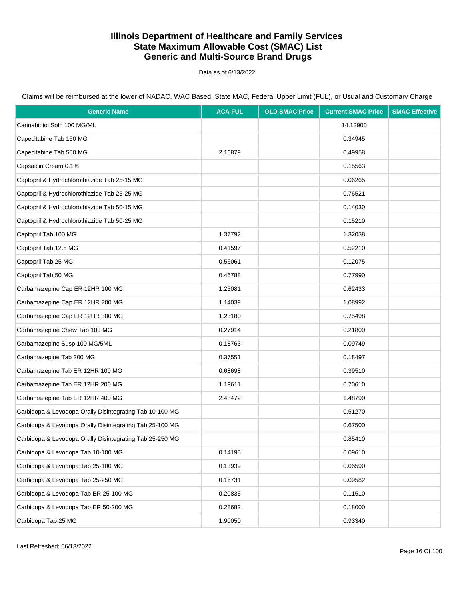Data as of 6/13/2022

| <b>Generic Name</b>                                      | <b>ACA FUL</b> | <b>OLD SMAC Price</b> | <b>Current SMAC Price</b> | <b>SMAC Effective</b> |
|----------------------------------------------------------|----------------|-----------------------|---------------------------|-----------------------|
| Cannabidiol Soln 100 MG/ML                               |                |                       | 14.12900                  |                       |
| Capecitabine Tab 150 MG                                  |                |                       | 0.34945                   |                       |
| Capecitabine Tab 500 MG                                  | 2.16879        |                       | 0.49958                   |                       |
| Capsaicin Cream 0.1%                                     |                |                       | 0.15563                   |                       |
| Captopril & Hydrochlorothiazide Tab 25-15 MG             |                |                       | 0.06265                   |                       |
| Captopril & Hydrochlorothiazide Tab 25-25 MG             |                |                       | 0.76521                   |                       |
| Captopril & Hydrochlorothiazide Tab 50-15 MG             |                |                       | 0.14030                   |                       |
| Captopril & Hydrochlorothiazide Tab 50-25 MG             |                |                       | 0.15210                   |                       |
| Captopril Tab 100 MG                                     | 1.37792        |                       | 1.32038                   |                       |
| Captopril Tab 12.5 MG                                    | 0.41597        |                       | 0.52210                   |                       |
| Captopril Tab 25 MG                                      | 0.56061        |                       | 0.12075                   |                       |
| Captopril Tab 50 MG                                      | 0.46788        |                       | 0.77990                   |                       |
| Carbamazepine Cap ER 12HR 100 MG                         | 1.25081        |                       | 0.62433                   |                       |
| Carbamazepine Cap ER 12HR 200 MG                         | 1.14039        |                       | 1.08992                   |                       |
| Carbamazepine Cap ER 12HR 300 MG                         | 1.23180        |                       | 0.75498                   |                       |
| Carbamazepine Chew Tab 100 MG                            | 0.27914        |                       | 0.21800                   |                       |
| Carbamazepine Susp 100 MG/5ML                            | 0.18763        |                       | 0.09749                   |                       |
| Carbamazepine Tab 200 MG                                 | 0.37551        |                       | 0.18497                   |                       |
| Carbamazepine Tab ER 12HR 100 MG                         | 0.68698        |                       | 0.39510                   |                       |
| Carbamazepine Tab ER 12HR 200 MG                         | 1.19611        |                       | 0.70610                   |                       |
| Carbamazepine Tab ER 12HR 400 MG                         | 2.48472        |                       | 1.48790                   |                       |
| Carbidopa & Levodopa Orally Disintegrating Tab 10-100 MG |                |                       | 0.51270                   |                       |
| Carbidopa & Levodopa Orally Disintegrating Tab 25-100 MG |                |                       | 0.67500                   |                       |
| Carbidopa & Levodopa Orally Disintegrating Tab 25-250 MG |                |                       | 0.85410                   |                       |
| Carbidopa & Levodopa Tab 10-100 MG                       | 0.14196        |                       | 0.09610                   |                       |
| Carbidopa & Levodopa Tab 25-100 MG                       | 0.13939        |                       | 0.06590                   |                       |
| Carbidopa & Levodopa Tab 25-250 MG                       | 0.16731        |                       | 0.09582                   |                       |
| Carbidopa & Levodopa Tab ER 25-100 MG                    | 0.20835        |                       | 0.11510                   |                       |
| Carbidopa & Levodopa Tab ER 50-200 MG                    | 0.28682        |                       | 0.18000                   |                       |
| Carbidopa Tab 25 MG                                      | 1.90050        |                       | 0.93340                   |                       |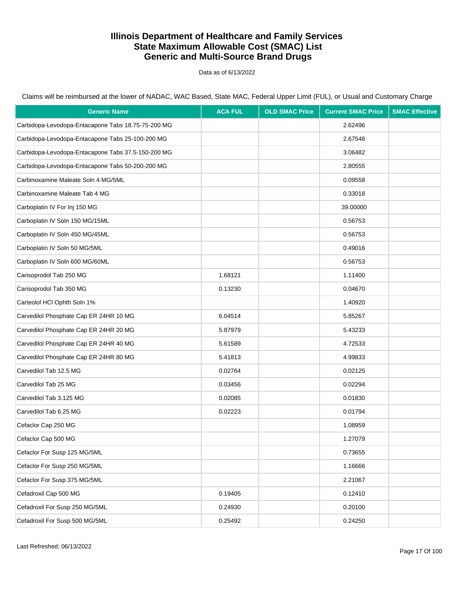Data as of 6/13/2022

| <b>Generic Name</b>                                | <b>ACA FUL</b> | <b>OLD SMAC Price</b> | <b>Current SMAC Price</b> | <b>SMAC Effective</b> |
|----------------------------------------------------|----------------|-----------------------|---------------------------|-----------------------|
| Carbidopa-Levodopa-Entacapone Tabs 18.75-75-200 MG |                |                       | 2.62496                   |                       |
| Carbidopa-Levodopa-Entacapone Tabs 25-100-200 MG   |                |                       | 2.67548                   |                       |
| Carbidopa-Levodopa-Entacapone Tabs 37.5-150-200 MG |                |                       | 3.06482                   |                       |
| Carbidopa-Levodopa-Entacapone Tabs 50-200-200 MG   |                |                       | 2.80555                   |                       |
| Carbinoxamine Maleate Soln 4 MG/5ML                |                |                       | 0.09558                   |                       |
| Carbinoxamine Maleate Tab 4 MG                     |                |                       | 0.33018                   |                       |
| Carboplatin IV For Inj 150 MG                      |                |                       | 39.00000                  |                       |
| Carboplatin IV Soln 150 MG/15ML                    |                |                       | 0.56753                   |                       |
| Carboplatin IV Soln 450 MG/45ML                    |                |                       | 0.56753                   |                       |
| Carboplatin IV Soln 50 MG/5ML                      |                |                       | 0.49016                   |                       |
| Carboplatin IV Soln 600 MG/60ML                    |                |                       | 0.56753                   |                       |
| Carisoprodol Tab 250 MG                            | 1.68121        |                       | 1.11400                   |                       |
| Carisoprodol Tab 350 MG                            | 0.13230        |                       | 0.04670                   |                       |
| Carteolol HCl Ophth Soln 1%                        |                |                       | 1.40920                   |                       |
| Carvedilol Phosphate Cap ER 24HR 10 MG             | 6.04514        |                       | 5.85267                   |                       |
| Carvedilol Phosphate Cap ER 24HR 20 MG             | 5.87979        |                       | 5.43233                   |                       |
| Carvedilol Phosphate Cap ER 24HR 40 MG             | 5.61589        |                       | 4.72533                   |                       |
| Carvedilol Phosphate Cap ER 24HR 80 MG             | 5.41813        |                       | 4.99833                   |                       |
| Carvedilol Tab 12.5 MG                             | 0.02764        |                       | 0.02125                   |                       |
| Carvedilol Tab 25 MG                               | 0.03456        |                       | 0.02294                   |                       |
| Carvedilol Tab 3.125 MG                            | 0.02085        |                       | 0.01830                   |                       |
| Carvedilol Tab 6.25 MG                             | 0.02223        |                       | 0.01794                   |                       |
| Cefaclor Cap 250 MG                                |                |                       | 1.08959                   |                       |
| Cefaclor Cap 500 MG                                |                |                       | 1.27079                   |                       |
| Cefaclor For Susp 125 MG/5ML                       |                |                       | 0.73655                   |                       |
| Cefaclor For Susp 250 MG/5ML                       |                |                       | 1.16666                   |                       |
| Cefaclor For Susp 375 MG/5ML                       |                |                       | 2.21067                   |                       |
| Cefadroxil Cap 500 MG                              | 0.19405        |                       | 0.12410                   |                       |
| Cefadroxil For Susp 250 MG/5ML                     | 0.24930        |                       | 0.20100                   |                       |
| Cefadroxil For Susp 500 MG/5ML                     | 0.25492        |                       | 0.24250                   |                       |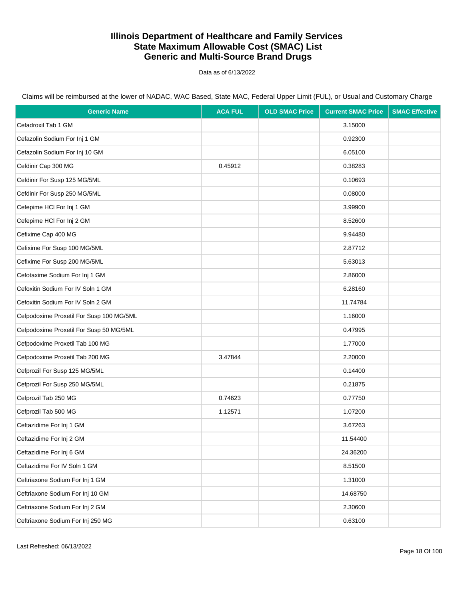Data as of 6/13/2022

| <b>Generic Name</b>                      | <b>ACA FUL</b> | <b>OLD SMAC Price</b> | <b>Current SMAC Price</b> | <b>SMAC Effective</b> |
|------------------------------------------|----------------|-----------------------|---------------------------|-----------------------|
| Cefadroxil Tab 1 GM                      |                |                       | 3.15000                   |                       |
| Cefazolin Sodium For Inj 1 GM            |                |                       | 0.92300                   |                       |
| Cefazolin Sodium For Inj 10 GM           |                |                       | 6.05100                   |                       |
| Cefdinir Cap 300 MG                      | 0.45912        |                       | 0.38283                   |                       |
| Cefdinir For Susp 125 MG/5ML             |                |                       | 0.10693                   |                       |
| Cefdinir For Susp 250 MG/5ML             |                |                       | 0.08000                   |                       |
| Cefepime HCI For Inj 1 GM                |                |                       | 3.99900                   |                       |
| Cefepime HCI For Inj 2 GM                |                |                       | 8.52600                   |                       |
| Cefixime Cap 400 MG                      |                |                       | 9.94480                   |                       |
| Cefixime For Susp 100 MG/5ML             |                |                       | 2.87712                   |                       |
| Cefixime For Susp 200 MG/5ML             |                |                       | 5.63013                   |                       |
| Cefotaxime Sodium For Inj 1 GM           |                |                       | 2.86000                   |                       |
| Cefoxitin Sodium For IV Soln 1 GM        |                |                       | 6.28160                   |                       |
| Cefoxitin Sodium For IV Soln 2 GM        |                |                       | 11.74784                  |                       |
| Cefpodoxime Proxetil For Susp 100 MG/5ML |                |                       | 1.16000                   |                       |
| Cefpodoxime Proxetil For Susp 50 MG/5ML  |                |                       | 0.47995                   |                       |
| Cefpodoxime Proxetil Tab 100 MG          |                |                       | 1.77000                   |                       |
| Cefpodoxime Proxetil Tab 200 MG          | 3.47844        |                       | 2.20000                   |                       |
| Cefprozil For Susp 125 MG/5ML            |                |                       | 0.14400                   |                       |
| Cefprozil For Susp 250 MG/5ML            |                |                       | 0.21875                   |                       |
| Cefprozil Tab 250 MG                     | 0.74623        |                       | 0.77750                   |                       |
| Cefprozil Tab 500 MG                     | 1.12571        |                       | 1.07200                   |                       |
| Ceftazidime For Inj 1 GM                 |                |                       | 3.67263                   |                       |
| Ceftazidime For Inj 2 GM                 |                |                       | 11.54400                  |                       |
| Ceftazidime For Inj 6 GM                 |                |                       | 24.36200                  |                       |
| Ceftazidime For IV Soln 1 GM             |                |                       | 8.51500                   |                       |
| Ceftriaxone Sodium For Inj 1 GM          |                |                       | 1.31000                   |                       |
| Ceftriaxone Sodium For Inj 10 GM         |                |                       | 14.68750                  |                       |
| Ceftriaxone Sodium For Inj 2 GM          |                |                       | 2.30600                   |                       |
| Ceftriaxone Sodium For Inj 250 MG        |                |                       | 0.63100                   |                       |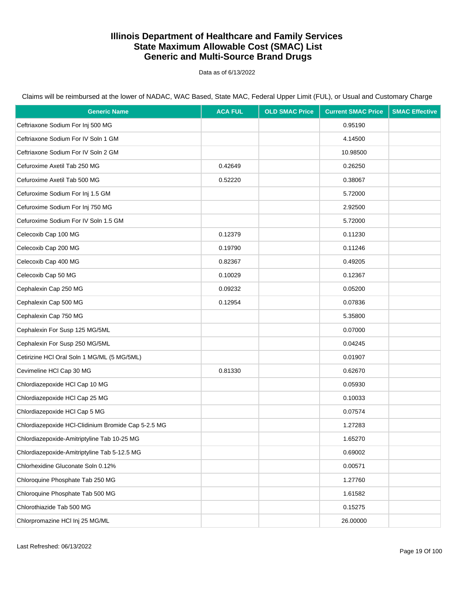Data as of 6/13/2022

| <b>Generic Name</b>                                 | <b>ACA FUL</b> | <b>OLD SMAC Price</b> | <b>Current SMAC Price</b> | <b>SMAC Effective</b> |
|-----------------------------------------------------|----------------|-----------------------|---------------------------|-----------------------|
| Ceftriaxone Sodium For Inj 500 MG                   |                |                       | 0.95190                   |                       |
| Ceftriaxone Sodium For IV Soln 1 GM                 |                |                       | 4.14500                   |                       |
| Ceftriaxone Sodium For IV Soln 2 GM                 |                |                       | 10.98500                  |                       |
| Cefuroxime Axetil Tab 250 MG                        | 0.42649        |                       | 0.26250                   |                       |
| Cefuroxime Axetil Tab 500 MG                        | 0.52220        |                       | 0.38067                   |                       |
| Cefuroxime Sodium For Inj 1.5 GM                    |                |                       | 5.72000                   |                       |
| Cefuroxime Sodium For Inj 750 MG                    |                |                       | 2.92500                   |                       |
| Cefuroxime Sodium For IV Soln 1.5 GM                |                |                       | 5.72000                   |                       |
| Celecoxib Cap 100 MG                                | 0.12379        |                       | 0.11230                   |                       |
| Celecoxib Cap 200 MG                                | 0.19790        |                       | 0.11246                   |                       |
| Celecoxib Cap 400 MG                                | 0.82367        |                       | 0.49205                   |                       |
| Celecoxib Cap 50 MG                                 | 0.10029        |                       | 0.12367                   |                       |
| Cephalexin Cap 250 MG                               | 0.09232        |                       | 0.05200                   |                       |
| Cephalexin Cap 500 MG                               | 0.12954        |                       | 0.07836                   |                       |
| Cephalexin Cap 750 MG                               |                |                       | 5.35800                   |                       |
| Cephalexin For Susp 125 MG/5ML                      |                |                       | 0.07000                   |                       |
| Cephalexin For Susp 250 MG/5ML                      |                |                       | 0.04245                   |                       |
| Cetirizine HCl Oral Soln 1 MG/ML (5 MG/5ML)         |                |                       | 0.01907                   |                       |
| Cevimeline HCl Cap 30 MG                            | 0.81330        |                       | 0.62670                   |                       |
| Chlordiazepoxide HCl Cap 10 MG                      |                |                       | 0.05930                   |                       |
| Chlordiazepoxide HCl Cap 25 MG                      |                |                       | 0.10033                   |                       |
| Chlordiazepoxide HCl Cap 5 MG                       |                |                       | 0.07574                   |                       |
| Chlordiazepoxide HCl-Clidinium Bromide Cap 5-2.5 MG |                |                       | 1.27283                   |                       |
| Chlordiazepoxide-Amitriptyline Tab 10-25 MG         |                |                       | 1.65270                   |                       |
| Chlordiazepoxide-Amitriptyline Tab 5-12.5 MG        |                |                       | 0.69002                   |                       |
| Chlorhexidine Gluconate Soln 0.12%                  |                |                       | 0.00571                   |                       |
| Chloroquine Phosphate Tab 250 MG                    |                |                       | 1.27760                   |                       |
| Chloroquine Phosphate Tab 500 MG                    |                |                       | 1.61582                   |                       |
| Chlorothiazide Tab 500 MG                           |                |                       | 0.15275                   |                       |
| Chlorpromazine HCl Inj 25 MG/ML                     |                |                       | 26.00000                  |                       |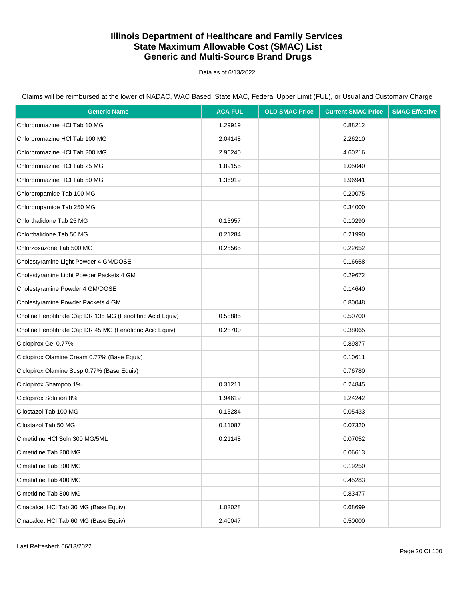Data as of 6/13/2022

Claims will be reimbursed at the lower of NADAC, WAC Based, State MAC, Federal Upper Limit (FUL), or Usual and Customary Charge

| <b>Generic Name</b>                                       | <b>ACA FUL</b> | <b>OLD SMAC Price</b> | <b>Current SMAC Price</b> | <b>SMAC Effective</b> |
|-----------------------------------------------------------|----------------|-----------------------|---------------------------|-----------------------|
| Chlorpromazine HCl Tab 10 MG                              | 1.29919        |                       | 0.88212                   |                       |
| Chlorpromazine HCl Tab 100 MG                             | 2.04148        |                       | 2.26210                   |                       |
| Chlorpromazine HCl Tab 200 MG                             | 2.96240        |                       | 4.60216                   |                       |
| Chlorpromazine HCl Tab 25 MG                              | 1.89155        |                       | 1.05040                   |                       |
| Chlorpromazine HCl Tab 50 MG                              | 1.36919        |                       | 1.96941                   |                       |
| Chlorpropamide Tab 100 MG                                 |                |                       | 0.20075                   |                       |
| Chlorpropamide Tab 250 MG                                 |                |                       | 0.34000                   |                       |
| Chlorthalidone Tab 25 MG                                  | 0.13957        |                       | 0.10290                   |                       |
| Chlorthalidone Tab 50 MG                                  | 0.21284        |                       | 0.21990                   |                       |
| Chlorzoxazone Tab 500 MG                                  | 0.25565        |                       | 0.22652                   |                       |
| Cholestyramine Light Powder 4 GM/DOSE                     |                |                       | 0.16658                   |                       |
| Cholestyramine Light Powder Packets 4 GM                  |                |                       | 0.29672                   |                       |
| Cholestyramine Powder 4 GM/DOSE                           |                |                       | 0.14640                   |                       |
| Cholestyramine Powder Packets 4 GM                        |                |                       | 0.80048                   |                       |
| Choline Fenofibrate Cap DR 135 MG (Fenofibric Acid Equiv) | 0.58885        |                       | 0.50700                   |                       |
| Choline Fenofibrate Cap DR 45 MG (Fenofibric Acid Equiv)  | 0.28700        |                       | 0.38065                   |                       |
| Ciclopirox Gel 0.77%                                      |                |                       | 0.89877                   |                       |
| Ciclopirox Olamine Cream 0.77% (Base Equiv)               |                |                       | 0.10611                   |                       |
| Ciclopirox Olamine Susp 0.77% (Base Equiv)                |                |                       | 0.76780                   |                       |
| Ciclopirox Shampoo 1%                                     | 0.31211        |                       | 0.24845                   |                       |
| Ciclopirox Solution 8%                                    | 1.94619        |                       | 1.24242                   |                       |
| Cilostazol Tab 100 MG                                     | 0.15284        |                       | 0.05433                   |                       |
| Cilostazol Tab 50 MG                                      | 0.11087        |                       | 0.07320                   |                       |
| Cimetidine HCI Soln 300 MG/5ML                            | 0.21148        |                       | 0.07052                   |                       |
| Cimetidine Tab 200 MG                                     |                |                       | 0.06613                   |                       |
| Cimetidine Tab 300 MG                                     |                |                       | 0.19250                   |                       |
| Cimetidine Tab 400 MG                                     |                |                       | 0.45283                   |                       |
| Cimetidine Tab 800 MG                                     |                |                       | 0.83477                   |                       |
| Cinacalcet HCl Tab 30 MG (Base Equiv)                     | 1.03028        |                       | 0.68699                   |                       |
| Cinacalcet HCl Tab 60 MG (Base Equiv)                     | 2.40047        |                       | 0.50000                   |                       |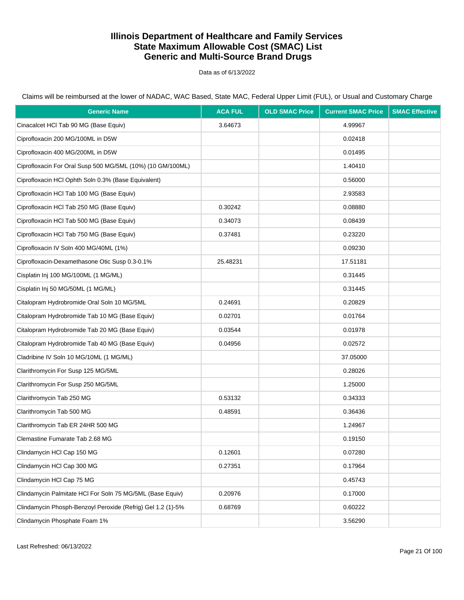Data as of 6/13/2022

| <b>Generic Name</b>                                         | <b>ACA FUL</b> | <b>OLD SMAC Price</b> | <b>Current SMAC Price</b> | <b>SMAC Effective</b> |
|-------------------------------------------------------------|----------------|-----------------------|---------------------------|-----------------------|
| Cinacalcet HCl Tab 90 MG (Base Equiv)                       | 3.64673        |                       | 4.99967                   |                       |
| Ciprofloxacin 200 MG/100ML in D5W                           |                |                       | 0.02418                   |                       |
| Ciprofloxacin 400 MG/200ML in D5W                           |                |                       | 0.01495                   |                       |
| Ciprofloxacin For Oral Susp 500 MG/5ML (10%) (10 GM/100ML)  |                |                       | 1.40410                   |                       |
| Ciprofloxacin HCl Ophth Soln 0.3% (Base Equivalent)         |                |                       | 0.56000                   |                       |
| Ciprofloxacin HCl Tab 100 MG (Base Equiv)                   |                |                       | 2.93583                   |                       |
| Ciprofloxacin HCl Tab 250 MG (Base Equiv)                   | 0.30242        |                       | 0.08880                   |                       |
| Ciprofloxacin HCl Tab 500 MG (Base Equiv)                   | 0.34073        |                       | 0.08439                   |                       |
| Ciprofloxacin HCI Tab 750 MG (Base Equiv)                   | 0.37481        |                       | 0.23220                   |                       |
| Ciprofloxacin IV Soln 400 MG/40ML (1%)                      |                |                       | 0.09230                   |                       |
| Ciprofloxacin-Dexamethasone Otic Susp 0.3-0.1%              | 25.48231       |                       | 17.51181                  |                       |
| Cisplatin Inj 100 MG/100ML (1 MG/ML)                        |                |                       | 0.31445                   |                       |
| Cisplatin Inj 50 MG/50ML (1 MG/ML)                          |                |                       | 0.31445                   |                       |
| Citalopram Hydrobromide Oral Soln 10 MG/5ML                 | 0.24691        |                       | 0.20829                   |                       |
| Citalopram Hydrobromide Tab 10 MG (Base Equiv)              | 0.02701        |                       | 0.01764                   |                       |
| Citalopram Hydrobromide Tab 20 MG (Base Equiv)              | 0.03544        |                       | 0.01978                   |                       |
| Citalopram Hydrobromide Tab 40 MG (Base Equiv)              | 0.04956        |                       | 0.02572                   |                       |
| Cladribine IV Soln 10 MG/10ML (1 MG/ML)                     |                |                       | 37.05000                  |                       |
| Clarithromycin For Susp 125 MG/5ML                          |                |                       | 0.28026                   |                       |
| Clarithromycin For Susp 250 MG/5ML                          |                |                       | 1.25000                   |                       |
| Clarithromycin Tab 250 MG                                   | 0.53132        |                       | 0.34333                   |                       |
| Clarithromycin Tab 500 MG                                   | 0.48591        |                       | 0.36436                   |                       |
| Clarithromycin Tab ER 24HR 500 MG                           |                |                       | 1.24967                   |                       |
| Clemastine Fumarate Tab 2.68 MG                             |                |                       | 0.19150                   |                       |
| Clindamycin HCl Cap 150 MG                                  | 0.12601        |                       | 0.07280                   |                       |
| Clindamycin HCl Cap 300 MG                                  | 0.27351        |                       | 0.17964                   |                       |
| Clindamycin HCl Cap 75 MG                                   |                |                       | 0.45743                   |                       |
| Clindamycin Palmitate HCI For Soln 75 MG/5ML (Base Equiv)   | 0.20976        |                       | 0.17000                   |                       |
| Clindamycin Phosph-Benzoyl Peroxide (Refrig) Gel 1.2 (1)-5% | 0.68769        |                       | 0.60222                   |                       |
| Clindamycin Phosphate Foam 1%                               |                |                       | 3.56290                   |                       |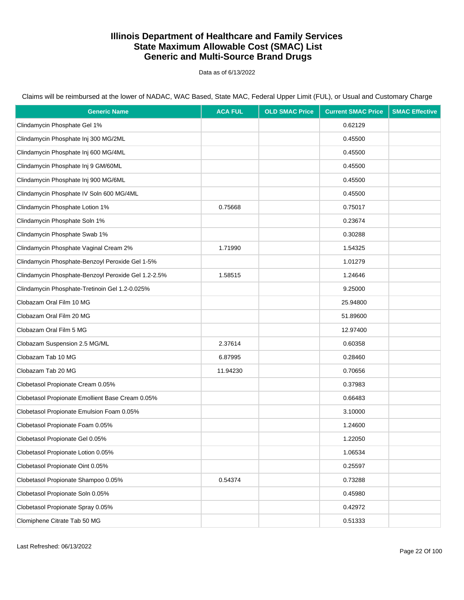Data as of 6/13/2022

| <b>Generic Name</b>                                 | <b>ACA FUL</b> | <b>OLD SMAC Price</b> | <b>Current SMAC Price</b> | <b>SMAC Effective</b> |
|-----------------------------------------------------|----------------|-----------------------|---------------------------|-----------------------|
| Clindamycin Phosphate Gel 1%                        |                |                       | 0.62129                   |                       |
| Clindamycin Phosphate Inj 300 MG/2ML                |                |                       | 0.45500                   |                       |
| Clindamycin Phosphate Inj 600 MG/4ML                |                |                       | 0.45500                   |                       |
| Clindamycin Phosphate Inj 9 GM/60ML                 |                |                       | 0.45500                   |                       |
| Clindamycin Phosphate Inj 900 MG/6ML                |                |                       | 0.45500                   |                       |
| Clindamycin Phosphate IV Soln 600 MG/4ML            |                |                       | 0.45500                   |                       |
| Clindamycin Phosphate Lotion 1%                     | 0.75668        |                       | 0.75017                   |                       |
| Clindamycin Phosphate Soln 1%                       |                |                       | 0.23674                   |                       |
| Clindamycin Phosphate Swab 1%                       |                |                       | 0.30288                   |                       |
| Clindamycin Phosphate Vaginal Cream 2%              | 1.71990        |                       | 1.54325                   |                       |
| Clindamycin Phosphate-Benzoyl Peroxide Gel 1-5%     |                |                       | 1.01279                   |                       |
| Clindamycin Phosphate-Benzoyl Peroxide Gel 1.2-2.5% | 1.58515        |                       | 1.24646                   |                       |
| Clindamycin Phosphate-Tretinoin Gel 1.2-0.025%      |                |                       | 9.25000                   |                       |
| Clobazam Oral Film 10 MG                            |                |                       | 25.94800                  |                       |
| Clobazam Oral Film 20 MG                            |                |                       | 51.89600                  |                       |
| Clobazam Oral Film 5 MG                             |                |                       | 12.97400                  |                       |
| Clobazam Suspension 2.5 MG/ML                       | 2.37614        |                       | 0.60358                   |                       |
| Clobazam Tab 10 MG                                  | 6.87995        |                       | 0.28460                   |                       |
| Clobazam Tab 20 MG                                  | 11.94230       |                       | 0.70656                   |                       |
| Clobetasol Propionate Cream 0.05%                   |                |                       | 0.37983                   |                       |
| Clobetasol Propionate Emollient Base Cream 0.05%    |                |                       | 0.66483                   |                       |
| Clobetasol Propionate Emulsion Foam 0.05%           |                |                       | 3.10000                   |                       |
| Clobetasol Propionate Foam 0.05%                    |                |                       | 1.24600                   |                       |
| Clobetasol Propionate Gel 0.05%                     |                |                       | 1.22050                   |                       |
| Clobetasol Propionate Lotion 0.05%                  |                |                       | 1.06534                   |                       |
| Clobetasol Propionate Oint 0.05%                    |                |                       | 0.25597                   |                       |
| Clobetasol Propionate Shampoo 0.05%                 | 0.54374        |                       | 0.73288                   |                       |
| Clobetasol Propionate Soln 0.05%                    |                |                       | 0.45980                   |                       |
| Clobetasol Propionate Spray 0.05%                   |                |                       | 0.42972                   |                       |
| Clomiphene Citrate Tab 50 MG                        |                |                       | 0.51333                   |                       |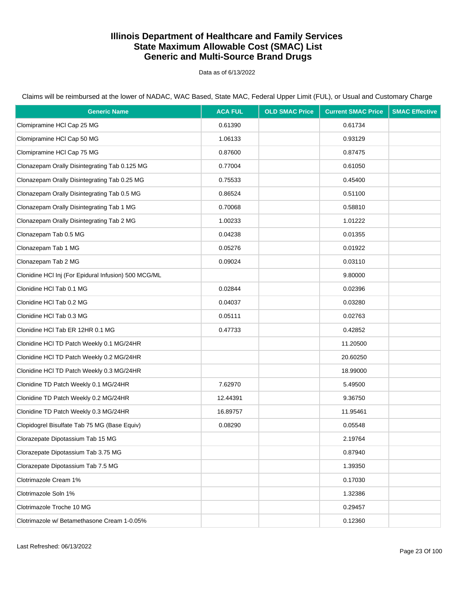Data as of 6/13/2022

Claims will be reimbursed at the lower of NADAC, WAC Based, State MAC, Federal Upper Limit (FUL), or Usual and Customary Charge

| <b>Generic Name</b>                                  | <b>ACA FUL</b> | <b>OLD SMAC Price</b> | <b>Current SMAC Price</b> | <b>SMAC Effective</b> |
|------------------------------------------------------|----------------|-----------------------|---------------------------|-----------------------|
| Clomipramine HCl Cap 25 MG                           | 0.61390        |                       | 0.61734                   |                       |
| Clomipramine HCI Cap 50 MG                           | 1.06133        |                       | 0.93129                   |                       |
| Clomipramine HCl Cap 75 MG                           | 0.87600        |                       | 0.87475                   |                       |
| Clonazepam Orally Disintegrating Tab 0.125 MG        | 0.77004        |                       | 0.61050                   |                       |
| Clonazepam Orally Disintegrating Tab 0.25 MG         | 0.75533        |                       | 0.45400                   |                       |
| Clonazepam Orally Disintegrating Tab 0.5 MG          | 0.86524        |                       | 0.51100                   |                       |
| Clonazepam Orally Disintegrating Tab 1 MG            | 0.70068        |                       | 0.58810                   |                       |
| Clonazepam Orally Disintegrating Tab 2 MG            | 1.00233        |                       | 1.01222                   |                       |
| Clonazepam Tab 0.5 MG                                | 0.04238        |                       | 0.01355                   |                       |
| Clonazepam Tab 1 MG                                  | 0.05276        |                       | 0.01922                   |                       |
| Clonazepam Tab 2 MG                                  | 0.09024        |                       | 0.03110                   |                       |
| Clonidine HCl Inj (For Epidural Infusion) 500 MCG/ML |                |                       | 9.80000                   |                       |
| Clonidine HCI Tab 0.1 MG                             | 0.02844        |                       | 0.02396                   |                       |
| Clonidine HCI Tab 0.2 MG                             | 0.04037        |                       | 0.03280                   |                       |
| Clonidine HCl Tab 0.3 MG                             | 0.05111        |                       | 0.02763                   |                       |
| Clonidine HCl Tab ER 12HR 0.1 MG                     | 0.47733        |                       | 0.42852                   |                       |
| Clonidine HCI TD Patch Weekly 0.1 MG/24HR            |                |                       | 11.20500                  |                       |
| Clonidine HCI TD Patch Weekly 0.2 MG/24HR            |                |                       | 20.60250                  |                       |
| Clonidine HCI TD Patch Weekly 0.3 MG/24HR            |                |                       | 18.99000                  |                       |
| Clonidine TD Patch Weekly 0.1 MG/24HR                | 7.62970        |                       | 5.49500                   |                       |
| Clonidine TD Patch Weekly 0.2 MG/24HR                | 12.44391       |                       | 9.36750                   |                       |
| Clonidine TD Patch Weekly 0.3 MG/24HR                | 16.89757       |                       | 11.95461                  |                       |
| Clopidogrel Bisulfate Tab 75 MG (Base Equiv)         | 0.08290        |                       | 0.05548                   |                       |
| Clorazepate Dipotassium Tab 15 MG                    |                |                       | 2.19764                   |                       |
| Clorazepate Dipotassium Tab 3.75 MG                  |                |                       | 0.87940                   |                       |
| Clorazepate Dipotassium Tab 7.5 MG                   |                |                       | 1.39350                   |                       |
| Clotrimazole Cream 1%                                |                |                       | 0.17030                   |                       |
| Clotrimazole Soln 1%                                 |                |                       | 1.32386                   |                       |
| Clotrimazole Troche 10 MG                            |                |                       | 0.29457                   |                       |
| Clotrimazole w/ Betamethasone Cream 1-0.05%          |                |                       | 0.12360                   |                       |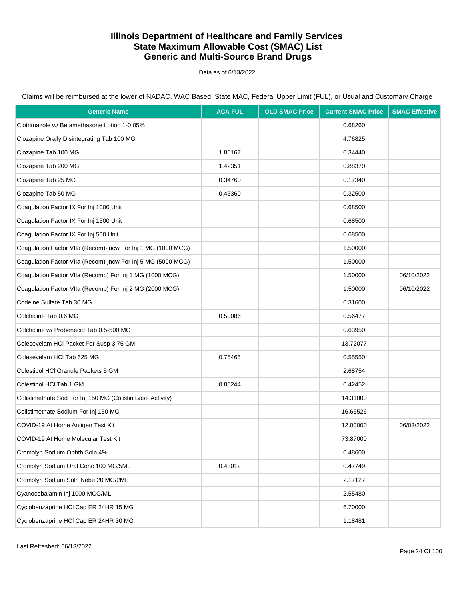Data as of 6/13/2022

| <b>Generic Name</b>                                          | <b>ACA FUL</b> | <b>OLD SMAC Price</b> | <b>Current SMAC Price</b> | <b>SMAC Effective</b> |
|--------------------------------------------------------------|----------------|-----------------------|---------------------------|-----------------------|
| Clotrimazole w/ Betamethasone Lotion 1-0.05%                 |                |                       | 0.68260                   |                       |
| Clozapine Orally Disintegrating Tab 100 MG                   |                |                       | 4.76825                   |                       |
| Clozapine Tab 100 MG                                         | 1.85167        |                       | 0.34440                   |                       |
| Clozapine Tab 200 MG                                         | 1.42351        |                       | 0.88370                   |                       |
| Clozapine Tab 25 MG                                          | 0.34760        |                       | 0.17340                   |                       |
| Clozapine Tab 50 MG                                          | 0.46360        |                       | 0.32500                   |                       |
| Coagulation Factor IX For Inj 1000 Unit                      |                |                       | 0.68500                   |                       |
| Coagulation Factor IX For Inj 1500 Unit                      |                |                       | 0.68500                   |                       |
| Coagulation Factor IX For Inj 500 Unit                       |                |                       | 0.68500                   |                       |
| Coagulation Factor VIIa (Recom)-jncw For Inj 1 MG (1000 MCG) |                |                       | 1.50000                   |                       |
| Coagulation Factor VIIa (Recom)-jncw For Inj 5 MG (5000 MCG) |                |                       | 1.50000                   |                       |
| Coagulation Factor VIIa (Recomb) For Inj 1 MG (1000 MCG)     |                |                       | 1.50000                   | 06/10/2022            |
| Coagulation Factor VIIa (Recomb) For Inj 2 MG (2000 MCG)     |                |                       | 1.50000                   | 06/10/2022            |
| Codeine Sulfate Tab 30 MG                                    |                |                       | 0.31600                   |                       |
| Colchicine Tab 0.6 MG                                        | 0.50086        |                       | 0.56477                   |                       |
| Colchicine w/ Probenecid Tab 0.5-500 MG                      |                |                       | 0.63950                   |                       |
| Colesevelam HCI Packet For Susp 3.75 GM                      |                |                       | 13.72077                  |                       |
| Colesevelam HCl Tab 625 MG                                   | 0.75465        |                       | 0.55550                   |                       |
| Colestipol HCI Granule Packets 5 GM                          |                |                       | 2.68754                   |                       |
| Colestipol HCI Tab 1 GM                                      | 0.85244        |                       | 0.42452                   |                       |
| Colistimethate Sod For Inj 150 MG (Colistin Base Activity)   |                |                       | 14.31000                  |                       |
| Colistimethate Sodium For Inj 150 MG                         |                |                       | 16.66526                  |                       |
| COVID-19 At Home Antigen Test Kit                            |                |                       | 12.00000                  | 06/03/2022            |
| COVID-19 At Home Molecular Test Kit                          |                |                       | 73.87000                  |                       |
| Cromolyn Sodium Ophth Soln 4%                                |                |                       | 0.48600                   |                       |
| Cromolyn Sodium Oral Conc 100 MG/5ML                         | 0.43012        |                       | 0.47749                   |                       |
| Cromolyn Sodium Soln Nebu 20 MG/2ML                          |                |                       | 2.17127                   |                       |
| Cyanocobalamin Inj 1000 MCG/ML                               |                |                       | 2.55480                   |                       |
| Cyclobenzaprine HCl Cap ER 24HR 15 MG                        |                |                       | 6.70000                   |                       |
| Cyclobenzaprine HCl Cap ER 24HR 30 MG                        |                |                       | 1.18481                   |                       |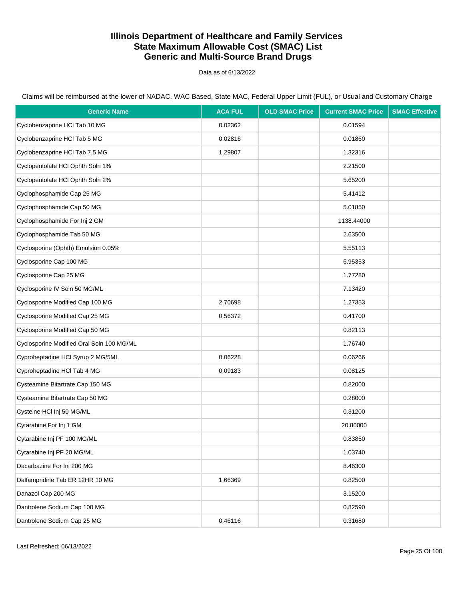Data as of 6/13/2022

| <b>Generic Name</b>                       | <b>ACA FUL</b> | <b>OLD SMAC Price</b> | <b>Current SMAC Price</b> | <b>SMAC Effective</b> |
|-------------------------------------------|----------------|-----------------------|---------------------------|-----------------------|
| Cyclobenzaprine HCl Tab 10 MG             | 0.02362        |                       | 0.01594                   |                       |
| Cyclobenzaprine HCl Tab 5 MG              | 0.02816        |                       | 0.01860                   |                       |
| Cyclobenzaprine HCl Tab 7.5 MG            | 1.29807        |                       | 1.32316                   |                       |
| Cyclopentolate HCI Ophth Soln 1%          |                |                       | 2.21500                   |                       |
| Cyclopentolate HCl Ophth Soln 2%          |                |                       | 5.65200                   |                       |
| Cyclophosphamide Cap 25 MG                |                |                       | 5.41412                   |                       |
| Cyclophosphamide Cap 50 MG                |                |                       | 5.01850                   |                       |
| Cyclophosphamide For Inj 2 GM             |                |                       | 1138.44000                |                       |
| Cyclophosphamide Tab 50 MG                |                |                       | 2.63500                   |                       |
| Cyclosporine (Ophth) Emulsion 0.05%       |                |                       | 5.55113                   |                       |
| Cyclosporine Cap 100 MG                   |                |                       | 6.95353                   |                       |
| Cyclosporine Cap 25 MG                    |                |                       | 1.77280                   |                       |
| Cyclosporine IV Soln 50 MG/ML             |                |                       | 7.13420                   |                       |
| Cyclosporine Modified Cap 100 MG          | 2.70698        |                       | 1.27353                   |                       |
| Cyclosporine Modified Cap 25 MG           | 0.56372        |                       | 0.41700                   |                       |
| Cyclosporine Modified Cap 50 MG           |                |                       | 0.82113                   |                       |
| Cyclosporine Modified Oral Soln 100 MG/ML |                |                       | 1.76740                   |                       |
| Cyproheptadine HCI Syrup 2 MG/5ML         | 0.06228        |                       | 0.06266                   |                       |
| Cyproheptadine HCl Tab 4 MG               | 0.09183        |                       | 0.08125                   |                       |
| Cysteamine Bitartrate Cap 150 MG          |                |                       | 0.82000                   |                       |
| Cysteamine Bitartrate Cap 50 MG           |                |                       | 0.28000                   |                       |
| Cysteine HCl Inj 50 MG/ML                 |                |                       | 0.31200                   |                       |
| Cytarabine For Inj 1 GM                   |                |                       | 20.80000                  |                       |
| Cytarabine Inj PF 100 MG/ML               |                |                       | 0.83850                   |                       |
| Cytarabine Inj PF 20 MG/ML                |                |                       | 1.03740                   |                       |
| Dacarbazine For Inj 200 MG                |                |                       | 8.46300                   |                       |
| Dalfampridine Tab ER 12HR 10 MG           | 1.66369        |                       | 0.82500                   |                       |
| Danazol Cap 200 MG                        |                |                       | 3.15200                   |                       |
| Dantrolene Sodium Cap 100 MG              |                |                       | 0.82590                   |                       |
| Dantrolene Sodium Cap 25 MG               | 0.46116        |                       | 0.31680                   |                       |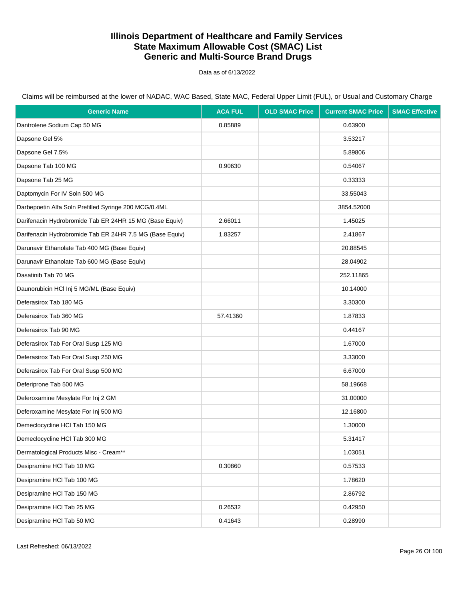Data as of 6/13/2022

| <b>Generic Name</b>                                      | <b>ACA FUL</b> | <b>OLD SMAC Price</b> | <b>Current SMAC Price</b> | <b>SMAC Effective</b> |
|----------------------------------------------------------|----------------|-----------------------|---------------------------|-----------------------|
| Dantrolene Sodium Cap 50 MG                              | 0.85889        |                       | 0.63900                   |                       |
| Dapsone Gel 5%                                           |                |                       | 3.53217                   |                       |
| Dapsone Gel 7.5%                                         |                |                       | 5.89806                   |                       |
| Dapsone Tab 100 MG                                       | 0.90630        |                       | 0.54067                   |                       |
| Dapsone Tab 25 MG                                        |                |                       | 0.33333                   |                       |
| Daptomycin For IV Soln 500 MG                            |                |                       | 33.55043                  |                       |
| Darbepoetin Alfa Soln Prefilled Syringe 200 MCG/0.4ML    |                |                       | 3854.52000                |                       |
| Darifenacin Hydrobromide Tab ER 24HR 15 MG (Base Equiv)  | 2.66011        |                       | 1.45025                   |                       |
| Darifenacin Hydrobromide Tab ER 24HR 7.5 MG (Base Equiv) | 1.83257        |                       | 2.41867                   |                       |
| Darunavir Ethanolate Tab 400 MG (Base Equiv)             |                |                       | 20.88545                  |                       |
| Darunavir Ethanolate Tab 600 MG (Base Equiv)             |                |                       | 28.04902                  |                       |
| Dasatinib Tab 70 MG                                      |                |                       | 252.11865                 |                       |
| Daunorubicin HCl Inj 5 MG/ML (Base Equiv)                |                |                       | 10.14000                  |                       |
| Deferasirox Tab 180 MG                                   |                |                       | 3.30300                   |                       |
| Deferasirox Tab 360 MG                                   | 57.41360       |                       | 1.87833                   |                       |
| Deferasirox Tab 90 MG                                    |                |                       | 0.44167                   |                       |
| Deferasirox Tab For Oral Susp 125 MG                     |                |                       | 1.67000                   |                       |
| Deferasirox Tab For Oral Susp 250 MG                     |                |                       | 3.33000                   |                       |
| Deferasirox Tab For Oral Susp 500 MG                     |                |                       | 6.67000                   |                       |
| Deferiprone Tab 500 MG                                   |                |                       | 58.19668                  |                       |
| Deferoxamine Mesylate For Inj 2 GM                       |                |                       | 31.00000                  |                       |
| Deferoxamine Mesylate For Inj 500 MG                     |                |                       | 12.16800                  |                       |
| Demeclocycline HCI Tab 150 MG                            |                |                       | 1.30000                   |                       |
| Demeclocycline HCI Tab 300 MG                            |                |                       | 5.31417                   |                       |
| Dermatological Products Misc - Cream**                   |                |                       | 1.03051                   |                       |
| Desipramine HCI Tab 10 MG                                | 0.30860        |                       | 0.57533                   |                       |
| Desipramine HCl Tab 100 MG                               |                |                       | 1.78620                   |                       |
| Desipramine HCI Tab 150 MG                               |                |                       | 2.86792                   |                       |
| Desipramine HCI Tab 25 MG                                | 0.26532        |                       | 0.42950                   |                       |
| Desipramine HCI Tab 50 MG                                | 0.41643        |                       | 0.28990                   |                       |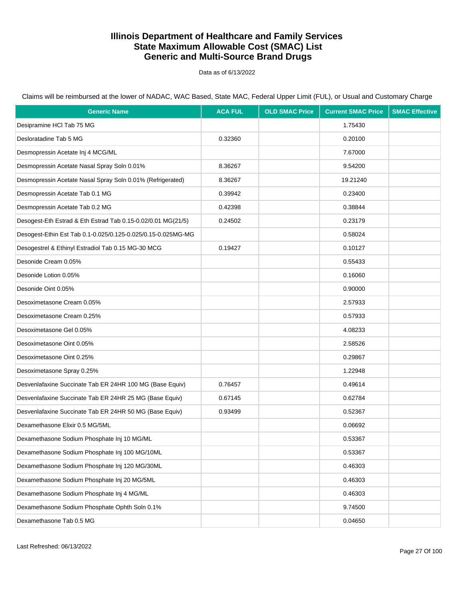Data as of 6/13/2022

| <b>Generic Name</b>                                          | <b>ACA FUL</b> | <b>OLD SMAC Price</b> | <b>Current SMAC Price</b> | <b>SMAC Effective</b> |
|--------------------------------------------------------------|----------------|-----------------------|---------------------------|-----------------------|
| Desipramine HCI Tab 75 MG                                    |                |                       | 1.75430                   |                       |
| Desloratadine Tab 5 MG                                       | 0.32360        |                       | 0.20100                   |                       |
| Desmopressin Acetate Inj 4 MCG/ML                            |                |                       | 7.67000                   |                       |
| Desmopressin Acetate Nasal Spray Soln 0.01%                  | 8.36267        |                       | 9.54200                   |                       |
| Desmopressin Acetate Nasal Spray Soln 0.01% (Refrigerated)   | 8.36267        |                       | 19.21240                  |                       |
| Desmopressin Acetate Tab 0.1 MG                              | 0.39942        |                       | 0.23400                   |                       |
| Desmopressin Acetate Tab 0.2 MG                              | 0.42398        |                       | 0.38844                   |                       |
| Desogest-Eth Estrad & Eth Estrad Tab 0.15-0.02/0.01 MG(21/5) | 0.24502        |                       | 0.23179                   |                       |
| Desogest-Ethin Est Tab 0.1-0.025/0.125-0.025/0.15-0.025MG-MG |                |                       | 0.58024                   |                       |
| Desogestrel & Ethinyl Estradiol Tab 0.15 MG-30 MCG           | 0.19427        |                       | 0.10127                   |                       |
| Desonide Cream 0.05%                                         |                |                       | 0.55433                   |                       |
| Desonide Lotion 0.05%                                        |                |                       | 0.16060                   |                       |
| Desonide Oint 0.05%                                          |                |                       | 0.90000                   |                       |
| Desoximetasone Cream 0.05%                                   |                |                       | 2.57933                   |                       |
| Desoximetasone Cream 0.25%                                   |                |                       | 0.57933                   |                       |
| Desoximetasone Gel 0.05%                                     |                |                       | 4.08233                   |                       |
| Desoximetasone Oint 0.05%                                    |                |                       | 2.58526                   |                       |
| Desoximetasone Oint 0.25%                                    |                |                       | 0.29867                   |                       |
| Desoximetasone Spray 0.25%                                   |                |                       | 1.22948                   |                       |
| Desvenlafaxine Succinate Tab ER 24HR 100 MG (Base Equiv)     | 0.76457        |                       | 0.49614                   |                       |
| Desvenlafaxine Succinate Tab ER 24HR 25 MG (Base Equiv)      | 0.67145        |                       | 0.62784                   |                       |
| Desvenlafaxine Succinate Tab ER 24HR 50 MG (Base Equiv)      | 0.93499        |                       | 0.52367                   |                       |
| Dexamethasone Elixir 0.5 MG/5ML                              |                |                       | 0.06692                   |                       |
| Dexamethasone Sodium Phosphate Inj 10 MG/ML                  |                |                       | 0.53367                   |                       |
| Dexamethasone Sodium Phosphate Inj 100 MG/10ML               |                |                       | 0.53367                   |                       |
| Dexamethasone Sodium Phosphate Inj 120 MG/30ML               |                |                       | 0.46303                   |                       |
| Dexamethasone Sodium Phosphate Inj 20 MG/5ML                 |                |                       | 0.46303                   |                       |
| Dexamethasone Sodium Phosphate Inj 4 MG/ML                   |                |                       | 0.46303                   |                       |
| Dexamethasone Sodium Phosphate Ophth Soln 0.1%               |                |                       | 9.74500                   |                       |
| Dexamethasone Tab 0.5 MG                                     |                |                       | 0.04650                   |                       |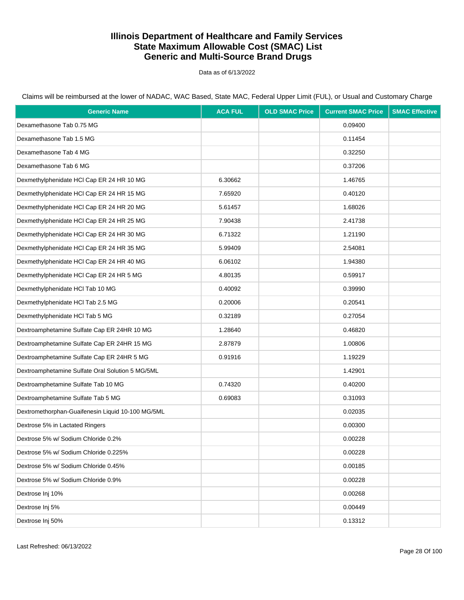Data as of 6/13/2022

Claims will be reimbursed at the lower of NADAC, WAC Based, State MAC, Federal Upper Limit (FUL), or Usual and Customary Charge

| <b>Generic Name</b>                               | <b>ACA FUL</b> | <b>OLD SMAC Price</b> | <b>Current SMAC Price</b> | <b>SMAC Effective</b> |
|---------------------------------------------------|----------------|-----------------------|---------------------------|-----------------------|
| Dexamethasone Tab 0.75 MG                         |                |                       | 0.09400                   |                       |
| Dexamethasone Tab 1.5 MG                          |                |                       | 0.11454                   |                       |
| Dexamethasone Tab 4 MG                            |                |                       | 0.32250                   |                       |
| Dexamethasone Tab 6 MG                            |                |                       | 0.37206                   |                       |
| Dexmethylphenidate HCI Cap ER 24 HR 10 MG         | 6.30662        |                       | 1.46765                   |                       |
| Dexmethylphenidate HCI Cap ER 24 HR 15 MG         | 7.65920        |                       | 0.40120                   |                       |
| Dexmethylphenidate HCI Cap ER 24 HR 20 MG         | 5.61457        |                       | 1.68026                   |                       |
| Dexmethylphenidate HCI Cap ER 24 HR 25 MG         | 7.90438        |                       | 2.41738                   |                       |
| Dexmethylphenidate HCI Cap ER 24 HR 30 MG         | 6.71322        |                       | 1.21190                   |                       |
| Dexmethylphenidate HCI Cap ER 24 HR 35 MG         | 5.99409        |                       | 2.54081                   |                       |
| Dexmethylphenidate HCI Cap ER 24 HR 40 MG         | 6.06102        |                       | 1.94380                   |                       |
| Dexmethylphenidate HCI Cap ER 24 HR 5 MG          | 4.80135        |                       | 0.59917                   |                       |
| Dexmethylphenidate HCl Tab 10 MG                  | 0.40092        |                       | 0.39990                   |                       |
| Dexmethylphenidate HCl Tab 2.5 MG                 | 0.20006        |                       | 0.20541                   |                       |
| Dexmethylphenidate HCl Tab 5 MG                   | 0.32189        |                       | 0.27054                   |                       |
| Dextroamphetamine Sulfate Cap ER 24HR 10 MG       | 1.28640        |                       | 0.46820                   |                       |
| Dextroamphetamine Sulfate Cap ER 24HR 15 MG       | 2.87879        |                       | 1.00806                   |                       |
| Dextroamphetamine Sulfate Cap ER 24HR 5 MG        | 0.91916        |                       | 1.19229                   |                       |
| Dextroamphetamine Sulfate Oral Solution 5 MG/5ML  |                |                       | 1.42901                   |                       |
| Dextroamphetamine Sulfate Tab 10 MG               | 0.74320        |                       | 0.40200                   |                       |
| Dextroamphetamine Sulfate Tab 5 MG                | 0.69083        |                       | 0.31093                   |                       |
| Dextromethorphan-Guaifenesin Liquid 10-100 MG/5ML |                |                       | 0.02035                   |                       |
| Dextrose 5% in Lactated Ringers                   |                |                       | 0.00300                   |                       |
| Dextrose 5% w/ Sodium Chloride 0.2%               |                |                       | 0.00228                   |                       |
| Dextrose 5% w/ Sodium Chloride 0.225%             |                |                       | 0.00228                   |                       |
| Dextrose 5% w/ Sodium Chloride 0.45%              |                |                       | 0.00185                   |                       |
| Dextrose 5% w/ Sodium Chloride 0.9%               |                |                       | 0.00228                   |                       |
| Dextrose Inj 10%                                  |                |                       | 0.00268                   |                       |
| Dextrose Inj 5%                                   |                |                       | 0.00449                   |                       |
| Dextrose Inj 50%                                  |                |                       | 0.13312                   |                       |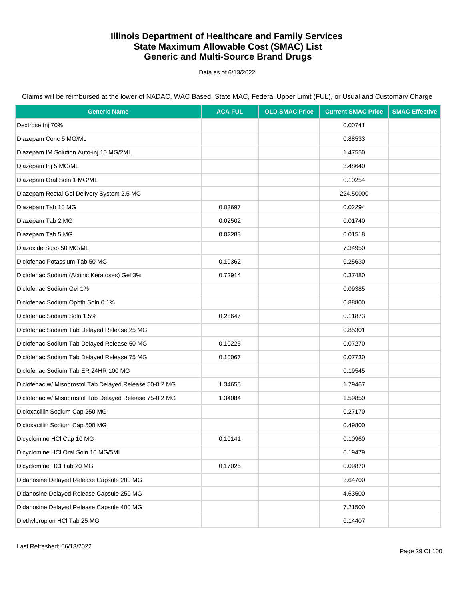Data as of 6/13/2022

| <b>Generic Name</b>                                     | <b>ACA FUL</b> | <b>OLD SMAC Price</b> | <b>Current SMAC Price</b> | <b>SMAC Effective</b> |
|---------------------------------------------------------|----------------|-----------------------|---------------------------|-----------------------|
| Dextrose Inj 70%                                        |                |                       | 0.00741                   |                       |
| Diazepam Conc 5 MG/ML                                   |                |                       | 0.88533                   |                       |
| Diazepam IM Solution Auto-inj 10 MG/2ML                 |                |                       | 1.47550                   |                       |
| Diazepam Inj 5 MG/ML                                    |                |                       | 3.48640                   |                       |
| Diazepam Oral Soln 1 MG/ML                              |                |                       | 0.10254                   |                       |
| Diazepam Rectal Gel Delivery System 2.5 MG              |                |                       | 224.50000                 |                       |
| Diazepam Tab 10 MG                                      | 0.03697        |                       | 0.02294                   |                       |
| Diazepam Tab 2 MG                                       | 0.02502        |                       | 0.01740                   |                       |
| Diazepam Tab 5 MG                                       | 0.02283        |                       | 0.01518                   |                       |
| Diazoxide Susp 50 MG/ML                                 |                |                       | 7.34950                   |                       |
| Diclofenac Potassium Tab 50 MG                          | 0.19362        |                       | 0.25630                   |                       |
| Diclofenac Sodium (Actinic Keratoses) Gel 3%            | 0.72914        |                       | 0.37480                   |                       |
| Diclofenac Sodium Gel 1%                                |                |                       | 0.09385                   |                       |
| Diclofenac Sodium Ophth Soln 0.1%                       |                |                       | 0.88800                   |                       |
| Diclofenac Sodium Soln 1.5%                             | 0.28647        |                       | 0.11873                   |                       |
| Diclofenac Sodium Tab Delayed Release 25 MG             |                |                       | 0.85301                   |                       |
| Diclofenac Sodium Tab Delayed Release 50 MG             | 0.10225        |                       | 0.07270                   |                       |
| Diclofenac Sodium Tab Delayed Release 75 MG             | 0.10067        |                       | 0.07730                   |                       |
| Diclofenac Sodium Tab ER 24HR 100 MG                    |                |                       | 0.19545                   |                       |
| Diclofenac w/ Misoprostol Tab Delayed Release 50-0.2 MG | 1.34655        |                       | 1.79467                   |                       |
| Diclofenac w/ Misoprostol Tab Delayed Release 75-0.2 MG | 1.34084        |                       | 1.59850                   |                       |
| Dicloxacillin Sodium Cap 250 MG                         |                |                       | 0.27170                   |                       |
| Dicloxacillin Sodium Cap 500 MG                         |                |                       | 0.49800                   |                       |
| Dicyclomine HCI Cap 10 MG                               | 0.10141        |                       | 0.10960                   |                       |
| Dicyclomine HCI Oral Soln 10 MG/5ML                     |                |                       | 0.19479                   |                       |
| Dicyclomine HCl Tab 20 MG                               | 0.17025        |                       | 0.09870                   |                       |
| Didanosine Delayed Release Capsule 200 MG               |                |                       | 3.64700                   |                       |
| Didanosine Delayed Release Capsule 250 MG               |                |                       | 4.63500                   |                       |
| Didanosine Delayed Release Capsule 400 MG               |                |                       | 7.21500                   |                       |
| Diethylpropion HCI Tab 25 MG                            |                |                       | 0.14407                   |                       |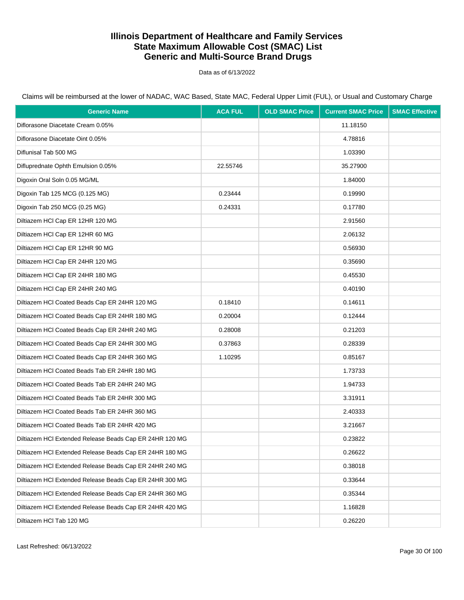Data as of 6/13/2022

Claims will be reimbursed at the lower of NADAC, WAC Based, State MAC, Federal Upper Limit (FUL), or Usual and Customary Charge

| <b>Generic Name</b>                                     | <b>ACA FUL</b> | <b>OLD SMAC Price</b> | <b>Current SMAC Price</b> | <b>SMAC Effective</b> |
|---------------------------------------------------------|----------------|-----------------------|---------------------------|-----------------------|
| Diflorasone Diacetate Cream 0.05%                       |                |                       | 11.18150                  |                       |
| Diflorasone Diacetate Oint 0.05%                        |                |                       | 4.78816                   |                       |
| Diflunisal Tab 500 MG                                   |                |                       | 1.03390                   |                       |
| Difluprednate Ophth Emulsion 0.05%                      | 22.55746       |                       | 35.27900                  |                       |
| Digoxin Oral Soln 0.05 MG/ML                            |                |                       | 1.84000                   |                       |
| Digoxin Tab 125 MCG (0.125 MG)                          | 0.23444        |                       | 0.19990                   |                       |
| Digoxin Tab 250 MCG (0.25 MG)                           | 0.24331        |                       | 0.17780                   |                       |
| Diltiazem HCl Cap ER 12HR 120 MG                        |                |                       | 2.91560                   |                       |
| Diltiazem HCl Cap ER 12HR 60 MG                         |                |                       | 2.06132                   |                       |
| Diltiazem HCl Cap ER 12HR 90 MG                         |                |                       | 0.56930                   |                       |
| Diltiazem HCl Cap ER 24HR 120 MG                        |                |                       | 0.35690                   |                       |
| Diltiazem HCl Cap ER 24HR 180 MG                        |                |                       | 0.45530                   |                       |
| Diltiazem HCl Cap ER 24HR 240 MG                        |                |                       | 0.40190                   |                       |
| Diltiazem HCl Coated Beads Cap ER 24HR 120 MG           | 0.18410        |                       | 0.14611                   |                       |
| Diltiazem HCl Coated Beads Cap ER 24HR 180 MG           | 0.20004        |                       | 0.12444                   |                       |
| Diltiazem HCl Coated Beads Cap ER 24HR 240 MG           | 0.28008        |                       | 0.21203                   |                       |
| Diltiazem HCl Coated Beads Cap ER 24HR 300 MG           | 0.37863        |                       | 0.28339                   |                       |
| Diltiazem HCl Coated Beads Cap ER 24HR 360 MG           | 1.10295        |                       | 0.85167                   |                       |
| Diltiazem HCI Coated Beads Tab ER 24HR 180 MG           |                |                       | 1.73733                   |                       |
| Diltiazem HCl Coated Beads Tab ER 24HR 240 MG           |                |                       | 1.94733                   |                       |
| Diltiazem HCI Coated Beads Tab ER 24HR 300 MG           |                |                       | 3.31911                   |                       |
| Diltiazem HCl Coated Beads Tab ER 24HR 360 MG           |                |                       | 2.40333                   |                       |
| Diltiazem HCI Coated Beads Tab ER 24HR 420 MG           |                |                       | 3.21667                   |                       |
| Diltiazem HCI Extended Release Beads Cap ER 24HR 120 MG |                |                       | 0.23822                   |                       |
| Diltiazem HCI Extended Release Beads Cap ER 24HR 180 MG |                |                       | 0.26622                   |                       |
| Diltiazem HCI Extended Release Beads Cap ER 24HR 240 MG |                |                       | 0.38018                   |                       |
| Diltiazem HCI Extended Release Beads Cap ER 24HR 300 MG |                |                       | 0.33644                   |                       |
| Diltiazem HCI Extended Release Beads Cap ER 24HR 360 MG |                |                       | 0.35344                   |                       |
| Diltiazem HCl Extended Release Beads Cap ER 24HR 420 MG |                |                       | 1.16828                   |                       |
| Diltiazem HCl Tab 120 MG                                |                |                       | 0.26220                   |                       |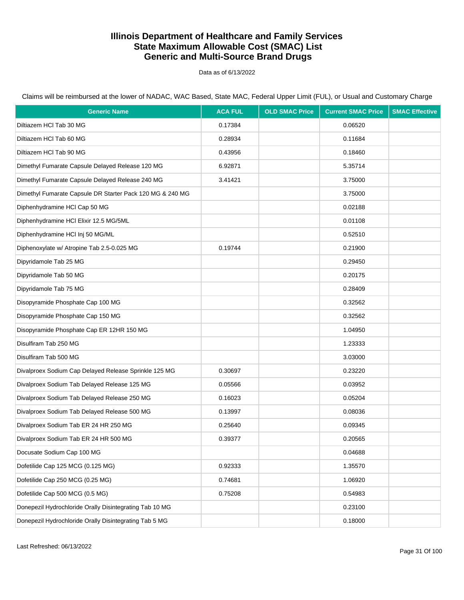Data as of 6/13/2022

Claims will be reimbursed at the lower of NADAC, WAC Based, State MAC, Federal Upper Limit (FUL), or Usual and Customary Charge

| <b>Generic Name</b>                                       | <b>ACA FUL</b> | <b>OLD SMAC Price</b> | <b>Current SMAC Price</b> | <b>SMAC Effective</b> |
|-----------------------------------------------------------|----------------|-----------------------|---------------------------|-----------------------|
| Diltiazem HCl Tab 30 MG                                   | 0.17384        |                       | 0.06520                   |                       |
| Diltiazem HCl Tab 60 MG                                   | 0.28934        |                       | 0.11684                   |                       |
| Diltiazem HCl Tab 90 MG                                   | 0.43956        |                       | 0.18460                   |                       |
| Dimethyl Fumarate Capsule Delayed Release 120 MG          | 6.92871        |                       | 5.35714                   |                       |
| Dimethyl Fumarate Capsule Delayed Release 240 MG          | 3.41421        |                       | 3.75000                   |                       |
| Dimethyl Fumarate Capsule DR Starter Pack 120 MG & 240 MG |                |                       | 3.75000                   |                       |
| Diphenhydramine HCI Cap 50 MG                             |                |                       | 0.02188                   |                       |
| Diphenhydramine HCI Elixir 12.5 MG/5ML                    |                |                       | 0.01108                   |                       |
| Diphenhydramine HCI Inj 50 MG/ML                          |                |                       | 0.52510                   |                       |
| Diphenoxylate w/ Atropine Tab 2.5-0.025 MG                | 0.19744        |                       | 0.21900                   |                       |
| Dipyridamole Tab 25 MG                                    |                |                       | 0.29450                   |                       |
| Dipyridamole Tab 50 MG                                    |                |                       | 0.20175                   |                       |
| Dipyridamole Tab 75 MG                                    |                |                       | 0.28409                   |                       |
| Disopyramide Phosphate Cap 100 MG                         |                |                       | 0.32562                   |                       |
| Disopyramide Phosphate Cap 150 MG                         |                |                       | 0.32562                   |                       |
| Disopyramide Phosphate Cap ER 12HR 150 MG                 |                |                       | 1.04950                   |                       |
| Disulfiram Tab 250 MG                                     |                |                       | 1.23333                   |                       |
| Disulfiram Tab 500 MG                                     |                |                       | 3.03000                   |                       |
| Divalproex Sodium Cap Delayed Release Sprinkle 125 MG     | 0.30697        |                       | 0.23220                   |                       |
| Divalproex Sodium Tab Delayed Release 125 MG              | 0.05566        |                       | 0.03952                   |                       |
| Divalproex Sodium Tab Delayed Release 250 MG              | 0.16023        |                       | 0.05204                   |                       |
| Divalproex Sodium Tab Delayed Release 500 MG              | 0.13997        |                       | 0.08036                   |                       |
| Divalproex Sodium Tab ER 24 HR 250 MG                     | 0.25640        |                       | 0.09345                   |                       |
| Divalproex Sodium Tab ER 24 HR 500 MG                     | 0.39377        |                       | 0.20565                   |                       |
| Docusate Sodium Cap 100 MG                                |                |                       | 0.04688                   |                       |
| Dofetilide Cap 125 MCG (0.125 MG)                         | 0.92333        |                       | 1.35570                   |                       |
| Dofetilide Cap 250 MCG (0.25 MG)                          | 0.74681        |                       | 1.06920                   |                       |
| Dofetilide Cap 500 MCG (0.5 MG)                           | 0.75208        |                       | 0.54983                   |                       |
| Donepezil Hydrochloride Orally Disintegrating Tab 10 MG   |                |                       | 0.23100                   |                       |
| Donepezil Hydrochloride Orally Disintegrating Tab 5 MG    |                |                       | 0.18000                   |                       |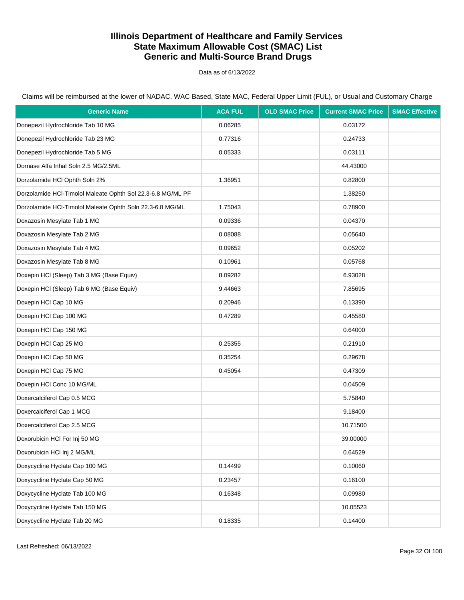Data as of 6/13/2022

Claims will be reimbursed at the lower of NADAC, WAC Based, State MAC, Federal Upper Limit (FUL), or Usual and Customary Charge

| <b>Generic Name</b>                                         | <b>ACA FUL</b> | <b>OLD SMAC Price</b> | <b>Current SMAC Price</b> | <b>SMAC Effective</b> |
|-------------------------------------------------------------|----------------|-----------------------|---------------------------|-----------------------|
| Donepezil Hydrochloride Tab 10 MG                           | 0.06285        |                       | 0.03172                   |                       |
| Donepezil Hydrochloride Tab 23 MG                           | 0.77316        |                       | 0.24733                   |                       |
| Donepezil Hydrochloride Tab 5 MG                            | 0.05333        |                       | 0.03111                   |                       |
| Dornase Alfa Inhal Soln 2.5 MG/2.5ML                        |                |                       | 44.43000                  |                       |
| Dorzolamide HCl Ophth Soln 2%                               | 1.36951        |                       | 0.82800                   |                       |
| Dorzolamide HCl-Timolol Maleate Ophth Sol 22.3-6.8 MG/ML PF |                |                       | 1.38250                   |                       |
| Dorzolamide HCl-Timolol Maleate Ophth Soln 22.3-6.8 MG/ML   | 1.75043        |                       | 0.78900                   |                       |
| Doxazosin Mesylate Tab 1 MG                                 | 0.09336        |                       | 0.04370                   |                       |
| Doxazosin Mesylate Tab 2 MG                                 | 0.08088        |                       | 0.05640                   |                       |
| Doxazosin Mesylate Tab 4 MG                                 | 0.09652        |                       | 0.05202                   |                       |
| Doxazosin Mesylate Tab 8 MG                                 | 0.10961        |                       | 0.05768                   |                       |
| Doxepin HCI (Sleep) Tab 3 MG (Base Equiv)                   | 8.09282        |                       | 6.93028                   |                       |
| Doxepin HCI (Sleep) Tab 6 MG (Base Equiv)                   | 9.44663        |                       | 7.85695                   |                       |
| Doxepin HCI Cap 10 MG                                       | 0.20946        |                       | 0.13390                   |                       |
| Doxepin HCI Cap 100 MG                                      | 0.47289        |                       | 0.45580                   |                       |
| Doxepin HCI Cap 150 MG                                      |                |                       | 0.64000                   |                       |
| Doxepin HCI Cap 25 MG                                       | 0.25355        |                       | 0.21910                   |                       |
| Doxepin HCI Cap 50 MG                                       | 0.35254        |                       | 0.29678                   |                       |
| Doxepin HCI Cap 75 MG                                       | 0.45054        |                       | 0.47309                   |                       |
| Doxepin HCI Conc 10 MG/ML                                   |                |                       | 0.04509                   |                       |
| Doxercalciferol Cap 0.5 MCG                                 |                |                       | 5.75840                   |                       |
| Doxercalciferol Cap 1 MCG                                   |                |                       | 9.18400                   |                       |
| Doxercalciferol Cap 2.5 MCG                                 |                |                       | 10.71500                  |                       |
| Doxorubicin HCI For Inj 50 MG                               |                |                       | 39.00000                  |                       |
| Doxorubicin HCl Inj 2 MG/ML                                 |                |                       | 0.64529                   |                       |
| Doxycycline Hyclate Cap 100 MG                              | 0.14499        |                       | 0.10060                   |                       |
| Doxycycline Hyclate Cap 50 MG                               | 0.23457        |                       | 0.16100                   |                       |
| Doxycycline Hyclate Tab 100 MG                              | 0.16348        |                       | 0.09980                   |                       |
| Doxycycline Hyclate Tab 150 MG                              |                |                       | 10.05523                  |                       |
| Doxycycline Hyclate Tab 20 MG                               | 0.18335        |                       | 0.14400                   |                       |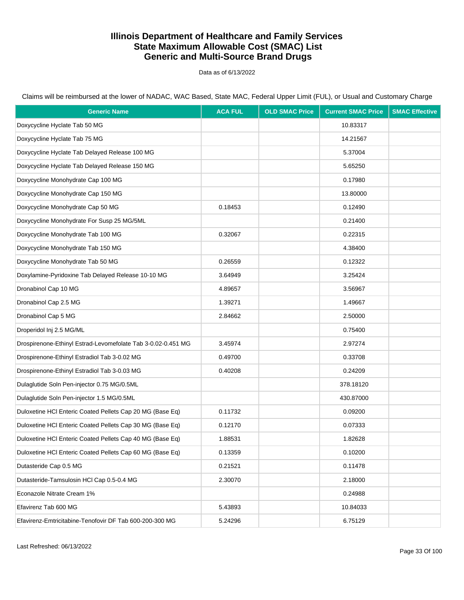Data as of 6/13/2022

Claims will be reimbursed at the lower of NADAC, WAC Based, State MAC, Federal Upper Limit (FUL), or Usual and Customary Charge

| <b>Generic Name</b>                                          | <b>ACA FUL</b> | <b>OLD SMAC Price</b> | <b>Current SMAC Price</b> | <b>SMAC Effective</b> |
|--------------------------------------------------------------|----------------|-----------------------|---------------------------|-----------------------|
| Doxycycline Hyclate Tab 50 MG                                |                |                       | 10.83317                  |                       |
| Doxycycline Hyclate Tab 75 MG                                |                |                       | 14.21567                  |                       |
| Doxycycline Hyclate Tab Delayed Release 100 MG               |                |                       | 5.37004                   |                       |
| Doxycycline Hyclate Tab Delayed Release 150 MG               |                |                       | 5.65250                   |                       |
| Doxycycline Monohydrate Cap 100 MG                           |                |                       | 0.17980                   |                       |
| Doxycycline Monohydrate Cap 150 MG                           |                |                       | 13.80000                  |                       |
| Doxycycline Monohydrate Cap 50 MG                            | 0.18453        |                       | 0.12490                   |                       |
| Doxycycline Monohydrate For Susp 25 MG/5ML                   |                |                       | 0.21400                   |                       |
| Doxycycline Monohydrate Tab 100 MG                           | 0.32067        |                       | 0.22315                   |                       |
| Doxycycline Monohydrate Tab 150 MG                           |                |                       | 4.38400                   |                       |
| Doxycycline Monohydrate Tab 50 MG                            | 0.26559        |                       | 0.12322                   |                       |
| Doxylamine-Pyridoxine Tab Delayed Release 10-10 MG           | 3.64949        |                       | 3.25424                   |                       |
| Dronabinol Cap 10 MG                                         | 4.89657        |                       | 3.56967                   |                       |
| Dronabinol Cap 2.5 MG                                        | 1.39271        |                       | 1.49667                   |                       |
| Dronabinol Cap 5 MG                                          | 2.84662        |                       | 2.50000                   |                       |
| Droperidol Inj 2.5 MG/ML                                     |                |                       | 0.75400                   |                       |
| Drospirenone-Ethinyl Estrad-Levomefolate Tab 3-0.02-0.451 MG | 3.45974        |                       | 2.97274                   |                       |
| Drospirenone-Ethinyl Estradiol Tab 3-0.02 MG                 | 0.49700        |                       | 0.33708                   |                       |
| Drospirenone-Ethinyl Estradiol Tab 3-0.03 MG                 | 0.40208        |                       | 0.24209                   |                       |
| Dulaglutide Soln Pen-injector 0.75 MG/0.5ML                  |                |                       | 378.18120                 |                       |
| Dulaglutide Soln Pen-injector 1.5 MG/0.5ML                   |                |                       | 430.87000                 |                       |
| Duloxetine HCI Enteric Coated Pellets Cap 20 MG (Base Eq)    | 0.11732        |                       | 0.09200                   |                       |
| Duloxetine HCI Enteric Coated Pellets Cap 30 MG (Base Eq)    | 0.12170        |                       | 0.07333                   |                       |
| Duloxetine HCI Enteric Coated Pellets Cap 40 MG (Base Eq)    | 1.88531        |                       | 1.82628                   |                       |
| Duloxetine HCI Enteric Coated Pellets Cap 60 MG (Base Eq)    | 0.13359        |                       | 0.10200                   |                       |
| Dutasteride Cap 0.5 MG                                       | 0.21521        |                       | 0.11478                   |                       |
| Dutasteride-Tamsulosin HCl Cap 0.5-0.4 MG                    | 2.30070        |                       | 2.18000                   |                       |
| Econazole Nitrate Cream 1%                                   |                |                       | 0.24988                   |                       |
| Efavirenz Tab 600 MG                                         | 5.43893        |                       | 10.84033                  |                       |
| Efavirenz-Emtricitabine-Tenofovir DF Tab 600-200-300 MG      | 5.24296        |                       | 6.75129                   |                       |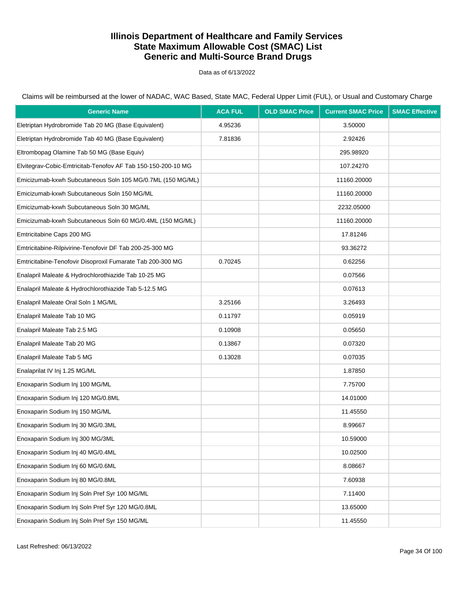Data as of 6/13/2022

| <b>Generic Name</b>                                          | <b>ACA FUL</b> | <b>OLD SMAC Price</b> | <b>Current SMAC Price</b> | <b>SMAC Effective</b> |
|--------------------------------------------------------------|----------------|-----------------------|---------------------------|-----------------------|
| Eletriptan Hydrobromide Tab 20 MG (Base Equivalent)          | 4.95236        |                       | 3.50000                   |                       |
| Eletriptan Hydrobromide Tab 40 MG (Base Equivalent)          | 7.81836        |                       | 2.92426                   |                       |
| Eltrombopag Olamine Tab 50 MG (Base Equiv)                   |                |                       | 295.98920                 |                       |
| Elvitegrav-Cobic-Emtricitab-Tenofov AF Tab 150-150-200-10 MG |                |                       | 107.24270                 |                       |
| Emicizumab-kxwh Subcutaneous Soln 105 MG/0.7ML (150 MG/ML)   |                |                       | 11160.20000               |                       |
| Emicizumab-kxwh Subcutaneous Soln 150 MG/ML                  |                |                       | 11160.20000               |                       |
| Emicizumab-kxwh Subcutaneous Soln 30 MG/ML                   |                |                       | 2232.05000                |                       |
| Emicizumab-kxwh Subcutaneous Soln 60 MG/0.4ML (150 MG/ML)    |                |                       | 11160.20000               |                       |
| Emtricitabine Caps 200 MG                                    |                |                       | 17.81246                  |                       |
| Emtricitabine-Rilpivirine-Tenofovir DF Tab 200-25-300 MG     |                |                       | 93.36272                  |                       |
| Emtricitabine-Tenofovir Disoproxil Fumarate Tab 200-300 MG   | 0.70245        |                       | 0.62256                   |                       |
| Enalapril Maleate & Hydrochlorothiazide Tab 10-25 MG         |                |                       | 0.07566                   |                       |
| Enalapril Maleate & Hydrochlorothiazide Tab 5-12.5 MG        |                |                       | 0.07613                   |                       |
| Enalapril Maleate Oral Soln 1 MG/ML                          | 3.25166        |                       | 3.26493                   |                       |
| Enalapril Maleate Tab 10 MG                                  | 0.11797        |                       | 0.05919                   |                       |
| Enalapril Maleate Tab 2.5 MG                                 | 0.10908        |                       | 0.05650                   |                       |
| Enalapril Maleate Tab 20 MG                                  | 0.13867        |                       | 0.07320                   |                       |
| Enalapril Maleate Tab 5 MG                                   | 0.13028        |                       | 0.07035                   |                       |
| Enalaprilat IV Inj 1.25 MG/ML                                |                |                       | 1.87850                   |                       |
| Enoxaparin Sodium Inj 100 MG/ML                              |                |                       | 7.75700                   |                       |
| Enoxaparin Sodium Inj 120 MG/0.8ML                           |                |                       | 14.01000                  |                       |
| Enoxaparin Sodium Inj 150 MG/ML                              |                |                       | 11.45550                  |                       |
| Enoxaparin Sodium Inj 30 MG/0.3ML                            |                |                       | 8.99667                   |                       |
| Enoxaparin Sodium Inj 300 MG/3ML                             |                |                       | 10.59000                  |                       |
| Enoxaparin Sodium Inj 40 MG/0.4ML                            |                |                       | 10.02500                  |                       |
| Enoxaparin Sodium Inj 60 MG/0.6ML                            |                |                       | 8.08667                   |                       |
| Enoxaparin Sodium Inj 80 MG/0.8ML                            |                |                       | 7.60938                   |                       |
| Enoxaparin Sodium Inj Soln Pref Syr 100 MG/ML                |                |                       | 7.11400                   |                       |
| Enoxaparin Sodium Inj Soln Pref Syr 120 MG/0.8ML             |                |                       | 13.65000                  |                       |
| Enoxaparin Sodium Inj Soln Pref Syr 150 MG/ML                |                |                       | 11.45550                  |                       |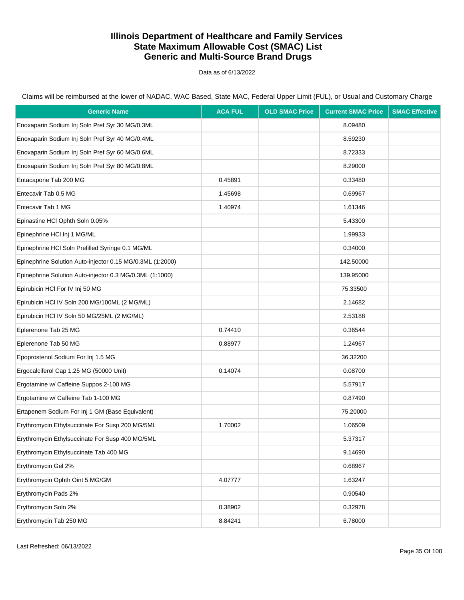Data as of 6/13/2022

| <b>Generic Name</b>                                       | <b>ACA FUL</b> | <b>OLD SMAC Price</b> | <b>Current SMAC Price</b> | <b>SMAC Effective</b> |
|-----------------------------------------------------------|----------------|-----------------------|---------------------------|-----------------------|
| Enoxaparin Sodium Inj Soln Pref Syr 30 MG/0.3ML           |                |                       | 8.09480                   |                       |
| Enoxaparin Sodium Inj Soln Pref Syr 40 MG/0.4ML           |                |                       | 8.59230                   |                       |
| Enoxaparin Sodium Inj Soln Pref Syr 60 MG/0.6ML           |                |                       | 8.72333                   |                       |
| Enoxaparin Sodium Inj Soln Pref Syr 80 MG/0.8ML           |                |                       | 8.29000                   |                       |
| Entacapone Tab 200 MG                                     | 0.45891        |                       | 0.33480                   |                       |
| Entecavir Tab 0.5 MG                                      | 1.45698        |                       | 0.69967                   |                       |
| Entecavir Tab 1 MG                                        | 1.40974        |                       | 1.61346                   |                       |
| Epinastine HCI Ophth Soln 0.05%                           |                |                       | 5.43300                   |                       |
| Epinephrine HCI Inj 1 MG/ML                               |                |                       | 1.99933                   |                       |
| Epinephrine HCI Soln Prefilled Syringe 0.1 MG/ML          |                |                       | 0.34000                   |                       |
| Epinephrine Solution Auto-injector 0.15 MG/0.3ML (1:2000) |                |                       | 142.50000                 |                       |
| Epinephrine Solution Auto-injector 0.3 MG/0.3ML (1:1000)  |                |                       | 139.95000                 |                       |
| Epirubicin HCI For IV Inj 50 MG                           |                |                       | 75.33500                  |                       |
| Epirubicin HCl IV Soln 200 MG/100ML (2 MG/ML)             |                |                       | 2.14682                   |                       |
| Epirubicin HCI IV Soln 50 MG/25ML (2 MG/ML)               |                |                       | 2.53188                   |                       |
| Eplerenone Tab 25 MG                                      | 0.74410        |                       | 0.36544                   |                       |
| Eplerenone Tab 50 MG                                      | 0.88977        |                       | 1.24967                   |                       |
| Epoprostenol Sodium For Inj 1.5 MG                        |                |                       | 36.32200                  |                       |
| Ergocalciferol Cap 1.25 MG (50000 Unit)                   | 0.14074        |                       | 0.08700                   |                       |
| Ergotamine w/ Caffeine Suppos 2-100 MG                    |                |                       | 5.57917                   |                       |
| Ergotamine w/ Caffeine Tab 1-100 MG                       |                |                       | 0.87490                   |                       |
| Ertapenem Sodium For Inj 1 GM (Base Equivalent)           |                |                       | 75.20000                  |                       |
| Erythromycin Ethylsuccinate For Susp 200 MG/5ML           | 1.70002        |                       | 1.06509                   |                       |
| Erythromycin Ethylsuccinate For Susp 400 MG/5ML           |                |                       | 5.37317                   |                       |
| Erythromycin Ethylsuccinate Tab 400 MG                    |                |                       | 9.14690                   |                       |
| Erythromycin Gel 2%                                       |                |                       | 0.68967                   |                       |
| Erythromycin Ophth Oint 5 MG/GM                           | 4.07777        |                       | 1.63247                   |                       |
| Erythromycin Pads 2%                                      |                |                       | 0.90540                   |                       |
| Erythromycin Soln 2%                                      | 0.38902        |                       | 0.32978                   |                       |
| Erythromycin Tab 250 MG                                   | 8.84241        |                       | 6.78000                   |                       |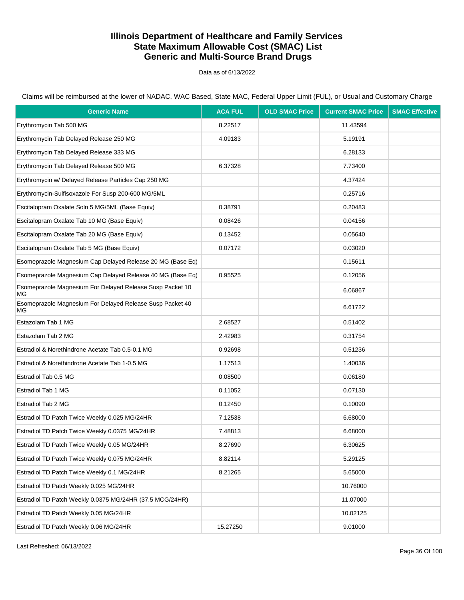Data as of 6/13/2022

Claims will be reimbursed at the lower of NADAC, WAC Based, State MAC, Federal Upper Limit (FUL), or Usual and Customary Charge

| <b>Generic Name</b>                                             | <b>ACA FUL</b> | <b>OLD SMAC Price</b> | <b>Current SMAC Price</b> | <b>SMAC Effective</b> |
|-----------------------------------------------------------------|----------------|-----------------------|---------------------------|-----------------------|
| Erythromycin Tab 500 MG                                         | 8.22517        |                       | 11.43594                  |                       |
| Erythromycin Tab Delayed Release 250 MG                         | 4.09183        |                       | 5.19191                   |                       |
| Erythromycin Tab Delayed Release 333 MG                         |                |                       | 6.28133                   |                       |
| Erythromycin Tab Delayed Release 500 MG                         | 6.37328        |                       | 7.73400                   |                       |
| Erythromycin w/ Delayed Release Particles Cap 250 MG            |                |                       | 4.37424                   |                       |
| Erythromycin-Sulfisoxazole For Susp 200-600 MG/5ML              |                |                       | 0.25716                   |                       |
| Escitalopram Oxalate Soln 5 MG/5ML (Base Equiv)                 | 0.38791        |                       | 0.20483                   |                       |
| Escitalopram Oxalate Tab 10 MG (Base Equiv)                     | 0.08426        |                       | 0.04156                   |                       |
| Escitalopram Oxalate Tab 20 MG (Base Equiv)                     | 0.13452        |                       | 0.05640                   |                       |
| Escitalopram Oxalate Tab 5 MG (Base Equiv)                      | 0.07172        |                       | 0.03020                   |                       |
| Esomeprazole Magnesium Cap Delayed Release 20 MG (Base Eq)      |                |                       | 0.15611                   |                       |
| Esomeprazole Magnesium Cap Delayed Release 40 MG (Base Eq)      | 0.95525        |                       | 0.12056                   |                       |
| Esomeprazole Magnesium For Delayed Release Susp Packet 10<br>МG |                |                       | 6.06867                   |                       |
| Esomeprazole Magnesium For Delayed Release Susp Packet 40<br>МG |                |                       | 6.61722                   |                       |
| Estazolam Tab 1 MG                                              | 2.68527        |                       | 0.51402                   |                       |
| Estazolam Tab 2 MG                                              | 2.42983        |                       | 0.31754                   |                       |
| Estradiol & Norethindrone Acetate Tab 0.5-0.1 MG                | 0.92698        |                       | 0.51236                   |                       |
| Estradiol & Norethindrone Acetate Tab 1-0.5 MG                  | 1.17513        |                       | 1.40036                   |                       |
| Estradiol Tab 0.5 MG                                            | 0.08500        |                       | 0.06180                   |                       |
| Estradiol Tab 1 MG                                              | 0.11052        |                       | 0.07130                   |                       |
| Estradiol Tab 2 MG                                              | 0.12450        |                       | 0.10090                   |                       |
| Estradiol TD Patch Twice Weekly 0.025 MG/24HR                   | 7.12538        |                       | 6.68000                   |                       |
| Estradiol TD Patch Twice Weekly 0.0375 MG/24HR                  | 7.48813        |                       | 6.68000                   |                       |
| Estradiol TD Patch Twice Weekly 0.05 MG/24HR                    | 8.27690        |                       | 6.30625                   |                       |
| Estradiol TD Patch Twice Weekly 0.075 MG/24HR                   | 8.82114        |                       | 5.29125                   |                       |
| Estradiol TD Patch Twice Weekly 0.1 MG/24HR                     | 8.21265        |                       | 5.65000                   |                       |
| Estradiol TD Patch Weekly 0.025 MG/24HR                         |                |                       | 10.76000                  |                       |
| Estradiol TD Patch Weekly 0.0375 MG/24HR (37.5 MCG/24HR)        |                |                       | 11.07000                  |                       |
| Estradiol TD Patch Weekly 0.05 MG/24HR                          |                |                       | 10.02125                  |                       |
| Estradiol TD Patch Weekly 0.06 MG/24HR                          | 15.27250       |                       | 9.01000                   |                       |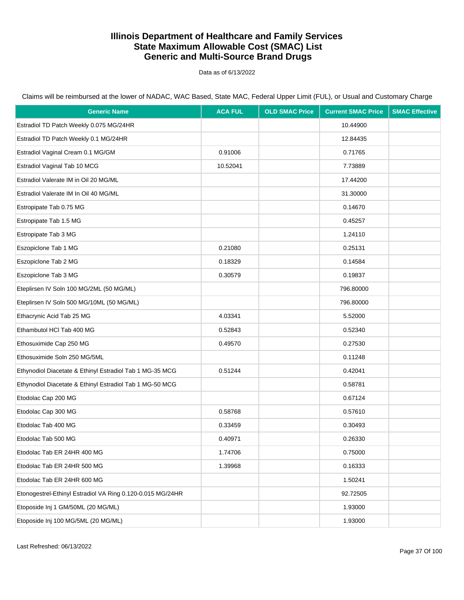Data as of 6/13/2022

| <b>Generic Name</b>                                        | <b>ACA FUL</b> | <b>OLD SMAC Price</b> | <b>Current SMAC Price</b> | <b>SMAC Effective</b> |
|------------------------------------------------------------|----------------|-----------------------|---------------------------|-----------------------|
| Estradiol TD Patch Weekly 0.075 MG/24HR                    |                |                       | 10.44900                  |                       |
| Estradiol TD Patch Weekly 0.1 MG/24HR                      |                |                       | 12.84435                  |                       |
| Estradiol Vaginal Cream 0.1 MG/GM                          | 0.91006        |                       | 0.71765                   |                       |
| Estradiol Vaginal Tab 10 MCG                               | 10.52041       |                       | 7.73889                   |                       |
| Estradiol Valerate IM in Oil 20 MG/ML                      |                |                       | 17.44200                  |                       |
| Estradiol Valerate IM In Oil 40 MG/ML                      |                |                       | 31.30000                  |                       |
| Estropipate Tab 0.75 MG                                    |                |                       | 0.14670                   |                       |
| Estropipate Tab 1.5 MG                                     |                |                       | 0.45257                   |                       |
| Estropipate Tab 3 MG                                       |                |                       | 1.24110                   |                       |
| Eszopiclone Tab 1 MG                                       | 0.21080        |                       | 0.25131                   |                       |
| Eszopiclone Tab 2 MG                                       | 0.18329        |                       | 0.14584                   |                       |
| Eszopiclone Tab 3 MG                                       | 0.30579        |                       | 0.19837                   |                       |
| Eteplirsen IV Soln 100 MG/2ML (50 MG/ML)                   |                |                       | 796.80000                 |                       |
| Eteplirsen IV Soln 500 MG/10ML (50 MG/ML)                  |                |                       | 796.80000                 |                       |
| Ethacrynic Acid Tab 25 MG                                  | 4.03341        |                       | 5.52000                   |                       |
| Ethambutol HCI Tab 400 MG                                  | 0.52843        |                       | 0.52340                   |                       |
| Ethosuximide Cap 250 MG                                    | 0.49570        |                       | 0.27530                   |                       |
| Ethosuximide Soln 250 MG/5ML                               |                |                       | 0.11248                   |                       |
| Ethynodiol Diacetate & Ethinyl Estradiol Tab 1 MG-35 MCG   | 0.51244        |                       | 0.42041                   |                       |
| Ethynodiol Diacetate & Ethinyl Estradiol Tab 1 MG-50 MCG   |                |                       | 0.58781                   |                       |
| Etodolac Cap 200 MG                                        |                |                       | 0.67124                   |                       |
| Etodolac Cap 300 MG                                        | 0.58768        |                       | 0.57610                   |                       |
| Etodolac Tab 400 MG                                        | 0.33459        |                       | 0.30493                   |                       |
| Etodolac Tab 500 MG                                        | 0.40971        |                       | 0.26330                   |                       |
| Etodolac Tab ER 24HR 400 MG                                | 1.74706        |                       | 0.75000                   |                       |
| Etodolac Tab ER 24HR 500 MG                                | 1.39968        |                       | 0.16333                   |                       |
| Etodolac Tab ER 24HR 600 MG                                |                |                       | 1.50241                   |                       |
| Etonogestrel-Ethinyl Estradiol VA Ring 0.120-0.015 MG/24HR |                |                       | 92.72505                  |                       |
| Etoposide Inj 1 GM/50ML (20 MG/ML)                         |                |                       | 1.93000                   |                       |
| Etoposide Inj 100 MG/5ML (20 MG/ML)                        |                |                       | 1.93000                   |                       |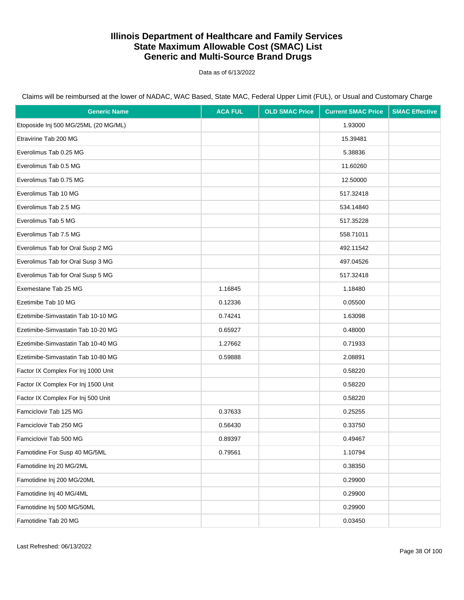Data as of 6/13/2022

| <b>Generic Name</b>                  | <b>ACA FUL</b> | <b>OLD SMAC Price</b> | <b>Current SMAC Price</b> | <b>SMAC Effective</b> |
|--------------------------------------|----------------|-----------------------|---------------------------|-----------------------|
| Etoposide Inj 500 MG/25ML (20 MG/ML) |                |                       | 1.93000                   |                       |
| Etravirine Tab 200 MG                |                |                       | 15.39481                  |                       |
| Everolimus Tab 0.25 MG               |                |                       | 5.38836                   |                       |
| Everolimus Tab 0.5 MG                |                |                       | 11.60260                  |                       |
| Everolimus Tab 0.75 MG               |                |                       | 12.50000                  |                       |
| Everolimus Tab 10 MG                 |                |                       | 517.32418                 |                       |
| Everolimus Tab 2.5 MG                |                |                       | 534.14840                 |                       |
| Everolimus Tab 5 MG                  |                |                       | 517.35228                 |                       |
| Everolimus Tab 7.5 MG                |                |                       | 558.71011                 |                       |
| Everolimus Tab for Oral Susp 2 MG    |                |                       | 492.11542                 |                       |
| Everolimus Tab for Oral Susp 3 MG    |                |                       | 497.04526                 |                       |
| Everolimus Tab for Oral Susp 5 MG    |                |                       | 517.32418                 |                       |
| Exemestane Tab 25 MG                 | 1.16845        |                       | 1.18480                   |                       |
| Ezetimibe Tab 10 MG                  | 0.12336        |                       | 0.05500                   |                       |
| Ezetimibe-Simvastatin Tab 10-10 MG   | 0.74241        |                       | 1.63098                   |                       |
| Ezetimibe-Simvastatin Tab 10-20 MG   | 0.65927        |                       | 0.48000                   |                       |
| Ezetimibe-Simvastatin Tab 10-40 MG   | 1.27662        |                       | 0.71933                   |                       |
| Ezetimibe-Simvastatin Tab 10-80 MG   | 0.59888        |                       | 2.08891                   |                       |
| Factor IX Complex For Inj 1000 Unit  |                |                       | 0.58220                   |                       |
| Factor IX Complex For Inj 1500 Unit  |                |                       | 0.58220                   |                       |
| Factor IX Complex For Inj 500 Unit   |                |                       | 0.58220                   |                       |
| Famciclovir Tab 125 MG               | 0.37633        |                       | 0.25255                   |                       |
| Famciclovir Tab 250 MG               | 0.56430        |                       | 0.33750                   |                       |
| Famciclovir Tab 500 MG               | 0.89397        |                       | 0.49467                   |                       |
| Famotidine For Susp 40 MG/5ML        | 0.79561        |                       | 1.10794                   |                       |
| Famotidine Inj 20 MG/2ML             |                |                       | 0.38350                   |                       |
| Famotidine Inj 200 MG/20ML           |                |                       | 0.29900                   |                       |
| Famotidine Inj 40 MG/4ML             |                |                       | 0.29900                   |                       |
| Famotidine Inj 500 MG/50ML           |                |                       | 0.29900                   |                       |
| Famotidine Tab 20 MG                 |                |                       | 0.03450                   |                       |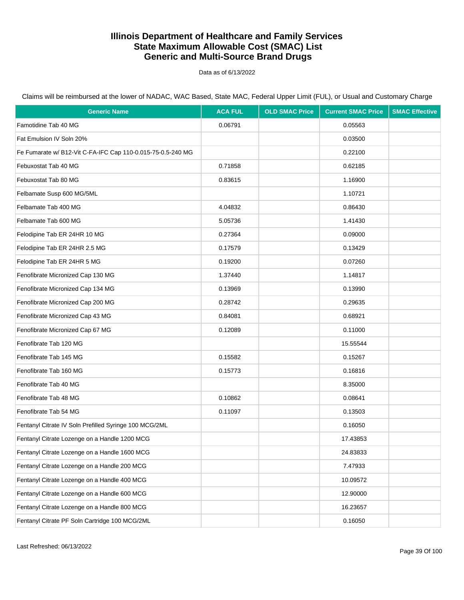Data as of 6/13/2022

| <b>Generic Name</b>                                         | <b>ACA FUL</b> | <b>OLD SMAC Price</b> | <b>Current SMAC Price</b> | <b>SMAC Effective</b> |
|-------------------------------------------------------------|----------------|-----------------------|---------------------------|-----------------------|
| Famotidine Tab 40 MG                                        | 0.06791        |                       | 0.05563                   |                       |
| Fat Emulsion IV Soln 20%                                    |                |                       | 0.03500                   |                       |
| Fe Fumarate w/ B12-Vit C-FA-IFC Cap 110-0.015-75-0.5-240 MG |                |                       | 0.22100                   |                       |
| Febuxostat Tab 40 MG                                        | 0.71858        |                       | 0.62185                   |                       |
| Febuxostat Tab 80 MG                                        | 0.83615        |                       | 1.16900                   |                       |
| Felbamate Susp 600 MG/5ML                                   |                |                       | 1.10721                   |                       |
| Felbamate Tab 400 MG                                        | 4.04832        |                       | 0.86430                   |                       |
| Felbamate Tab 600 MG                                        | 5.05736        |                       | 1.41430                   |                       |
| Felodipine Tab ER 24HR 10 MG                                | 0.27364        |                       | 0.09000                   |                       |
| Felodipine Tab ER 24HR 2.5 MG                               | 0.17579        |                       | 0.13429                   |                       |
| Felodipine Tab ER 24HR 5 MG                                 | 0.19200        |                       | 0.07260                   |                       |
| Fenofibrate Micronized Cap 130 MG                           | 1.37440        |                       | 1.14817                   |                       |
| Fenofibrate Micronized Cap 134 MG                           | 0.13969        |                       | 0.13990                   |                       |
| Fenofibrate Micronized Cap 200 MG                           | 0.28742        |                       | 0.29635                   |                       |
| Fenofibrate Micronized Cap 43 MG                            | 0.84081        |                       | 0.68921                   |                       |
| Fenofibrate Micronized Cap 67 MG                            | 0.12089        |                       | 0.11000                   |                       |
| Fenofibrate Tab 120 MG                                      |                |                       | 15.55544                  |                       |
| Fenofibrate Tab 145 MG                                      | 0.15582        |                       | 0.15267                   |                       |
| Fenofibrate Tab 160 MG                                      | 0.15773        |                       | 0.16816                   |                       |
| Fenofibrate Tab 40 MG                                       |                |                       | 8.35000                   |                       |
| Fenofibrate Tab 48 MG                                       | 0.10862        |                       | 0.08641                   |                       |
| Fenofibrate Tab 54 MG                                       | 0.11097        |                       | 0.13503                   |                       |
| Fentanyl Citrate IV Soln Prefilled Syringe 100 MCG/2ML      |                |                       | 0.16050                   |                       |
| Fentanyl Citrate Lozenge on a Handle 1200 MCG               |                |                       | 17.43853                  |                       |
| Fentanyl Citrate Lozenge on a Handle 1600 MCG               |                |                       | 24.83833                  |                       |
| Fentanyl Citrate Lozenge on a Handle 200 MCG                |                |                       | 7.47933                   |                       |
| Fentanyl Citrate Lozenge on a Handle 400 MCG                |                |                       | 10.09572                  |                       |
| Fentanyl Citrate Lozenge on a Handle 600 MCG                |                |                       | 12.90000                  |                       |
| Fentanyl Citrate Lozenge on a Handle 800 MCG                |                |                       | 16.23657                  |                       |
| Fentanyl Citrate PF Soln Cartridge 100 MCG/2ML              |                |                       | 0.16050                   |                       |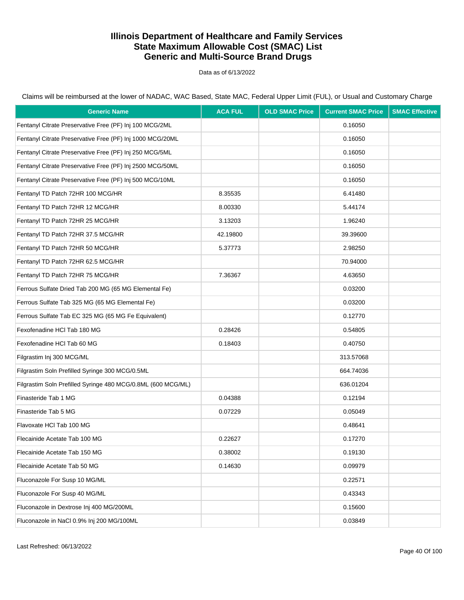Data as of 6/13/2022

| <b>Generic Name</b>                                          | <b>ACA FUL</b> | <b>OLD SMAC Price</b> | <b>Current SMAC Price</b> | <b>SMAC Effective</b> |
|--------------------------------------------------------------|----------------|-----------------------|---------------------------|-----------------------|
| Fentanyl Citrate Preservative Free (PF) Inj 100 MCG/2ML      |                |                       | 0.16050                   |                       |
| Fentanyl Citrate Preservative Free (PF) Inj 1000 MCG/20ML    |                |                       | 0.16050                   |                       |
| Fentanyl Citrate Preservative Free (PF) Inj 250 MCG/5ML      |                |                       | 0.16050                   |                       |
| Fentanyl Citrate Preservative Free (PF) Inj 2500 MCG/50ML    |                |                       | 0.16050                   |                       |
| Fentanyl Citrate Preservative Free (PF) Inj 500 MCG/10ML     |                |                       | 0.16050                   |                       |
| Fentanyl TD Patch 72HR 100 MCG/HR                            | 8.35535        |                       | 6.41480                   |                       |
| Fentanyl TD Patch 72HR 12 MCG/HR                             | 8.00330        |                       | 5.44174                   |                       |
| Fentanyl TD Patch 72HR 25 MCG/HR                             | 3.13203        |                       | 1.96240                   |                       |
| Fentanyl TD Patch 72HR 37.5 MCG/HR                           | 42.19800       |                       | 39.39600                  |                       |
| Fentanyl TD Patch 72HR 50 MCG/HR                             | 5.37773        |                       | 2.98250                   |                       |
| Fentanyl TD Patch 72HR 62.5 MCG/HR                           |                |                       | 70.94000                  |                       |
| Fentanyl TD Patch 72HR 75 MCG/HR                             | 7.36367        |                       | 4.63650                   |                       |
| Ferrous Sulfate Dried Tab 200 MG (65 MG Elemental Fe)        |                |                       | 0.03200                   |                       |
| Ferrous Sulfate Tab 325 MG (65 MG Elemental Fe)              |                |                       | 0.03200                   |                       |
| Ferrous Sulfate Tab EC 325 MG (65 MG Fe Equivalent)          |                |                       | 0.12770                   |                       |
| Fexofenadine HCI Tab 180 MG                                  | 0.28426        |                       | 0.54805                   |                       |
| Fexofenadine HCI Tab 60 MG                                   | 0.18403        |                       | 0.40750                   |                       |
| Filgrastim Inj 300 MCG/ML                                    |                |                       | 313.57068                 |                       |
| Filgrastim Soln Prefilled Syringe 300 MCG/0.5ML              |                |                       | 664.74036                 |                       |
| Filgrastim Soln Prefilled Syringe 480 MCG/0.8ML (600 MCG/ML) |                |                       | 636.01204                 |                       |
| Finasteride Tab 1 MG                                         | 0.04388        |                       | 0.12194                   |                       |
| Finasteride Tab 5 MG                                         | 0.07229        |                       | 0.05049                   |                       |
| Flavoxate HCI Tab 100 MG                                     |                |                       | 0.48641                   |                       |
| Flecainide Acetate Tab 100 MG                                | 0.22627        |                       | 0.17270                   |                       |
| Flecainide Acetate Tab 150 MG                                | 0.38002        |                       | 0.19130                   |                       |
| Flecainide Acetate Tab 50 MG                                 | 0.14630        |                       | 0.09979                   |                       |
| Fluconazole For Susp 10 MG/ML                                |                |                       | 0.22571                   |                       |
| Fluconazole For Susp 40 MG/ML                                |                |                       | 0.43343                   |                       |
| Fluconazole in Dextrose Inj 400 MG/200ML                     |                |                       | 0.15600                   |                       |
| Fluconazole in NaCl 0.9% Inj 200 MG/100ML                    |                |                       | 0.03849                   |                       |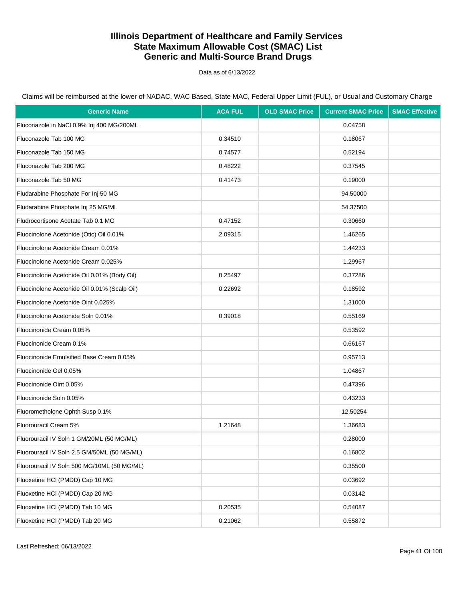Data as of 6/13/2022

| <b>Generic Name</b>                          | <b>ACA FUL</b> | <b>OLD SMAC Price</b> | <b>Current SMAC Price</b> | <b>SMAC Effective</b> |
|----------------------------------------------|----------------|-----------------------|---------------------------|-----------------------|
| Fluconazole in NaCl 0.9% Inj 400 MG/200ML    |                |                       | 0.04758                   |                       |
| Fluconazole Tab 100 MG                       | 0.34510        |                       | 0.18067                   |                       |
| Fluconazole Tab 150 MG                       | 0.74577        |                       | 0.52194                   |                       |
| Fluconazole Tab 200 MG                       | 0.48222        |                       | 0.37545                   |                       |
| Fluconazole Tab 50 MG                        | 0.41473        |                       | 0.19000                   |                       |
| Fludarabine Phosphate For Inj 50 MG          |                |                       | 94.50000                  |                       |
| Fludarabine Phosphate Inj 25 MG/ML           |                |                       | 54.37500                  |                       |
| Fludrocortisone Acetate Tab 0.1 MG           | 0.47152        |                       | 0.30660                   |                       |
| Fluocinolone Acetonide (Otic) Oil 0.01%      | 2.09315        |                       | 1.46265                   |                       |
| Fluocinolone Acetonide Cream 0.01%           |                |                       | 1.44233                   |                       |
| Fluocinolone Acetonide Cream 0.025%          |                |                       | 1.29967                   |                       |
| Fluocinolone Acetonide Oil 0.01% (Body Oil)  | 0.25497        |                       | 0.37286                   |                       |
| Fluocinolone Acetonide Oil 0.01% (Scalp Oil) | 0.22692        |                       | 0.18592                   |                       |
| Fluocinolone Acetonide Oint 0.025%           |                |                       | 1.31000                   |                       |
| Fluocinolone Acetonide Soln 0.01%            | 0.39018        |                       | 0.55169                   |                       |
| Fluocinonide Cream 0.05%                     |                |                       | 0.53592                   |                       |
| Fluocinonide Cream 0.1%                      |                |                       | 0.66167                   |                       |
| Fluocinonide Emulsified Base Cream 0.05%     |                |                       | 0.95713                   |                       |
| Fluocinonide Gel 0.05%                       |                |                       | 1.04867                   |                       |
| Fluocinonide Oint 0.05%                      |                |                       | 0.47396                   |                       |
| Fluocinonide Soln 0.05%                      |                |                       | 0.43233                   |                       |
| Fluorometholone Ophth Susp 0.1%              |                |                       | 12.50254                  |                       |
| Fluorouracil Cream 5%                        | 1.21648        |                       | 1.36683                   |                       |
| Fluorouracil IV Soln 1 GM/20ML (50 MG/ML)    |                |                       | 0.28000                   |                       |
| Fluorouracil IV Soln 2.5 GM/50ML (50 MG/ML)  |                |                       | 0.16802                   |                       |
| Fluorouracil IV Soln 500 MG/10ML (50 MG/ML)  |                |                       | 0.35500                   |                       |
| Fluoxetine HCI (PMDD) Cap 10 MG              |                |                       | 0.03692                   |                       |
| Fluoxetine HCI (PMDD) Cap 20 MG              |                |                       | 0.03142                   |                       |
| Fluoxetine HCI (PMDD) Tab 10 MG              | 0.20535        |                       | 0.54087                   |                       |
| Fluoxetine HCI (PMDD) Tab 20 MG              | 0.21062        |                       | 0.55872                   |                       |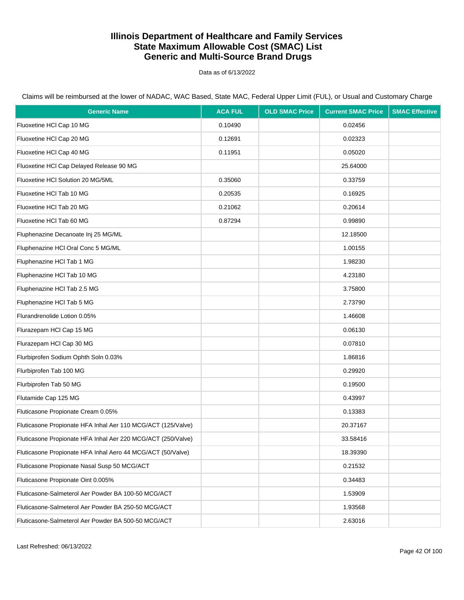Data as of 6/13/2022

Claims will be reimbursed at the lower of NADAC, WAC Based, State MAC, Federal Upper Limit (FUL), or Usual and Customary Charge

| <b>Generic Name</b>                                          | <b>ACA FUL</b> | <b>OLD SMAC Price</b> | <b>Current SMAC Price</b> | <b>SMAC Effective</b> |
|--------------------------------------------------------------|----------------|-----------------------|---------------------------|-----------------------|
| Fluoxetine HCl Cap 10 MG                                     | 0.10490        |                       | 0.02456                   |                       |
| Fluoxetine HCl Cap 20 MG                                     | 0.12691        |                       | 0.02323                   |                       |
| Fluoxetine HCl Cap 40 MG                                     | 0.11951        |                       | 0.05020                   |                       |
| Fluoxetine HCl Cap Delayed Release 90 MG                     |                |                       | 25.64000                  |                       |
| Fluoxetine HCI Solution 20 MG/5ML                            | 0.35060        |                       | 0.33759                   |                       |
| Fluoxetine HCl Tab 10 MG                                     | 0.20535        |                       | 0.16925                   |                       |
| Fluoxetine HCl Tab 20 MG                                     | 0.21062        |                       | 0.20614                   |                       |
| Fluoxetine HCI Tab 60 MG                                     | 0.87294        |                       | 0.99890                   |                       |
| Fluphenazine Decanoate Inj 25 MG/ML                          |                |                       | 12.18500                  |                       |
| Fluphenazine HCl Oral Conc 5 MG/ML                           |                |                       | 1.00155                   |                       |
| Fluphenazine HCI Tab 1 MG                                    |                |                       | 1.98230                   |                       |
| Fluphenazine HCl Tab 10 MG                                   |                |                       | 4.23180                   |                       |
| Fluphenazine HCI Tab 2.5 MG                                  |                |                       | 3.75800                   |                       |
| Fluphenazine HCI Tab 5 MG                                    |                |                       | 2.73790                   |                       |
| Flurandrenolide Lotion 0.05%                                 |                |                       | 1.46608                   |                       |
| Flurazepam HCl Cap 15 MG                                     |                |                       | 0.06130                   |                       |
| Flurazepam HCl Cap 30 MG                                     |                |                       | 0.07810                   |                       |
| Flurbiprofen Sodium Ophth Soln 0.03%                         |                |                       | 1.86816                   |                       |
| Flurbiprofen Tab 100 MG                                      |                |                       | 0.29920                   |                       |
| Flurbiprofen Tab 50 MG                                       |                |                       | 0.19500                   |                       |
| Flutamide Cap 125 MG                                         |                |                       | 0.43997                   |                       |
| Fluticasone Propionate Cream 0.05%                           |                |                       | 0.13383                   |                       |
| Fluticasone Propionate HFA Inhal Aer 110 MCG/ACT (125/Valve) |                |                       | 20.37167                  |                       |
| Fluticasone Propionate HFA Inhal Aer 220 MCG/ACT (250/Valve) |                |                       | 33.58416                  |                       |
| Fluticasone Propionate HFA Inhal Aero 44 MCG/ACT (50/Valve)  |                |                       | 18.39390                  |                       |
| Fluticasone Propionate Nasal Susp 50 MCG/ACT                 |                |                       | 0.21532                   |                       |
| Fluticasone Propionate Oint 0.005%                           |                |                       | 0.34483                   |                       |
| Fluticasone-Salmeterol Aer Powder BA 100-50 MCG/ACT          |                |                       | 1.53909                   |                       |
| Fluticasone-Salmeterol Aer Powder BA 250-50 MCG/ACT          |                |                       | 1.93568                   |                       |
| Fluticasone-Salmeterol Aer Powder BA 500-50 MCG/ACT          |                |                       | 2.63016                   |                       |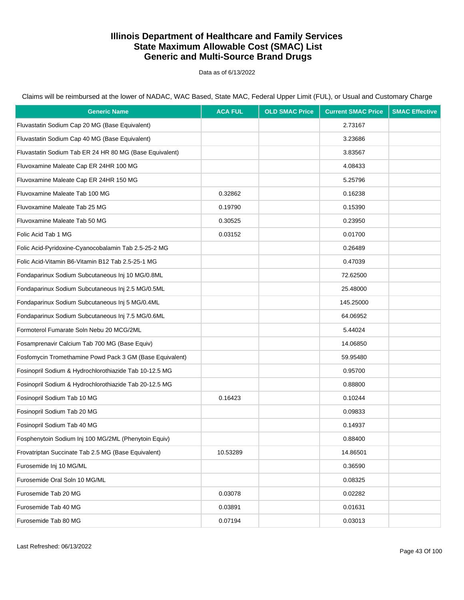Data as of 6/13/2022

| <b>Generic Name</b>                                      | <b>ACA FUL</b> | <b>OLD SMAC Price</b> | <b>Current SMAC Price</b> | <b>SMAC Effective</b> |
|----------------------------------------------------------|----------------|-----------------------|---------------------------|-----------------------|
| Fluvastatin Sodium Cap 20 MG (Base Equivalent)           |                |                       | 2.73167                   |                       |
| Fluvastatin Sodium Cap 40 MG (Base Equivalent)           |                |                       | 3.23686                   |                       |
| Fluvastatin Sodium Tab ER 24 HR 80 MG (Base Equivalent)  |                |                       | 3.83567                   |                       |
| Fluvoxamine Maleate Cap ER 24HR 100 MG                   |                |                       | 4.08433                   |                       |
| Fluvoxamine Maleate Cap ER 24HR 150 MG                   |                |                       | 5.25796                   |                       |
| Fluvoxamine Maleate Tab 100 MG                           | 0.32862        |                       | 0.16238                   |                       |
| Fluvoxamine Maleate Tab 25 MG                            | 0.19790        |                       | 0.15390                   |                       |
| Fluvoxamine Maleate Tab 50 MG                            | 0.30525        |                       | 0.23950                   |                       |
| Folic Acid Tab 1 MG                                      | 0.03152        |                       | 0.01700                   |                       |
| Folic Acid-Pyridoxine-Cyanocobalamin Tab 2.5-25-2 MG     |                |                       | 0.26489                   |                       |
| Folic Acid-Vitamin B6-Vitamin B12 Tab 2.5-25-1 MG        |                |                       | 0.47039                   |                       |
| Fondaparinux Sodium Subcutaneous Inj 10 MG/0.8ML         |                |                       | 72.62500                  |                       |
| Fondaparinux Sodium Subcutaneous Inj 2.5 MG/0.5ML        |                |                       | 25.48000                  |                       |
| Fondaparinux Sodium Subcutaneous Inj 5 MG/0.4ML          |                |                       | 145.25000                 |                       |
| Fondaparinux Sodium Subcutaneous Inj 7.5 MG/0.6ML        |                |                       | 64.06952                  |                       |
| Formoterol Fumarate Soln Nebu 20 MCG/2ML                 |                |                       | 5.44024                   |                       |
| Fosamprenavir Calcium Tab 700 MG (Base Equiv)            |                |                       | 14.06850                  |                       |
| Fosfomycin Tromethamine Powd Pack 3 GM (Base Equivalent) |                |                       | 59.95480                  |                       |
| Fosinopril Sodium & Hydrochlorothiazide Tab 10-12.5 MG   |                |                       | 0.95700                   |                       |
| Fosinopril Sodium & Hydrochlorothiazide Tab 20-12.5 MG   |                |                       | 0.88800                   |                       |
| Fosinopril Sodium Tab 10 MG                              | 0.16423        |                       | 0.10244                   |                       |
| Fosinopril Sodium Tab 20 MG                              |                |                       | 0.09833                   |                       |
| Fosinopril Sodium Tab 40 MG                              |                |                       | 0.14937                   |                       |
| Fosphenytoin Sodium Inj 100 MG/2ML (Phenytoin Equiv)     |                |                       | 0.88400                   |                       |
| Frovatriptan Succinate Tab 2.5 MG (Base Equivalent)      | 10.53289       |                       | 14.86501                  |                       |
| Furosemide Inj 10 MG/ML                                  |                |                       | 0.36590                   |                       |
| Furosemide Oral Soln 10 MG/ML                            |                |                       | 0.08325                   |                       |
| Furosemide Tab 20 MG                                     | 0.03078        |                       | 0.02282                   |                       |
| Furosemide Tab 40 MG                                     | 0.03891        |                       | 0.01631                   |                       |
| Furosemide Tab 80 MG                                     | 0.07194        |                       | 0.03013                   |                       |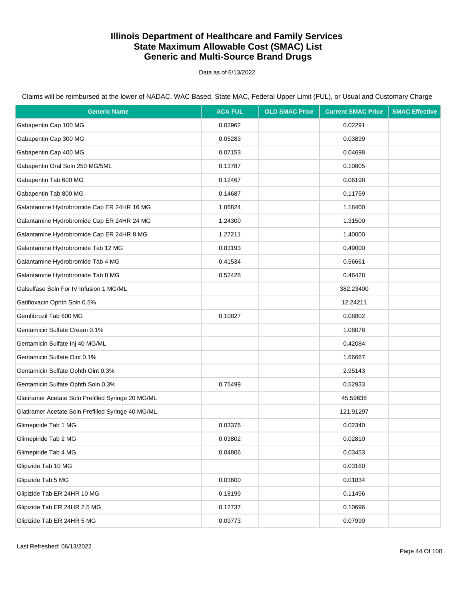Data as of 6/13/2022

| <b>Generic Name</b>                                | <b>ACA FUL</b> | <b>OLD SMAC Price</b> | <b>Current SMAC Price</b> | <b>SMAC Effective</b> |
|----------------------------------------------------|----------------|-----------------------|---------------------------|-----------------------|
| Gabapentin Cap 100 MG                              | 0.02962        |                       | 0.02291                   |                       |
| Gabapentin Cap 300 MG                              | 0.05283        |                       | 0.03899                   |                       |
| Gabapentin Cap 400 MG                              | 0.07153        |                       | 0.04698                   |                       |
| Gabapentin Oral Soln 250 MG/5ML                    | 0.13787        |                       | 0.10805                   |                       |
| Gabapentin Tab 600 MG                              | 0.12467        |                       | 0.06198                   |                       |
| Gabapentin Tab 800 MG                              | 0.14687        |                       | 0.11759                   |                       |
| Galantamine Hydrobromide Cap ER 24HR 16 MG         | 1.06824        |                       | 1.18400                   |                       |
| Galantamine Hydrobromide Cap ER 24HR 24 MG         | 1.24300        |                       | 1.31500                   |                       |
| Galantamine Hydrobromide Cap ER 24HR 8 MG          | 1.27211        |                       | 1.40000                   |                       |
| Galantamine Hydrobromide Tab 12 MG                 | 0.83193        |                       | 0.49000                   |                       |
| Galantamine Hydrobromide Tab 4 MG                  | 0.41534        |                       | 0.56661                   |                       |
| Galantamine Hydrobromide Tab 8 MG                  | 0.52428        |                       | 0.46428                   |                       |
| Galsulfase Soln For IV Infusion 1 MG/ML            |                |                       | 382.23400                 |                       |
| Gatifloxacin Ophth Soln 0.5%                       |                |                       | 12.24211                  |                       |
| Gemfibrozil Tab 600 MG                             | 0.10827        |                       | 0.08802                   |                       |
| Gentamicin Sulfate Cream 0.1%                      |                |                       | 1.08078                   |                       |
| Gentamicin Sulfate Inj 40 MG/ML                    |                |                       | 0.42084                   |                       |
| Gentamicin Sulfate Oint 0.1%                       |                |                       | 1.66667                   |                       |
| Gentamicin Sulfate Ophth Oint 0.3%                 |                |                       | 2.95143                   |                       |
| Gentamicin Sulfate Ophth Soln 0.3%                 | 0.75499        |                       | 0.52933                   |                       |
| Glatiramer Acetate Soln Prefilled Syringe 20 MG/ML |                |                       | 45.59638                  |                       |
| Glatiramer Acetate Soln Prefilled Syringe 40 MG/ML |                |                       | 121.91297                 |                       |
| Glimepiride Tab 1 MG                               | 0.03376        |                       | 0.02340                   |                       |
| Glimepiride Tab 2 MG                               | 0.03802        |                       | 0.02810                   |                       |
| Glimepiride Tab 4 MG                               | 0.04806        |                       | 0.03453                   |                       |
| Glipizide Tab 10 MG                                |                |                       | 0.03160                   |                       |
| Glipizide Tab 5 MG                                 | 0.03600        |                       | 0.01834                   |                       |
| Glipizide Tab ER 24HR 10 MG                        | 0.18199        |                       | 0.11496                   |                       |
| Glipizide Tab ER 24HR 2.5 MG                       | 0.12737        |                       | 0.10696                   |                       |
| Glipizide Tab ER 24HR 5 MG                         | 0.09773        |                       | 0.07990                   |                       |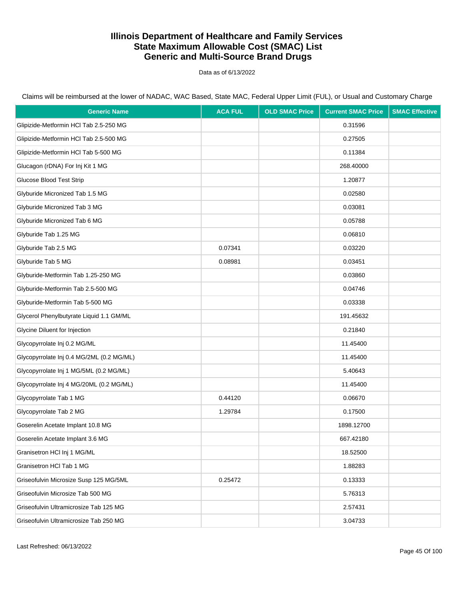Data as of 6/13/2022

| <b>Generic Name</b>                       | <b>ACA FUL</b> | <b>OLD SMAC Price</b> | <b>Current SMAC Price</b> | <b>SMAC Effective</b> |
|-------------------------------------------|----------------|-----------------------|---------------------------|-----------------------|
| Glipizide-Metformin HCl Tab 2.5-250 MG    |                |                       | 0.31596                   |                       |
| Glipizide-Metformin HCl Tab 2.5-500 MG    |                |                       | 0.27505                   |                       |
| Glipizide-Metformin HCl Tab 5-500 MG      |                |                       | 0.11384                   |                       |
| Glucagon (rDNA) For Inj Kit 1 MG          |                |                       | 268.40000                 |                       |
| <b>Glucose Blood Test Strip</b>           |                |                       | 1.20877                   |                       |
| Glyburide Micronized Tab 1.5 MG           |                |                       | 0.02580                   |                       |
| Glyburide Micronized Tab 3 MG             |                |                       | 0.03081                   |                       |
| Glyburide Micronized Tab 6 MG             |                |                       | 0.05788                   |                       |
| Glyburide Tab 1.25 MG                     |                |                       | 0.06810                   |                       |
| Glyburide Tab 2.5 MG                      | 0.07341        |                       | 0.03220                   |                       |
| Glyburide Tab 5 MG                        | 0.08981        |                       | 0.03451                   |                       |
| Glyburide-Metformin Tab 1.25-250 MG       |                |                       | 0.03860                   |                       |
| Glyburide-Metformin Tab 2.5-500 MG        |                |                       | 0.04746                   |                       |
| Glyburide-Metformin Tab 5-500 MG          |                |                       | 0.03338                   |                       |
| Glycerol Phenylbutyrate Liquid 1.1 GM/ML  |                |                       | 191.45632                 |                       |
| Glycine Diluent for Injection             |                |                       | 0.21840                   |                       |
| Glycopyrrolate Inj 0.2 MG/ML              |                |                       | 11.45400                  |                       |
| Glycopyrrolate Inj 0.4 MG/2ML (0.2 MG/ML) |                |                       | 11.45400                  |                       |
| Glycopyrrolate Inj 1 MG/5ML (0.2 MG/ML)   |                |                       | 5.40643                   |                       |
| Glycopyrrolate Inj 4 MG/20ML (0.2 MG/ML)  |                |                       | 11.45400                  |                       |
| Glycopyrrolate Tab 1 MG                   | 0.44120        |                       | 0.06670                   |                       |
| Glycopyrrolate Tab 2 MG                   | 1.29784        |                       | 0.17500                   |                       |
| Goserelin Acetate Implant 10.8 MG         |                |                       | 1898.12700                |                       |
| Goserelin Acetate Implant 3.6 MG          |                |                       | 667.42180                 |                       |
| Granisetron HCl Inj 1 MG/ML               |                |                       | 18.52500                  |                       |
| Granisetron HCl Tab 1 MG                  |                |                       | 1.88283                   |                       |
| Griseofulvin Microsize Susp 125 MG/5ML    | 0.25472        |                       | 0.13333                   |                       |
| Griseofulvin Microsize Tab 500 MG         |                |                       | 5.76313                   |                       |
| Griseofulvin Ultramicrosize Tab 125 MG    |                |                       | 2.57431                   |                       |
| Griseofulvin Ultramicrosize Tab 250 MG    |                |                       | 3.04733                   |                       |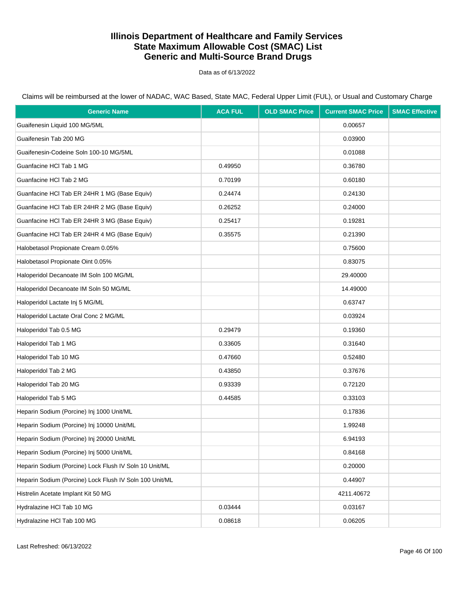Data as of 6/13/2022

Claims will be reimbursed at the lower of NADAC, WAC Based, State MAC, Federal Upper Limit (FUL), or Usual and Customary Charge

| <b>Generic Name</b>                                     | <b>ACA FUL</b> | <b>OLD SMAC Price</b> | <b>Current SMAC Price</b> | <b>SMAC Effective</b> |
|---------------------------------------------------------|----------------|-----------------------|---------------------------|-----------------------|
| Guaifenesin Liquid 100 MG/5ML                           |                |                       | 0.00657                   |                       |
| Guaifenesin Tab 200 MG                                  |                |                       | 0.03900                   |                       |
| Guaifenesin-Codeine Soln 100-10 MG/5ML                  |                |                       | 0.01088                   |                       |
| Guanfacine HCI Tab 1 MG                                 | 0.49950        |                       | 0.36780                   |                       |
| Guanfacine HCl Tab 2 MG                                 | 0.70199        |                       | 0.60180                   |                       |
| Guanfacine HCI Tab ER 24HR 1 MG (Base Equiv)            | 0.24474        |                       | 0.24130                   |                       |
| Guanfacine HCI Tab ER 24HR 2 MG (Base Equiv)            | 0.26252        |                       | 0.24000                   |                       |
| Guanfacine HCI Tab ER 24HR 3 MG (Base Equiv)            | 0.25417        |                       | 0.19281                   |                       |
| Guanfacine HCI Tab ER 24HR 4 MG (Base Equiv)            | 0.35575        |                       | 0.21390                   |                       |
| Halobetasol Propionate Cream 0.05%                      |                |                       | 0.75600                   |                       |
| Halobetasol Propionate Oint 0.05%                       |                |                       | 0.83075                   |                       |
| Haloperidol Decanoate IM Soln 100 MG/ML                 |                |                       | 29.40000                  |                       |
| Haloperidol Decanoate IM Soln 50 MG/ML                  |                |                       | 14.49000                  |                       |
| Haloperidol Lactate Inj 5 MG/ML                         |                |                       | 0.63747                   |                       |
| Haloperidol Lactate Oral Conc 2 MG/ML                   |                |                       | 0.03924                   |                       |
| Haloperidol Tab 0.5 MG                                  | 0.29479        |                       | 0.19360                   |                       |
| Haloperidol Tab 1 MG                                    | 0.33605        |                       | 0.31640                   |                       |
| Haloperidol Tab 10 MG                                   | 0.47660        |                       | 0.52480                   |                       |
| Haloperidol Tab 2 MG                                    | 0.43850        |                       | 0.37676                   |                       |
| Haloperidol Tab 20 MG                                   | 0.93339        |                       | 0.72120                   |                       |
| Haloperidol Tab 5 MG                                    | 0.44585        |                       | 0.33103                   |                       |
| Heparin Sodium (Porcine) Inj 1000 Unit/ML               |                |                       | 0.17836                   |                       |
| Heparin Sodium (Porcine) Inj 10000 Unit/ML              |                |                       | 1.99248                   |                       |
| Heparin Sodium (Porcine) Inj 20000 Unit/ML              |                |                       | 6.94193                   |                       |
| Heparin Sodium (Porcine) Inj 5000 Unit/ML               |                |                       | 0.84168                   |                       |
| Heparin Sodium (Porcine) Lock Flush IV Soln 10 Unit/ML  |                |                       | 0.20000                   |                       |
| Heparin Sodium (Porcine) Lock Flush IV Soln 100 Unit/ML |                |                       | 0.44907                   |                       |
| Histrelin Acetate Implant Kit 50 MG                     |                |                       | 4211.40672                |                       |
| Hydralazine HCl Tab 10 MG                               | 0.03444        |                       | 0.03167                   |                       |
| Hydralazine HCl Tab 100 MG                              | 0.08618        |                       | 0.06205                   |                       |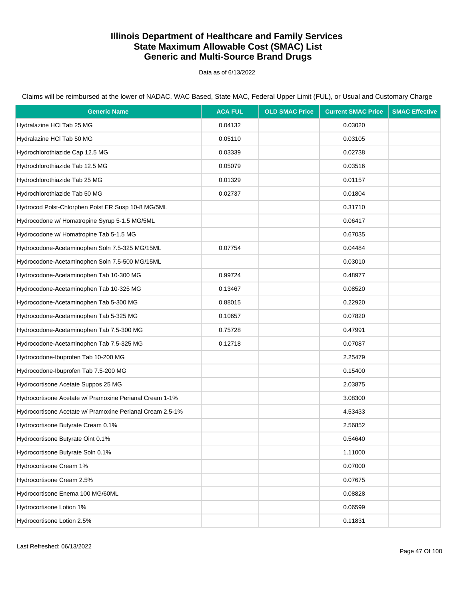Data as of 6/13/2022

| <b>Generic Name</b>                                       | <b>ACA FUL</b> | <b>OLD SMAC Price</b> | <b>Current SMAC Price</b> | <b>SMAC Effective</b> |
|-----------------------------------------------------------|----------------|-----------------------|---------------------------|-----------------------|
| Hydralazine HCl Tab 25 MG                                 | 0.04132        |                       | 0.03020                   |                       |
| Hydralazine HCl Tab 50 MG                                 | 0.05110        |                       | 0.03105                   |                       |
| Hydrochlorothiazide Cap 12.5 MG                           | 0.03339        |                       | 0.02738                   |                       |
| Hydrochlorothiazide Tab 12.5 MG                           | 0.05079        |                       | 0.03516                   |                       |
| Hydrochlorothiazide Tab 25 MG                             | 0.01329        |                       | 0.01157                   |                       |
| Hydrochlorothiazide Tab 50 MG                             | 0.02737        |                       | 0.01804                   |                       |
| Hydrocod Polst-Chlorphen Polst ER Susp 10-8 MG/5ML        |                |                       | 0.31710                   |                       |
| Hydrocodone w/ Homatropine Syrup 5-1.5 MG/5ML             |                |                       | 0.06417                   |                       |
| Hydrocodone w/ Homatropine Tab 5-1.5 MG                   |                |                       | 0.67035                   |                       |
| Hydrocodone-Acetaminophen Soln 7.5-325 MG/15ML            | 0.07754        |                       | 0.04484                   |                       |
| Hydrocodone-Acetaminophen Soln 7.5-500 MG/15ML            |                |                       | 0.03010                   |                       |
| Hydrocodone-Acetaminophen Tab 10-300 MG                   | 0.99724        |                       | 0.48977                   |                       |
| Hydrocodone-Acetaminophen Tab 10-325 MG                   | 0.13467        |                       | 0.08520                   |                       |
| Hydrocodone-Acetaminophen Tab 5-300 MG                    | 0.88015        |                       | 0.22920                   |                       |
| Hydrocodone-Acetaminophen Tab 5-325 MG                    | 0.10657        |                       | 0.07820                   |                       |
| Hydrocodone-Acetaminophen Tab 7.5-300 MG                  | 0.75728        |                       | 0.47991                   |                       |
| Hydrocodone-Acetaminophen Tab 7.5-325 MG                  | 0.12718        |                       | 0.07087                   |                       |
| Hydrocodone-Ibuprofen Tab 10-200 MG                       |                |                       | 2.25479                   |                       |
| Hydrocodone-Ibuprofen Tab 7.5-200 MG                      |                |                       | 0.15400                   |                       |
| Hydrocortisone Acetate Suppos 25 MG                       |                |                       | 2.03875                   |                       |
| Hydrocortisone Acetate w/ Pramoxine Perianal Cream 1-1%   |                |                       | 3.08300                   |                       |
| Hydrocortisone Acetate w/ Pramoxine Perianal Cream 2.5-1% |                |                       | 4.53433                   |                       |
| Hydrocortisone Butyrate Cream 0.1%                        |                |                       | 2.56852                   |                       |
| Hydrocortisone Butyrate Oint 0.1%                         |                |                       | 0.54640                   |                       |
| Hydrocortisone Butyrate Soln 0.1%                         |                |                       | 1.11000                   |                       |
| Hydrocortisone Cream 1%                                   |                |                       | 0.07000                   |                       |
| Hydrocortisone Cream 2.5%                                 |                |                       | 0.07675                   |                       |
| Hydrocortisone Enema 100 MG/60ML                          |                |                       | 0.08828                   |                       |
| Hydrocortisone Lotion 1%                                  |                |                       | 0.06599                   |                       |
| Hydrocortisone Lotion 2.5%                                |                |                       | 0.11831                   |                       |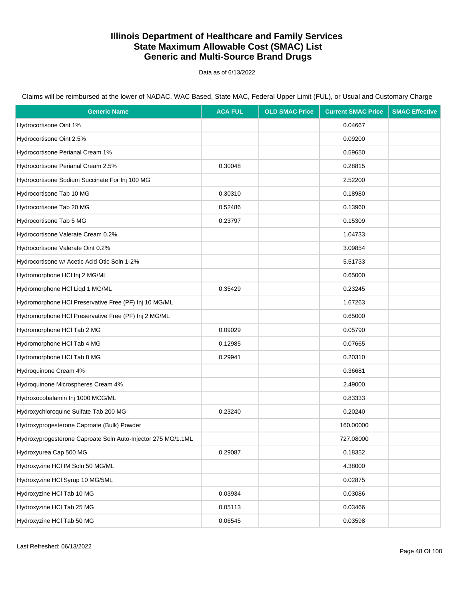Data as of 6/13/2022

| <b>Generic Name</b>                                          | <b>ACA FUL</b> | <b>OLD SMAC Price</b> | <b>Current SMAC Price</b> | <b>SMAC Effective</b> |
|--------------------------------------------------------------|----------------|-----------------------|---------------------------|-----------------------|
| Hydrocortisone Oint 1%                                       |                |                       | 0.04667                   |                       |
| Hydrocortisone Oint 2.5%                                     |                |                       | 0.09200                   |                       |
| Hydrocortisone Perianal Cream 1%                             |                |                       | 0.59650                   |                       |
| Hydrocortisone Perianal Cream 2.5%                           | 0.30048        |                       | 0.28815                   |                       |
| Hydrocortisone Sodium Succinate For Inj 100 MG               |                |                       | 2.52200                   |                       |
| Hydrocortisone Tab 10 MG                                     | 0.30310        |                       | 0.18980                   |                       |
| Hydrocortisone Tab 20 MG                                     | 0.52486        |                       | 0.13960                   |                       |
| Hydrocortisone Tab 5 MG                                      | 0.23797        |                       | 0.15309                   |                       |
| Hydrocortisone Valerate Cream 0.2%                           |                |                       | 1.04733                   |                       |
| Hydrocortisone Valerate Oint 0.2%                            |                |                       | 3.09854                   |                       |
| Hydrocortisone w/ Acetic Acid Otic Soln 1-2%                 |                |                       | 5.51733                   |                       |
| Hydromorphone HCl Inj 2 MG/ML                                |                |                       | 0.65000                   |                       |
| Hydromorphone HCl Liqd 1 MG/ML                               | 0.35429        |                       | 0.23245                   |                       |
| Hydromorphone HCI Preservative Free (PF) Inj 10 MG/ML        |                |                       | 1.67263                   |                       |
| Hydromorphone HCI Preservative Free (PF) Inj 2 MG/ML         |                |                       | 0.65000                   |                       |
| Hydromorphone HCI Tab 2 MG                                   | 0.09029        |                       | 0.05790                   |                       |
| Hydromorphone HCI Tab 4 MG                                   | 0.12985        |                       | 0.07665                   |                       |
| Hydromorphone HCI Tab 8 MG                                   | 0.29941        |                       | 0.20310                   |                       |
| Hydroquinone Cream 4%                                        |                |                       | 0.36681                   |                       |
| Hydroquinone Microspheres Cream 4%                           |                |                       | 2.49000                   |                       |
| Hydroxocobalamin Inj 1000 MCG/ML                             |                |                       | 0.83333                   |                       |
| Hydroxychloroquine Sulfate Tab 200 MG                        | 0.23240        |                       | 0.20240                   |                       |
| Hydroxyprogesterone Caproate (Bulk) Powder                   |                |                       | 160.00000                 |                       |
| Hydroxyprogesterone Caproate Soln Auto-Injector 275 MG/1.1ML |                |                       | 727.08000                 |                       |
| Hydroxyurea Cap 500 MG                                       | 0.29087        |                       | 0.18352                   |                       |
| Hydroxyzine HCI IM Soln 50 MG/ML                             |                |                       | 4.38000                   |                       |
| Hydroxyzine HCI Syrup 10 MG/5ML                              |                |                       | 0.02875                   |                       |
| Hydroxyzine HCl Tab 10 MG                                    | 0.03934        |                       | 0.03086                   |                       |
| Hydroxyzine HCl Tab 25 MG                                    | 0.05113        |                       | 0.03466                   |                       |
| Hydroxyzine HCl Tab 50 MG                                    | 0.06545        |                       | 0.03598                   |                       |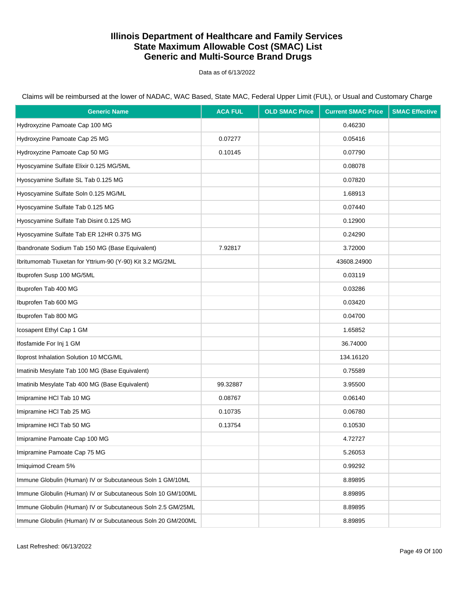Data as of 6/13/2022

Claims will be reimbursed at the lower of NADAC, WAC Based, State MAC, Federal Upper Limit (FUL), or Usual and Customary Charge

| <b>Generic Name</b>                                         | <b>ACA FUL</b> | <b>OLD SMAC Price</b> | <b>Current SMAC Price</b> | <b>SMAC Effective</b> |
|-------------------------------------------------------------|----------------|-----------------------|---------------------------|-----------------------|
| Hydroxyzine Pamoate Cap 100 MG                              |                |                       | 0.46230                   |                       |
| Hydroxyzine Pamoate Cap 25 MG                               | 0.07277        |                       | 0.05416                   |                       |
| Hydroxyzine Pamoate Cap 50 MG                               | 0.10145        |                       | 0.07790                   |                       |
| Hyoscyamine Sulfate Elixir 0.125 MG/5ML                     |                |                       | 0.08078                   |                       |
| Hyoscyamine Sulfate SL Tab 0.125 MG                         |                |                       | 0.07820                   |                       |
| Hyoscyamine Sulfate Soln 0.125 MG/ML                        |                |                       | 1.68913                   |                       |
| Hyoscyamine Sulfate Tab 0.125 MG                            |                |                       | 0.07440                   |                       |
| Hyoscyamine Sulfate Tab Disint 0.125 MG                     |                |                       | 0.12900                   |                       |
| Hyoscyamine Sulfate Tab ER 12HR 0.375 MG                    |                |                       | 0.24290                   |                       |
| Ibandronate Sodium Tab 150 MG (Base Equivalent)             | 7.92817        |                       | 3.72000                   |                       |
| Ibritumomab Tiuxetan for Yttrium-90 (Y-90) Kit 3.2 MG/2ML   |                |                       | 43608.24900               |                       |
| Ibuprofen Susp 100 MG/5ML                                   |                |                       | 0.03119                   |                       |
| Ibuprofen Tab 400 MG                                        |                |                       | 0.03286                   |                       |
| Ibuprofen Tab 600 MG                                        |                |                       | 0.03420                   |                       |
| Ibuprofen Tab 800 MG                                        |                |                       | 0.04700                   |                       |
| Icosapent Ethyl Cap 1 GM                                    |                |                       | 1.65852                   |                       |
| Ifosfamide For Inj 1 GM                                     |                |                       | 36.74000                  |                       |
| Iloprost Inhalation Solution 10 MCG/ML                      |                |                       | 134.16120                 |                       |
| Imatinib Mesylate Tab 100 MG (Base Equivalent)              |                |                       | 0.75589                   |                       |
| Imatinib Mesylate Tab 400 MG (Base Equivalent)              | 99.32887       |                       | 3.95500                   |                       |
| Imipramine HCI Tab 10 MG                                    | 0.08767        |                       | 0.06140                   |                       |
| Imipramine HCI Tab 25 MG                                    | 0.10735        |                       | 0.06780                   |                       |
| Imipramine HCI Tab 50 MG                                    | 0.13754        |                       | 0.10530                   |                       |
| Imipramine Pamoate Cap 100 MG                               |                |                       | 4.72727                   |                       |
| Imipramine Pamoate Cap 75 MG                                |                |                       | 5.26053                   |                       |
| Imiguimod Cream 5%                                          |                |                       | 0.99292                   |                       |
| Immune Globulin (Human) IV or Subcutaneous Soln 1 GM/10ML   |                |                       | 8.89895                   |                       |
| Immune Globulin (Human) IV or Subcutaneous Soln 10 GM/100ML |                |                       | 8.89895                   |                       |
| Immune Globulin (Human) IV or Subcutaneous Soln 2.5 GM/25ML |                |                       | 8.89895                   |                       |
| Immune Globulin (Human) IV or Subcutaneous Soln 20 GM/200ML |                |                       | 8.89895                   |                       |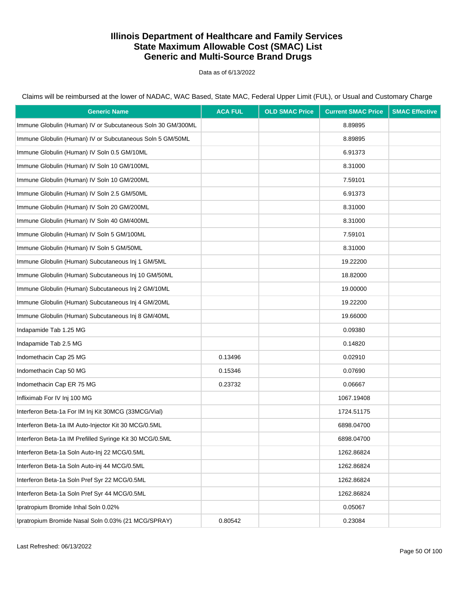Data as of 6/13/2022

Claims will be reimbursed at the lower of NADAC, WAC Based, State MAC, Federal Upper Limit (FUL), or Usual and Customary Charge

| <b>Generic Name</b>                                         | <b>ACA FUL</b> | <b>OLD SMAC Price</b> | <b>Current SMAC Price</b> | <b>SMAC Effective</b> |
|-------------------------------------------------------------|----------------|-----------------------|---------------------------|-----------------------|
| Immune Globulin (Human) IV or Subcutaneous Soln 30 GM/300ML |                |                       | 8.89895                   |                       |
| Immune Globulin (Human) IV or Subcutaneous Soln 5 GM/50ML   |                |                       | 8.89895                   |                       |
| Immune Globulin (Human) IV Soln 0.5 GM/10ML                 |                |                       | 6.91373                   |                       |
| Immune Globulin (Human) IV Soln 10 GM/100ML                 |                |                       | 8.31000                   |                       |
| Immune Globulin (Human) IV Soln 10 GM/200ML                 |                |                       | 7.59101                   |                       |
| Immune Globulin (Human) IV Soln 2.5 GM/50ML                 |                |                       | 6.91373                   |                       |
| Immune Globulin (Human) IV Soln 20 GM/200ML                 |                |                       | 8.31000                   |                       |
| Immune Globulin (Human) IV Soln 40 GM/400ML                 |                |                       | 8.31000                   |                       |
| Immune Globulin (Human) IV Soln 5 GM/100ML                  |                |                       | 7.59101                   |                       |
| Immune Globulin (Human) IV Soln 5 GM/50ML                   |                |                       | 8.31000                   |                       |
| Immune Globulin (Human) Subcutaneous Inj 1 GM/5ML           |                |                       | 19.22200                  |                       |
| Immune Globulin (Human) Subcutaneous Inj 10 GM/50ML         |                |                       | 18.82000                  |                       |
| Immune Globulin (Human) Subcutaneous Inj 2 GM/10ML          |                |                       | 19.00000                  |                       |
| Immune Globulin (Human) Subcutaneous Inj 4 GM/20ML          |                |                       | 19.22200                  |                       |
| Immune Globulin (Human) Subcutaneous Inj 8 GM/40ML          |                |                       | 19.66000                  |                       |
| Indapamide Tab 1.25 MG                                      |                |                       | 0.09380                   |                       |
| Indapamide Tab 2.5 MG                                       |                |                       | 0.14820                   |                       |
| Indomethacin Cap 25 MG                                      | 0.13496        |                       | 0.02910                   |                       |
| Indomethacin Cap 50 MG                                      | 0.15346        |                       | 0.07690                   |                       |
| Indomethacin Cap ER 75 MG                                   | 0.23732        |                       | 0.06667                   |                       |
| Infliximab For IV Inj 100 MG                                |                |                       | 1067.19408                |                       |
| Interferon Beta-1a For IM Inj Kit 30MCG (33MCG/Vial)        |                |                       | 1724.51175                |                       |
| Interferon Beta-1a IM Auto-Injector Kit 30 MCG/0.5ML        |                |                       | 6898.04700                |                       |
| Interferon Beta-1a IM Prefilled Syringe Kit 30 MCG/0.5ML    |                |                       | 6898.04700                |                       |
| Interferon Beta-1a Soln Auto-Inj 22 MCG/0.5ML               |                |                       | 1262.86824                |                       |
| Interferon Beta-1a Soln Auto-inj 44 MCG/0.5ML               |                |                       | 1262.86824                |                       |
| Interferon Beta-1a Soln Pref Syr 22 MCG/0.5ML               |                |                       | 1262.86824                |                       |
| Interferon Beta-1a Soln Pref Syr 44 MCG/0.5ML               |                |                       | 1262.86824                |                       |
| Ipratropium Bromide Inhal Soln 0.02%                        |                |                       | 0.05067                   |                       |
| Ipratropium Bromide Nasal Soln 0.03% (21 MCG/SPRAY)         | 0.80542        |                       | 0.23084                   |                       |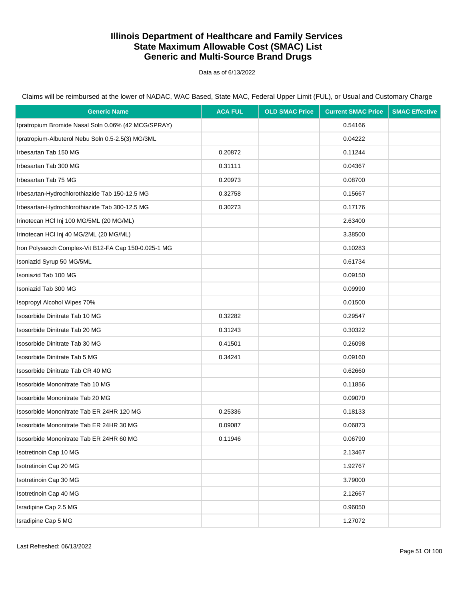Data as of 6/13/2022

| <b>Generic Name</b>                                  | <b>ACA FUL</b> | <b>OLD SMAC Price</b> | <b>Current SMAC Price</b> | <b>SMAC Effective</b> |
|------------------------------------------------------|----------------|-----------------------|---------------------------|-----------------------|
| Ipratropium Bromide Nasal Soln 0.06% (42 MCG/SPRAY)  |                |                       | 0.54166                   |                       |
| Ipratropium-Albuterol Nebu Soln 0.5-2.5(3) MG/3ML    |                |                       | 0.04222                   |                       |
| Irbesartan Tab 150 MG                                | 0.20872        |                       | 0.11244                   |                       |
| Irbesartan Tab 300 MG                                | 0.31111        |                       | 0.04367                   |                       |
| Irbesartan Tab 75 MG                                 | 0.20973        |                       | 0.08700                   |                       |
| Irbesartan-Hydrochlorothiazide Tab 150-12.5 MG       | 0.32758        |                       | 0.15667                   |                       |
| Irbesartan-Hydrochlorothiazide Tab 300-12.5 MG       | 0.30273        |                       | 0.17176                   |                       |
| Irinotecan HCI Inj 100 MG/5ML (20 MG/ML)             |                |                       | 2.63400                   |                       |
| Irinotecan HCI Inj 40 MG/2ML (20 MG/ML)              |                |                       | 3.38500                   |                       |
| Iron Polysacch Complex-Vit B12-FA Cap 150-0.025-1 MG |                |                       | 0.10283                   |                       |
| Isoniazid Syrup 50 MG/5ML                            |                |                       | 0.61734                   |                       |
| Isoniazid Tab 100 MG                                 |                |                       | 0.09150                   |                       |
| Isoniazid Tab 300 MG                                 |                |                       | 0.09990                   |                       |
| Isopropyl Alcohol Wipes 70%                          |                |                       | 0.01500                   |                       |
| Isosorbide Dinitrate Tab 10 MG                       | 0.32282        |                       | 0.29547                   |                       |
| Isosorbide Dinitrate Tab 20 MG                       | 0.31243        |                       | 0.30322                   |                       |
| Isosorbide Dinitrate Tab 30 MG                       | 0.41501        |                       | 0.26098                   |                       |
| Isosorbide Dinitrate Tab 5 MG                        | 0.34241        |                       | 0.09160                   |                       |
| Isosorbide Dinitrate Tab CR 40 MG                    |                |                       | 0.62660                   |                       |
| Isosorbide Mononitrate Tab 10 MG                     |                |                       | 0.11856                   |                       |
| Isosorbide Mononitrate Tab 20 MG                     |                |                       | 0.09070                   |                       |
| Isosorbide Mononitrate Tab ER 24HR 120 MG            | 0.25336        |                       | 0.18133                   |                       |
| Isosorbide Mononitrate Tab ER 24HR 30 MG             | 0.09087        |                       | 0.06873                   |                       |
| Isosorbide Mononitrate Tab ER 24HR 60 MG             | 0.11946        |                       | 0.06790                   |                       |
| Isotretinoin Cap 10 MG                               |                |                       | 2.13467                   |                       |
| Isotretinoin Cap 20 MG                               |                |                       | 1.92767                   |                       |
| Isotretinoin Cap 30 MG                               |                |                       | 3.79000                   |                       |
| Isotretinoin Cap 40 MG                               |                |                       | 2.12667                   |                       |
| Isradipine Cap 2.5 MG                                |                |                       | 0.96050                   |                       |
| Isradipine Cap 5 MG                                  |                |                       | 1.27072                   |                       |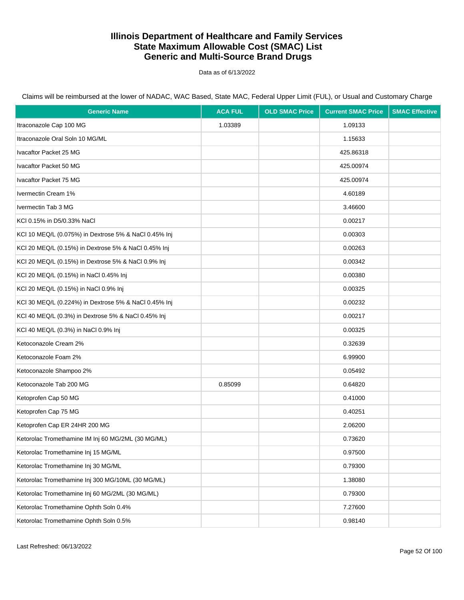Data as of 6/13/2022

| <b>Generic Name</b>                                   | <b>ACA FUL</b> | <b>OLD SMAC Price</b> | <b>Current SMAC Price</b> | <b>SMAC Effective</b> |
|-------------------------------------------------------|----------------|-----------------------|---------------------------|-----------------------|
| Itraconazole Cap 100 MG                               | 1.03389        |                       | 1.09133                   |                       |
| Itraconazole Oral Soln 10 MG/ML                       |                |                       | 1.15633                   |                       |
| Ivacaftor Packet 25 MG                                |                |                       | 425.86318                 |                       |
| Ivacaftor Packet 50 MG                                |                |                       | 425.00974                 |                       |
| Ivacaftor Packet 75 MG                                |                |                       | 425.00974                 |                       |
| Ivermectin Cream 1%                                   |                |                       | 4.60189                   |                       |
| Ivermectin Tab 3 MG                                   |                |                       | 3.46600                   |                       |
| KCI 0.15% in D5/0.33% NaCl                            |                |                       | 0.00217                   |                       |
| KCI 10 MEQ/L (0.075%) in Dextrose 5% & NaCl 0.45% Inj |                |                       | 0.00303                   |                       |
| KCI 20 MEQ/L (0.15%) in Dextrose 5% & NaCl 0.45% Inj  |                |                       | 0.00263                   |                       |
| KCl 20 MEQ/L (0.15%) in Dextrose 5% & NaCl 0.9% Inj   |                |                       | 0.00342                   |                       |
| KCI 20 MEQ/L (0.15%) in NaCl 0.45% Inj                |                |                       | 0.00380                   |                       |
| KCI 20 MEQ/L (0.15%) in NaCl 0.9% Inj                 |                |                       | 0.00325                   |                       |
| KCI 30 MEQ/L (0.224%) in Dextrose 5% & NaCl 0.45% Inj |                |                       | 0.00232                   |                       |
| KCl 40 MEQ/L (0.3%) in Dextrose 5% & NaCl 0.45% Inj   |                |                       | 0.00217                   |                       |
| KCI 40 MEQ/L (0.3%) in NaCl 0.9% Inj                  |                |                       | 0.00325                   |                       |
| Ketoconazole Cream 2%                                 |                |                       | 0.32639                   |                       |
| Ketoconazole Foam 2%                                  |                |                       | 6.99900                   |                       |
| Ketoconazole Shampoo 2%                               |                |                       | 0.05492                   |                       |
| Ketoconazole Tab 200 MG                               | 0.85099        |                       | 0.64820                   |                       |
| Ketoprofen Cap 50 MG                                  |                |                       | 0.41000                   |                       |
| Ketoprofen Cap 75 MG                                  |                |                       | 0.40251                   |                       |
| Ketoprofen Cap ER 24HR 200 MG                         |                |                       | 2.06200                   |                       |
| Ketorolac Tromethamine IM Inj 60 MG/2ML (30 MG/ML)    |                |                       | 0.73620                   |                       |
| Ketorolac Tromethamine Inj 15 MG/ML                   |                |                       | 0.97500                   |                       |
| Ketorolac Tromethamine Inj 30 MG/ML                   |                |                       | 0.79300                   |                       |
| Ketorolac Tromethamine Inj 300 MG/10ML (30 MG/ML)     |                |                       | 1.38080                   |                       |
| Ketorolac Tromethamine Inj 60 MG/2ML (30 MG/ML)       |                |                       | 0.79300                   |                       |
| Ketorolac Tromethamine Ophth Soln 0.4%                |                |                       | 7.27600                   |                       |
| Ketorolac Tromethamine Ophth Soln 0.5%                |                |                       | 0.98140                   |                       |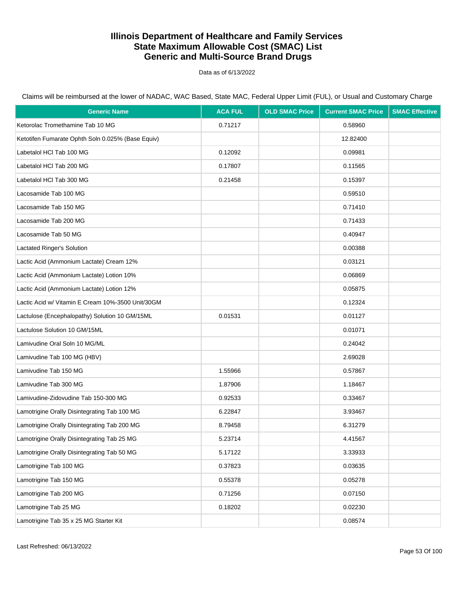Data as of 6/13/2022

| <b>Generic Name</b>                               | <b>ACA FUL</b> | <b>OLD SMAC Price</b> | <b>Current SMAC Price</b> | <b>SMAC Effective</b> |
|---------------------------------------------------|----------------|-----------------------|---------------------------|-----------------------|
| Ketorolac Tromethamine Tab 10 MG                  | 0.71217        |                       | 0.58960                   |                       |
| Ketotifen Fumarate Ophth Soln 0.025% (Base Equiv) |                |                       | 12.82400                  |                       |
| Labetalol HCl Tab 100 MG                          | 0.12092        |                       | 0.09981                   |                       |
| Labetalol HCl Tab 200 MG                          | 0.17807        |                       | 0.11565                   |                       |
| Labetalol HCl Tab 300 MG                          | 0.21458        |                       | 0.15397                   |                       |
| Lacosamide Tab 100 MG                             |                |                       | 0.59510                   |                       |
| Lacosamide Tab 150 MG                             |                |                       | 0.71410                   |                       |
| Lacosamide Tab 200 MG                             |                |                       | 0.71433                   |                       |
| Lacosamide Tab 50 MG                              |                |                       | 0.40947                   |                       |
| Lactated Ringer's Solution                        |                |                       | 0.00388                   |                       |
| Lactic Acid (Ammonium Lactate) Cream 12%          |                |                       | 0.03121                   |                       |
| Lactic Acid (Ammonium Lactate) Lotion 10%         |                |                       | 0.06869                   |                       |
| Lactic Acid (Ammonium Lactate) Lotion 12%         |                |                       | 0.05875                   |                       |
| Lactic Acid w/ Vitamin E Cream 10%-3500 Unit/30GM |                |                       | 0.12324                   |                       |
| Lactulose (Encephalopathy) Solution 10 GM/15ML    | 0.01531        |                       | 0.01127                   |                       |
| Lactulose Solution 10 GM/15ML                     |                |                       | 0.01071                   |                       |
| Lamivudine Oral Soln 10 MG/ML                     |                |                       | 0.24042                   |                       |
| Lamivudine Tab 100 MG (HBV)                       |                |                       | 2.69028                   |                       |
| Lamivudine Tab 150 MG                             | 1.55966        |                       | 0.57867                   |                       |
| Lamivudine Tab 300 MG                             | 1.87906        |                       | 1.18467                   |                       |
| Lamivudine-Zidovudine Tab 150-300 MG              | 0.92533        |                       | 0.33467                   |                       |
| Lamotrigine Orally Disintegrating Tab 100 MG      | 6.22847        |                       | 3.93467                   |                       |
| Lamotrigine Orally Disintegrating Tab 200 MG      | 8.79458        |                       | 6.31279                   |                       |
| Lamotrigine Orally Disintegrating Tab 25 MG       | 5.23714        |                       | 4.41567                   |                       |
| Lamotrigine Orally Disintegrating Tab 50 MG       | 5.17122        |                       | 3.33933                   |                       |
| Lamotrigine Tab 100 MG                            | 0.37823        |                       | 0.03635                   |                       |
| Lamotrigine Tab 150 MG                            | 0.55378        |                       | 0.05278                   |                       |
| Lamotrigine Tab 200 MG                            | 0.71256        |                       | 0.07150                   |                       |
| Lamotrigine Tab 25 MG                             | 0.18202        |                       | 0.02230                   |                       |
| Lamotrigine Tab 35 x 25 MG Starter Kit            |                |                       | 0.08574                   |                       |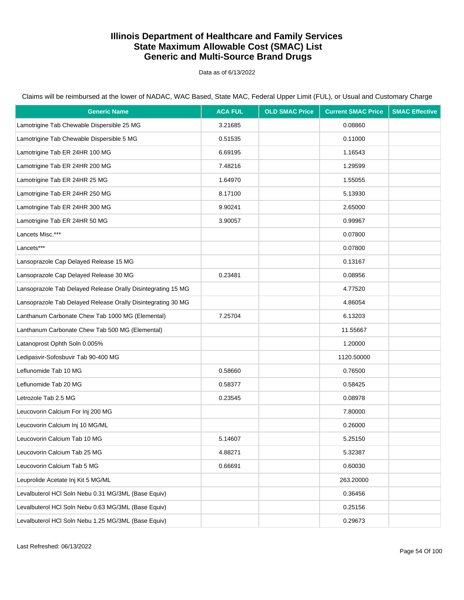Data as of 6/13/2022

Claims will be reimbursed at the lower of NADAC, WAC Based, State MAC, Federal Upper Limit (FUL), or Usual and Customary Charge

| <b>Generic Name</b>                                          | <b>ACA FUL</b> | <b>OLD SMAC Price</b> | <b>Current SMAC Price</b> | <b>SMAC Effective</b> |
|--------------------------------------------------------------|----------------|-----------------------|---------------------------|-----------------------|
| Lamotrigine Tab Chewable Dispersible 25 MG                   | 3.21685        |                       | 0.08860                   |                       |
| Lamotrigine Tab Chewable Dispersible 5 MG                    | 0.51535        |                       | 0.11000                   |                       |
| Lamotrigine Tab ER 24HR 100 MG                               | 6.69195        |                       | 1.16543                   |                       |
| Lamotrigine Tab ER 24HR 200 MG                               | 7.48216        |                       | 1.29599                   |                       |
| Lamotrigine Tab ER 24HR 25 MG                                | 1.64970        |                       | 1.55055                   |                       |
| Lamotrigine Tab ER 24HR 250 MG                               | 8.17100        |                       | 5.13930                   |                       |
| Lamotrigine Tab ER 24HR 300 MG                               | 9.90241        |                       | 2.65000                   |                       |
| Lamotrigine Tab ER 24HR 50 MG                                | 3.90057        |                       | 0.99967                   |                       |
| Lancets Misc.***                                             |                |                       | 0.07800                   |                       |
| Lancets***                                                   |                |                       | 0.07800                   |                       |
| Lansoprazole Cap Delayed Release 15 MG                       |                |                       | 0.13167                   |                       |
| Lansoprazole Cap Delayed Release 30 MG                       | 0.23481        |                       | 0.08956                   |                       |
| Lansoprazole Tab Delayed Release Orally Disintegrating 15 MG |                |                       | 4.77520                   |                       |
| Lansoprazole Tab Delayed Release Orally Disintegrating 30 MG |                |                       | 4.86054                   |                       |
| Lanthanum Carbonate Chew Tab 1000 MG (Elemental)             | 7.25704        |                       | 6.13203                   |                       |
| Lanthanum Carbonate Chew Tab 500 MG (Elemental)              |                |                       | 11.55667                  |                       |
| Latanoprost Ophth Soln 0.005%                                |                |                       | 1.20000                   |                       |
| Ledipasvir-Sofosbuvir Tab 90-400 MG                          |                |                       | 1120.50000                |                       |
| Leflunomide Tab 10 MG                                        | 0.58660        |                       | 0.76500                   |                       |
| Leflunomide Tab 20 MG                                        | 0.58377        |                       | 0.58425                   |                       |
| Letrozole Tab 2.5 MG                                         | 0.23545        |                       | 0.08978                   |                       |
| Leucovorin Calcium For Inj 200 MG                            |                |                       | 7.80000                   |                       |
| Leucovorin Calcium Inj 10 MG/ML                              |                |                       | 0.26000                   |                       |
| Leucovorin Calcium Tab 10 MG                                 | 5.14607        |                       | 5.25150                   |                       |
| Leucovorin Calcium Tab 25 MG                                 | 4.88271        |                       | 5.32387                   |                       |
| Leucovorin Calcium Tab 5 MG                                  | 0.66691        |                       | 0.60030                   |                       |
| Leuprolide Acetate Inj Kit 5 MG/ML                           |                |                       | 263.20000                 |                       |
| Levalbuterol HCI Soln Nebu 0.31 MG/3ML (Base Equiv)          |                |                       | 0.36456                   |                       |
| Levalbuterol HCI Soln Nebu 0.63 MG/3ML (Base Equiv)          |                |                       | 0.25156                   |                       |
| Levalbuterol HCI Soln Nebu 1.25 MG/3ML (Base Equiv)          |                |                       | 0.29673                   |                       |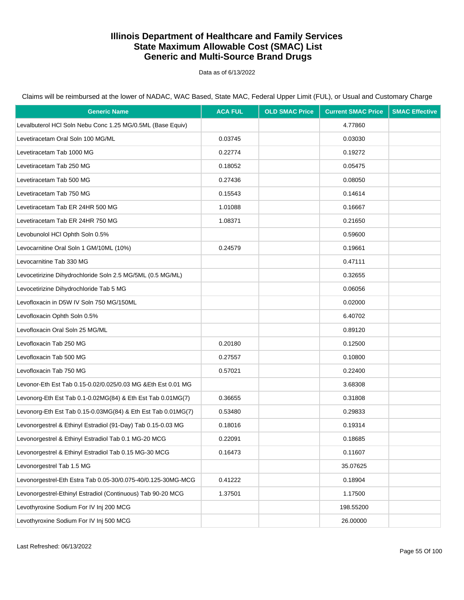Data as of 6/13/2022

Claims will be reimbursed at the lower of NADAC, WAC Based, State MAC, Federal Upper Limit (FUL), or Usual and Customary Charge

| <b>Generic Name</b>                                           | <b>ACA FUL</b> | <b>OLD SMAC Price</b> | <b>Current SMAC Price</b> | <b>SMAC Effective</b> |
|---------------------------------------------------------------|----------------|-----------------------|---------------------------|-----------------------|
| Levalbuterol HCl Soln Nebu Conc 1.25 MG/0.5ML (Base Equiv)    |                |                       | 4.77860                   |                       |
| Levetiracetam Oral Soln 100 MG/ML                             | 0.03745        |                       | 0.03030                   |                       |
| Levetiracetam Tab 1000 MG                                     | 0.22774        |                       | 0.19272                   |                       |
| Levetiracetam Tab 250 MG                                      | 0.18052        |                       | 0.05475                   |                       |
| Levetiracetam Tab 500 MG                                      | 0.27436        |                       | 0.08050                   |                       |
| Levetiracetam Tab 750 MG                                      | 0.15543        |                       | 0.14614                   |                       |
| Levetiracetam Tab ER 24HR 500 MG                              | 1.01088        |                       | 0.16667                   |                       |
| Levetiracetam Tab ER 24HR 750 MG                              | 1.08371        |                       | 0.21650                   |                       |
| Levobunolol HCl Ophth Soln 0.5%                               |                |                       | 0.59600                   |                       |
| Levocarnitine Oral Soln 1 GM/10ML (10%)                       | 0.24579        |                       | 0.19661                   |                       |
| Levocarnitine Tab 330 MG                                      |                |                       | 0.47111                   |                       |
| Levocetirizine Dihydrochloride Soln 2.5 MG/5ML (0.5 MG/ML)    |                |                       | 0.32655                   |                       |
| Levocetirizine Dihydrochloride Tab 5 MG                       |                |                       | 0.06056                   |                       |
| Levofloxacin in D5W IV Soln 750 MG/150ML                      |                |                       | 0.02000                   |                       |
| Levofloxacin Ophth Soln 0.5%                                  |                |                       | 6.40702                   |                       |
| Levofloxacin Oral Soln 25 MG/ML                               |                |                       | 0.89120                   |                       |
| Levofloxacin Tab 250 MG                                       | 0.20180        |                       | 0.12500                   |                       |
| Levofloxacin Tab 500 MG                                       | 0.27557        |                       | 0.10800                   |                       |
| Levofloxacin Tab 750 MG                                       | 0.57021        |                       | 0.22400                   |                       |
| Levonor-Eth Est Tab 0.15-0.02/0.025/0.03 MG & Eth Est 0.01 MG |                |                       | 3.68308                   |                       |
| Levonorg-Eth Est Tab 0.1-0.02MG(84) & Eth Est Tab 0.01MG(7)   | 0.36655        |                       | 0.31808                   |                       |
| Levonorg-Eth Est Tab 0.15-0.03MG(84) & Eth Est Tab 0.01MG(7)  | 0.53480        |                       | 0.29833                   |                       |
| Levonorgestrel & Ethinyl Estradiol (91-Day) Tab 0.15-0.03 MG  | 0.18016        |                       | 0.19314                   |                       |
| Levonorgestrel & Ethinyl Estradiol Tab 0.1 MG-20 MCG          | 0.22091        |                       | 0.18685                   |                       |
| Levonorgestrel & Ethinyl Estradiol Tab 0.15 MG-30 MCG         | 0.16473        |                       | 0.11607                   |                       |
| Levonorgestrel Tab 1.5 MG                                     |                |                       | 35.07625                  |                       |
| Levonorgestrel-Eth Estra Tab 0.05-30/0.075-40/0.125-30MG-MCG  | 0.41222        |                       | 0.18904                   |                       |
| Levonorgestrel-Ethinyl Estradiol (Continuous) Tab 90-20 MCG   | 1.37501        |                       | 1.17500                   |                       |
| Levothyroxine Sodium For IV Inj 200 MCG                       |                |                       | 198.55200                 |                       |
| Levothyroxine Sodium For IV Inj 500 MCG                       |                |                       | 26.00000                  |                       |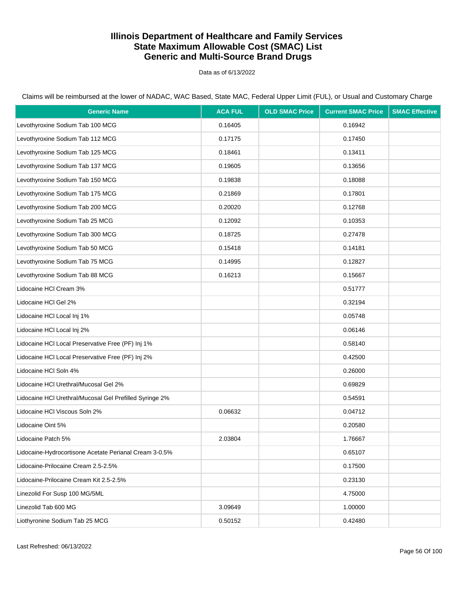Data as of 6/13/2022

| <b>Generic Name</b>                                     | <b>ACA FUL</b> | <b>OLD SMAC Price</b> | <b>Current SMAC Price</b> | <b>SMAC Effective</b> |
|---------------------------------------------------------|----------------|-----------------------|---------------------------|-----------------------|
| Levothyroxine Sodium Tab 100 MCG                        | 0.16405        |                       | 0.16942                   |                       |
| Levothyroxine Sodium Tab 112 MCG                        | 0.17175        |                       | 0.17450                   |                       |
| Levothyroxine Sodium Tab 125 MCG                        | 0.18461        |                       | 0.13411                   |                       |
| Levothyroxine Sodium Tab 137 MCG                        | 0.19605        |                       | 0.13656                   |                       |
| Levothyroxine Sodium Tab 150 MCG                        | 0.19838        |                       | 0.18088                   |                       |
| Levothyroxine Sodium Tab 175 MCG                        | 0.21869        |                       | 0.17801                   |                       |
| Levothyroxine Sodium Tab 200 MCG                        | 0.20020        |                       | 0.12768                   |                       |
| Levothyroxine Sodium Tab 25 MCG                         | 0.12092        |                       | 0.10353                   |                       |
| Levothyroxine Sodium Tab 300 MCG                        | 0.18725        |                       | 0.27478                   |                       |
| Levothyroxine Sodium Tab 50 MCG                         | 0.15418        |                       | 0.14181                   |                       |
| Levothyroxine Sodium Tab 75 MCG                         | 0.14995        |                       | 0.12827                   |                       |
| Levothyroxine Sodium Tab 88 MCG                         | 0.16213        |                       | 0.15667                   |                       |
| Lidocaine HCI Cream 3%                                  |                |                       | 0.51777                   |                       |
| Lidocaine HCI Gel 2%                                    |                |                       | 0.32194                   |                       |
| Lidocaine HCI Local Inj 1%                              |                |                       | 0.05748                   |                       |
| Lidocaine HCI Local Inj 2%                              |                |                       | 0.06146                   |                       |
| Lidocaine HCI Local Preservative Free (PF) Inj 1%       |                |                       | 0.58140                   |                       |
| Lidocaine HCI Local Preservative Free (PF) Inj 2%       |                |                       | 0.42500                   |                       |
| Lidocaine HCI Soln 4%                                   |                |                       | 0.26000                   |                       |
| Lidocaine HCI Urethral/Mucosal Gel 2%                   |                |                       | 0.69829                   |                       |
| Lidocaine HCI Urethral/Mucosal Gel Prefilled Syringe 2% |                |                       | 0.54591                   |                       |
| Lidocaine HCI Viscous Soln 2%                           | 0.06632        |                       | 0.04712                   |                       |
| Lidocaine Oint 5%                                       |                |                       | 0.20580                   |                       |
| Lidocaine Patch 5%                                      | 2.03804        |                       | 1.76667                   |                       |
| Lidocaine-Hydrocortisone Acetate Perianal Cream 3-0.5%  |                |                       | 0.65107                   |                       |
| Lidocaine-Prilocaine Cream 2.5-2.5%                     |                |                       | 0.17500                   |                       |
| Lidocaine-Prilocaine Cream Kit 2.5-2.5%                 |                |                       | 0.23130                   |                       |
| Linezolid For Susp 100 MG/5ML                           |                |                       | 4.75000                   |                       |
| Linezolid Tab 600 MG                                    | 3.09649        |                       | 1.00000                   |                       |
| Liothyronine Sodium Tab 25 MCG                          | 0.50152        |                       | 0.42480                   |                       |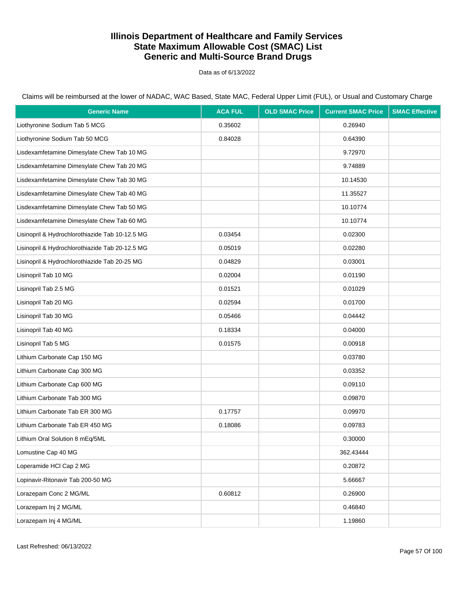Data as of 6/13/2022

| <b>Generic Name</b>                             | <b>ACA FUL</b> | <b>OLD SMAC Price</b> | <b>Current SMAC Price</b> | <b>SMAC Effective</b> |
|-------------------------------------------------|----------------|-----------------------|---------------------------|-----------------------|
| Liothyronine Sodium Tab 5 MCG                   | 0.35602        |                       | 0.26940                   |                       |
| Liothyronine Sodium Tab 50 MCG                  | 0.84028        |                       | 0.64390                   |                       |
| Lisdexamfetamine Dimesylate Chew Tab 10 MG      |                |                       | 9.72970                   |                       |
| Lisdexamfetamine Dimesylate Chew Tab 20 MG      |                |                       | 9.74889                   |                       |
| Lisdexamfetamine Dimesylate Chew Tab 30 MG      |                |                       | 10.14530                  |                       |
| Lisdexamfetamine Dimesylate Chew Tab 40 MG      |                |                       | 11.35527                  |                       |
| Lisdexamfetamine Dimesylate Chew Tab 50 MG      |                |                       | 10.10774                  |                       |
| Lisdexamfetamine Dimesylate Chew Tab 60 MG      |                |                       | 10.10774                  |                       |
| Lisinopril & Hydrochlorothiazide Tab 10-12.5 MG | 0.03454        |                       | 0.02300                   |                       |
| Lisinopril & Hydrochlorothiazide Tab 20-12.5 MG | 0.05019        |                       | 0.02280                   |                       |
| Lisinopril & Hydrochlorothiazide Tab 20-25 MG   | 0.04829        |                       | 0.03001                   |                       |
| Lisinopril Tab 10 MG                            | 0.02004        |                       | 0.01190                   |                       |
| Lisinopril Tab 2.5 MG                           | 0.01521        |                       | 0.01029                   |                       |
| Lisinopril Tab 20 MG                            | 0.02594        |                       | 0.01700                   |                       |
| Lisinopril Tab 30 MG                            | 0.05466        |                       | 0.04442                   |                       |
| Lisinopril Tab 40 MG                            | 0.18334        |                       | 0.04000                   |                       |
| Lisinopril Tab 5 MG                             | 0.01575        |                       | 0.00918                   |                       |
| Lithium Carbonate Cap 150 MG                    |                |                       | 0.03780                   |                       |
| Lithium Carbonate Cap 300 MG                    |                |                       | 0.03352                   |                       |
| Lithium Carbonate Cap 600 MG                    |                |                       | 0.09110                   |                       |
| Lithium Carbonate Tab 300 MG                    |                |                       | 0.09870                   |                       |
| Lithium Carbonate Tab ER 300 MG                 | 0.17757        |                       | 0.09970                   |                       |
| Lithium Carbonate Tab ER 450 MG                 | 0.18086        |                       | 0.09783                   |                       |
| Lithium Oral Solution 8 mEq/5ML                 |                |                       | 0.30000                   |                       |
| Lomustine Cap 40 MG                             |                |                       | 362.43444                 |                       |
| Loperamide HCl Cap 2 MG                         |                |                       | 0.20872                   |                       |
| Lopinavir-Ritonavir Tab 200-50 MG               |                |                       | 5.66667                   |                       |
| Lorazepam Conc 2 MG/ML                          | 0.60812        |                       | 0.26900                   |                       |
| Lorazepam Inj 2 MG/ML                           |                |                       | 0.46840                   |                       |
| Lorazepam Inj 4 MG/ML                           |                |                       | 1.19860                   |                       |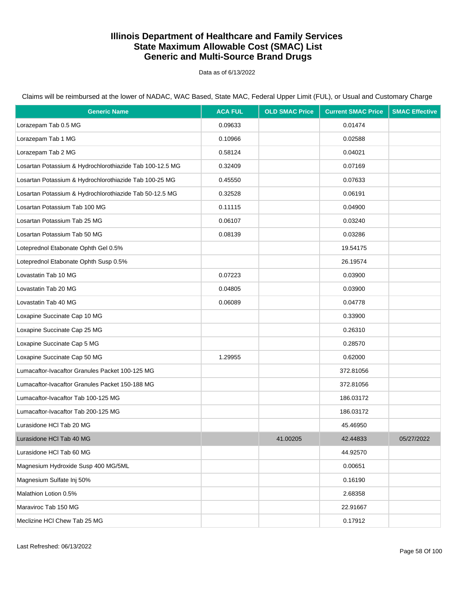Data as of 6/13/2022

Claims will be reimbursed at the lower of NADAC, WAC Based, State MAC, Federal Upper Limit (FUL), or Usual and Customary Charge

| <b>Generic Name</b>                                      | <b>ACA FUL</b> | <b>OLD SMAC Price</b> | <b>Current SMAC Price</b> | <b>SMAC Effective</b> |
|----------------------------------------------------------|----------------|-----------------------|---------------------------|-----------------------|
| Lorazepam Tab 0.5 MG                                     | 0.09633        |                       | 0.01474                   |                       |
| Lorazepam Tab 1 MG                                       | 0.10966        |                       | 0.02588                   |                       |
| Lorazepam Tab 2 MG                                       | 0.58124        |                       | 0.04021                   |                       |
| Losartan Potassium & Hydrochlorothiazide Tab 100-12.5 MG | 0.32409        |                       | 0.07169                   |                       |
| Losartan Potassium & Hydrochlorothiazide Tab 100-25 MG   | 0.45550        |                       | 0.07633                   |                       |
| Losartan Potassium & Hydrochlorothiazide Tab 50-12.5 MG  | 0.32528        |                       | 0.06191                   |                       |
| Losartan Potassium Tab 100 MG                            | 0.11115        |                       | 0.04900                   |                       |
| Losartan Potassium Tab 25 MG                             | 0.06107        |                       | 0.03240                   |                       |
| Losartan Potassium Tab 50 MG                             | 0.08139        |                       | 0.03286                   |                       |
| Loteprednol Etabonate Ophth Gel 0.5%                     |                |                       | 19.54175                  |                       |
| Loteprednol Etabonate Ophth Susp 0.5%                    |                |                       | 26.19574                  |                       |
| Lovastatin Tab 10 MG                                     | 0.07223        |                       | 0.03900                   |                       |
| Lovastatin Tab 20 MG                                     | 0.04805        |                       | 0.03900                   |                       |
| Lovastatin Tab 40 MG                                     | 0.06089        |                       | 0.04778                   |                       |
| Loxapine Succinate Cap 10 MG                             |                |                       | 0.33900                   |                       |
| Loxapine Succinate Cap 25 MG                             |                |                       | 0.26310                   |                       |
| Loxapine Succinate Cap 5 MG                              |                |                       | 0.28570                   |                       |
| Loxapine Succinate Cap 50 MG                             | 1.29955        |                       | 0.62000                   |                       |
| Lumacaftor-Ivacaftor Granules Packet 100-125 MG          |                |                       | 372.81056                 |                       |
| Lumacaftor-Ivacaftor Granules Packet 150-188 MG          |                |                       | 372.81056                 |                       |
| Lumacaftor-Ivacaftor Tab 100-125 MG                      |                |                       | 186.03172                 |                       |
| Lumacaftor-Ivacaftor Tab 200-125 MG                      |                |                       | 186.03172                 |                       |
| Lurasidone HCI Tab 20 MG                                 |                |                       | 45.46950                  |                       |
| Lurasidone HCI Tab 40 MG                                 |                | 41.00205              | 42.44833                  | 05/27/2022            |
| Lurasidone HCI Tab 60 MG                                 |                |                       | 44.92570                  |                       |
| Magnesium Hydroxide Susp 400 MG/5ML                      |                |                       | 0.00651                   |                       |
| Magnesium Sulfate Inj 50%                                |                |                       | 0.16190                   |                       |
| Malathion Lotion 0.5%                                    |                |                       | 2.68358                   |                       |
| Maraviroc Tab 150 MG                                     |                |                       | 22.91667                  |                       |
| Meclizine HCI Chew Tab 25 MG                             |                |                       | 0.17912                   |                       |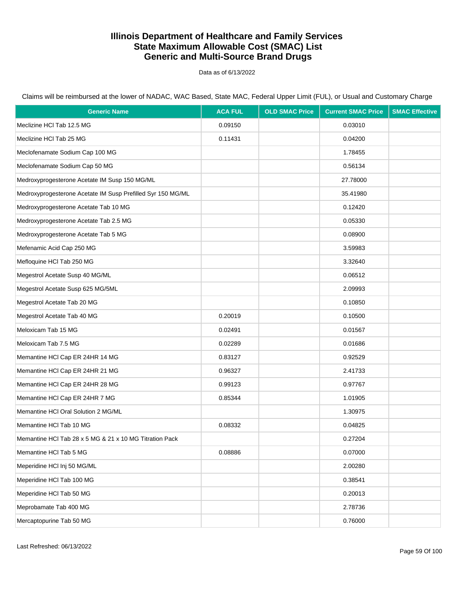Data as of 6/13/2022

| <b>Generic Name</b>                                         | <b>ACA FUL</b> | <b>OLD SMAC Price</b> | <b>Current SMAC Price</b> | <b>SMAC Effective</b> |
|-------------------------------------------------------------|----------------|-----------------------|---------------------------|-----------------------|
| Meclizine HCI Tab 12.5 MG                                   | 0.09150        |                       | 0.03010                   |                       |
| Meclizine HCI Tab 25 MG                                     | 0.11431        |                       | 0.04200                   |                       |
| Meclofenamate Sodium Cap 100 MG                             |                |                       | 1.78455                   |                       |
| Meclofenamate Sodium Cap 50 MG                              |                |                       | 0.56134                   |                       |
| Medroxyprogesterone Acetate IM Susp 150 MG/ML               |                |                       | 27.78000                  |                       |
| Medroxyprogesterone Acetate IM Susp Prefilled Syr 150 MG/ML |                |                       | 35.41980                  |                       |
| Medroxyprogesterone Acetate Tab 10 MG                       |                |                       | 0.12420                   |                       |
| Medroxyprogesterone Acetate Tab 2.5 MG                      |                |                       | 0.05330                   |                       |
| Medroxyprogesterone Acetate Tab 5 MG                        |                |                       | 0.08900                   |                       |
| Mefenamic Acid Cap 250 MG                                   |                |                       | 3.59983                   |                       |
| Mefloquine HCI Tab 250 MG                                   |                |                       | 3.32640                   |                       |
| Megestrol Acetate Susp 40 MG/ML                             |                |                       | 0.06512                   |                       |
| Megestrol Acetate Susp 625 MG/5ML                           |                |                       | 2.09993                   |                       |
| Megestrol Acetate Tab 20 MG                                 |                |                       | 0.10850                   |                       |
| Megestrol Acetate Tab 40 MG                                 | 0.20019        |                       | 0.10500                   |                       |
| Meloxicam Tab 15 MG                                         | 0.02491        |                       | 0.01567                   |                       |
| Meloxicam Tab 7.5 MG                                        | 0.02289        |                       | 0.01686                   |                       |
| Memantine HCI Cap ER 24HR 14 MG                             | 0.83127        |                       | 0.92529                   |                       |
| Memantine HCI Cap ER 24HR 21 MG                             | 0.96327        |                       | 2.41733                   |                       |
| Memantine HCI Cap ER 24HR 28 MG                             | 0.99123        |                       | 0.97767                   |                       |
| Memantine HCI Cap ER 24HR 7 MG                              | 0.85344        |                       | 1.01905                   |                       |
| Memantine HCI Oral Solution 2 MG/ML                         |                |                       | 1.30975                   |                       |
| Memantine HCI Tab 10 MG                                     | 0.08332        |                       | 0.04825                   |                       |
| Memantine HCI Tab 28 x 5 MG & 21 x 10 MG Titration Pack     |                |                       | 0.27204                   |                       |
| Memantine HCI Tab 5 MG                                      | 0.08886        |                       | 0.07000                   |                       |
| Meperidine HCI Inj 50 MG/ML                                 |                |                       | 2.00280                   |                       |
| Meperidine HCI Tab 100 MG                                   |                |                       | 0.38541                   |                       |
| Meperidine HCI Tab 50 MG                                    |                |                       | 0.20013                   |                       |
| Meprobamate Tab 400 MG                                      |                |                       | 2.78736                   |                       |
| Mercaptopurine Tab 50 MG                                    |                |                       | 0.76000                   |                       |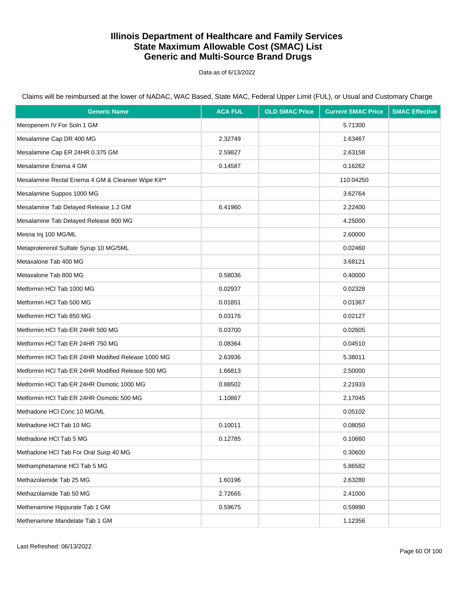Data as of 6/13/2022

| <b>Generic Name</b>                                | <b>ACA FUL</b> | <b>OLD SMAC Price</b> | <b>Current SMAC Price</b> | <b>SMAC Effective</b> |
|----------------------------------------------------|----------------|-----------------------|---------------------------|-----------------------|
| Meropenem IV For Soln 1 GM                         |                |                       | 5.71300                   |                       |
| Mesalamine Cap DR 400 MG                           | 2.32749        |                       | 1.63467                   |                       |
| Mesalamine Cap ER 24HR 0.375 GM                    | 2.59827        |                       | 2.63158                   |                       |
| Mesalamine Enema 4 GM                              | 0.14587        |                       | 0.16262                   |                       |
| Mesalamine Rectal Enema 4 GM & Cleanser Wipe Kit** |                |                       | 110.04250                 |                       |
| Mesalamine Suppos 1000 MG                          |                |                       | 3.62764                   |                       |
| Mesalamine Tab Delayed Release 1.2 GM              | 6.41960        |                       | 2.22400                   |                       |
| Mesalamine Tab Delayed Release 800 MG              |                |                       | 4.25000                   |                       |
| Mesna Inj 100 MG/ML                                |                |                       | 2.60000                   |                       |
| Metaproterenol Sulfate Syrup 10 MG/5ML             |                |                       | 0.02460                   |                       |
| Metaxalone Tab 400 MG                              |                |                       | 3.68121                   |                       |
| Metaxalone Tab 800 MG                              | 0.58036        |                       | 0.40000                   |                       |
| Metformin HCI Tab 1000 MG                          | 0.02937        |                       | 0.02328                   |                       |
| Metformin HCI Tab 500 MG                           | 0.01851        |                       | 0.01367                   |                       |
| Metformin HCI Tab 850 MG                           | 0.03176        |                       | 0.02127                   |                       |
| Metformin HCI Tab ER 24HR 500 MG                   | 0.03700        |                       | 0.02605                   |                       |
| Metformin HCl Tab ER 24HR 750 MG                   | 0.08364        |                       | 0.04510                   |                       |
| Metformin HCI Tab ER 24HR Modified Release 1000 MG | 2.63936        |                       | 5.38011                   |                       |
| Metformin HCI Tab ER 24HR Modified Release 500 MG  | 1.66813        |                       | 2.50000                   |                       |
| Metformin HCI Tab ER 24HR Osmotic 1000 MG          | 0.88502        |                       | 2.21933                   |                       |
| Metformin HCI Tab ER 24HR Osmotic 500 MG           | 1.10867        |                       | 2.17045                   |                       |
| Methadone HCI Conc 10 MG/ML                        |                |                       | 0.05102                   |                       |
| Methadone HCI Tab 10 MG                            | 0.10011        |                       | 0.08050                   |                       |
| Methadone HCI Tab 5 MG                             | 0.12785        |                       | 0.10660                   |                       |
| Methadone HCI Tab For Oral Susp 40 MG              |                |                       | 0.30600                   |                       |
| Methamphetamine HCl Tab 5 MG                       |                |                       | 5.86582                   |                       |
| Methazolamide Tab 25 MG                            | 1.60196        |                       | 2.63280                   |                       |
| Methazolamide Tab 50 MG                            | 2.72665        |                       | 2.41000                   |                       |
| Methenamine Hippurate Tab 1 GM                     | 0.59675        |                       | 0.59990                   |                       |
| Methenamine Mandelate Tab 1 GM                     |                |                       | 1.12356                   |                       |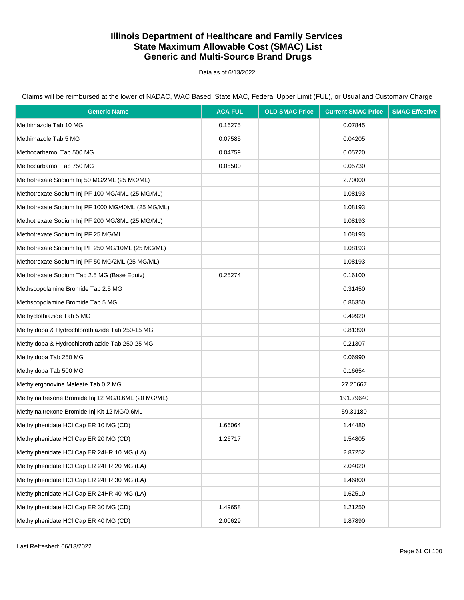Data as of 6/13/2022

| <b>Generic Name</b>                                 | <b>ACA FUL</b> | <b>OLD SMAC Price</b> | <b>Current SMAC Price</b> | <b>SMAC Effective</b> |
|-----------------------------------------------------|----------------|-----------------------|---------------------------|-----------------------|
| Methimazole Tab 10 MG                               | 0.16275        |                       | 0.07845                   |                       |
| Methimazole Tab 5 MG                                | 0.07585        |                       | 0.04205                   |                       |
| Methocarbamol Tab 500 MG                            | 0.04759        |                       | 0.05720                   |                       |
| Methocarbamol Tab 750 MG                            | 0.05500        |                       | 0.05730                   |                       |
| Methotrexate Sodium Inj 50 MG/2ML (25 MG/ML)        |                |                       | 2.70000                   |                       |
| Methotrexate Sodium Inj PF 100 MG/4ML (25 MG/ML)    |                |                       | 1.08193                   |                       |
| Methotrexate Sodium Inj PF 1000 MG/40ML (25 MG/ML)  |                |                       | 1.08193                   |                       |
| Methotrexate Sodium Inj PF 200 MG/8ML (25 MG/ML)    |                |                       | 1.08193                   |                       |
| Methotrexate Sodium Inj PF 25 MG/ML                 |                |                       | 1.08193                   |                       |
| Methotrexate Sodium Inj PF 250 MG/10ML (25 MG/ML)   |                |                       | 1.08193                   |                       |
| Methotrexate Sodium Inj PF 50 MG/2ML (25 MG/ML)     |                |                       | 1.08193                   |                       |
| Methotrexate Sodium Tab 2.5 MG (Base Equiv)         | 0.25274        |                       | 0.16100                   |                       |
| Methscopolamine Bromide Tab 2.5 MG                  |                |                       | 0.31450                   |                       |
| Methscopolamine Bromide Tab 5 MG                    |                |                       | 0.86350                   |                       |
| Methyclothiazide Tab 5 MG                           |                |                       | 0.49920                   |                       |
| Methyldopa & Hydrochlorothiazide Tab 250-15 MG      |                |                       | 0.81390                   |                       |
| Methyldopa & Hydrochlorothiazide Tab 250-25 MG      |                |                       | 0.21307                   |                       |
| Methyldopa Tab 250 MG                               |                |                       | 0.06990                   |                       |
| Methyldopa Tab 500 MG                               |                |                       | 0.16654                   |                       |
| Methylergonovine Maleate Tab 0.2 MG                 |                |                       | 27.26667                  |                       |
| Methylnaltrexone Bromide Inj 12 MG/0.6ML (20 MG/ML) |                |                       | 191.79640                 |                       |
| Methylnaltrexone Bromide Inj Kit 12 MG/0.6ML        |                |                       | 59.31180                  |                       |
| Methylphenidate HCI Cap ER 10 MG (CD)               | 1.66064        |                       | 1.44480                   |                       |
| Methylphenidate HCI Cap ER 20 MG (CD)               | 1.26717        |                       | 1.54805                   |                       |
| Methylphenidate HCl Cap ER 24HR 10 MG (LA)          |                |                       | 2.87252                   |                       |
| Methylphenidate HCl Cap ER 24HR 20 MG (LA)          |                |                       | 2.04020                   |                       |
| Methylphenidate HCl Cap ER 24HR 30 MG (LA)          |                |                       | 1.46800                   |                       |
| Methylphenidate HCl Cap ER 24HR 40 MG (LA)          |                |                       | 1.62510                   |                       |
| Methylphenidate HCI Cap ER 30 MG (CD)               | 1.49658        |                       | 1.21250                   |                       |
| Methylphenidate HCI Cap ER 40 MG (CD)               | 2.00629        |                       | 1.87890                   |                       |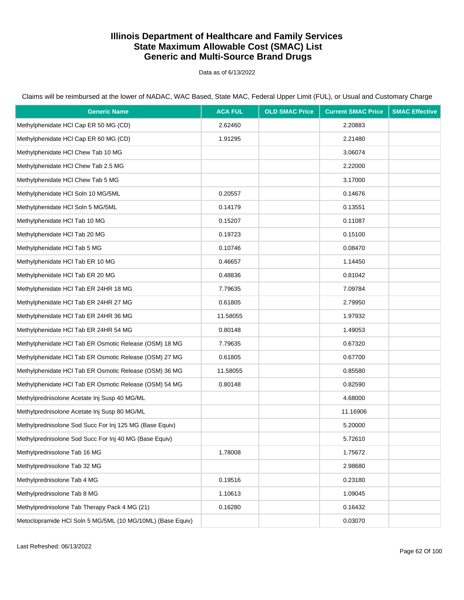Data as of 6/13/2022

Claims will be reimbursed at the lower of NADAC, WAC Based, State MAC, Federal Upper Limit (FUL), or Usual and Customary Charge

| <b>Generic Name</b>                                        | <b>ACA FUL</b> | <b>OLD SMAC Price</b> | <b>Current SMAC Price</b> | <b>SMAC Effective</b> |
|------------------------------------------------------------|----------------|-----------------------|---------------------------|-----------------------|
| Methylphenidate HCI Cap ER 50 MG (CD)                      | 2.62460        |                       | 2.20883                   |                       |
| Methylphenidate HCI Cap ER 60 MG (CD)                      | 1.91295        |                       | 2.21480                   |                       |
| Methylphenidate HCI Chew Tab 10 MG                         |                |                       | 3.06074                   |                       |
| Methylphenidate HCI Chew Tab 2.5 MG                        |                |                       | 2.22000                   |                       |
| Methylphenidate HCI Chew Tab 5 MG                          |                |                       | 3.17000                   |                       |
| Methylphenidate HCI Soln 10 MG/5ML                         | 0.20557        |                       | 0.14676                   |                       |
| Methylphenidate HCI Soln 5 MG/5ML                          | 0.14179        |                       | 0.13551                   |                       |
| Methylphenidate HCl Tab 10 MG                              | 0.15207        |                       | 0.11087                   |                       |
| Methylphenidate HCl Tab 20 MG                              | 0.19723        |                       | 0.15100                   |                       |
| Methylphenidate HCI Tab 5 MG                               | 0.10746        |                       | 0.08470                   |                       |
| Methylphenidate HCI Tab ER 10 MG                           | 0.46657        |                       | 1.14450                   |                       |
| Methylphenidate HCI Tab ER 20 MG                           | 0.48836        |                       | 0.81042                   |                       |
| Methylphenidate HCI Tab ER 24HR 18 MG                      | 7.79635        |                       | 7.09784                   |                       |
| Methylphenidate HCI Tab ER 24HR 27 MG                      | 0.61805        |                       | 2.79950                   |                       |
| Methylphenidate HCI Tab ER 24HR 36 MG                      | 11.58055       |                       | 1.97932                   |                       |
| Methylphenidate HCI Tab ER 24HR 54 MG                      | 0.80148        |                       | 1.49053                   |                       |
| Methylphenidate HCI Tab ER Osmotic Release (OSM) 18 MG     | 7.79635        |                       | 0.67320                   |                       |
| Methylphenidate HCl Tab ER Osmotic Release (OSM) 27 MG     | 0.61805        |                       | 0.67700                   |                       |
| Methylphenidate HCl Tab ER Osmotic Release (OSM) 36 MG     | 11.58055       |                       | 0.85580                   |                       |
| Methylphenidate HCI Tab ER Osmotic Release (OSM) 54 MG     | 0.80148        |                       | 0.82590                   |                       |
| Methylprednisolone Acetate Inj Susp 40 MG/ML               |                |                       | 4.68000                   |                       |
| Methylprednisolone Acetate Inj Susp 80 MG/ML               |                |                       | 11.16906                  |                       |
| Methylprednisolone Sod Succ For Inj 125 MG (Base Equiv)    |                |                       | 5.20000                   |                       |
| Methylprednisolone Sod Succ For Inj 40 MG (Base Equiv)     |                |                       | 5.72610                   |                       |
| Methylprednisolone Tab 16 MG                               | 1.78008        |                       | 1.75672                   |                       |
| Methylprednisolone Tab 32 MG                               |                |                       | 2.98680                   |                       |
| Methylprednisolone Tab 4 MG                                | 0.19516        |                       | 0.23180                   |                       |
| Methylprednisolone Tab 8 MG                                | 1.10613        |                       | 1.09045                   |                       |
| Methylprednisolone Tab Therapy Pack 4 MG (21)              | 0.16280        |                       | 0.16432                   |                       |
| Metoclopramide HCl Soln 5 MG/5ML (10 MG/10ML) (Base Equiv) |                |                       | 0.03070                   |                       |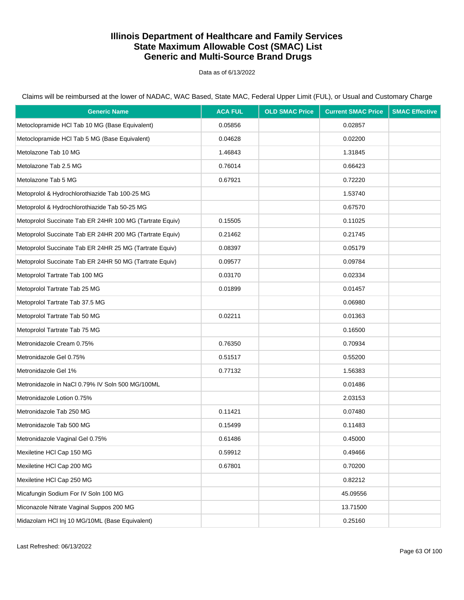Data as of 6/13/2022

Claims will be reimbursed at the lower of NADAC, WAC Based, State MAC, Federal Upper Limit (FUL), or Usual and Customary Charge

| <b>Generic Name</b>                                      | <b>ACA FUL</b> | <b>OLD SMAC Price</b> | <b>Current SMAC Price</b> | <b>SMAC Effective</b> |
|----------------------------------------------------------|----------------|-----------------------|---------------------------|-----------------------|
| Metoclopramide HCl Tab 10 MG (Base Equivalent)           | 0.05856        |                       | 0.02857                   |                       |
| Metoclopramide HCI Tab 5 MG (Base Equivalent)            | 0.04628        |                       | 0.02200                   |                       |
| Metolazone Tab 10 MG                                     | 1.46843        |                       | 1.31845                   |                       |
| Metolazone Tab 2.5 MG                                    | 0.76014        |                       | 0.66423                   |                       |
| Metolazone Tab 5 MG                                      | 0.67921        |                       | 0.72220                   |                       |
| Metoprolol & Hydrochlorothiazide Tab 100-25 MG           |                |                       | 1.53740                   |                       |
| Metoprolol & Hydrochlorothiazide Tab 50-25 MG            |                |                       | 0.67570                   |                       |
| Metoprolol Succinate Tab ER 24HR 100 MG (Tartrate Equiv) | 0.15505        |                       | 0.11025                   |                       |
| Metoprolol Succinate Tab ER 24HR 200 MG (Tartrate Equiv) | 0.21462        |                       | 0.21745                   |                       |
| Metoprolol Succinate Tab ER 24HR 25 MG (Tartrate Equiv)  | 0.08397        |                       | 0.05179                   |                       |
| Metoprolol Succinate Tab ER 24HR 50 MG (Tartrate Equiv)  | 0.09577        |                       | 0.09784                   |                       |
| Metoprolol Tartrate Tab 100 MG                           | 0.03170        |                       | 0.02334                   |                       |
| Metoprolol Tartrate Tab 25 MG                            | 0.01899        |                       | 0.01457                   |                       |
| Metoprolol Tartrate Tab 37.5 MG                          |                |                       | 0.06980                   |                       |
| Metoprolol Tartrate Tab 50 MG                            | 0.02211        |                       | 0.01363                   |                       |
| Metoprolol Tartrate Tab 75 MG                            |                |                       | 0.16500                   |                       |
| Metronidazole Cream 0.75%                                | 0.76350        |                       | 0.70934                   |                       |
| Metronidazole Gel 0.75%                                  | 0.51517        |                       | 0.55200                   |                       |
| Metronidazole Gel 1%                                     | 0.77132        |                       | 1.56383                   |                       |
| Metronidazole in NaCl 0.79% IV Soln 500 MG/100ML         |                |                       | 0.01486                   |                       |
| Metronidazole Lotion 0.75%                               |                |                       | 2.03153                   |                       |
| Metronidazole Tab 250 MG                                 | 0.11421        |                       | 0.07480                   |                       |
| Metronidazole Tab 500 MG                                 | 0.15499        |                       | 0.11483                   |                       |
| Metronidazole Vaginal Gel 0.75%                          | 0.61486        |                       | 0.45000                   |                       |
| Mexiletine HCI Cap 150 MG                                | 0.59912        |                       | 0.49466                   |                       |
| Mexiletine HCI Cap 200 MG                                | 0.67801        |                       | 0.70200                   |                       |
| Mexiletine HCI Cap 250 MG                                |                |                       | 0.82212                   |                       |
| Micafungin Sodium For IV Soln 100 MG                     |                |                       | 45.09556                  |                       |
| Miconazole Nitrate Vaginal Suppos 200 MG                 |                |                       | 13.71500                  |                       |
| Midazolam HCl Inj 10 MG/10ML (Base Equivalent)           |                |                       | 0.25160                   |                       |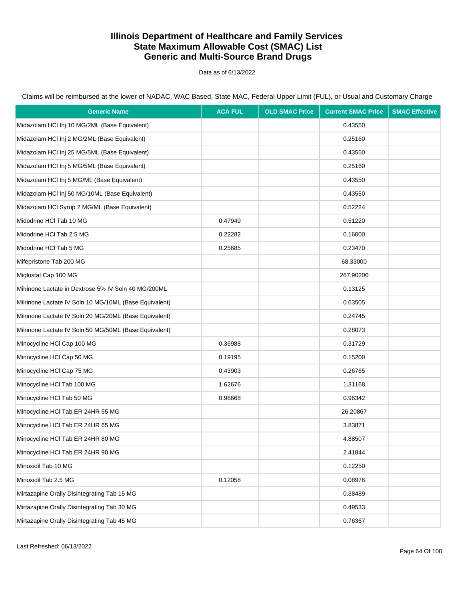Data as of 6/13/2022

| <b>Generic Name</b>                                    | <b>ACA FUL</b> | <b>OLD SMAC Price</b> | <b>Current SMAC Price</b> | <b>SMAC Effective</b> |
|--------------------------------------------------------|----------------|-----------------------|---------------------------|-----------------------|
| Midazolam HCl Inj 10 MG/2ML (Base Equivalent)          |                |                       | 0.43550                   |                       |
| Midazolam HCl Inj 2 MG/2ML (Base Equivalent)           |                |                       | 0.25160                   |                       |
| Midazolam HCl Inj 25 MG/5ML (Base Equivalent)          |                |                       | 0.43550                   |                       |
| Midazolam HCl Inj 5 MG/5ML (Base Equivalent)           |                |                       | 0.25160                   |                       |
| Midazolam HCl Inj 5 MG/ML (Base Equivalent)            |                |                       | 0.43550                   |                       |
| Midazolam HCl Inj 50 MG/10ML (Base Equivalent)         |                |                       | 0.43550                   |                       |
| Midazolam HCl Syrup 2 MG/ML (Base Equivalent)          |                |                       | 0.52224                   |                       |
| Midodrine HCI Tab 10 MG                                | 0.47949        |                       | 0.51220                   |                       |
| Midodrine HCI Tab 2.5 MG                               | 0.22282        |                       | 0.16000                   |                       |
| Midodrine HCI Tab 5 MG                                 | 0.25685        |                       | 0.23470                   |                       |
| Mifepristone Tab 200 MG                                |                |                       | 68.33000                  |                       |
| Miglustat Cap 100 MG                                   |                |                       | 267.90200                 |                       |
| Milrinone Lactate in Dextrose 5% IV Soln 40 MG/200ML   |                |                       | 0.13125                   |                       |
| Milrinone Lactate IV Soln 10 MG/10ML (Base Equivalent) |                |                       | 0.63505                   |                       |
| Milrinone Lactate IV Soln 20 MG/20ML (Base Equivalent) |                |                       | 0.24745                   |                       |
| Milrinone Lactate IV Soln 50 MG/50ML (Base Equivalent) |                |                       | 0.28073                   |                       |
| Minocycline HCI Cap 100 MG                             | 0.36988        |                       | 0.31729                   |                       |
| Minocycline HCI Cap 50 MG                              | 0.19195        |                       | 0.15200                   |                       |
| Minocycline HCI Cap 75 MG                              | 0.43903        |                       | 0.26765                   |                       |
| Minocycline HCI Tab 100 MG                             | 1.62676        |                       | 1.31168                   |                       |
| Minocycline HCI Tab 50 MG                              | 0.96668        |                       | 0.96342                   |                       |
| Minocycline HCI Tab ER 24HR 55 MG                      |                |                       | 26.20867                  |                       |
| Minocycline HCI Tab ER 24HR 65 MG                      |                |                       | 3.83871                   |                       |
| Minocycline HCI Tab ER 24HR 80 MG                      |                |                       | 4.88507                   |                       |
| Minocycline HCI Tab ER 24HR 90 MG                      |                |                       | 2.41844                   |                       |
| Minoxidil Tab 10 MG                                    |                |                       | 0.12250                   |                       |
| Minoxidil Tab 2.5 MG                                   | 0.12058        |                       | 0.08976                   |                       |
| Mirtazapine Orally Disintegrating Tab 15 MG            |                |                       | 0.38489                   |                       |
| Mirtazapine Orally Disintegrating Tab 30 MG            |                |                       | 0.49533                   |                       |
| Mirtazapine Orally Disintegrating Tab 45 MG            |                |                       | 0.76367                   |                       |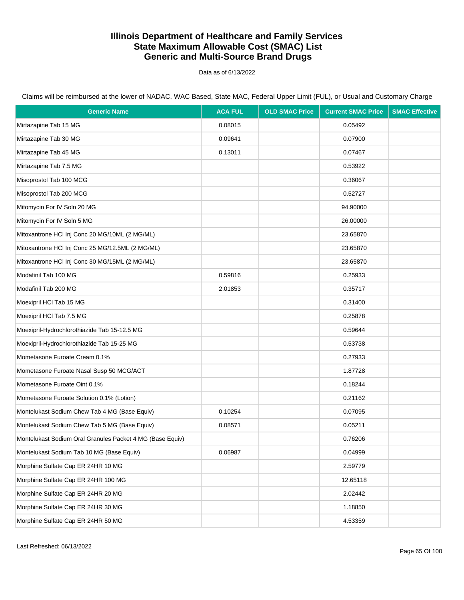Data as of 6/13/2022

| <b>Generic Name</b>                                       | <b>ACA FUL</b> | <b>OLD SMAC Price</b> | <b>Current SMAC Price</b> | <b>SMAC Effective</b> |
|-----------------------------------------------------------|----------------|-----------------------|---------------------------|-----------------------|
| Mirtazapine Tab 15 MG                                     | 0.08015        |                       | 0.05492                   |                       |
| Mirtazapine Tab 30 MG                                     | 0.09641        |                       | 0.07900                   |                       |
| Mirtazapine Tab 45 MG                                     | 0.13011        |                       | 0.07467                   |                       |
| Mirtazapine Tab 7.5 MG                                    |                |                       | 0.53922                   |                       |
| Misoprostol Tab 100 MCG                                   |                |                       | 0.36067                   |                       |
| Misoprostol Tab 200 MCG                                   |                |                       | 0.52727                   |                       |
| Mitomycin For IV Soln 20 MG                               |                |                       | 94.90000                  |                       |
| Mitomycin For IV Soln 5 MG                                |                |                       | 26.00000                  |                       |
| Mitoxantrone HCI Inj Conc 20 MG/10ML (2 MG/ML)            |                |                       | 23.65870                  |                       |
| Mitoxantrone HCl Inj Conc 25 MG/12.5ML (2 MG/ML)          |                |                       | 23.65870                  |                       |
| Mitoxantrone HCI Inj Conc 30 MG/15ML (2 MG/ML)            |                |                       | 23.65870                  |                       |
| Modafinil Tab 100 MG                                      | 0.59816        |                       | 0.25933                   |                       |
| Modafinil Tab 200 MG                                      | 2.01853        |                       | 0.35717                   |                       |
| Moexipril HCI Tab 15 MG                                   |                |                       | 0.31400                   |                       |
| Moexipril HCI Tab 7.5 MG                                  |                |                       | 0.25878                   |                       |
| Moexipril-Hydrochlorothiazide Tab 15-12.5 MG              |                |                       | 0.59644                   |                       |
| Moexipril-Hydrochlorothiazide Tab 15-25 MG                |                |                       | 0.53738                   |                       |
| Mometasone Furoate Cream 0.1%                             |                |                       | 0.27933                   |                       |
| Mometasone Furoate Nasal Susp 50 MCG/ACT                  |                |                       | 1.87728                   |                       |
| Mometasone Furoate Oint 0.1%                              |                |                       | 0.18244                   |                       |
| Mometasone Furoate Solution 0.1% (Lotion)                 |                |                       | 0.21162                   |                       |
| Montelukast Sodium Chew Tab 4 MG (Base Equiv)             | 0.10254        |                       | 0.07095                   |                       |
| Montelukast Sodium Chew Tab 5 MG (Base Equiv)             | 0.08571        |                       | 0.05211                   |                       |
| Montelukast Sodium Oral Granules Packet 4 MG (Base Equiv) |                |                       | 0.76206                   |                       |
| Montelukast Sodium Tab 10 MG (Base Equiv)                 | 0.06987        |                       | 0.04999                   |                       |
| Morphine Sulfate Cap ER 24HR 10 MG                        |                |                       | 2.59779                   |                       |
| Morphine Sulfate Cap ER 24HR 100 MG                       |                |                       | 12.65118                  |                       |
| Morphine Sulfate Cap ER 24HR 20 MG                        |                |                       | 2.02442                   |                       |
| Morphine Sulfate Cap ER 24HR 30 MG                        |                |                       | 1.18850                   |                       |
| Morphine Sulfate Cap ER 24HR 50 MG                        |                |                       | 4.53359                   |                       |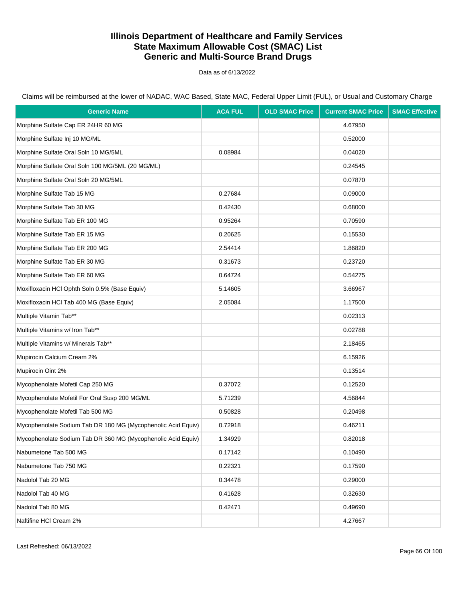Data as of 6/13/2022

| <b>Generic Name</b>                                          | <b>ACA FUL</b> | <b>OLD SMAC Price</b> | <b>Current SMAC Price</b> | <b>SMAC Effective</b> |
|--------------------------------------------------------------|----------------|-----------------------|---------------------------|-----------------------|
| Morphine Sulfate Cap ER 24HR 60 MG                           |                |                       | 4.67950                   |                       |
| Morphine Sulfate Inj 10 MG/ML                                |                |                       | 0.52000                   |                       |
| Morphine Sulfate Oral Soln 10 MG/5ML                         | 0.08984        |                       | 0.04020                   |                       |
| Morphine Sulfate Oral Soln 100 MG/5ML (20 MG/ML)             |                |                       | 0.24545                   |                       |
| Morphine Sulfate Oral Soln 20 MG/5ML                         |                |                       | 0.07870                   |                       |
| Morphine Sulfate Tab 15 MG                                   | 0.27684        |                       | 0.09000                   |                       |
| Morphine Sulfate Tab 30 MG                                   | 0.42430        |                       | 0.68000                   |                       |
| Morphine Sulfate Tab ER 100 MG                               | 0.95264        |                       | 0.70590                   |                       |
| Morphine Sulfate Tab ER 15 MG                                | 0.20625        |                       | 0.15530                   |                       |
| Morphine Sulfate Tab ER 200 MG                               | 2.54414        |                       | 1.86820                   |                       |
| Morphine Sulfate Tab ER 30 MG                                | 0.31673        |                       | 0.23720                   |                       |
| Morphine Sulfate Tab ER 60 MG                                | 0.64724        |                       | 0.54275                   |                       |
| Moxifloxacin HCl Ophth Soln 0.5% (Base Equiv)                | 5.14605        |                       | 3.66967                   |                       |
| Moxifloxacin HCl Tab 400 MG (Base Equiv)                     | 2.05084        |                       | 1.17500                   |                       |
| Multiple Vitamin Tab**                                       |                |                       | 0.02313                   |                       |
| Multiple Vitamins w/ Iron Tab**                              |                |                       | 0.02788                   |                       |
| Multiple Vitamins w/ Minerals Tab**                          |                |                       | 2.18465                   |                       |
| Mupirocin Calcium Cream 2%                                   |                |                       | 6.15926                   |                       |
| Mupirocin Oint 2%                                            |                |                       | 0.13514                   |                       |
| Mycophenolate Mofetil Cap 250 MG                             | 0.37072        |                       | 0.12520                   |                       |
| Mycophenolate Mofetil For Oral Susp 200 MG/ML                | 5.71239        |                       | 4.56844                   |                       |
| Mycophenolate Mofetil Tab 500 MG                             | 0.50828        |                       | 0.20498                   |                       |
| Mycophenolate Sodium Tab DR 180 MG (Mycophenolic Acid Equiv) | 0.72918        |                       | 0.46211                   |                       |
| Mycophenolate Sodium Tab DR 360 MG (Mycophenolic Acid Equiv) | 1.34929        |                       | 0.82018                   |                       |
| Nabumetone Tab 500 MG                                        | 0.17142        |                       | 0.10490                   |                       |
| Nabumetone Tab 750 MG                                        | 0.22321        |                       | 0.17590                   |                       |
| Nadolol Tab 20 MG                                            | 0.34478        |                       | 0.29000                   |                       |
| Nadolol Tab 40 MG                                            | 0.41628        |                       | 0.32630                   |                       |
| Nadolol Tab 80 MG                                            | 0.42471        |                       | 0.49690                   |                       |
| Naftifine HCI Cream 2%                                       |                |                       | 4.27667                   |                       |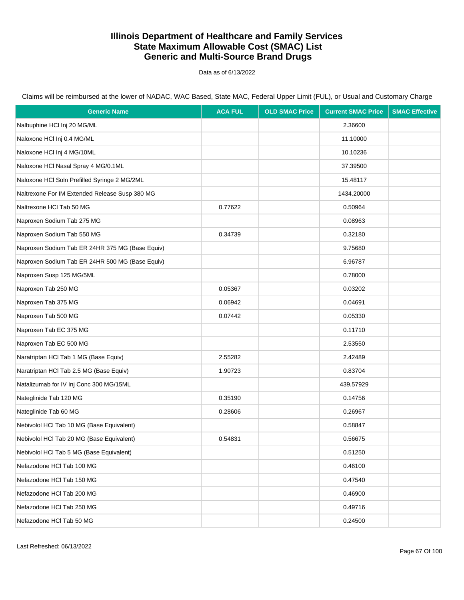Data as of 6/13/2022

| <b>Generic Name</b>                             | <b>ACA FUL</b> | <b>OLD SMAC Price</b> | <b>Current SMAC Price</b> | <b>SMAC Effective</b> |
|-------------------------------------------------|----------------|-----------------------|---------------------------|-----------------------|
| Nalbuphine HCl Inj 20 MG/ML                     |                |                       | 2.36600                   |                       |
| Naloxone HCl Inj 0.4 MG/ML                      |                |                       | 11.10000                  |                       |
| Naloxone HCl Inj 4 MG/10ML                      |                |                       | 10.10236                  |                       |
| Naloxone HCl Nasal Spray 4 MG/0.1ML             |                |                       | 37.39500                  |                       |
| Naloxone HCl Soln Prefilled Syringe 2 MG/2ML    |                |                       | 15.48117                  |                       |
| Naltrexone For IM Extended Release Susp 380 MG  |                |                       | 1434.20000                |                       |
| Naltrexone HCl Tab 50 MG                        | 0.77622        |                       | 0.50964                   |                       |
| Naproxen Sodium Tab 275 MG                      |                |                       | 0.08963                   |                       |
| Naproxen Sodium Tab 550 MG                      | 0.34739        |                       | 0.32180                   |                       |
| Naproxen Sodium Tab ER 24HR 375 MG (Base Equiv) |                |                       | 9.75680                   |                       |
| Naproxen Sodium Tab ER 24HR 500 MG (Base Equiv) |                |                       | 6.96787                   |                       |
| Naproxen Susp 125 MG/5ML                        |                |                       | 0.78000                   |                       |
| Naproxen Tab 250 MG                             | 0.05367        |                       | 0.03202                   |                       |
| Naproxen Tab 375 MG                             | 0.06942        |                       | 0.04691                   |                       |
| Naproxen Tab 500 MG                             | 0.07442        |                       | 0.05330                   |                       |
| Naproxen Tab EC 375 MG                          |                |                       | 0.11710                   |                       |
| Naproxen Tab EC 500 MG                          |                |                       | 2.53550                   |                       |
| Naratriptan HCl Tab 1 MG (Base Equiv)           | 2.55282        |                       | 2.42489                   |                       |
| Naratriptan HCl Tab 2.5 MG (Base Equiv)         | 1.90723        |                       | 0.83704                   |                       |
| Natalizumab for IV Inj Conc 300 MG/15ML         |                |                       | 439.57929                 |                       |
| Nateglinide Tab 120 MG                          | 0.35190        |                       | 0.14756                   |                       |
| Nateglinide Tab 60 MG                           | 0.28606        |                       | 0.26967                   |                       |
| Nebivolol HCl Tab 10 MG (Base Equivalent)       |                |                       | 0.58847                   |                       |
| Nebivolol HCl Tab 20 MG (Base Equivalent)       | 0.54831        |                       | 0.56675                   |                       |
| Nebivolol HCl Tab 5 MG (Base Equivalent)        |                |                       | 0.51250                   |                       |
| Nefazodone HCl Tab 100 MG                       |                |                       | 0.46100                   |                       |
| Nefazodone HCl Tab 150 MG                       |                |                       | 0.47540                   |                       |
| Nefazodone HCl Tab 200 MG                       |                |                       | 0.46900                   |                       |
| Nefazodone HCl Tab 250 MG                       |                |                       | 0.49716                   |                       |
| Nefazodone HCl Tab 50 MG                        |                |                       | 0.24500                   |                       |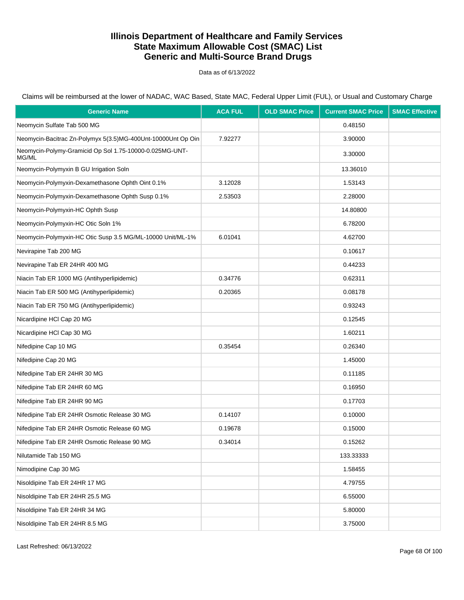Data as of 6/13/2022

Claims will be reimbursed at the lower of NADAC, WAC Based, State MAC, Federal Upper Limit (FUL), or Usual and Customary Charge

| <b>Generic Name</b>                                              | <b>ACA FUL</b> | <b>OLD SMAC Price</b> | <b>Current SMAC Price</b> | <b>SMAC Effective</b> |
|------------------------------------------------------------------|----------------|-----------------------|---------------------------|-----------------------|
| Neomycin Sulfate Tab 500 MG                                      |                |                       | 0.48150                   |                       |
| Neomycin-Bacitrac Zn-Polymyx 5(3.5)MG-400Unt-10000Unt Op Oin     | 7.92277        |                       | 3.90000                   |                       |
| Neomycin-Polymy-Gramicid Op Sol 1.75-10000-0.025MG-UNT-<br>MG/ML |                |                       | 3.30000                   |                       |
| Neomycin-Polymyxin B GU Irrigation Soln                          |                |                       | 13.36010                  |                       |
| Neomycin-Polymyxin-Dexamethasone Ophth Oint 0.1%                 | 3.12028        |                       | 1.53143                   |                       |
| Neomycin-Polymyxin-Dexamethasone Ophth Susp 0.1%                 | 2.53503        |                       | 2.28000                   |                       |
| Neomycin-Polymyxin-HC Ophth Susp                                 |                |                       | 14.80800                  |                       |
| Neomycin-Polymyxin-HC Otic Soln 1%                               |                |                       | 6.78200                   |                       |
| Neomycin-Polymyxin-HC Otic Susp 3.5 MG/ML-10000 Unit/ML-1%       | 6.01041        |                       | 4.62700                   |                       |
| Nevirapine Tab 200 MG                                            |                |                       | 0.10617                   |                       |
| Nevirapine Tab ER 24HR 400 MG                                    |                |                       | 0.44233                   |                       |
| Niacin Tab ER 1000 MG (Antihyperlipidemic)                       | 0.34776        |                       | 0.62311                   |                       |
| Niacin Tab ER 500 MG (Antihyperlipidemic)                        | 0.20365        |                       | 0.08178                   |                       |
| Niacin Tab ER 750 MG (Antihyperlipidemic)                        |                |                       | 0.93243                   |                       |
| Nicardipine HCI Cap 20 MG                                        |                |                       | 0.12545                   |                       |
| Nicardipine HCl Cap 30 MG                                        |                |                       | 1.60211                   |                       |
| Nifedipine Cap 10 MG                                             | 0.35454        |                       | 0.26340                   |                       |
| Nifedipine Cap 20 MG                                             |                |                       | 1.45000                   |                       |
| Nifedipine Tab ER 24HR 30 MG                                     |                |                       | 0.11185                   |                       |
| Nifedipine Tab ER 24HR 60 MG                                     |                |                       | 0.16950                   |                       |
| Nifedipine Tab ER 24HR 90 MG                                     |                |                       | 0.17703                   |                       |
| Nifedipine Tab ER 24HR Osmotic Release 30 MG                     | 0.14107        |                       | 0.10000                   |                       |
| Nifedipine Tab ER 24HR Osmotic Release 60 MG                     | 0.19678        |                       | 0.15000                   |                       |
| Nifedipine Tab ER 24HR Osmotic Release 90 MG                     | 0.34014        |                       | 0.15262                   |                       |
| Nilutamide Tab 150 MG                                            |                |                       | 133.33333                 |                       |
| Nimodipine Cap 30 MG                                             |                |                       | 1.58455                   |                       |
| Nisoldipine Tab ER 24HR 17 MG                                    |                |                       | 4.79755                   |                       |
| Nisoldipine Tab ER 24HR 25.5 MG                                  |                |                       | 6.55000                   |                       |
| Nisoldipine Tab ER 24HR 34 MG                                    |                |                       | 5.80000                   |                       |
| Nisoldipine Tab ER 24HR 8.5 MG                                   |                |                       | 3.75000                   |                       |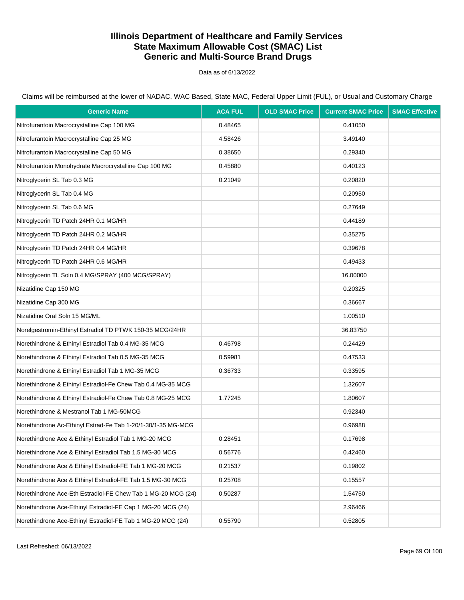Data as of 6/13/2022

Claims will be reimbursed at the lower of NADAC, WAC Based, State MAC, Federal Upper Limit (FUL), or Usual and Customary Charge

| <b>Generic Name</b>                                          | <b>ACA FUL</b> | <b>OLD SMAC Price</b> | <b>Current SMAC Price</b> | <b>SMAC Effective</b> |
|--------------------------------------------------------------|----------------|-----------------------|---------------------------|-----------------------|
| Nitrofurantoin Macrocrystalline Cap 100 MG                   | 0.48465        |                       | 0.41050                   |                       |
| Nitrofurantoin Macrocrystalline Cap 25 MG                    | 4.58426        |                       | 3.49140                   |                       |
| Nitrofurantoin Macrocrystalline Cap 50 MG                    | 0.38650        |                       | 0.29340                   |                       |
| Nitrofurantoin Monohydrate Macrocrystalline Cap 100 MG       | 0.45880        |                       | 0.40123                   |                       |
| Nitroglycerin SL Tab 0.3 MG                                  | 0.21049        |                       | 0.20820                   |                       |
| Nitroglycerin SL Tab 0.4 MG                                  |                |                       | 0.20950                   |                       |
| Nitroglycerin SL Tab 0.6 MG                                  |                |                       | 0.27649                   |                       |
| Nitroglycerin TD Patch 24HR 0.1 MG/HR                        |                |                       | 0.44189                   |                       |
| Nitroglycerin TD Patch 24HR 0.2 MG/HR                        |                |                       | 0.35275                   |                       |
| Nitroglycerin TD Patch 24HR 0.4 MG/HR                        |                |                       | 0.39678                   |                       |
| Nitroglycerin TD Patch 24HR 0.6 MG/HR                        |                |                       | 0.49433                   |                       |
| Nitroglycerin TL Soln 0.4 MG/SPRAY (400 MCG/SPRAY)           |                |                       | 16.00000                  |                       |
| Nizatidine Cap 150 MG                                        |                |                       | 0.20325                   |                       |
| Nizatidine Cap 300 MG                                        |                |                       | 0.36667                   |                       |
| Nizatidine Oral Soln 15 MG/ML                                |                |                       | 1.00510                   |                       |
| Norelgestromin-Ethinyl Estradiol TD PTWK 150-35 MCG/24HR     |                |                       | 36.83750                  |                       |
| Norethindrone & Ethinyl Estradiol Tab 0.4 MG-35 MCG          | 0.46798        |                       | 0.24429                   |                       |
| Norethindrone & Ethinyl Estradiol Tab 0.5 MG-35 MCG          | 0.59981        |                       | 0.47533                   |                       |
| Norethindrone & Ethinyl Estradiol Tab 1 MG-35 MCG            | 0.36733        |                       | 0.33595                   |                       |
| Norethindrone & Ethinyl Estradiol-Fe Chew Tab 0.4 MG-35 MCG  |                |                       | 1.32607                   |                       |
| Norethindrone & Ethinyl Estradiol-Fe Chew Tab 0.8 MG-25 MCG  | 1.77245        |                       | 1.80607                   |                       |
| Norethindrone & Mestranol Tab 1 MG-50MCG                     |                |                       | 0.92340                   |                       |
| Norethindrone Ac-Ethinyl Estrad-Fe Tab 1-20/1-30/1-35 MG-MCG |                |                       | 0.96988                   |                       |
| Norethindrone Ace & Ethinyl Estradiol Tab 1 MG-20 MCG        | 0.28451        |                       | 0.17698                   |                       |
| Norethindrone Ace & Ethinyl Estradiol Tab 1.5 MG-30 MCG      | 0.56776        |                       | 0.42460                   |                       |
| Norethindrone Ace & Ethinyl Estradiol-FE Tab 1 MG-20 MCG     | 0.21537        |                       | 0.19802                   |                       |
| Norethindrone Ace & Ethinyl Estradiol-FE Tab 1.5 MG-30 MCG   | 0.25708        |                       | 0.15557                   |                       |
| Norethindrone Ace-Eth Estradiol-FE Chew Tab 1 MG-20 MCG (24) | 0.50287        |                       | 1.54750                   |                       |
| Norethindrone Ace-Ethinyl Estradiol-FE Cap 1 MG-20 MCG (24)  |                |                       | 2.96466                   |                       |
| Norethindrone Ace-Ethinyl Estradiol-FE Tab 1 MG-20 MCG (24)  | 0.55790        |                       | 0.52805                   |                       |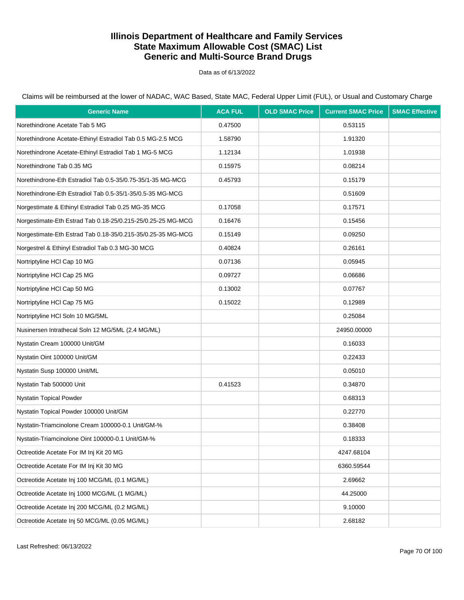Data as of 6/13/2022

| <b>Generic Name</b>                                         | <b>ACA FUL</b> | <b>OLD SMAC Price</b> | <b>Current SMAC Price</b> | <b>SMAC Effective</b> |
|-------------------------------------------------------------|----------------|-----------------------|---------------------------|-----------------------|
| Norethindrone Acetate Tab 5 MG                              | 0.47500        |                       | 0.53115                   |                       |
| Norethindrone Acetate-Ethinyl Estradiol Tab 0.5 MG-2.5 MCG  | 1.58790        |                       | 1.91320                   |                       |
| Norethindrone Acetate-Ethinyl Estradiol Tab 1 MG-5 MCG      | 1.12134        |                       | 1.01938                   |                       |
| Norethindrone Tab 0.35 MG                                   | 0.15975        |                       | 0.08214                   |                       |
| Norethindrone-Eth Estradiol Tab 0.5-35/0.75-35/1-35 MG-MCG  | 0.45793        |                       | 0.15179                   |                       |
| Norethindrone-Eth Estradiol Tab 0.5-35/1-35/0.5-35 MG-MCG   |                |                       | 0.51609                   |                       |
| Norgestimate & Ethinyl Estradiol Tab 0.25 MG-35 MCG         | 0.17058        |                       | 0.17571                   |                       |
| Norgestimate-Eth Estrad Tab 0.18-25/0.215-25/0.25-25 MG-MCG | 0.16476        |                       | 0.15456                   |                       |
| Norgestimate-Eth Estrad Tab 0.18-35/0.215-35/0.25-35 MG-MCG | 0.15149        |                       | 0.09250                   |                       |
| Norgestrel & Ethinyl Estradiol Tab 0.3 MG-30 MCG            | 0.40824        |                       | 0.26161                   |                       |
| Nortriptyline HCl Cap 10 MG                                 | 0.07136        |                       | 0.05945                   |                       |
| Nortriptyline HCl Cap 25 MG                                 | 0.09727        |                       | 0.06686                   |                       |
| Nortriptyline HCl Cap 50 MG                                 | 0.13002        |                       | 0.07767                   |                       |
| Nortriptyline HCl Cap 75 MG                                 | 0.15022        |                       | 0.12989                   |                       |
| Nortriptyline HCl Soln 10 MG/5ML                            |                |                       | 0.25084                   |                       |
| Nusinersen Intrathecal Soln 12 MG/5ML (2.4 MG/ML)           |                |                       | 24950.00000               |                       |
| Nystatin Cream 100000 Unit/GM                               |                |                       | 0.16033                   |                       |
| Nystatin Oint 100000 Unit/GM                                |                |                       | 0.22433                   |                       |
| Nystatin Susp 100000 Unit/ML                                |                |                       | 0.05010                   |                       |
| Nystatin Tab 500000 Unit                                    | 0.41523        |                       | 0.34870                   |                       |
| Nystatin Topical Powder                                     |                |                       | 0.68313                   |                       |
| Nystatin Topical Powder 100000 Unit/GM                      |                |                       | 0.22770                   |                       |
| Nystatin-Triamcinolone Cream 100000-0.1 Unit/GM-%           |                |                       | 0.38408                   |                       |
| Nystatin-Triamcinolone Oint 100000-0.1 Unit/GM-%            |                |                       | 0.18333                   |                       |
| Octreotide Acetate For IM Inj Kit 20 MG                     |                |                       | 4247.68104                |                       |
| Octreotide Acetate For IM Inj Kit 30 MG                     |                |                       | 6360.59544                |                       |
| Octreotide Acetate Inj 100 MCG/ML (0.1 MG/ML)               |                |                       | 2.69662                   |                       |
| Octreotide Acetate Inj 1000 MCG/ML (1 MG/ML)                |                |                       | 44.25000                  |                       |
| Octreotide Acetate Inj 200 MCG/ML (0.2 MG/ML)               |                |                       | 9.10000                   |                       |
| Octreotide Acetate Inj 50 MCG/ML (0.05 MG/ML)               |                |                       | 2.68182                   |                       |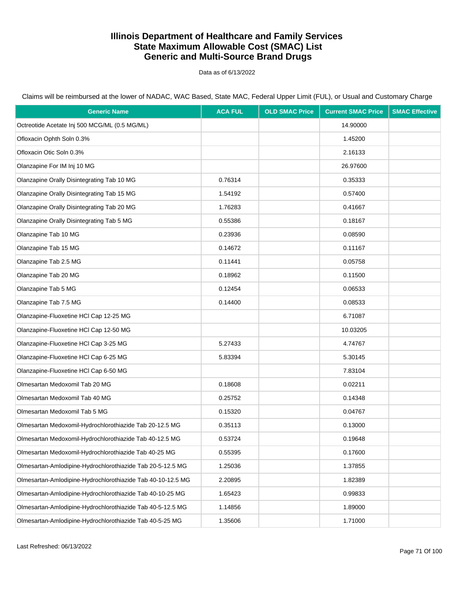Data as of 6/13/2022

Claims will be reimbursed at the lower of NADAC, WAC Based, State MAC, Federal Upper Limit (FUL), or Usual and Customary Charge

| <b>Generic Name</b>                                         | <b>ACA FUL</b> | <b>OLD SMAC Price</b> | <b>Current SMAC Price</b> | <b>SMAC Effective</b> |
|-------------------------------------------------------------|----------------|-----------------------|---------------------------|-----------------------|
| Octreotide Acetate Inj 500 MCG/ML (0.5 MG/ML)               |                |                       | 14.90000                  |                       |
| Ofloxacin Ophth Soln 0.3%                                   |                |                       | 1.45200                   |                       |
| Ofloxacin Otic Soln 0.3%                                    |                |                       | 2.16133                   |                       |
| Olanzapine For IM Inj 10 MG                                 |                |                       | 26.97600                  |                       |
| Olanzapine Orally Disintegrating Tab 10 MG                  | 0.76314        |                       | 0.35333                   |                       |
| Olanzapine Orally Disintegrating Tab 15 MG                  | 1.54192        |                       | 0.57400                   |                       |
| Olanzapine Orally Disintegrating Tab 20 MG                  | 1.76283        |                       | 0.41667                   |                       |
| Olanzapine Orally Disintegrating Tab 5 MG                   | 0.55386        |                       | 0.18167                   |                       |
| Olanzapine Tab 10 MG                                        | 0.23936        |                       | 0.08590                   |                       |
| Olanzapine Tab 15 MG                                        | 0.14672        |                       | 0.11167                   |                       |
| Olanzapine Tab 2.5 MG                                       | 0.11441        |                       | 0.05758                   |                       |
| Olanzapine Tab 20 MG                                        | 0.18962        |                       | 0.11500                   |                       |
| Olanzapine Tab 5 MG                                         | 0.12454        |                       | 0.06533                   |                       |
| Olanzapine Tab 7.5 MG                                       | 0.14400        |                       | 0.08533                   |                       |
| Olanzapine-Fluoxetine HCl Cap 12-25 MG                      |                |                       | 6.71087                   |                       |
| Olanzapine-Fluoxetine HCl Cap 12-50 MG                      |                |                       | 10.03205                  |                       |
| Olanzapine-Fluoxetine HCl Cap 3-25 MG                       | 5.27433        |                       | 4.74767                   |                       |
| Olanzapine-Fluoxetine HCl Cap 6-25 MG                       | 5.83394        |                       | 5.30145                   |                       |
| Olanzapine-Fluoxetine HCl Cap 6-50 MG                       |                |                       | 7.83104                   |                       |
| Olmesartan Medoxomil Tab 20 MG                              | 0.18608        |                       | 0.02211                   |                       |
| Olmesartan Medoxomil Tab 40 MG                              | 0.25752        |                       | 0.14348                   |                       |
| Olmesartan Medoxomil Tab 5 MG                               | 0.15320        |                       | 0.04767                   |                       |
| Olmesartan Medoxomil-Hydrochlorothiazide Tab 20-12.5 MG     | 0.35113        |                       | 0.13000                   |                       |
| Olmesartan Medoxomil-Hydrochlorothiazide Tab 40-12.5 MG     | 0.53724        |                       | 0.19648                   |                       |
| Olmesartan Medoxomil-Hydrochlorothiazide Tab 40-25 MG       | 0.55395        |                       | 0.17600                   |                       |
| Olmesartan-Amlodipine-Hydrochlorothiazide Tab 20-5-12.5 MG  | 1.25036        |                       | 1.37855                   |                       |
| Olmesartan-Amlodipine-Hydrochlorothiazide Tab 40-10-12.5 MG | 2.20895        |                       | 1.82389                   |                       |
| Olmesartan-Amlodipine-Hydrochlorothiazide Tab 40-10-25 MG   | 1.65423        |                       | 0.99833                   |                       |
| Olmesartan-Amlodipine-Hydrochlorothiazide Tab 40-5-12.5 MG  | 1.14856        |                       | 1.89000                   |                       |
| Olmesartan-Amlodipine-Hydrochlorothiazide Tab 40-5-25 MG    | 1.35606        |                       | 1.71000                   |                       |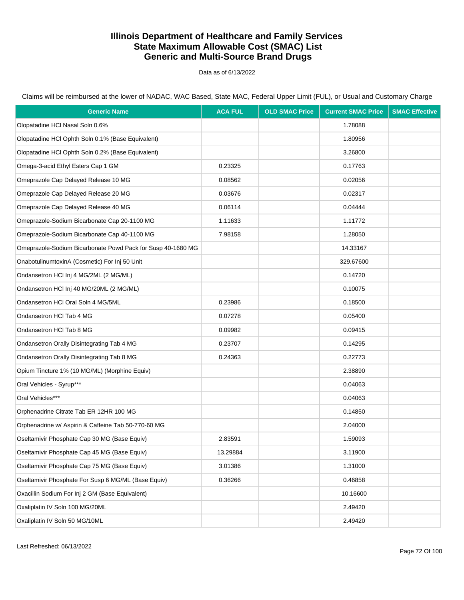Data as of 6/13/2022

Claims will be reimbursed at the lower of NADAC, WAC Based, State MAC, Federal Upper Limit (FUL), or Usual and Customary Charge

| <b>Generic Name</b>                                         | <b>ACA FUL</b> | <b>OLD SMAC Price</b> | <b>Current SMAC Price</b> | <b>SMAC Effective</b> |
|-------------------------------------------------------------|----------------|-----------------------|---------------------------|-----------------------|
| Olopatadine HCl Nasal Soln 0.6%                             |                |                       | 1.78088                   |                       |
| Olopatadine HCl Ophth Soln 0.1% (Base Equivalent)           |                |                       | 1.80956                   |                       |
| Olopatadine HCl Ophth Soln 0.2% (Base Equivalent)           |                |                       | 3.26800                   |                       |
| Omega-3-acid Ethyl Esters Cap 1 GM                          | 0.23325        |                       | 0.17763                   |                       |
| Omeprazole Cap Delayed Release 10 MG                        | 0.08562        |                       | 0.02056                   |                       |
| Omeprazole Cap Delayed Release 20 MG                        | 0.03676        |                       | 0.02317                   |                       |
| Omeprazole Cap Delayed Release 40 MG                        | 0.06114        |                       | 0.04444                   |                       |
| Omeprazole-Sodium Bicarbonate Cap 20-1100 MG                | 1.11633        |                       | 1.11772                   |                       |
| Omeprazole-Sodium Bicarbonate Cap 40-1100 MG                | 7.98158        |                       | 1.28050                   |                       |
| Omeprazole-Sodium Bicarbonate Powd Pack for Susp 40-1680 MG |                |                       | 14.33167                  |                       |
| OnabotulinumtoxinA (Cosmetic) For Inj 50 Unit               |                |                       | 329.67600                 |                       |
| Ondansetron HCI Inj 4 MG/2ML (2 MG/ML)                      |                |                       | 0.14720                   |                       |
| Ondansetron HCI Inj 40 MG/20ML (2 MG/ML)                    |                |                       | 0.10075                   |                       |
| Ondansetron HCI Oral Soln 4 MG/5ML                          | 0.23986        |                       | 0.18500                   |                       |
| Ondansetron HCI Tab 4 MG                                    | 0.07278        |                       | 0.05400                   |                       |
| Ondansetron HCI Tab 8 MG                                    | 0.09982        |                       | 0.09415                   |                       |
| Ondansetron Orally Disintegrating Tab 4 MG                  | 0.23707        |                       | 0.14295                   |                       |
| Ondansetron Orally Disintegrating Tab 8 MG                  | 0.24363        |                       | 0.22773                   |                       |
| Opium Tincture 1% (10 MG/ML) (Morphine Equiv)               |                |                       | 2.38890                   |                       |
| Oral Vehicles - Syrup***                                    |                |                       | 0.04063                   |                       |
| Oral Vehicles***                                            |                |                       | 0.04063                   |                       |
| Orphenadrine Citrate Tab ER 12HR 100 MG                     |                |                       | 0.14850                   |                       |
| Orphenadrine w/ Aspirin & Caffeine Tab 50-770-60 MG         |                |                       | 2.04000                   |                       |
| Oseltamivir Phosphate Cap 30 MG (Base Equiv)                | 2.83591        |                       | 1.59093                   |                       |
| Oseltamivir Phosphate Cap 45 MG (Base Equiv)                | 13.29884       |                       | 3.11900                   |                       |
| Oseltamivir Phosphate Cap 75 MG (Base Equiv)                | 3.01386        |                       | 1.31000                   |                       |
| Oseltamivir Phosphate For Susp 6 MG/ML (Base Equiv)         | 0.36266        |                       | 0.46858                   |                       |
| Oxacillin Sodium For Inj 2 GM (Base Equivalent)             |                |                       | 10.16600                  |                       |
| Oxaliplatin IV Soln 100 MG/20ML                             |                |                       | 2.49420                   |                       |
| Oxaliplatin IV Soln 50 MG/10ML                              |                |                       | 2.49420                   |                       |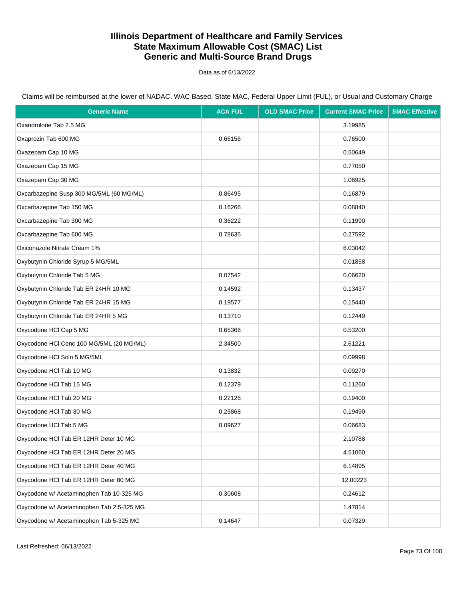Data as of 6/13/2022

| <b>Generic Name</b>                       | <b>ACA FUL</b> | <b>OLD SMAC Price</b> | <b>Current SMAC Price</b> | <b>SMAC Effective</b> |
|-------------------------------------------|----------------|-----------------------|---------------------------|-----------------------|
| Oxandrolone Tab 2.5 MG                    |                |                       | 3.19985                   |                       |
| Oxaprozin Tab 600 MG                      | 0.66156        |                       | 0.76500                   |                       |
| Oxazepam Cap 10 MG                        |                |                       | 0.50649                   |                       |
| Oxazepam Cap 15 MG                        |                |                       | 0.77050                   |                       |
| Oxazepam Cap 30 MG                        |                |                       | 1.06925                   |                       |
| Oxcarbazepine Susp 300 MG/5ML (60 MG/ML)  | 0.86495        |                       | 0.16879                   |                       |
| Oxcarbazepine Tab 150 MG                  | 0.16266        |                       | 0.08840                   |                       |
| Oxcarbazepine Tab 300 MG                  | 0.36222        |                       | 0.11990                   |                       |
| Oxcarbazepine Tab 600 MG                  | 0.78635        |                       | 0.27592                   |                       |
| Oxiconazole Nitrate Cream 1%              |                |                       | 6.03042                   |                       |
| Oxybutynin Chloride Syrup 5 MG/5ML        |                |                       | 0.01858                   |                       |
| Oxybutynin Chloride Tab 5 MG              | 0.07542        |                       | 0.06620                   |                       |
| Oxybutynin Chloride Tab ER 24HR 10 MG     | 0.14592        |                       | 0.13437                   |                       |
| Oxybutynin Chloride Tab ER 24HR 15 MG     | 0.19577        |                       | 0.15440                   |                       |
| Oxybutynin Chloride Tab ER 24HR 5 MG      | 0.13710        |                       | 0.12449                   |                       |
| Oxycodone HCl Cap 5 MG                    | 0.65366        |                       | 0.53200                   |                       |
| Oxycodone HCl Conc 100 MG/5ML (20 MG/ML)  | 2.34500        |                       | 2.61221                   |                       |
| Oxycodone HCI Soln 5 MG/5ML               |                |                       | 0.09998                   |                       |
| Oxycodone HCI Tab 10 MG                   | 0.13832        |                       | 0.09270                   |                       |
| Oxycodone HCI Tab 15 MG                   | 0.12379        |                       | 0.11260                   |                       |
| Oxycodone HCl Tab 20 MG                   | 0.22126        |                       | 0.19400                   |                       |
| Oxycodone HCI Tab 30 MG                   | 0.25868        |                       | 0.19490                   |                       |
| Oxycodone HCI Tab 5 MG                    | 0.09627        |                       | 0.06683                   |                       |
| Oxycodone HCI Tab ER 12HR Deter 10 MG     |                |                       | 2.10788                   |                       |
| Oxycodone HCl Tab ER 12HR Deter 20 MG     |                |                       | 4.51060                   |                       |
| Oxycodone HCl Tab ER 12HR Deter 40 MG     |                |                       | 6.14895                   |                       |
| Oxycodone HCl Tab ER 12HR Deter 80 MG     |                |                       | 12.00223                  |                       |
| Oxycodone w/ Acetaminophen Tab 10-325 MG  | 0.30608        |                       | 0.24612                   |                       |
| Oxycodone w/ Acetaminophen Tab 2.5-325 MG |                |                       | 1.47814                   |                       |
| Oxycodone w/ Acetaminophen Tab 5-325 MG   | 0.14647        |                       | 0.07329                   |                       |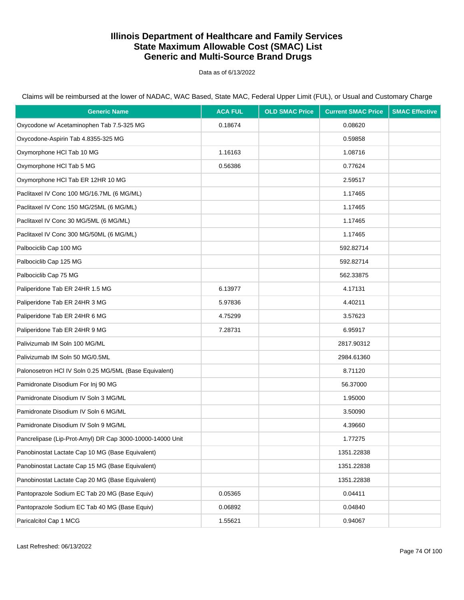Data as of 6/13/2022

| <b>Generic Name</b>                                       | <b>ACA FUL</b> | <b>OLD SMAC Price</b> | <b>Current SMAC Price</b> | <b>SMAC Effective</b> |
|-----------------------------------------------------------|----------------|-----------------------|---------------------------|-----------------------|
| Oxycodone w/ Acetaminophen Tab 7.5-325 MG                 | 0.18674        |                       | 0.08620                   |                       |
| Oxycodone-Aspirin Tab 4.8355-325 MG                       |                |                       | 0.59858                   |                       |
| Oxymorphone HCI Tab 10 MG                                 | 1.16163        |                       | 1.08716                   |                       |
| Oxymorphone HCI Tab 5 MG                                  | 0.56386        |                       | 0.77624                   |                       |
| Oxymorphone HCI Tab ER 12HR 10 MG                         |                |                       | 2.59517                   |                       |
| Paclitaxel IV Conc 100 MG/16.7ML (6 MG/ML)                |                |                       | 1.17465                   |                       |
| Paclitaxel IV Conc 150 MG/25ML (6 MG/ML)                  |                |                       | 1.17465                   |                       |
| Paclitaxel IV Conc 30 MG/5ML (6 MG/ML)                    |                |                       | 1.17465                   |                       |
| Paclitaxel IV Conc 300 MG/50ML (6 MG/ML)                  |                |                       | 1.17465                   |                       |
| Palbociclib Cap 100 MG                                    |                |                       | 592.82714                 |                       |
| Palbociclib Cap 125 MG                                    |                |                       | 592.82714                 |                       |
| Palbociclib Cap 75 MG                                     |                |                       | 562.33875                 |                       |
| Paliperidone Tab ER 24HR 1.5 MG                           | 6.13977        |                       | 4.17131                   |                       |
| Paliperidone Tab ER 24HR 3 MG                             | 5.97836        |                       | 4.40211                   |                       |
| Paliperidone Tab ER 24HR 6 MG                             | 4.75299        |                       | 3.57623                   |                       |
| Paliperidone Tab ER 24HR 9 MG                             | 7.28731        |                       | 6.95917                   |                       |
| Palivizumab IM Soln 100 MG/ML                             |                |                       | 2817.90312                |                       |
| Palivizumab IM Soln 50 MG/0.5ML                           |                |                       | 2984.61360                |                       |
| Palonosetron HCI IV Soln 0.25 MG/5ML (Base Equivalent)    |                |                       | 8.71120                   |                       |
| Pamidronate Disodium For Inj 90 MG                        |                |                       | 56.37000                  |                       |
| Pamidronate Disodium IV Soln 3 MG/ML                      |                |                       | 1.95000                   |                       |
| Pamidronate Disodium IV Soln 6 MG/ML                      |                |                       | 3.50090                   |                       |
| Pamidronate Disodium IV Soln 9 MG/ML                      |                |                       | 4.39660                   |                       |
| Pancrelipase (Lip-Prot-Amyl) DR Cap 3000-10000-14000 Unit |                |                       | 1.77275                   |                       |
| Panobinostat Lactate Cap 10 MG (Base Equivalent)          |                |                       | 1351.22838                |                       |
| Panobinostat Lactate Cap 15 MG (Base Equivalent)          |                |                       | 1351.22838                |                       |
| Panobinostat Lactate Cap 20 MG (Base Equivalent)          |                |                       | 1351.22838                |                       |
| Pantoprazole Sodium EC Tab 20 MG (Base Equiv)             | 0.05365        |                       | 0.04411                   |                       |
| Pantoprazole Sodium EC Tab 40 MG (Base Equiv)             | 0.06892        |                       | 0.04840                   |                       |
| Paricalcitol Cap 1 MCG                                    | 1.55621        |                       | 0.94067                   |                       |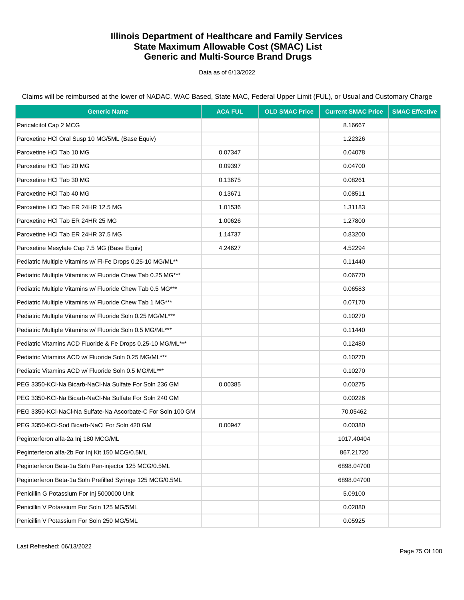Data as of 6/13/2022

Claims will be reimbursed at the lower of NADAC, WAC Based, State MAC, Federal Upper Limit (FUL), or Usual and Customary Charge

| <b>Generic Name</b>                                         | <b>ACA FUL</b> | <b>OLD SMAC Price</b> | <b>Current SMAC Price</b> | <b>SMAC Effective</b> |
|-------------------------------------------------------------|----------------|-----------------------|---------------------------|-----------------------|
| Paricalcitol Cap 2 MCG                                      |                |                       | 8.16667                   |                       |
| Paroxetine HCI Oral Susp 10 MG/5ML (Base Equiv)             |                |                       | 1.22326                   |                       |
| Paroxetine HCI Tab 10 MG                                    | 0.07347        |                       | 0.04078                   |                       |
| Paroxetine HCI Tab 20 MG                                    | 0.09397        |                       | 0.04700                   |                       |
| Paroxetine HCI Tab 30 MG                                    | 0.13675        |                       | 0.08261                   |                       |
| Paroxetine HCI Tab 40 MG                                    | 0.13671        |                       | 0.08511                   |                       |
| Paroxetine HCI Tab ER 24HR 12.5 MG                          | 1.01536        |                       | 1.31183                   |                       |
| Paroxetine HCI Tab ER 24HR 25 MG                            | 1.00626        |                       | 1.27800                   |                       |
| Paroxetine HCI Tab ER 24HR 37.5 MG                          | 1.14737        |                       | 0.83200                   |                       |
| Paroxetine Mesylate Cap 7.5 MG (Base Equiv)                 | 4.24627        |                       | 4.52294                   |                       |
| Pediatric Multiple Vitamins w/ FI-Fe Drops 0.25-10 MG/ML**  |                |                       | 0.11440                   |                       |
| Pediatric Multiple Vitamins w/ Fluoride Chew Tab 0.25 MG*** |                |                       | 0.06770                   |                       |
| Pediatric Multiple Vitamins w/ Fluoride Chew Tab 0.5 MG***  |                |                       | 0.06583                   |                       |
| Pediatric Multiple Vitamins w/ Fluoride Chew Tab 1 MG***    |                |                       | 0.07170                   |                       |
| Pediatric Multiple Vitamins w/ Fluoride Soln 0.25 MG/ML***  |                |                       | 0.10270                   |                       |
| Pediatric Multiple Vitamins w/ Fluoride Soln 0.5 MG/ML***   |                |                       | 0.11440                   |                       |
| Pediatric Vitamins ACD Fluoride & Fe Drops 0.25-10 MG/ML*** |                |                       | 0.12480                   |                       |
| Pediatric Vitamins ACD w/ Fluoride Soln 0.25 MG/ML***       |                |                       | 0.10270                   |                       |
| Pediatric Vitamins ACD w/ Fluoride Soln 0.5 MG/ML***        |                |                       | 0.10270                   |                       |
| PEG 3350-KCI-Na Bicarb-NaCI-Na Sulfate For Soln 236 GM      | 0.00385        |                       | 0.00275                   |                       |
| PEG 3350-KCI-Na Bicarb-NaCI-Na Sulfate For Soln 240 GM      |                |                       | 0.00226                   |                       |
| PEG 3350-KCI-NaCI-Na Sulfate-Na Ascorbate-C For Soln 100 GM |                |                       | 70.05462                  |                       |
| PEG 3350-KCI-Sod Bicarb-NaCl For Soln 420 GM                | 0.00947        |                       | 0.00380                   |                       |
| Peginterferon alfa-2a Inj 180 MCG/ML                        |                |                       | 1017.40404                |                       |
| Peginterferon alfa-2b For Inj Kit 150 MCG/0.5ML             |                |                       | 867.21720                 |                       |
| Peginterferon Beta-1a Soln Pen-injector 125 MCG/0.5ML       |                |                       | 6898.04700                |                       |
| Peginterferon Beta-1a Soln Prefilled Syringe 125 MCG/0.5ML  |                |                       | 6898.04700                |                       |
| Penicillin G Potassium For Inj 5000000 Unit                 |                |                       | 5.09100                   |                       |
| Penicillin V Potassium For Soln 125 MG/5ML                  |                |                       | 0.02880                   |                       |
| Penicillin V Potassium For Soln 250 MG/5ML                  |                |                       | 0.05925                   |                       |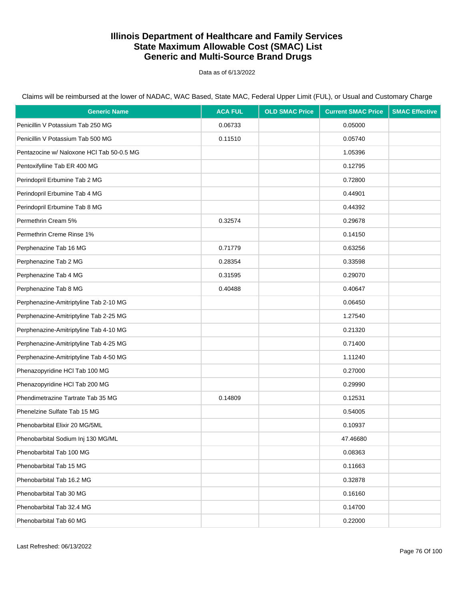Data as of 6/13/2022

| <b>Generic Name</b>                       | <b>ACA FUL</b> | <b>OLD SMAC Price</b> | <b>Current SMAC Price</b> | <b>SMAC Effective</b> |
|-------------------------------------------|----------------|-----------------------|---------------------------|-----------------------|
| Penicillin V Potassium Tab 250 MG         | 0.06733        |                       | 0.05000                   |                       |
| Penicillin V Potassium Tab 500 MG         | 0.11510        |                       | 0.05740                   |                       |
| Pentazocine w/ Naloxone HCI Tab 50-0.5 MG |                |                       | 1.05396                   |                       |
| Pentoxifylline Tab ER 400 MG              |                |                       | 0.12795                   |                       |
| Perindopril Erbumine Tab 2 MG             |                |                       | 0.72800                   |                       |
| Perindopril Erbumine Tab 4 MG             |                |                       | 0.44901                   |                       |
| Perindopril Erbumine Tab 8 MG             |                |                       | 0.44392                   |                       |
| Permethrin Cream 5%                       | 0.32574        |                       | 0.29678                   |                       |
| Permethrin Creme Rinse 1%                 |                |                       | 0.14150                   |                       |
| Perphenazine Tab 16 MG                    | 0.71779        |                       | 0.63256                   |                       |
| Perphenazine Tab 2 MG                     | 0.28354        |                       | 0.33598                   |                       |
| Perphenazine Tab 4 MG                     | 0.31595        |                       | 0.29070                   |                       |
| Perphenazine Tab 8 MG                     | 0.40488        |                       | 0.40647                   |                       |
| Perphenazine-Amitriptyline Tab 2-10 MG    |                |                       | 0.06450                   |                       |
| Perphenazine-Amitriptyline Tab 2-25 MG    |                |                       | 1.27540                   |                       |
| Perphenazine-Amitriptyline Tab 4-10 MG    |                |                       | 0.21320                   |                       |
| Perphenazine-Amitriptyline Tab 4-25 MG    |                |                       | 0.71400                   |                       |
| Perphenazine-Amitriptyline Tab 4-50 MG    |                |                       | 1.11240                   |                       |
| Phenazopyridine HCl Tab 100 MG            |                |                       | 0.27000                   |                       |
| Phenazopyridine HCl Tab 200 MG            |                |                       | 0.29990                   |                       |
| Phendimetrazine Tartrate Tab 35 MG        | 0.14809        |                       | 0.12531                   |                       |
| Phenelzine Sulfate Tab 15 MG              |                |                       | 0.54005                   |                       |
| Phenobarbital Elixir 20 MG/5ML            |                |                       | 0.10937                   |                       |
| Phenobarbital Sodium Inj 130 MG/ML        |                |                       | 47.46680                  |                       |
| Phenobarbital Tab 100 MG                  |                |                       | 0.08363                   |                       |
| Phenobarbital Tab 15 MG                   |                |                       | 0.11663                   |                       |
| Phenobarbital Tab 16.2 MG                 |                |                       | 0.32878                   |                       |
| Phenobarbital Tab 30 MG                   |                |                       | 0.16160                   |                       |
| Phenobarbital Tab 32.4 MG                 |                |                       | 0.14700                   |                       |
| Phenobarbital Tab 60 MG                   |                |                       | 0.22000                   |                       |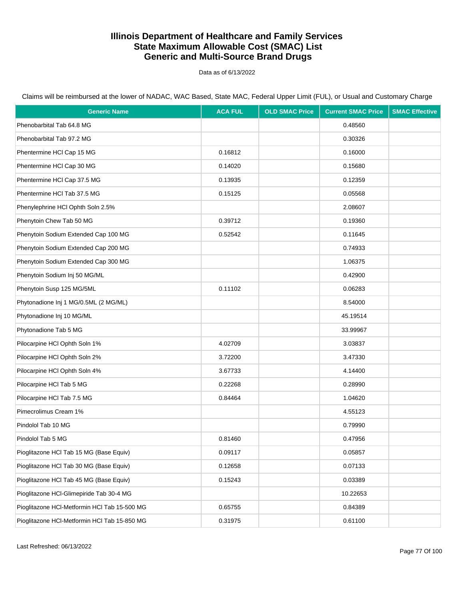Data as of 6/13/2022

Claims will be reimbursed at the lower of NADAC, WAC Based, State MAC, Federal Upper Limit (FUL), or Usual and Customary Charge

| <b>Generic Name</b>                          | <b>ACA FUL</b> | <b>OLD SMAC Price</b> | <b>Current SMAC Price</b> | <b>SMAC Effective</b> |
|----------------------------------------------|----------------|-----------------------|---------------------------|-----------------------|
| Phenobarbital Tab 64.8 MG                    |                |                       | 0.48560                   |                       |
| Phenobarbital Tab 97.2 MG                    |                |                       | 0.30326                   |                       |
| Phentermine HCl Cap 15 MG                    | 0.16812        |                       | 0.16000                   |                       |
| Phentermine HCl Cap 30 MG                    | 0.14020        |                       | 0.15680                   |                       |
| Phentermine HCl Cap 37.5 MG                  | 0.13935        |                       | 0.12359                   |                       |
| Phentermine HCl Tab 37.5 MG                  | 0.15125        |                       | 0.05568                   |                       |
| Phenylephrine HCl Ophth Soln 2.5%            |                |                       | 2.08607                   |                       |
| Phenytoin Chew Tab 50 MG                     | 0.39712        |                       | 0.19360                   |                       |
| Phenytoin Sodium Extended Cap 100 MG         | 0.52542        |                       | 0.11645                   |                       |
| Phenytoin Sodium Extended Cap 200 MG         |                |                       | 0.74933                   |                       |
| Phenytoin Sodium Extended Cap 300 MG         |                |                       | 1.06375                   |                       |
| Phenytoin Sodium Inj 50 MG/ML                |                |                       | 0.42900                   |                       |
| Phenytoin Susp 125 MG/5ML                    | 0.11102        |                       | 0.06283                   |                       |
| Phytonadione Inj 1 MG/0.5ML (2 MG/ML)        |                |                       | 8.54000                   |                       |
| Phytonadione Inj 10 MG/ML                    |                |                       | 45.19514                  |                       |
| Phytonadione Tab 5 MG                        |                |                       | 33.99967                  |                       |
| Pilocarpine HCI Ophth Soln 1%                | 4.02709        |                       | 3.03837                   |                       |
| Pilocarpine HCI Ophth Soln 2%                | 3.72200        |                       | 3.47330                   |                       |
| Pilocarpine HCI Ophth Soln 4%                | 3.67733        |                       | 4.14400                   |                       |
| Pilocarpine HCI Tab 5 MG                     | 0.22268        |                       | 0.28990                   |                       |
| Pilocarpine HCI Tab 7.5 MG                   | 0.84464        |                       | 1.04620                   |                       |
| Pimecrolimus Cream 1%                        |                |                       | 4.55123                   |                       |
| Pindolol Tab 10 MG                           |                |                       | 0.79990                   |                       |
| Pindolol Tab 5 MG                            | 0.81460        |                       | 0.47956                   |                       |
| Pioglitazone HCl Tab 15 MG (Base Equiv)      | 0.09117        |                       | 0.05857                   |                       |
| Pioglitazone HCl Tab 30 MG (Base Equiv)      | 0.12658        |                       | 0.07133                   |                       |
| Pioglitazone HCl Tab 45 MG (Base Equiv)      | 0.15243        |                       | 0.03389                   |                       |
| Pioglitazone HCl-Glimepiride Tab 30-4 MG     |                |                       | 10.22653                  |                       |
| Pioglitazone HCl-Metformin HCl Tab 15-500 MG | 0.65755        |                       | 0.84389                   |                       |
| Pioglitazone HCl-Metformin HCl Tab 15-850 MG | 0.31975        |                       | 0.61100                   |                       |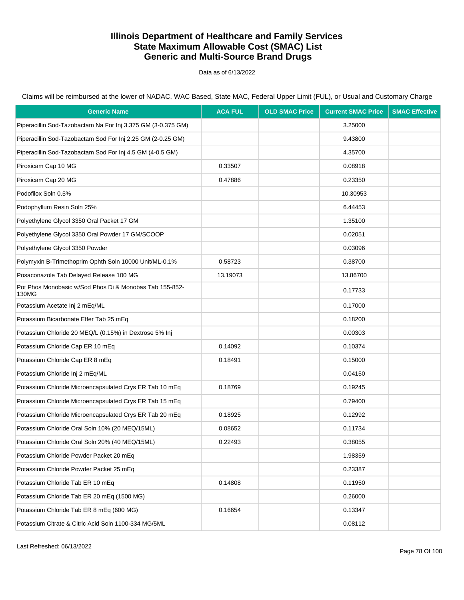Data as of 6/13/2022

Claims will be reimbursed at the lower of NADAC, WAC Based, State MAC, Federal Upper Limit (FUL), or Usual and Customary Charge

| <b>Generic Name</b>                                              | <b>ACA FUL</b> | <b>OLD SMAC Price</b> | <b>Current SMAC Price</b> | <b>SMAC Effective</b> |
|------------------------------------------------------------------|----------------|-----------------------|---------------------------|-----------------------|
| Piperacillin Sod-Tazobactam Na For Inj 3.375 GM (3-0.375 GM)     |                |                       | 3.25000                   |                       |
| Piperacillin Sod-Tazobactam Sod For Inj 2.25 GM (2-0.25 GM)      |                |                       | 9.43800                   |                       |
| Piperacillin Sod-Tazobactam Sod For Inj 4.5 GM (4-0.5 GM)        |                |                       | 4.35700                   |                       |
| Piroxicam Cap 10 MG                                              | 0.33507        |                       | 0.08918                   |                       |
| Piroxicam Cap 20 MG                                              | 0.47886        |                       | 0.23350                   |                       |
| Podofilox Soln 0.5%                                              |                |                       | 10.30953                  |                       |
| Podophyllum Resin Soln 25%                                       |                |                       | 6.44453                   |                       |
| Polyethylene Glycol 3350 Oral Packet 17 GM                       |                |                       | 1.35100                   |                       |
| Polyethylene Glycol 3350 Oral Powder 17 GM/SCOOP                 |                |                       | 0.02051                   |                       |
| Polyethylene Glycol 3350 Powder                                  |                |                       | 0.03096                   |                       |
| Polymyxin B-Trimethoprim Ophth Soln 10000 Unit/ML-0.1%           | 0.58723        |                       | 0.38700                   |                       |
| Posaconazole Tab Delayed Release 100 MG                          | 13.19073       |                       | 13.86700                  |                       |
| Pot Phos Monobasic w/Sod Phos Di & Monobas Tab 155-852-<br>130MG |                |                       | 0.17733                   |                       |
| Potassium Acetate Inj 2 mEq/ML                                   |                |                       | 0.17000                   |                       |
| Potassium Bicarbonate Effer Tab 25 mEq                           |                |                       | 0.18200                   |                       |
| Potassium Chloride 20 MEQ/L (0.15%) in Dextrose 5% Inj           |                |                       | 0.00303                   |                       |
| Potassium Chloride Cap ER 10 mEq                                 | 0.14092        |                       | 0.10374                   |                       |
| Potassium Chloride Cap ER 8 mEq                                  | 0.18491        |                       | 0.15000                   |                       |
| Potassium Chloride Inj 2 mEq/ML                                  |                |                       | 0.04150                   |                       |
| Potassium Chloride Microencapsulated Crys ER Tab 10 mEq          | 0.18769        |                       | 0.19245                   |                       |
| Potassium Chloride Microencapsulated Crys ER Tab 15 mEq          |                |                       | 0.79400                   |                       |
| Potassium Chloride Microencapsulated Crys ER Tab 20 mEq          | 0.18925        |                       | 0.12992                   |                       |
| Potassium Chloride Oral Soln 10% (20 MEQ/15ML)                   | 0.08652        |                       | 0.11734                   |                       |
| Potassium Chloride Oral Soln 20% (40 MEQ/15ML)                   | 0.22493        |                       | 0.38055                   |                       |
| Potassium Chloride Powder Packet 20 mEq                          |                |                       | 1.98359                   |                       |
| Potassium Chloride Powder Packet 25 mEq                          |                |                       | 0.23387                   |                       |
| Potassium Chloride Tab ER 10 mEq                                 | 0.14808        |                       | 0.11950                   |                       |
| Potassium Chloride Tab ER 20 mEq (1500 MG)                       |                |                       | 0.26000                   |                       |
| Potassium Chloride Tab ER 8 mEq (600 MG)                         | 0.16654        |                       | 0.13347                   |                       |
| Potassium Citrate & Citric Acid Soln 1100-334 MG/5ML             |                |                       | 0.08112                   |                       |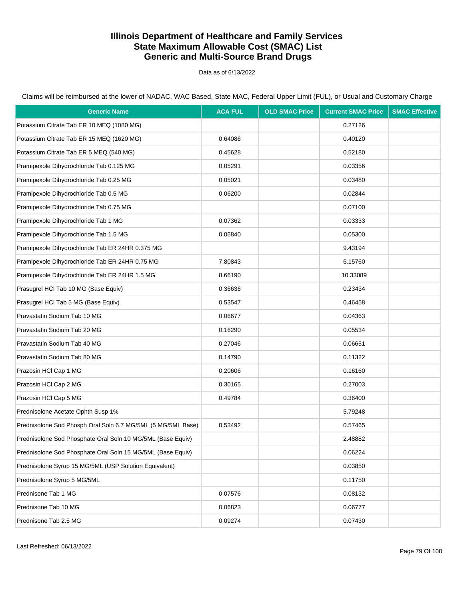Data as of 6/13/2022

Claims will be reimbursed at the lower of NADAC, WAC Based, State MAC, Federal Upper Limit (FUL), or Usual and Customary Charge

| <b>Generic Name</b>                                          | <b>ACA FUL</b> | <b>OLD SMAC Price</b> | <b>Current SMAC Price</b> | <b>SMAC Effective</b> |
|--------------------------------------------------------------|----------------|-----------------------|---------------------------|-----------------------|
| Potassium Citrate Tab ER 10 MEQ (1080 MG)                    |                |                       | 0.27126                   |                       |
| Potassium Citrate Tab ER 15 MEQ (1620 MG)                    | 0.64086        |                       | 0.40120                   |                       |
| Potassium Citrate Tab ER 5 MEQ (540 MG)                      | 0.45628        |                       | 0.52180                   |                       |
| Pramipexole Dihydrochloride Tab 0.125 MG                     | 0.05291        |                       | 0.03356                   |                       |
| Pramipexole Dihydrochloride Tab 0.25 MG                      | 0.05021        |                       | 0.03480                   |                       |
| Pramipexole Dihydrochloride Tab 0.5 MG                       | 0.06200        |                       | 0.02844                   |                       |
| Pramipexole Dihydrochloride Tab 0.75 MG                      |                |                       | 0.07100                   |                       |
| Pramipexole Dihydrochloride Tab 1 MG                         | 0.07362        |                       | 0.03333                   |                       |
| Pramipexole Dihydrochloride Tab 1.5 MG                       | 0.06840        |                       | 0.05300                   |                       |
| Pramipexole Dihydrochloride Tab ER 24HR 0.375 MG             |                |                       | 9.43194                   |                       |
| Pramipexole Dihydrochloride Tab ER 24HR 0.75 MG              | 7.80843        |                       | 6.15760                   |                       |
| Pramipexole Dihydrochloride Tab ER 24HR 1.5 MG               | 8.66190        |                       | 10.33089                  |                       |
| Prasugrel HCl Tab 10 MG (Base Equiv)                         | 0.36636        |                       | 0.23434                   |                       |
| Prasugrel HCl Tab 5 MG (Base Equiv)                          | 0.53547        |                       | 0.46458                   |                       |
| Pravastatin Sodium Tab 10 MG                                 | 0.06677        |                       | 0.04363                   |                       |
| Pravastatin Sodium Tab 20 MG                                 | 0.16290        |                       | 0.05534                   |                       |
| Pravastatin Sodium Tab 40 MG                                 | 0.27046        |                       | 0.06651                   |                       |
| Pravastatin Sodium Tab 80 MG                                 | 0.14790        |                       | 0.11322                   |                       |
| Prazosin HCI Cap 1 MG                                        | 0.20606        |                       | 0.16160                   |                       |
| Prazosin HCI Cap 2 MG                                        | 0.30165        |                       | 0.27003                   |                       |
| Prazosin HCI Cap 5 MG                                        | 0.49784        |                       | 0.36400                   |                       |
| Prednisolone Acetate Ophth Susp 1%                           |                |                       | 5.79248                   |                       |
| Prednisolone Sod Phosph Oral Soln 6.7 MG/5ML (5 MG/5ML Base) | 0.53492        |                       | 0.57465                   |                       |
| Prednisolone Sod Phosphate Oral Soln 10 MG/5ML (Base Equiv)  |                |                       | 2.48882                   |                       |
| Prednisolone Sod Phosphate Oral Soln 15 MG/5ML (Base Equiv)  |                |                       | 0.06224                   |                       |
| Prednisolone Syrup 15 MG/5ML (USP Solution Equivalent)       |                |                       | 0.03850                   |                       |
| Prednisolone Syrup 5 MG/5ML                                  |                |                       | 0.11750                   |                       |
| Prednisone Tab 1 MG                                          | 0.07576        |                       | 0.08132                   |                       |
| Prednisone Tab 10 MG                                         | 0.06823        |                       | 0.06777                   |                       |
| Prednisone Tab 2.5 MG                                        | 0.09274        |                       | 0.07430                   |                       |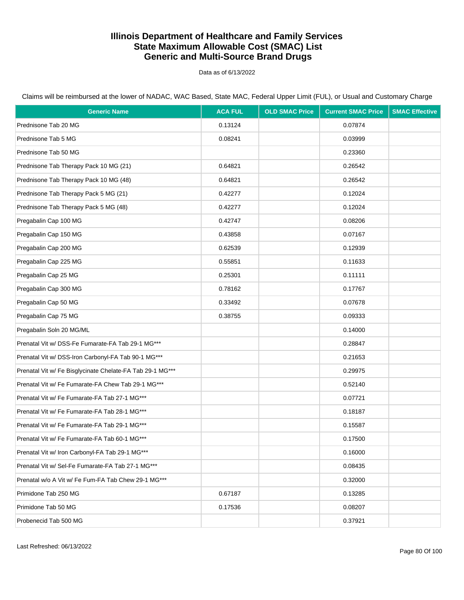Data as of 6/13/2022

| <b>Generic Name</b>                                       | <b>ACA FUL</b> | <b>OLD SMAC Price</b> | <b>Current SMAC Price</b> | <b>SMAC Effective</b> |
|-----------------------------------------------------------|----------------|-----------------------|---------------------------|-----------------------|
| Prednisone Tab 20 MG                                      | 0.13124        |                       | 0.07874                   |                       |
| Prednisone Tab 5 MG                                       | 0.08241        |                       | 0.03999                   |                       |
| Prednisone Tab 50 MG                                      |                |                       | 0.23360                   |                       |
| Prednisone Tab Therapy Pack 10 MG (21)                    | 0.64821        |                       | 0.26542                   |                       |
| Prednisone Tab Therapy Pack 10 MG (48)                    | 0.64821        |                       | 0.26542                   |                       |
| Prednisone Tab Therapy Pack 5 MG (21)                     | 0.42277        |                       | 0.12024                   |                       |
| Prednisone Tab Therapy Pack 5 MG (48)                     | 0.42277        |                       | 0.12024                   |                       |
| Pregabalin Cap 100 MG                                     | 0.42747        |                       | 0.08206                   |                       |
| Pregabalin Cap 150 MG                                     | 0.43858        |                       | 0.07167                   |                       |
| Pregabalin Cap 200 MG                                     | 0.62539        |                       | 0.12939                   |                       |
| Pregabalin Cap 225 MG                                     | 0.55851        |                       | 0.11633                   |                       |
| Pregabalin Cap 25 MG                                      | 0.25301        |                       | 0.11111                   |                       |
| Pregabalin Cap 300 MG                                     | 0.78162        |                       | 0.17767                   |                       |
| Pregabalin Cap 50 MG                                      | 0.33492        |                       | 0.07678                   |                       |
| Pregabalin Cap 75 MG                                      | 0.38755        |                       | 0.09333                   |                       |
| Pregabalin Soln 20 MG/ML                                  |                |                       | 0.14000                   |                       |
| Prenatal Vit w/ DSS-Fe Fumarate-FA Tab 29-1 MG***         |                |                       | 0.28847                   |                       |
| Prenatal Vit w/ DSS-Iron Carbonyl-FA Tab 90-1 MG***       |                |                       | 0.21653                   |                       |
| Prenatal Vit w/ Fe Bisglycinate Chelate-FA Tab 29-1 MG*** |                |                       | 0.29975                   |                       |
| Prenatal Vit w/ Fe Fumarate-FA Chew Tab 29-1 MG***        |                |                       | 0.52140                   |                       |
| Prenatal Vit w/ Fe Fumarate-FA Tab 27-1 MG***             |                |                       | 0.07721                   |                       |
| Prenatal Vit w/ Fe Fumarate-FA Tab 28-1 MG***             |                |                       | 0.18187                   |                       |
| Prenatal Vit w/ Fe Fumarate-FA Tab 29-1 MG***             |                |                       | 0.15587                   |                       |
| Prenatal Vit w/ Fe Fumarate-FA Tab 60-1 MG***             |                |                       | 0.17500                   |                       |
| Prenatal Vit w/ Iron Carbonyl-FA Tab 29-1 MG***           |                |                       | 0.16000                   |                       |
| Prenatal Vit w/ Sel-Fe Fumarate-FA Tab 27-1 MG***         |                |                       | 0.08435                   |                       |
| Prenatal w/o A Vit w/ Fe Fum-FA Tab Chew 29-1 MG***       |                |                       | 0.32000                   |                       |
| Primidone Tab 250 MG                                      | 0.67187        |                       | 0.13285                   |                       |
| Primidone Tab 50 MG                                       | 0.17536        |                       | 0.08207                   |                       |
| Probenecid Tab 500 MG                                     |                |                       | 0.37921                   |                       |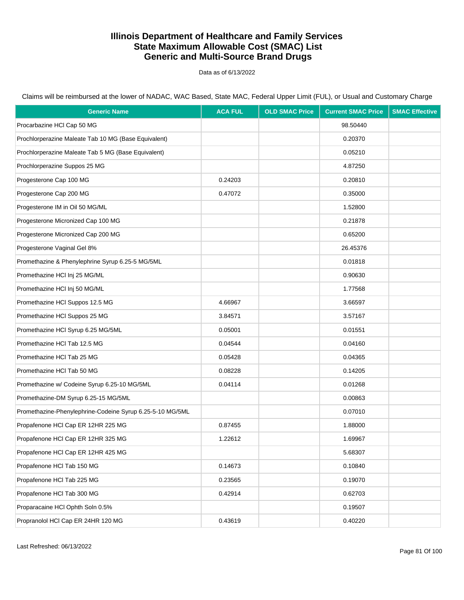Data as of 6/13/2022

Claims will be reimbursed at the lower of NADAC, WAC Based, State MAC, Federal Upper Limit (FUL), or Usual and Customary Charge

| <b>Generic Name</b>                                       | <b>ACA FUL</b> | <b>OLD SMAC Price</b> | <b>Current SMAC Price</b> | <b>SMAC Effective</b> |
|-----------------------------------------------------------|----------------|-----------------------|---------------------------|-----------------------|
| Procarbazine HCl Cap 50 MG                                |                |                       | 98.50440                  |                       |
| Prochlorperazine Maleate Tab 10 MG (Base Equivalent)      |                |                       | 0.20370                   |                       |
| Prochlorperazine Maleate Tab 5 MG (Base Equivalent)       |                |                       | 0.05210                   |                       |
| Prochlorperazine Suppos 25 MG                             |                |                       | 4.87250                   |                       |
| Progesterone Cap 100 MG                                   | 0.24203        |                       | 0.20810                   |                       |
| Progesterone Cap 200 MG                                   | 0.47072        |                       | 0.35000                   |                       |
| Progesterone IM in Oil 50 MG/ML                           |                |                       | 1.52800                   |                       |
| Progesterone Micronized Cap 100 MG                        |                |                       | 0.21878                   |                       |
| Progesterone Micronized Cap 200 MG                        |                |                       | 0.65200                   |                       |
| Progesterone Vaginal Gel 8%                               |                |                       | 26.45376                  |                       |
| Promethazine & Phenylephrine Syrup 6.25-5 MG/5ML          |                |                       | 0.01818                   |                       |
| Promethazine HCl Inj 25 MG/ML                             |                |                       | 0.90630                   |                       |
| Promethazine HCl Inj 50 MG/ML                             |                |                       | 1.77568                   |                       |
| Promethazine HCl Suppos 12.5 MG                           | 4.66967        |                       | 3.66597                   |                       |
| Promethazine HCI Suppos 25 MG                             | 3.84571        |                       | 3.57167                   |                       |
| Promethazine HCl Syrup 6.25 MG/5ML                        | 0.05001        |                       | 0.01551                   |                       |
| Promethazine HCl Tab 12.5 MG                              | 0.04544        |                       | 0.04160                   |                       |
| Promethazine HCI Tab 25 MG                                | 0.05428        |                       | 0.04365                   |                       |
| Promethazine HCI Tab 50 MG                                | 0.08228        |                       | 0.14205                   |                       |
| Promethazine w/ Codeine Syrup 6.25-10 MG/5ML              | 0.04114        |                       | 0.01268                   |                       |
| Promethazine-DM Syrup 6.25-15 MG/5ML                      |                |                       | 0.00863                   |                       |
| Promethazine-Phenylephrine-Codeine Syrup 6.25-5-10 MG/5ML |                |                       | 0.07010                   |                       |
| Propafenone HCI Cap ER 12HR 225 MG                        | 0.87455        |                       | 1.88000                   |                       |
| Propafenone HCI Cap ER 12HR 325 MG                        | 1.22612        |                       | 1.69967                   |                       |
| Propafenone HCI Cap ER 12HR 425 MG                        |                |                       | 5.68307                   |                       |
| Propafenone HCI Tab 150 MG                                | 0.14673        |                       | 0.10840                   |                       |
| Propafenone HCI Tab 225 MG                                | 0.23565        |                       | 0.19070                   |                       |
| Propafenone HCI Tab 300 MG                                | 0.42914        |                       | 0.62703                   |                       |
| Proparacaine HCl Ophth Soln 0.5%                          |                |                       | 0.19507                   |                       |
| Propranolol HCl Cap ER 24HR 120 MG                        | 0.43619        |                       | 0.40220                   |                       |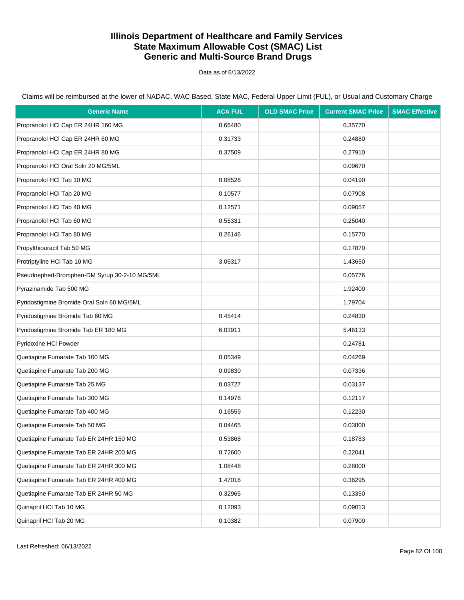Data as of 6/13/2022

| <b>Generic Name</b>                          | <b>ACA FUL</b> | <b>OLD SMAC Price</b> | <b>Current SMAC Price</b> | <b>SMAC Effective</b> |
|----------------------------------------------|----------------|-----------------------|---------------------------|-----------------------|
| Propranolol HCl Cap ER 24HR 160 MG           | 0.66480        |                       | 0.35770                   |                       |
| Propranolol HCI Cap ER 24HR 60 MG            | 0.31733        |                       | 0.24880                   |                       |
| Propranolol HCI Cap ER 24HR 80 MG            | 0.37509        |                       | 0.27910                   |                       |
| Propranolol HCI Oral Soln 20 MG/5ML          |                |                       | 0.09670                   |                       |
| Propranolol HCI Tab 10 MG                    | 0.08526        |                       | 0.04190                   |                       |
| Propranolol HCl Tab 20 MG                    | 0.10577        |                       | 0.07908                   |                       |
| Propranolol HCl Tab 40 MG                    | 0.12571        |                       | 0.09057                   |                       |
| Propranolol HCl Tab 60 MG                    | 0.55331        |                       | 0.25040                   |                       |
| Propranolol HCl Tab 80 MG                    | 0.26146        |                       | 0.15770                   |                       |
| Propylthiouracil Tab 50 MG                   |                |                       | 0.17870                   |                       |
| Protriptyline HCl Tab 10 MG                  | 3.06317        |                       | 1.43650                   |                       |
| Pseudoephed-Bromphen-DM Syrup 30-2-10 MG/5ML |                |                       | 0.05776                   |                       |
| Pyrazinamide Tab 500 MG                      |                |                       | 1.92400                   |                       |
| Pyridostigmine Bromide Oral Soln 60 MG/5ML   |                |                       | 1.79704                   |                       |
| Pyridostigmine Bromide Tab 60 MG             | 0.45414        |                       | 0.24830                   |                       |
| Pyridostigmine Bromide Tab ER 180 MG         | 6.03911        |                       | 5.46133                   |                       |
| Pyridoxine HCI Powder                        |                |                       | 0.24781                   |                       |
| Quetiapine Fumarate Tab 100 MG               | 0.05349        |                       | 0.04269                   |                       |
| Quetiapine Fumarate Tab 200 MG               | 0.09830        |                       | 0.07336                   |                       |
| Quetiapine Fumarate Tab 25 MG                | 0.03727        |                       | 0.03137                   |                       |
| Quetiapine Fumarate Tab 300 MG               | 0.14976        |                       | 0.12117                   |                       |
| Quetiapine Fumarate Tab 400 MG               | 0.16559        |                       | 0.12230                   |                       |
| Quetiapine Fumarate Tab 50 MG                | 0.04465        |                       | 0.03800                   |                       |
| Quetiapine Fumarate Tab ER 24HR 150 MG       | 0.53868        |                       | 0.18783                   |                       |
| Quetiapine Fumarate Tab ER 24HR 200 MG       | 0.72600        |                       | 0.22041                   |                       |
| Quetiapine Fumarate Tab ER 24HR 300 MG       | 1.08448        |                       | 0.28000                   |                       |
| Quetiapine Fumarate Tab ER 24HR 400 MG       | 1.47016        |                       | 0.36295                   |                       |
| Quetiapine Fumarate Tab ER 24HR 50 MG        | 0.32965        |                       | 0.13350                   |                       |
| Quinapril HCI Tab 10 MG                      | 0.12093        |                       | 0.09013                   |                       |
| Quinapril HCl Tab 20 MG                      | 0.10382        |                       | 0.07900                   |                       |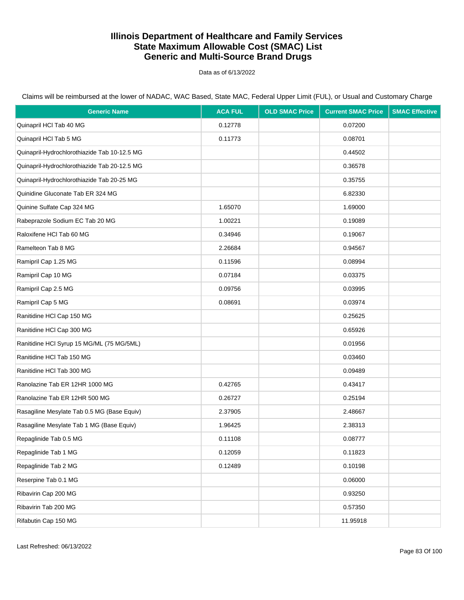Data as of 6/13/2022

| <b>Generic Name</b>                          | <b>ACA FUL</b> | <b>OLD SMAC Price</b> | <b>Current SMAC Price</b> | <b>SMAC Effective</b> |
|----------------------------------------------|----------------|-----------------------|---------------------------|-----------------------|
| Quinapril HCl Tab 40 MG                      | 0.12778        |                       | 0.07200                   |                       |
| Quinapril HCl Tab 5 MG                       | 0.11773        |                       | 0.08701                   |                       |
| Quinapril-Hydrochlorothiazide Tab 10-12.5 MG |                |                       | 0.44502                   |                       |
| Quinapril-Hydrochlorothiazide Tab 20-12.5 MG |                |                       | 0.36578                   |                       |
| Quinapril-Hydrochlorothiazide Tab 20-25 MG   |                |                       | 0.35755                   |                       |
| Quinidine Gluconate Tab ER 324 MG            |                |                       | 6.82330                   |                       |
| Quinine Sulfate Cap 324 MG                   | 1.65070        |                       | 1.69000                   |                       |
| Rabeprazole Sodium EC Tab 20 MG              | 1.00221        |                       | 0.19089                   |                       |
| Raloxifene HCl Tab 60 MG                     | 0.34946        |                       | 0.19067                   |                       |
| Ramelteon Tab 8 MG                           | 2.26684        |                       | 0.94567                   |                       |
| Ramipril Cap 1.25 MG                         | 0.11596        |                       | 0.08994                   |                       |
| Ramipril Cap 10 MG                           | 0.07184        |                       | 0.03375                   |                       |
| Ramipril Cap 2.5 MG                          | 0.09756        |                       | 0.03995                   |                       |
| Ramipril Cap 5 MG                            | 0.08691        |                       | 0.03974                   |                       |
| Ranitidine HCl Cap 150 MG                    |                |                       | 0.25625                   |                       |
| Ranitidine HCl Cap 300 MG                    |                |                       | 0.65926                   |                       |
| Ranitidine HCl Syrup 15 MG/ML (75 MG/5ML)    |                |                       | 0.01956                   |                       |
| Ranitidine HCl Tab 150 MG                    |                |                       | 0.03460                   |                       |
| Ranitidine HCl Tab 300 MG                    |                |                       | 0.09489                   |                       |
| Ranolazine Tab ER 12HR 1000 MG               | 0.42765        |                       | 0.43417                   |                       |
| Ranolazine Tab ER 12HR 500 MG                | 0.26727        |                       | 0.25194                   |                       |
| Rasagiline Mesylate Tab 0.5 MG (Base Equiv)  | 2.37905        |                       | 2.48667                   |                       |
| Rasagiline Mesylate Tab 1 MG (Base Equiv)    | 1.96425        |                       | 2.38313                   |                       |
| Repaglinide Tab 0.5 MG                       | 0.11108        |                       | 0.08777                   |                       |
| Repaglinide Tab 1 MG                         | 0.12059        |                       | 0.11823                   |                       |
| Repaglinide Tab 2 MG                         | 0.12489        |                       | 0.10198                   |                       |
| Reserpine Tab 0.1 MG                         |                |                       | 0.06000                   |                       |
| Ribavirin Cap 200 MG                         |                |                       | 0.93250                   |                       |
| Ribavirin Tab 200 MG                         |                |                       | 0.57350                   |                       |
| Rifabutin Cap 150 MG                         |                |                       | 11.95918                  |                       |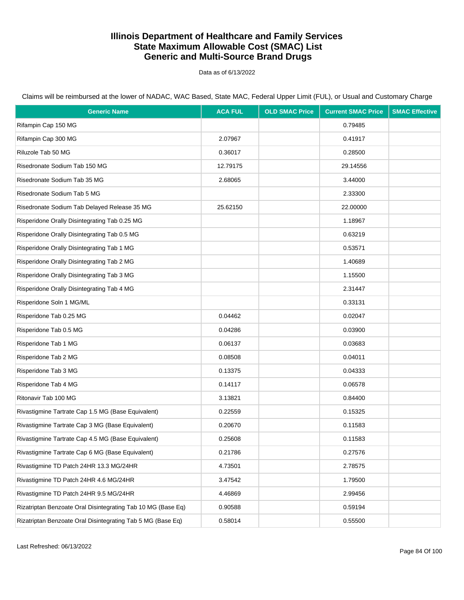Data as of 6/13/2022

Claims will be reimbursed at the lower of NADAC, WAC Based, State MAC, Federal Upper Limit (FUL), or Usual and Customary Charge

| <b>Generic Name</b>                                          | <b>ACA FUL</b> | <b>OLD SMAC Price</b> | <b>Current SMAC Price</b> | <b>SMAC Effective</b> |
|--------------------------------------------------------------|----------------|-----------------------|---------------------------|-----------------------|
| Rifampin Cap 150 MG                                          |                |                       | 0.79485                   |                       |
| Rifampin Cap 300 MG                                          | 2.07967        |                       | 0.41917                   |                       |
| Riluzole Tab 50 MG                                           | 0.36017        |                       | 0.28500                   |                       |
| Risedronate Sodium Tab 150 MG                                | 12.79175       |                       | 29.14556                  |                       |
| Risedronate Sodium Tab 35 MG                                 | 2.68065        |                       | 3.44000                   |                       |
| Risedronate Sodium Tab 5 MG                                  |                |                       | 2.33300                   |                       |
| Risedronate Sodium Tab Delayed Release 35 MG                 | 25.62150       |                       | 22.00000                  |                       |
| Risperidone Orally Disintegrating Tab 0.25 MG                |                |                       | 1.18967                   |                       |
| Risperidone Orally Disintegrating Tab 0.5 MG                 |                |                       | 0.63219                   |                       |
| Risperidone Orally Disintegrating Tab 1 MG                   |                |                       | 0.53571                   |                       |
| Risperidone Orally Disintegrating Tab 2 MG                   |                |                       | 1.40689                   |                       |
| Risperidone Orally Disintegrating Tab 3 MG                   |                |                       | 1.15500                   |                       |
| Risperidone Orally Disintegrating Tab 4 MG                   |                |                       | 2.31447                   |                       |
| Risperidone Soln 1 MG/ML                                     |                |                       | 0.33131                   |                       |
| Risperidone Tab 0.25 MG                                      | 0.04462        |                       | 0.02047                   |                       |
| Risperidone Tab 0.5 MG                                       | 0.04286        |                       | 0.03900                   |                       |
| Risperidone Tab 1 MG                                         | 0.06137        |                       | 0.03683                   |                       |
| Risperidone Tab 2 MG                                         | 0.08508        |                       | 0.04011                   |                       |
| Risperidone Tab 3 MG                                         | 0.13375        |                       | 0.04333                   |                       |
| Risperidone Tab 4 MG                                         | 0.14117        |                       | 0.06578                   |                       |
| Ritonavir Tab 100 MG                                         | 3.13821        |                       | 0.84400                   |                       |
| Rivastigmine Tartrate Cap 1.5 MG (Base Equivalent)           | 0.22559        |                       | 0.15325                   |                       |
| Rivastigmine Tartrate Cap 3 MG (Base Equivalent)             | 0.20670        |                       | 0.11583                   |                       |
| Rivastigmine Tartrate Cap 4.5 MG (Base Equivalent)           | 0.25608        |                       | 0.11583                   |                       |
| Rivastigmine Tartrate Cap 6 MG (Base Equivalent)             | 0.21786        |                       | 0.27576                   |                       |
| Rivastigmine TD Patch 24HR 13.3 MG/24HR                      | 4.73501        |                       | 2.78575                   |                       |
| Rivastigmine TD Patch 24HR 4.6 MG/24HR                       | 3.47542        |                       | 1.79500                   |                       |
| Rivastigmine TD Patch 24HR 9.5 MG/24HR                       | 4.46869        |                       | 2.99456                   |                       |
| Rizatriptan Benzoate Oral Disintegrating Tab 10 MG (Base Eq) | 0.90588        |                       | 0.59194                   |                       |
| Rizatriptan Benzoate Oral Disintegrating Tab 5 MG (Base Eq)  | 0.58014        |                       | 0.55500                   |                       |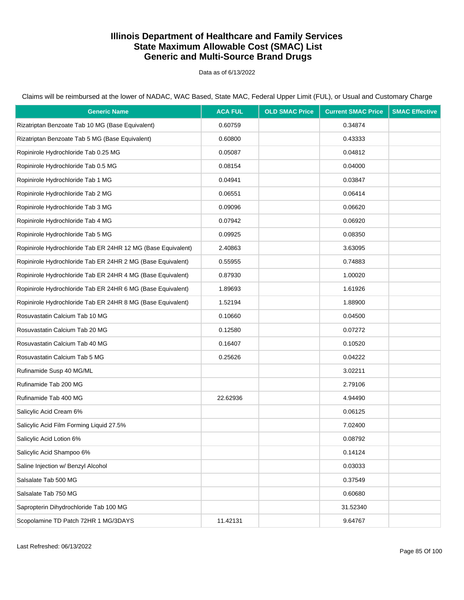Data as of 6/13/2022

Claims will be reimbursed at the lower of NADAC, WAC Based, State MAC, Federal Upper Limit (FUL), or Usual and Customary Charge

| <b>Generic Name</b>                                          | <b>ACA FUL</b> | <b>OLD SMAC Price</b> | <b>Current SMAC Price</b> | <b>SMAC Effective</b> |
|--------------------------------------------------------------|----------------|-----------------------|---------------------------|-----------------------|
| Rizatriptan Benzoate Tab 10 MG (Base Equivalent)             | 0.60759        |                       | 0.34874                   |                       |
| Rizatriptan Benzoate Tab 5 MG (Base Equivalent)              | 0.60800        |                       | 0.43333                   |                       |
| Ropinirole Hydrochloride Tab 0.25 MG                         | 0.05087        |                       | 0.04812                   |                       |
| Ropinirole Hydrochloride Tab 0.5 MG                          | 0.08154        |                       | 0.04000                   |                       |
| Ropinirole Hydrochloride Tab 1 MG                            | 0.04941        |                       | 0.03847                   |                       |
| Ropinirole Hydrochloride Tab 2 MG                            | 0.06551        |                       | 0.06414                   |                       |
| Ropinirole Hydrochloride Tab 3 MG                            | 0.09096        |                       | 0.06620                   |                       |
| Ropinirole Hydrochloride Tab 4 MG                            | 0.07942        |                       | 0.06920                   |                       |
| Ropinirole Hydrochloride Tab 5 MG                            | 0.09925        |                       | 0.08350                   |                       |
| Ropinirole Hydrochloride Tab ER 24HR 12 MG (Base Equivalent) | 2.40863        |                       | 3.63095                   |                       |
| Ropinirole Hydrochloride Tab ER 24HR 2 MG (Base Equivalent)  | 0.55955        |                       | 0.74883                   |                       |
| Ropinirole Hydrochloride Tab ER 24HR 4 MG (Base Equivalent)  | 0.87930        |                       | 1.00020                   |                       |
| Ropinirole Hydrochloride Tab ER 24HR 6 MG (Base Equivalent)  | 1.89693        |                       | 1.61926                   |                       |
| Ropinirole Hydrochloride Tab ER 24HR 8 MG (Base Equivalent)  | 1.52194        |                       | 1.88900                   |                       |
| Rosuvastatin Calcium Tab 10 MG                               | 0.10660        |                       | 0.04500                   |                       |
| Rosuvastatin Calcium Tab 20 MG                               | 0.12580        |                       | 0.07272                   |                       |
| Rosuvastatin Calcium Tab 40 MG                               | 0.16407        |                       | 0.10520                   |                       |
| Rosuvastatin Calcium Tab 5 MG                                | 0.25626        |                       | 0.04222                   |                       |
| Rufinamide Susp 40 MG/ML                                     |                |                       | 3.02211                   |                       |
| Rufinamide Tab 200 MG                                        |                |                       | 2.79106                   |                       |
| Rufinamide Tab 400 MG                                        | 22.62936       |                       | 4.94490                   |                       |
| Salicylic Acid Cream 6%                                      |                |                       | 0.06125                   |                       |
| Salicylic Acid Film Forming Liquid 27.5%                     |                |                       | 7.02400                   |                       |
| Salicylic Acid Lotion 6%                                     |                |                       | 0.08792                   |                       |
| Salicylic Acid Shampoo 6%                                    |                |                       | 0.14124                   |                       |
| Saline Injection w/ Benzyl Alcohol                           |                |                       | 0.03033                   |                       |
| Salsalate Tab 500 MG                                         |                |                       | 0.37549                   |                       |
| Salsalate Tab 750 MG                                         |                |                       | 0.60680                   |                       |
| Sapropterin Dihydrochloride Tab 100 MG                       |                |                       | 31.52340                  |                       |
| Scopolamine TD Patch 72HR 1 MG/3DAYS                         | 11.42131       |                       | 9.64767                   |                       |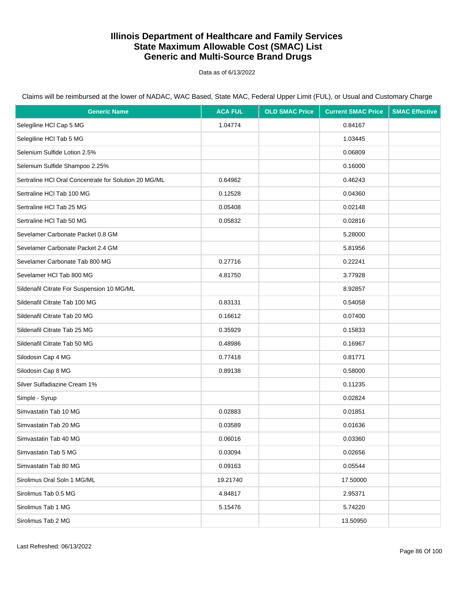Data as of 6/13/2022

| <b>Generic Name</b>                                   | <b>ACA FUL</b> | <b>OLD SMAC Price</b> | <b>Current SMAC Price</b> | <b>SMAC Effective</b> |
|-------------------------------------------------------|----------------|-----------------------|---------------------------|-----------------------|
| Selegiline HCl Cap 5 MG                               | 1.04774        |                       | 0.84167                   |                       |
| Selegiline HCI Tab 5 MG                               |                |                       | 1.03445                   |                       |
| Selenium Sulfide Lotion 2.5%                          |                |                       | 0.06809                   |                       |
| Selenium Sulfide Shampoo 2.25%                        |                |                       | 0.16000                   |                       |
| Sertraline HCI Oral Concentrate for Solution 20 MG/ML | 0.64962        |                       | 0.46243                   |                       |
| Sertraline HCI Tab 100 MG                             | 0.12528        |                       | 0.04360                   |                       |
| Sertraline HCI Tab 25 MG                              | 0.05408        |                       | 0.02148                   |                       |
| Sertraline HCI Tab 50 MG                              | 0.05832        |                       | 0.02816                   |                       |
| Sevelamer Carbonate Packet 0.8 GM                     |                |                       | 5.28000                   |                       |
| Sevelamer Carbonate Packet 2.4 GM                     |                |                       | 5.81956                   |                       |
| Sevelamer Carbonate Tab 800 MG                        | 0.27716        |                       | 0.22241                   |                       |
| Sevelamer HCI Tab 800 MG                              | 4.81750        |                       | 3.77928                   |                       |
| Sildenafil Citrate For Suspension 10 MG/ML            |                |                       | 8.92857                   |                       |
| Sildenafil Citrate Tab 100 MG                         | 0.83131        |                       | 0.54058                   |                       |
| Sildenafil Citrate Tab 20 MG                          | 0.16612        |                       | 0.07400                   |                       |
| Sildenafil Citrate Tab 25 MG                          | 0.35929        |                       | 0.15833                   |                       |
| Sildenafil Citrate Tab 50 MG                          | 0.48986        |                       | 0.16967                   |                       |
| Silodosin Cap 4 MG                                    | 0.77418        |                       | 0.81771                   |                       |
| Silodosin Cap 8 MG                                    | 0.89138        |                       | 0.58000                   |                       |
| Silver Sulfadiazine Cream 1%                          |                |                       | 0.11235                   |                       |
| Simple - Syrup                                        |                |                       | 0.02824                   |                       |
| Simvastatin Tab 10 MG                                 | 0.02883        |                       | 0.01851                   |                       |
| Simvastatin Tab 20 MG                                 | 0.03589        |                       | 0.01636                   |                       |
| Simvastatin Tab 40 MG                                 | 0.06016        |                       | 0.03360                   |                       |
| Simvastatin Tab 5 MG                                  | 0.03094        |                       | 0.02656                   |                       |
| Simvastatin Tab 80 MG                                 | 0.09163        |                       | 0.05544                   |                       |
| Sirolimus Oral Soln 1 MG/ML                           | 19.21740       |                       | 17.50000                  |                       |
| Sirolimus Tab 0.5 MG                                  | 4.84817        |                       | 2.95371                   |                       |
| Sirolimus Tab 1 MG                                    | 5.15476        |                       | 5.74220                   |                       |
| Sirolimus Tab 2 MG                                    |                |                       | 13.50950                  |                       |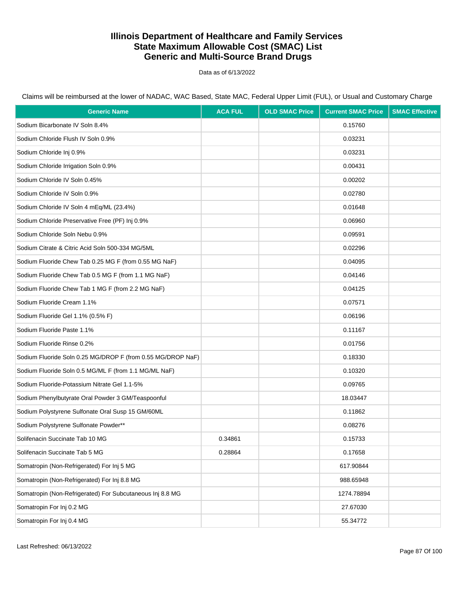Data as of 6/13/2022

| <b>Generic Name</b>                                         | <b>ACA FUL</b> | <b>OLD SMAC Price</b> | <b>Current SMAC Price</b> | <b>SMAC Effective</b> |
|-------------------------------------------------------------|----------------|-----------------------|---------------------------|-----------------------|
| Sodium Bicarbonate IV Soln 8.4%                             |                |                       | 0.15760                   |                       |
| Sodium Chloride Flush IV Soln 0.9%                          |                |                       | 0.03231                   |                       |
| Sodium Chloride Inj 0.9%                                    |                |                       | 0.03231                   |                       |
| Sodium Chloride Irrigation Soln 0.9%                        |                |                       | 0.00431                   |                       |
| Sodium Chloride IV Soln 0.45%                               |                |                       | 0.00202                   |                       |
| Sodium Chloride IV Soln 0.9%                                |                |                       | 0.02780                   |                       |
| Sodium Chloride IV Soln 4 mEq/ML (23.4%)                    |                |                       | 0.01648                   |                       |
| Sodium Chloride Preservative Free (PF) Inj 0.9%             |                |                       | 0.06960                   |                       |
| Sodium Chloride Soln Nebu 0.9%                              |                |                       | 0.09591                   |                       |
| Sodium Citrate & Citric Acid Soln 500-334 MG/5ML            |                |                       | 0.02296                   |                       |
| Sodium Fluoride Chew Tab 0.25 MG F (from 0.55 MG NaF)       |                |                       | 0.04095                   |                       |
| Sodium Fluoride Chew Tab 0.5 MG F (from 1.1 MG NaF)         |                |                       | 0.04146                   |                       |
| Sodium Fluoride Chew Tab 1 MG F (from 2.2 MG NaF)           |                |                       | 0.04125                   |                       |
| Sodium Fluoride Cream 1.1%                                  |                |                       | 0.07571                   |                       |
| Sodium Fluoride Gel 1.1% (0.5% F)                           |                |                       | 0.06196                   |                       |
| Sodium Fluoride Paste 1.1%                                  |                |                       | 0.11167                   |                       |
| Sodium Fluoride Rinse 0.2%                                  |                |                       | 0.01756                   |                       |
| Sodium Fluoride Soln 0.25 MG/DROP F (from 0.55 MG/DROP NaF) |                |                       | 0.18330                   |                       |
| Sodium Fluoride Soln 0.5 MG/ML F (from 1.1 MG/ML NaF)       |                |                       | 0.10320                   |                       |
| Sodium Fluoride-Potassium Nitrate Gel 1.1-5%                |                |                       | 0.09765                   |                       |
| Sodium Phenylbutyrate Oral Powder 3 GM/Teaspoonful          |                |                       | 18.03447                  |                       |
| Sodium Polystyrene Sulfonate Oral Susp 15 GM/60ML           |                |                       | 0.11862                   |                       |
| Sodium Polystyrene Sulfonate Powder**                       |                |                       | 0.08276                   |                       |
| Solifenacin Succinate Tab 10 MG                             | 0.34861        |                       | 0.15733                   |                       |
| Solifenacin Succinate Tab 5 MG                              | 0.28864        |                       | 0.17658                   |                       |
| Somatropin (Non-Refrigerated) For Inj 5 MG                  |                |                       | 617.90844                 |                       |
| Somatropin (Non-Refrigerated) For Inj 8.8 MG                |                |                       | 988.65948                 |                       |
| Somatropin (Non-Refrigerated) For Subcutaneous Inj 8.8 MG   |                |                       | 1274.78894                |                       |
| Somatropin For Inj 0.2 MG                                   |                |                       | 27.67030                  |                       |
| Somatropin For Inj 0.4 MG                                   |                |                       | 55.34772                  |                       |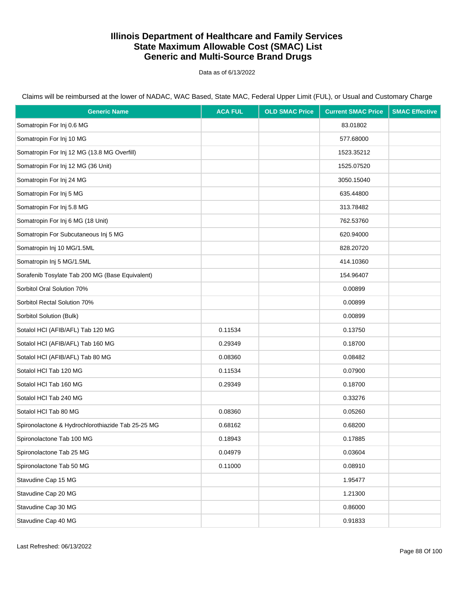Data as of 6/13/2022

Claims will be reimbursed at the lower of NADAC, WAC Based, State MAC, Federal Upper Limit (FUL), or Usual and Customary Charge

| <b>Generic Name</b>                               | <b>ACA FUL</b> | <b>OLD SMAC Price</b> | <b>Current SMAC Price</b> | <b>SMAC Effective</b> |
|---------------------------------------------------|----------------|-----------------------|---------------------------|-----------------------|
| Somatropin For Inj 0.6 MG                         |                |                       | 83.01802                  |                       |
| Somatropin For Inj 10 MG                          |                |                       | 577.68000                 |                       |
| Somatropin For Inj 12 MG (13.8 MG Overfill)       |                |                       | 1523.35212                |                       |
| Somatropin For Inj 12 MG (36 Unit)                |                |                       | 1525.07520                |                       |
| Somatropin For Inj 24 MG                          |                |                       | 3050.15040                |                       |
| Somatropin For Inj 5 MG                           |                |                       | 635.44800                 |                       |
| Somatropin For Inj 5.8 MG                         |                |                       | 313.78482                 |                       |
| Somatropin For Inj 6 MG (18 Unit)                 |                |                       | 762.53760                 |                       |
| Somatropin For Subcutaneous Inj 5 MG              |                |                       | 620.94000                 |                       |
| Somatropin Inj 10 MG/1.5ML                        |                |                       | 828.20720                 |                       |
| Somatropin Inj 5 MG/1.5ML                         |                |                       | 414.10360                 |                       |
| Sorafenib Tosylate Tab 200 MG (Base Equivalent)   |                |                       | 154.96407                 |                       |
| Sorbitol Oral Solution 70%                        |                |                       | 0.00899                   |                       |
| Sorbitol Rectal Solution 70%                      |                |                       | 0.00899                   |                       |
| Sorbitol Solution (Bulk)                          |                |                       | 0.00899                   |                       |
| Sotalol HCI (AFIB/AFL) Tab 120 MG                 | 0.11534        |                       | 0.13750                   |                       |
| Sotalol HCI (AFIB/AFL) Tab 160 MG                 | 0.29349        |                       | 0.18700                   |                       |
| Sotalol HCI (AFIB/AFL) Tab 80 MG                  | 0.08360        |                       | 0.08482                   |                       |
| Sotalol HCl Tab 120 MG                            | 0.11534        |                       | 0.07900                   |                       |
| Sotalol HCl Tab 160 MG                            | 0.29349        |                       | 0.18700                   |                       |
| Sotalol HCl Tab 240 MG                            |                |                       | 0.33276                   |                       |
| Sotalol HCl Tab 80 MG                             | 0.08360        |                       | 0.05260                   |                       |
| Spironolactone & Hydrochlorothiazide Tab 25-25 MG | 0.68162        |                       | 0.68200                   |                       |
| Spironolactone Tab 100 MG                         | 0.18943        |                       | 0.17885                   |                       |
| Spironolactone Tab 25 MG                          | 0.04979        |                       | 0.03604                   |                       |
| Spironolactone Tab 50 MG                          | 0.11000        |                       | 0.08910                   |                       |
| Stavudine Cap 15 MG                               |                |                       | 1.95477                   |                       |
| Stavudine Cap 20 MG                               |                |                       | 1.21300                   |                       |
| Stavudine Cap 30 MG                               |                |                       | 0.86000                   |                       |
| Stavudine Cap 40 MG                               |                |                       | 0.91833                   |                       |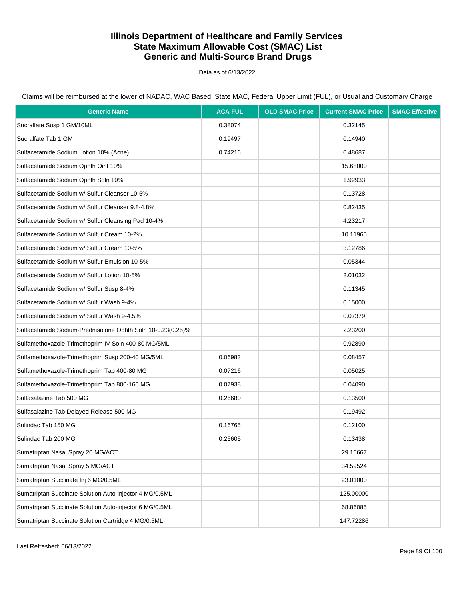Data as of 6/13/2022

Claims will be reimbursed at the lower of NADAC, WAC Based, State MAC, Federal Upper Limit (FUL), or Usual and Customary Charge

| <b>Generic Name</b>                                         | <b>ACA FUL</b> | <b>OLD SMAC Price</b> | <b>Current SMAC Price</b> | <b>SMAC Effective</b> |
|-------------------------------------------------------------|----------------|-----------------------|---------------------------|-----------------------|
| Sucralfate Susp 1 GM/10ML                                   | 0.38074        |                       | 0.32145                   |                       |
| Sucralfate Tab 1 GM                                         | 0.19497        |                       | 0.14940                   |                       |
| Sulfacetamide Sodium Lotion 10% (Acne)                      | 0.74216        |                       | 0.48687                   |                       |
| Sulfacetamide Sodium Ophth Oint 10%                         |                |                       | 15.68000                  |                       |
| Sulfacetamide Sodium Ophth Soln 10%                         |                |                       | 1.92933                   |                       |
| Sulfacetamide Sodium w/ Sulfur Cleanser 10-5%               |                |                       | 0.13728                   |                       |
| Sulfacetamide Sodium w/ Sulfur Cleanser 9.8-4.8%            |                |                       | 0.82435                   |                       |
| Sulfacetamide Sodium w/ Sulfur Cleansing Pad 10-4%          |                |                       | 4.23217                   |                       |
| Sulfacetamide Sodium w/ Sulfur Cream 10-2%                  |                |                       | 10.11965                  |                       |
| Sulfacetamide Sodium w/ Sulfur Cream 10-5%                  |                |                       | 3.12786                   |                       |
| Sulfacetamide Sodium w/ Sulfur Emulsion 10-5%               |                |                       | 0.05344                   |                       |
| Sulfacetamide Sodium w/ Sulfur Lotion 10-5%                 |                |                       | 2.01032                   |                       |
| Sulfacetamide Sodium w/ Sulfur Susp 8-4%                    |                |                       | 0.11345                   |                       |
| Sulfacetamide Sodium w/ Sulfur Wash 9-4%                    |                |                       | 0.15000                   |                       |
| Sulfacetamide Sodium w/ Sulfur Wash 9-4.5%                  |                |                       | 0.07379                   |                       |
| Sulfacetamide Sodium-Prednisolone Ophth Soln 10-0.23(0.25)% |                |                       | 2.23200                   |                       |
| Sulfamethoxazole-Trimethoprim IV Soln 400-80 MG/5ML         |                |                       | 0.92890                   |                       |
| Sulfamethoxazole-Trimethoprim Susp 200-40 MG/5ML            | 0.06983        |                       | 0.08457                   |                       |
| Sulfamethoxazole-Trimethoprim Tab 400-80 MG                 | 0.07216        |                       | 0.05025                   |                       |
| Sulfamethoxazole-Trimethoprim Tab 800-160 MG                | 0.07938        |                       | 0.04090                   |                       |
| Sulfasalazine Tab 500 MG                                    | 0.26680        |                       | 0.13500                   |                       |
| Sulfasalazine Tab Delayed Release 500 MG                    |                |                       | 0.19492                   |                       |
| Sulindac Tab 150 MG                                         | 0.16765        |                       | 0.12100                   |                       |
| Sulindac Tab 200 MG                                         | 0.25605        |                       | 0.13438                   |                       |
| Sumatriptan Nasal Spray 20 MG/ACT                           |                |                       | 29.16667                  |                       |
| Sumatriptan Nasal Spray 5 MG/ACT                            |                |                       | 34.59524                  |                       |
| Sumatriptan Succinate Inj 6 MG/0.5ML                        |                |                       | 23.01000                  |                       |
| Sumatriptan Succinate Solution Auto-injector 4 MG/0.5ML     |                |                       | 125.00000                 |                       |
| Sumatriptan Succinate Solution Auto-injector 6 MG/0.5ML     |                |                       | 68.86085                  |                       |
| Sumatriptan Succinate Solution Cartridge 4 MG/0.5ML         |                |                       | 147.72286                 |                       |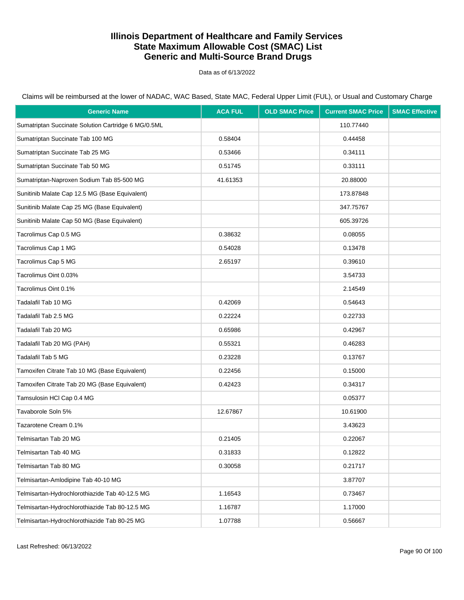Data as of 6/13/2022

Claims will be reimbursed at the lower of NADAC, WAC Based, State MAC, Federal Upper Limit (FUL), or Usual and Customary Charge

| <b>Generic Name</b>                                 | <b>ACA FUL</b> | <b>OLD SMAC Price</b> | <b>Current SMAC Price</b> | <b>SMAC Effective</b> |
|-----------------------------------------------------|----------------|-----------------------|---------------------------|-----------------------|
| Sumatriptan Succinate Solution Cartridge 6 MG/0.5ML |                |                       | 110.77440                 |                       |
| Sumatriptan Succinate Tab 100 MG                    | 0.58404        |                       | 0.44458                   |                       |
| Sumatriptan Succinate Tab 25 MG                     | 0.53466        |                       | 0.34111                   |                       |
| Sumatriptan Succinate Tab 50 MG                     | 0.51745        |                       | 0.33111                   |                       |
| Sumatriptan-Naproxen Sodium Tab 85-500 MG           | 41.61353       |                       | 20.88000                  |                       |
| Sunitinib Malate Cap 12.5 MG (Base Equivalent)      |                |                       | 173.87848                 |                       |
| Sunitinib Malate Cap 25 MG (Base Equivalent)        |                |                       | 347.75767                 |                       |
| Sunitinib Malate Cap 50 MG (Base Equivalent)        |                |                       | 605.39726                 |                       |
| Tacrolimus Cap 0.5 MG                               | 0.38632        |                       | 0.08055                   |                       |
| Tacrolimus Cap 1 MG                                 | 0.54028        |                       | 0.13478                   |                       |
| Tacrolimus Cap 5 MG                                 | 2.65197        |                       | 0.39610                   |                       |
| Tacrolimus Oint 0.03%                               |                |                       | 3.54733                   |                       |
| Tacrolimus Oint 0.1%                                |                |                       | 2.14549                   |                       |
| Tadalafil Tab 10 MG                                 | 0.42069        |                       | 0.54643                   |                       |
| Tadalafil Tab 2.5 MG                                | 0.22224        |                       | 0.22733                   |                       |
| Tadalafil Tab 20 MG                                 | 0.65986        |                       | 0.42967                   |                       |
| Tadalafil Tab 20 MG (PAH)                           | 0.55321        |                       | 0.46283                   |                       |
| Tadalafil Tab 5 MG                                  | 0.23228        |                       | 0.13767                   |                       |
| Tamoxifen Citrate Tab 10 MG (Base Equivalent)       | 0.22456        |                       | 0.15000                   |                       |
| Tamoxifen Citrate Tab 20 MG (Base Equivalent)       | 0.42423        |                       | 0.34317                   |                       |
| Tamsulosin HCl Cap 0.4 MG                           |                |                       | 0.05377                   |                       |
| Tavaborole Soln 5%                                  | 12.67867       |                       | 10.61900                  |                       |
| Tazarotene Cream 0.1%                               |                |                       | 3.43623                   |                       |
| Telmisartan Tab 20 MG                               | 0.21405        |                       | 0.22067                   |                       |
| Telmisartan Tab 40 MG                               | 0.31833        |                       | 0.12822                   |                       |
| Telmisartan Tab 80 MG                               | 0.30058        |                       | 0.21717                   |                       |
| Telmisartan-Amlodipine Tab 40-10 MG                 |                |                       | 3.87707                   |                       |
| Telmisartan-Hydrochlorothiazide Tab 40-12.5 MG      | 1.16543        |                       | 0.73467                   |                       |
| Telmisartan-Hydrochlorothiazide Tab 80-12.5 MG      | 1.16787        |                       | 1.17000                   |                       |
| Telmisartan-Hydrochlorothiazide Tab 80-25 MG        | 1.07788        |                       | 0.56667                   |                       |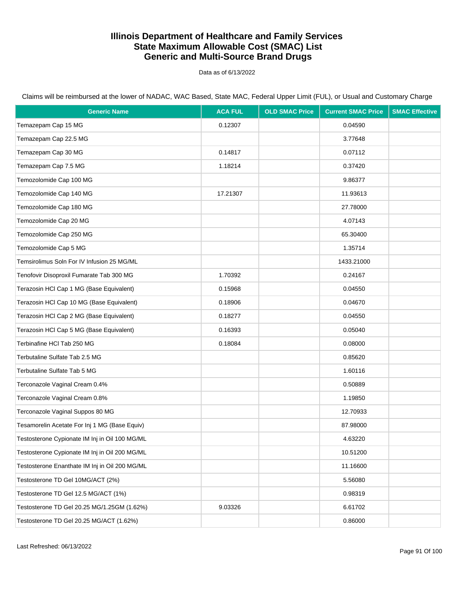Data as of 6/13/2022

| <b>Generic Name</b>                            | <b>ACA FUL</b> | <b>OLD SMAC Price</b> | <b>Current SMAC Price</b> | <b>SMAC Effective</b> |
|------------------------------------------------|----------------|-----------------------|---------------------------|-----------------------|
| Temazepam Cap 15 MG                            | 0.12307        |                       | 0.04590                   |                       |
| Temazepam Cap 22.5 MG                          |                |                       | 3.77648                   |                       |
| Temazepam Cap 30 MG                            | 0.14817        |                       | 0.07112                   |                       |
| Temazepam Cap 7.5 MG                           | 1.18214        |                       | 0.37420                   |                       |
| Temozolomide Cap 100 MG                        |                |                       | 9.86377                   |                       |
| Temozolomide Cap 140 MG                        | 17.21307       |                       | 11.93613                  |                       |
| Temozolomide Cap 180 MG                        |                |                       | 27.78000                  |                       |
| Temozolomide Cap 20 MG                         |                |                       | 4.07143                   |                       |
| Temozolomide Cap 250 MG                        |                |                       | 65.30400                  |                       |
| Temozolomide Cap 5 MG                          |                |                       | 1.35714                   |                       |
| Temsirolimus Soln For IV Infusion 25 MG/ML     |                |                       | 1433.21000                |                       |
| Tenofovir Disoproxil Fumarate Tab 300 MG       | 1.70392        |                       | 0.24167                   |                       |
| Terazosin HCl Cap 1 MG (Base Equivalent)       | 0.15968        |                       | 0.04550                   |                       |
| Terazosin HCl Cap 10 MG (Base Equivalent)      | 0.18906        |                       | 0.04670                   |                       |
| Terazosin HCl Cap 2 MG (Base Equivalent)       | 0.18277        |                       | 0.04550                   |                       |
| Terazosin HCl Cap 5 MG (Base Equivalent)       | 0.16393        |                       | 0.05040                   |                       |
| Terbinafine HCI Tab 250 MG                     | 0.18084        |                       | 0.08000                   |                       |
| Terbutaline Sulfate Tab 2.5 MG                 |                |                       | 0.85620                   |                       |
| Terbutaline Sulfate Tab 5 MG                   |                |                       | 1.60116                   |                       |
| Terconazole Vaginal Cream 0.4%                 |                |                       | 0.50889                   |                       |
| Terconazole Vaginal Cream 0.8%                 |                |                       | 1.19850                   |                       |
| Terconazole Vaginal Suppos 80 MG               |                |                       | 12.70933                  |                       |
| Tesamorelin Acetate For Inj 1 MG (Base Equiv)  |                |                       | 87.98000                  |                       |
| Testosterone Cypionate IM Inj in Oil 100 MG/ML |                |                       | 4.63220                   |                       |
| Testosterone Cypionate IM Inj in Oil 200 MG/ML |                |                       | 10.51200                  |                       |
| Testosterone Enanthate IM Inj in Oil 200 MG/ML |                |                       | 11.16600                  |                       |
| Testosterone TD Gel 10MG/ACT (2%)              |                |                       | 5.56080                   |                       |
| Testosterone TD Gel 12.5 MG/ACT (1%)           |                |                       | 0.98319                   |                       |
| Testosterone TD Gel 20.25 MG/1.25GM (1.62%)    | 9.03326        |                       | 6.61702                   |                       |
| Testosterone TD Gel 20.25 MG/ACT (1.62%)       |                |                       | 0.86000                   |                       |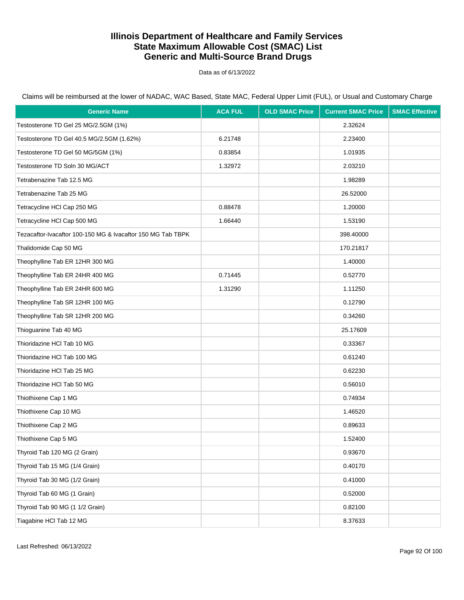Data as of 6/13/2022

| <b>Generic Name</b>                                         | <b>ACA FUL</b> | <b>OLD SMAC Price</b> | <b>Current SMAC Price</b> | <b>SMAC Effective</b> |
|-------------------------------------------------------------|----------------|-----------------------|---------------------------|-----------------------|
| Testosterone TD Gel 25 MG/2.5GM (1%)                        |                |                       | 2.32624                   |                       |
| Testosterone TD Gel 40.5 MG/2.5GM (1.62%)                   | 6.21748        |                       | 2.23400                   |                       |
| Testosterone TD Gel 50 MG/5GM (1%)                          | 0.83854        |                       | 1.01935                   |                       |
| Testosterone TD Soln 30 MG/ACT                              | 1.32972        |                       | 2.03210                   |                       |
| Tetrabenazine Tab 12.5 MG                                   |                |                       | 1.98289                   |                       |
| Tetrabenazine Tab 25 MG                                     |                |                       | 26.52000                  |                       |
| Tetracycline HCI Cap 250 MG                                 | 0.88478        |                       | 1.20000                   |                       |
| Tetracycline HCI Cap 500 MG                                 | 1.66440        |                       | 1.53190                   |                       |
| Tezacaftor-Ivacaftor 100-150 MG & Ivacaftor 150 MG Tab TBPK |                |                       | 398.40000                 |                       |
| Thalidomide Cap 50 MG                                       |                |                       | 170.21817                 |                       |
| Theophylline Tab ER 12HR 300 MG                             |                |                       | 1.40000                   |                       |
| Theophylline Tab ER 24HR 400 MG                             | 0.71445        |                       | 0.52770                   |                       |
| Theophylline Tab ER 24HR 600 MG                             | 1.31290        |                       | 1.11250                   |                       |
| Theophylline Tab SR 12HR 100 MG                             |                |                       | 0.12790                   |                       |
| Theophylline Tab SR 12HR 200 MG                             |                |                       | 0.34260                   |                       |
| Thioguanine Tab 40 MG                                       |                |                       | 25.17609                  |                       |
| Thioridazine HCI Tab 10 MG                                  |                |                       | 0.33367                   |                       |
| Thioridazine HCI Tab 100 MG                                 |                |                       | 0.61240                   |                       |
| Thioridazine HCI Tab 25 MG                                  |                |                       | 0.62230                   |                       |
| Thioridazine HCI Tab 50 MG                                  |                |                       | 0.56010                   |                       |
| Thiothixene Cap 1 MG                                        |                |                       | 0.74934                   |                       |
| Thiothixene Cap 10 MG                                       |                |                       | 1.46520                   |                       |
| Thiothixene Cap 2 MG                                        |                |                       | 0.89633                   |                       |
| Thiothixene Cap 5 MG                                        |                |                       | 1.52400                   |                       |
| Thyroid Tab 120 MG (2 Grain)                                |                |                       | 0.93670                   |                       |
| Thyroid Tab 15 MG (1/4 Grain)                               |                |                       | 0.40170                   |                       |
| Thyroid Tab 30 MG (1/2 Grain)                               |                |                       | 0.41000                   |                       |
| Thyroid Tab 60 MG (1 Grain)                                 |                |                       | 0.52000                   |                       |
| Thyroid Tab 90 MG (1 1/2 Grain)                             |                |                       | 0.82100                   |                       |
| Tiagabine HCI Tab 12 MG                                     |                |                       | 8.37633                   |                       |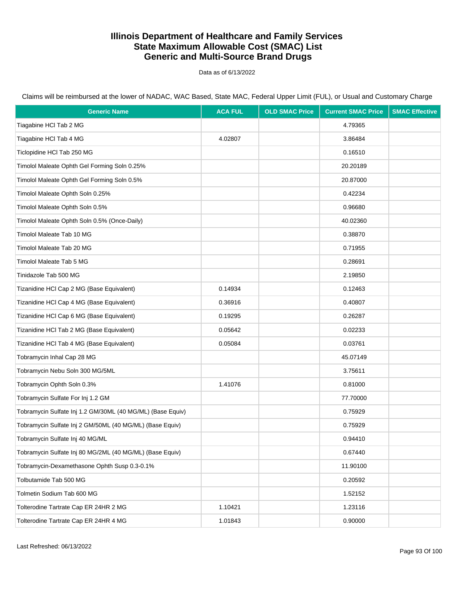Data as of 6/13/2022

| <b>Generic Name</b>                                        | <b>ACA FUL</b> | <b>OLD SMAC Price</b> | <b>Current SMAC Price</b> | <b>SMAC Effective</b> |
|------------------------------------------------------------|----------------|-----------------------|---------------------------|-----------------------|
| Tiagabine HCI Tab 2 MG                                     |                |                       | 4.79365                   |                       |
| Tiagabine HCI Tab 4 MG                                     | 4.02807        |                       | 3.86484                   |                       |
| Ticlopidine HCI Tab 250 MG                                 |                |                       | 0.16510                   |                       |
| Timolol Maleate Ophth Gel Forming Soln 0.25%               |                |                       | 20.20189                  |                       |
| Timolol Maleate Ophth Gel Forming Soln 0.5%                |                |                       | 20.87000                  |                       |
| Timolol Maleate Ophth Soln 0.25%                           |                |                       | 0.42234                   |                       |
| Timolol Maleate Ophth Soln 0.5%                            |                |                       | 0.96680                   |                       |
| Timolol Maleate Ophth Soln 0.5% (Once-Daily)               |                |                       | 40.02360                  |                       |
| Timolol Maleate Tab 10 MG                                  |                |                       | 0.38870                   |                       |
| Timolol Maleate Tab 20 MG                                  |                |                       | 0.71955                   |                       |
| Timolol Maleate Tab 5 MG                                   |                |                       | 0.28691                   |                       |
| Tinidazole Tab 500 MG                                      |                |                       | 2.19850                   |                       |
| Tizanidine HCl Cap 2 MG (Base Equivalent)                  | 0.14934        |                       | 0.12463                   |                       |
| Tizanidine HCI Cap 4 MG (Base Equivalent)                  | 0.36916        |                       | 0.40807                   |                       |
| Tizanidine HCl Cap 6 MG (Base Equivalent)                  | 0.19295        |                       | 0.26287                   |                       |
| Tizanidine HCl Tab 2 MG (Base Equivalent)                  | 0.05642        |                       | 0.02233                   |                       |
| Tizanidine HCl Tab 4 MG (Base Equivalent)                  | 0.05084        |                       | 0.03761                   |                       |
| Tobramycin Inhal Cap 28 MG                                 |                |                       | 45.07149                  |                       |
| Tobramycin Nebu Soln 300 MG/5ML                            |                |                       | 3.75611                   |                       |
| Tobramycin Ophth Soln 0.3%                                 | 1.41076        |                       | 0.81000                   |                       |
| Tobramycin Sulfate For Inj 1.2 GM                          |                |                       | 77.70000                  |                       |
| Tobramycin Sulfate Inj 1.2 GM/30ML (40 MG/ML) (Base Equiv) |                |                       | 0.75929                   |                       |
| Tobramycin Sulfate Inj 2 GM/50ML (40 MG/ML) (Base Equiv)   |                |                       | 0.75929                   |                       |
| Tobramycin Sulfate Inj 40 MG/ML                            |                |                       | 0.94410                   |                       |
| Tobramycin Sulfate Inj 80 MG/2ML (40 MG/ML) (Base Equiv)   |                |                       | 0.67440                   |                       |
| Tobramycin-Dexamethasone Ophth Susp 0.3-0.1%               |                |                       | 11.90100                  |                       |
| Tolbutamide Tab 500 MG                                     |                |                       | 0.20592                   |                       |
| Tolmetin Sodium Tab 600 MG                                 |                |                       | 1.52152                   |                       |
| Tolterodine Tartrate Cap ER 24HR 2 MG                      | 1.10421        |                       | 1.23116                   |                       |
| Tolterodine Tartrate Cap ER 24HR 4 MG                      | 1.01843        |                       | 0.90000                   |                       |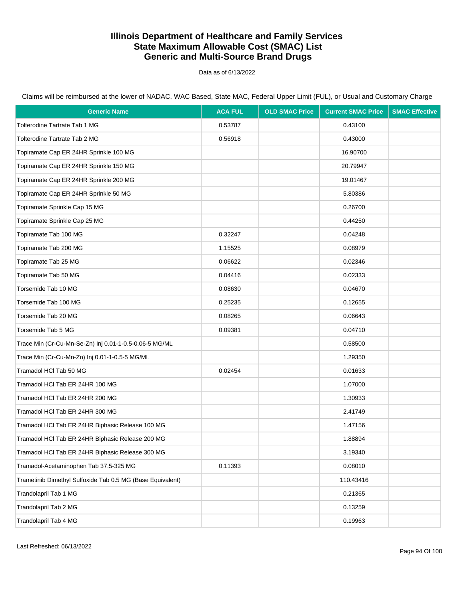Data as of 6/13/2022

| <b>Generic Name</b>                                        | <b>ACA FUL</b> | <b>OLD SMAC Price</b> | <b>Current SMAC Price</b> | <b>SMAC Effective</b> |
|------------------------------------------------------------|----------------|-----------------------|---------------------------|-----------------------|
| <b>Tolterodine Tartrate Tab 1 MG</b>                       | 0.53787        |                       | 0.43100                   |                       |
| Tolterodine Tartrate Tab 2 MG                              | 0.56918        |                       | 0.43000                   |                       |
| Topiramate Cap ER 24HR Sprinkle 100 MG                     |                |                       | 16.90700                  |                       |
| Topiramate Cap ER 24HR Sprinkle 150 MG                     |                |                       | 20.79947                  |                       |
| Topiramate Cap ER 24HR Sprinkle 200 MG                     |                |                       | 19.01467                  |                       |
| Topiramate Cap ER 24HR Sprinkle 50 MG                      |                |                       | 5.80386                   |                       |
| Topiramate Sprinkle Cap 15 MG                              |                |                       | 0.26700                   |                       |
| Topiramate Sprinkle Cap 25 MG                              |                |                       | 0.44250                   |                       |
| Topiramate Tab 100 MG                                      | 0.32247        |                       | 0.04248                   |                       |
| Topiramate Tab 200 MG                                      | 1.15525        |                       | 0.08979                   |                       |
| Topiramate Tab 25 MG                                       | 0.06622        |                       | 0.02346                   |                       |
| Topiramate Tab 50 MG                                       | 0.04416        |                       | 0.02333                   |                       |
| Torsemide Tab 10 MG                                        | 0.08630        |                       | 0.04670                   |                       |
| Torsemide Tab 100 MG                                       | 0.25235        |                       | 0.12655                   |                       |
| Torsemide Tab 20 MG                                        | 0.08265        |                       | 0.06643                   |                       |
| Torsemide Tab 5 MG                                         | 0.09381        |                       | 0.04710                   |                       |
| Trace Min (Cr-Cu-Mn-Se-Zn) Inj 0.01-1-0.5-0.06-5 MG/ML     |                |                       | 0.58500                   |                       |
| Trace Min (Cr-Cu-Mn-Zn) Inj 0.01-1-0.5-5 MG/ML             |                |                       | 1.29350                   |                       |
| Tramadol HCI Tab 50 MG                                     | 0.02454        |                       | 0.01633                   |                       |
| Tramadol HCI Tab ER 24HR 100 MG                            |                |                       | 1.07000                   |                       |
| Tramadol HCI Tab ER 24HR 200 MG                            |                |                       | 1.30933                   |                       |
| Tramadol HCI Tab ER 24HR 300 MG                            |                |                       | 2.41749                   |                       |
| Tramadol HCl Tab ER 24HR Biphasic Release 100 MG           |                |                       | 1.47156                   |                       |
| Tramadol HCI Tab ER 24HR Biphasic Release 200 MG           |                |                       | 1.88894                   |                       |
| Tramadol HCI Tab ER 24HR Biphasic Release 300 MG           |                |                       | 3.19340                   |                       |
| Tramadol-Acetaminophen Tab 37.5-325 MG                     | 0.11393        |                       | 0.08010                   |                       |
| Trametinib Dimethyl Sulfoxide Tab 0.5 MG (Base Equivalent) |                |                       | 110.43416                 |                       |
| Trandolapril Tab 1 MG                                      |                |                       | 0.21365                   |                       |
| Trandolapril Tab 2 MG                                      |                |                       | 0.13259                   |                       |
| Trandolapril Tab 4 MG                                      |                |                       | 0.19963                   |                       |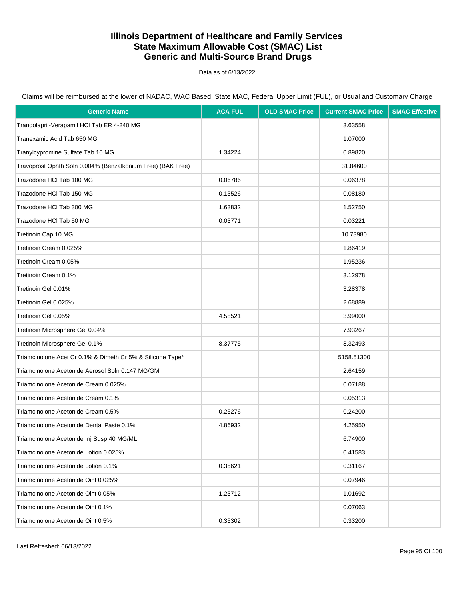Data as of 6/13/2022

| <b>Generic Name</b>                                         | <b>ACA FUL</b> | <b>OLD SMAC Price</b> | <b>Current SMAC Price</b> | <b>SMAC Effective</b> |
|-------------------------------------------------------------|----------------|-----------------------|---------------------------|-----------------------|
| Trandolapril-Verapamil HCl Tab ER 4-240 MG                  |                |                       | 3.63558                   |                       |
| Tranexamic Acid Tab 650 MG                                  |                |                       | 1.07000                   |                       |
| Tranylcypromine Sulfate Tab 10 MG                           | 1.34224        |                       | 0.89820                   |                       |
| Travoprost Ophth Soln 0.004% (Benzalkonium Free) (BAK Free) |                |                       | 31.84600                  |                       |
| Trazodone HCI Tab 100 MG                                    | 0.06786        |                       | 0.06378                   |                       |
| Trazodone HCI Tab 150 MG                                    | 0.13526        |                       | 0.08180                   |                       |
| Trazodone HCI Tab 300 MG                                    | 1.63832        |                       | 1.52750                   |                       |
| Trazodone HCI Tab 50 MG                                     | 0.03771        |                       | 0.03221                   |                       |
| Tretinoin Cap 10 MG                                         |                |                       | 10.73980                  |                       |
| Tretinoin Cream 0.025%                                      |                |                       | 1.86419                   |                       |
| Tretinoin Cream 0.05%                                       |                |                       | 1.95236                   |                       |
| Tretinoin Cream 0.1%                                        |                |                       | 3.12978                   |                       |
| Tretinoin Gel 0.01%                                         |                |                       | 3.28378                   |                       |
| Tretinoin Gel 0.025%                                        |                |                       | 2.68889                   |                       |
| Tretinoin Gel 0.05%                                         | 4.58521        |                       | 3.99000                   |                       |
| Tretinoin Microsphere Gel 0.04%                             |                |                       | 7.93267                   |                       |
| Tretinoin Microsphere Gel 0.1%                              | 8.37775        |                       | 8.32493                   |                       |
| Triamcinolone Acet Cr 0.1% & Dimeth Cr 5% & Silicone Tape*  |                |                       | 5158.51300                |                       |
| Triamcinolone Acetonide Aerosol Soln 0.147 MG/GM            |                |                       | 2.64159                   |                       |
| Triamcinolone Acetonide Cream 0.025%                        |                |                       | 0.07188                   |                       |
| Triamcinolone Acetonide Cream 0.1%                          |                |                       | 0.05313                   |                       |
| Triamcinolone Acetonide Cream 0.5%                          | 0.25276        |                       | 0.24200                   |                       |
| Triamcinolone Acetonide Dental Paste 0.1%                   | 4.86932        |                       | 4.25950                   |                       |
| Triamcinolone Acetonide Inj Susp 40 MG/ML                   |                |                       | 6.74900                   |                       |
| Triamcinolone Acetonide Lotion 0.025%                       |                |                       | 0.41583                   |                       |
| Triamcinolone Acetonide Lotion 0.1%                         | 0.35621        |                       | 0.31167                   |                       |
| Triamcinolone Acetonide Oint 0.025%                         |                |                       | 0.07946                   |                       |
| Triamcinolone Acetonide Oint 0.05%                          | 1.23712        |                       | 1.01692                   |                       |
| Triamcinolone Acetonide Oint 0.1%                           |                |                       | 0.07063                   |                       |
| Triamcinolone Acetonide Oint 0.5%                           | 0.35302        |                       | 0.33200                   |                       |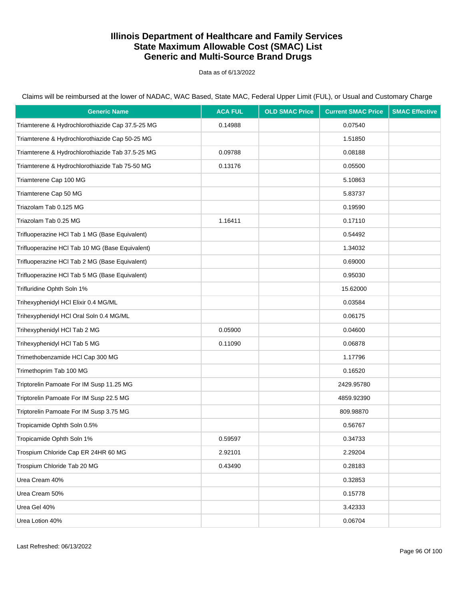Data as of 6/13/2022

| <b>Generic Name</b>                              | <b>ACA FUL</b> | <b>OLD SMAC Price</b> | <b>Current SMAC Price</b> | <b>SMAC Effective</b> |
|--------------------------------------------------|----------------|-----------------------|---------------------------|-----------------------|
| Triamterene & Hydrochlorothiazide Cap 37.5-25 MG | 0.14988        |                       | 0.07540                   |                       |
| Triamterene & Hydrochlorothiazide Cap 50-25 MG   |                |                       | 1.51850                   |                       |
| Triamterene & Hydrochlorothiazide Tab 37.5-25 MG | 0.09788        |                       | 0.08188                   |                       |
| Triamterene & Hydrochlorothiazide Tab 75-50 MG   | 0.13176        |                       | 0.05500                   |                       |
| Triamterene Cap 100 MG                           |                |                       | 5.10863                   |                       |
| Triamterene Cap 50 MG                            |                |                       | 5.83737                   |                       |
| Triazolam Tab 0.125 MG                           |                |                       | 0.19590                   |                       |
| Triazolam Tab 0.25 MG                            | 1.16411        |                       | 0.17110                   |                       |
| Trifluoperazine HCl Tab 1 MG (Base Equivalent)   |                |                       | 0.54492                   |                       |
| Trifluoperazine HCl Tab 10 MG (Base Equivalent)  |                |                       | 1.34032                   |                       |
| Trifluoperazine HCl Tab 2 MG (Base Equivalent)   |                |                       | 0.69000                   |                       |
| Trifluoperazine HCl Tab 5 MG (Base Equivalent)   |                |                       | 0.95030                   |                       |
| Trifluridine Ophth Soln 1%                       |                |                       | 15.62000                  |                       |
| Trihexyphenidyl HCI Elixir 0.4 MG/ML             |                |                       | 0.03584                   |                       |
| Trihexyphenidyl HCl Oral Soln 0.4 MG/ML          |                |                       | 0.06175                   |                       |
| Trihexyphenidyl HCl Tab 2 MG                     | 0.05900        |                       | 0.04600                   |                       |
| Trihexyphenidyl HCl Tab 5 MG                     | 0.11090        |                       | 0.06878                   |                       |
| Trimethobenzamide HCl Cap 300 MG                 |                |                       | 1.17796                   |                       |
| Trimethoprim Tab 100 MG                          |                |                       | 0.16520                   |                       |
| Triptorelin Pamoate For IM Susp 11.25 MG         |                |                       | 2429.95780                |                       |
| Triptorelin Pamoate For IM Susp 22.5 MG          |                |                       | 4859.92390                |                       |
| Triptorelin Pamoate For IM Susp 3.75 MG          |                |                       | 809.98870                 |                       |
| Tropicamide Ophth Soln 0.5%                      |                |                       | 0.56767                   |                       |
| Tropicamide Ophth Soln 1%                        | 0.59597        |                       | 0.34733                   |                       |
| Trospium Chloride Cap ER 24HR 60 MG              | 2.92101        |                       | 2.29204                   |                       |
| Trospium Chloride Tab 20 MG                      | 0.43490        |                       | 0.28183                   |                       |
| Urea Cream 40%                                   |                |                       | 0.32853                   |                       |
| Urea Cream 50%                                   |                |                       | 0.15778                   |                       |
| Urea Gel 40%                                     |                |                       | 3.42333                   |                       |
| Urea Lotion 40%                                  |                |                       | 0.06704                   |                       |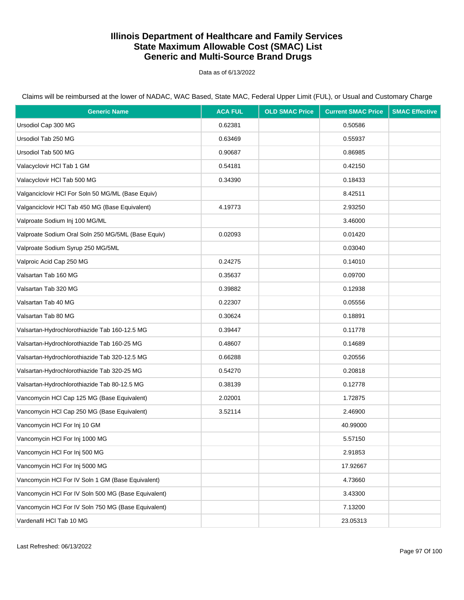Data as of 6/13/2022

| <b>Generic Name</b>                                 | <b>ACA FUL</b> | <b>OLD SMAC Price</b> | <b>Current SMAC Price</b> | <b>SMAC Effective</b> |
|-----------------------------------------------------|----------------|-----------------------|---------------------------|-----------------------|
| Ursodiol Cap 300 MG                                 | 0.62381        |                       | 0.50586                   |                       |
| Ursodiol Tab 250 MG                                 | 0.63469        |                       | 0.55937                   |                       |
| Ursodiol Tab 500 MG                                 | 0.90687        |                       | 0.86985                   |                       |
| Valacyclovir HCl Tab 1 GM                           | 0.54181        |                       | 0.42150                   |                       |
| Valacyclovir HCl Tab 500 MG                         | 0.34390        |                       | 0.18433                   |                       |
| Valganciclovir HCI For Soln 50 MG/ML (Base Equiv)   |                |                       | 8.42511                   |                       |
| Valganciclovir HCI Tab 450 MG (Base Equivalent)     | 4.19773        |                       | 2.93250                   |                       |
| Valproate Sodium Inj 100 MG/ML                      |                |                       | 3.46000                   |                       |
| Valproate Sodium Oral Soln 250 MG/5ML (Base Equiv)  | 0.02093        |                       | 0.01420                   |                       |
| Valproate Sodium Syrup 250 MG/5ML                   |                |                       | 0.03040                   |                       |
| Valproic Acid Cap 250 MG                            | 0.24275        |                       | 0.14010                   |                       |
| Valsartan Tab 160 MG                                | 0.35637        |                       | 0.09700                   |                       |
| Valsartan Tab 320 MG                                | 0.39882        |                       | 0.12938                   |                       |
| Valsartan Tab 40 MG                                 | 0.22307        |                       | 0.05556                   |                       |
| Valsartan Tab 80 MG                                 | 0.30624        |                       | 0.18891                   |                       |
| Valsartan-Hydrochlorothiazide Tab 160-12.5 MG       | 0.39447        |                       | 0.11778                   |                       |
| Valsartan-Hydrochlorothiazide Tab 160-25 MG         | 0.48607        |                       | 0.14689                   |                       |
| Valsartan-Hydrochlorothiazide Tab 320-12.5 MG       | 0.66288        |                       | 0.20556                   |                       |
| Valsartan-Hydrochlorothiazide Tab 320-25 MG         | 0.54270        |                       | 0.20818                   |                       |
| Valsartan-Hydrochlorothiazide Tab 80-12.5 MG        | 0.38139        |                       | 0.12778                   |                       |
| Vancomycin HCI Cap 125 MG (Base Equivalent)         | 2.02001        |                       | 1.72875                   |                       |
| Vancomycin HCI Cap 250 MG (Base Equivalent)         | 3.52114        |                       | 2.46900                   |                       |
| Vancomycin HCI For Inj 10 GM                        |                |                       | 40.99000                  |                       |
| Vancomycin HCI For Inj 1000 MG                      |                |                       | 5.57150                   |                       |
| Vancomycin HCI For Inj 500 MG                       |                |                       | 2.91853                   |                       |
| Vancomycin HCI For Inj 5000 MG                      |                |                       | 17.92667                  |                       |
| Vancomycin HCI For IV Soln 1 GM (Base Equivalent)   |                |                       | 4.73660                   |                       |
| Vancomycin HCI For IV Soln 500 MG (Base Equivalent) |                |                       | 3.43300                   |                       |
| Vancomycin HCI For IV Soln 750 MG (Base Equivalent) |                |                       | 7.13200                   |                       |
| Vardenafil HCI Tab 10 MG                            |                |                       | 23.05313                  |                       |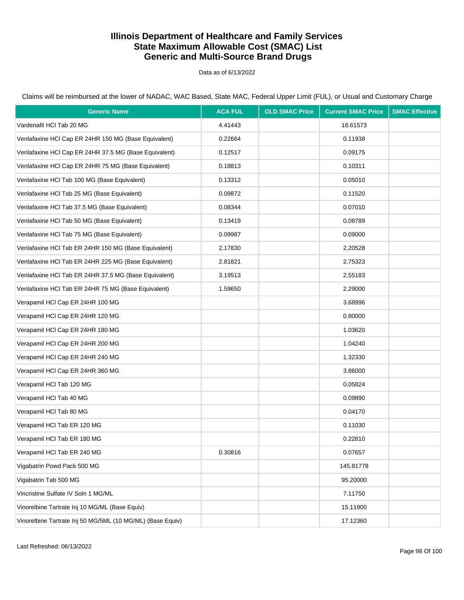Data as of 6/13/2022

Claims will be reimbursed at the lower of NADAC, WAC Based, State MAC, Federal Upper Limit (FUL), or Usual and Customary Charge

| <b>Generic Name</b>                                        | <b>ACA FUL</b> | <b>OLD SMAC Price</b> | <b>Current SMAC Price</b> | <b>SMAC Effective</b> |
|------------------------------------------------------------|----------------|-----------------------|---------------------------|-----------------------|
| Vardenafil HCl Tab 20 MG                                   | 4.41443        |                       | 18.61573                  |                       |
| Venlafaxine HCl Cap ER 24HR 150 MG (Base Equivalent)       | 0.22664        |                       | 0.11938                   |                       |
| Venlafaxine HCl Cap ER 24HR 37.5 MG (Base Equivalent)      | 0.12517        |                       | 0.09175                   |                       |
| Venlafaxine HCl Cap ER 24HR 75 MG (Base Equivalent)        | 0.18813        |                       | 0.10311                   |                       |
| Venlafaxine HCl Tab 100 MG (Base Equivalent)               | 0.13312        |                       | 0.05010                   |                       |
| Venlafaxine HCl Tab 25 MG (Base Equivalent)                | 0.09872        |                       | 0.11520                   |                       |
| Venlafaxine HCl Tab 37.5 MG (Base Equivalent)              | 0.08344        |                       | 0.07010                   |                       |
| Venlafaxine HCl Tab 50 MG (Base Equivalent)                | 0.13419        |                       | 0.08789                   |                       |
| Venlafaxine HCl Tab 75 MG (Base Equivalent)                | 0.09987        |                       | 0.09000                   |                       |
| Venlafaxine HCI Tab ER 24HR 150 MG (Base Equivalent)       | 2.17830        |                       | 2.20528                   |                       |
| Venlafaxine HCl Tab ER 24HR 225 MG (Base Equivalent)       | 2.81821        |                       | 2.75323                   |                       |
| Venlafaxine HCl Tab ER 24HR 37.5 MG (Base Equivalent)      | 3.19513        |                       | 2.55183                   |                       |
| Venlafaxine HCI Tab ER 24HR 75 MG (Base Equivalent)        | 1.59650        |                       | 2.29000                   |                       |
| Verapamil HCl Cap ER 24HR 100 MG                           |                |                       | 3.68996                   |                       |
| Verapamil HCl Cap ER 24HR 120 MG                           |                |                       | 0.80000                   |                       |
| Verapamil HCl Cap ER 24HR 180 MG                           |                |                       | 1.03620                   |                       |
| Verapamil HCl Cap ER 24HR 200 MG                           |                |                       | 1.04240                   |                       |
| Verapamil HCl Cap ER 24HR 240 MG                           |                |                       | 1.32330                   |                       |
| Verapamil HCl Cap ER 24HR 360 MG                           |                |                       | 3.86000                   |                       |
| Verapamil HCl Tab 120 MG                                   |                |                       | 0.05824                   |                       |
| Verapamil HCI Tab 40 MG                                    |                |                       | 0.09890                   |                       |
| Verapamil HCI Tab 80 MG                                    |                |                       | 0.04170                   |                       |
| Verapamil HCI Tab ER 120 MG                                |                |                       | 0.11030                   |                       |
| Verapamil HCl Tab ER 180 MG                                |                |                       | 0.22810                   |                       |
| Verapamil HCl Tab ER 240 MG                                | 0.30816        |                       | 0.07657                   |                       |
| Vigabatrin Powd Pack 500 MG                                |                |                       | 145.81778                 |                       |
| Vigabatrin Tab 500 MG                                      |                |                       | 95.20000                  |                       |
| Vincristine Sulfate IV Soln 1 MG/ML                        |                |                       | 7.11750                   |                       |
| Vinorelbine Tartrate Inj 10 MG/ML (Base Equiv)             |                |                       | 15.11900                  |                       |
| Vinorelbine Tartrate Inj 50 MG/5ML (10 MG/ML) (Base Equiv) |                |                       | 17.12360                  |                       |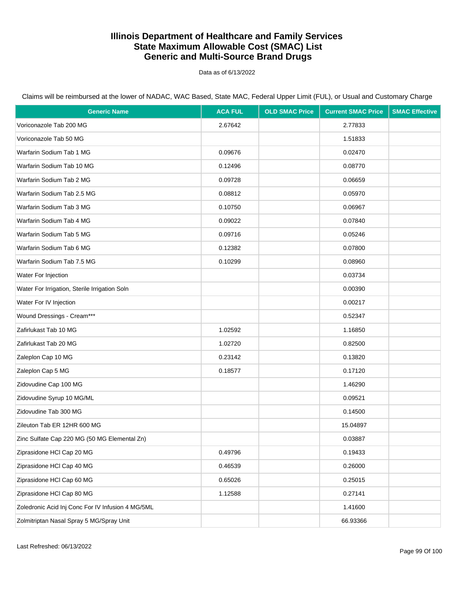Data as of 6/13/2022

| <b>Generic Name</b>                               | <b>ACA FUL</b> | <b>OLD SMAC Price</b> | <b>Current SMAC Price</b> | <b>SMAC Effective</b> |
|---------------------------------------------------|----------------|-----------------------|---------------------------|-----------------------|
| Voriconazole Tab 200 MG                           | 2.67642        |                       | 2.77833                   |                       |
| Voriconazole Tab 50 MG                            |                |                       | 1.51833                   |                       |
| Warfarin Sodium Tab 1 MG                          | 0.09676        |                       | 0.02470                   |                       |
| Warfarin Sodium Tab 10 MG                         | 0.12496        |                       | 0.08770                   |                       |
| Warfarin Sodium Tab 2 MG                          | 0.09728        |                       | 0.06659                   |                       |
| Warfarin Sodium Tab 2.5 MG                        | 0.08812        |                       | 0.05970                   |                       |
| Warfarin Sodium Tab 3 MG                          | 0.10750        |                       | 0.06967                   |                       |
| Warfarin Sodium Tab 4 MG                          | 0.09022        |                       | 0.07840                   |                       |
| Warfarin Sodium Tab 5 MG                          | 0.09716        |                       | 0.05246                   |                       |
| Warfarin Sodium Tab 6 MG                          | 0.12382        |                       | 0.07800                   |                       |
| Warfarin Sodium Tab 7.5 MG                        | 0.10299        |                       | 0.08960                   |                       |
| Water For Injection                               |                |                       | 0.03734                   |                       |
| Water For Irrigation, Sterile Irrigation Soln     |                |                       | 0.00390                   |                       |
| Water For IV Injection                            |                |                       | 0.00217                   |                       |
| Wound Dressings - Cream***                        |                |                       | 0.52347                   |                       |
| Zafirlukast Tab 10 MG                             | 1.02592        |                       | 1.16850                   |                       |
| Zafirlukast Tab 20 MG                             | 1.02720        |                       | 0.82500                   |                       |
| Zaleplon Cap 10 MG                                | 0.23142        |                       | 0.13820                   |                       |
| Zaleplon Cap 5 MG                                 | 0.18577        |                       | 0.17120                   |                       |
| Zidovudine Cap 100 MG                             |                |                       | 1.46290                   |                       |
| Zidovudine Syrup 10 MG/ML                         |                |                       | 0.09521                   |                       |
| Zidovudine Tab 300 MG                             |                |                       | 0.14500                   |                       |
| Zileuton Tab ER 12HR 600 MG                       |                |                       | 15.04897                  |                       |
| Zinc Sulfate Cap 220 MG (50 MG Elemental Zn)      |                |                       | 0.03887                   |                       |
| Ziprasidone HCl Cap 20 MG                         | 0.49796        |                       | 0.19433                   |                       |
| Ziprasidone HCI Cap 40 MG                         | 0.46539        |                       | 0.26000                   |                       |
| Ziprasidone HCI Cap 60 MG                         | 0.65026        |                       | 0.25015                   |                       |
| Ziprasidone HCI Cap 80 MG                         | 1.12588        |                       | 0.27141                   |                       |
| Zoledronic Acid Inj Conc For IV Infusion 4 MG/5ML |                |                       | 1.41600                   |                       |
| Zolmitriptan Nasal Spray 5 MG/Spray Unit          |                |                       | 66.93366                  |                       |